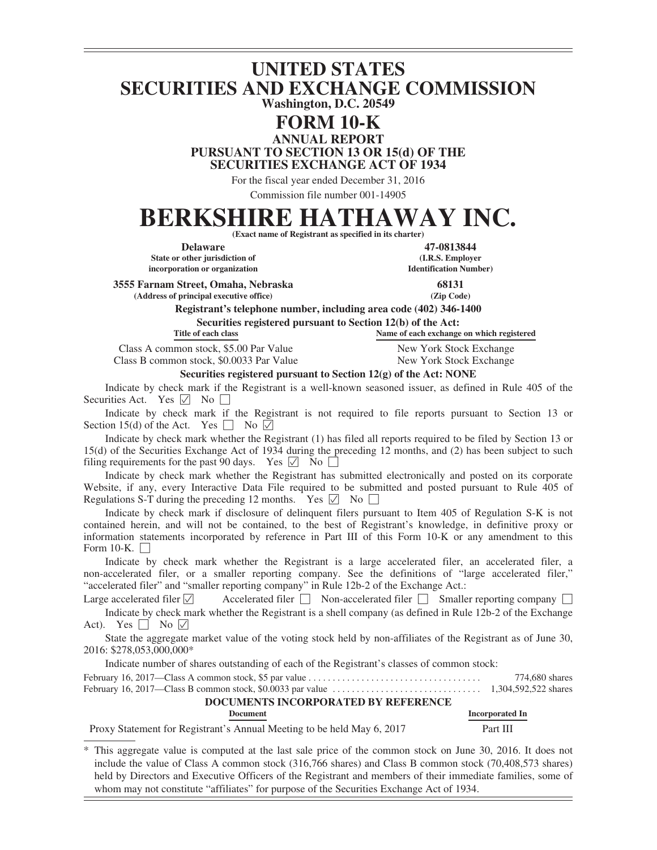# **UNITED STATES SECURITIES AND EXCHANGE COMMISSION Washington, D.C. 20549**

# **FORM 10-K**

**ANNUAL REPORT**

**PURSUANT TO SECTION 13 OR 15(d) OF THE SECURITIES EXCHANGE ACT OF 1934**

> For the fiscal year ended December 31, 2016 Commission file number 001-14905

# **BERKSHIRE HATHAWAY INC.**

**(Exact name of Registrant as specified in its charter)**

**State or other jurisdiction of incorporation or organization**

**Delaware 47-0813844 (I.R.S. Employer Identification Number)**

**3555 Farnam Street, Omaha, Nebraska 68131 (Address of principal executive office) (Zip Code)**

**Registrant's telephone number, including area code (402) 346-1400**

**Securities registered pursuant to Section 12(b) of the Act:**

**Title of each class Name of each exchange on which registered**

Class A common stock, \$5.00 Par Value New York Stock Exchange Class B common stock, \$0.0033 Par Value New York Stock Exchange

**Securities registered pursuant to Section 12(g) of the Act: NONE**

Indicate by check mark if the Registrant is a well-known seasoned issuer, as defined in Rule 405 of the Securities Act. Yes  $\boxed{\vee}$  No  $\boxed{\phantom{0}}$ 

Indicate by check mark if the Registrant is not required to file reports pursuant to Section 13 or Section 15(d) of the Act. Yes  $\Box$  No  $\Box$ 

Indicate by check mark whether the Registrant (1) has filed all reports required to be filed by Section 13 or 15(d) of the Securities Exchange Act of 1934 during the preceding 12 months, and (2) has been subject to such filing requirements for the past 90 days. Yes  $\vee$  No  $\Box$ 

Indicate by check mark whether the Registrant has submitted electronically and posted on its corporate Website, if any, every Interactive Data File required to be submitted and posted pursuant to Rule 405 of Regulations S-T during the preceding 12 months. Yes  $\Box$  No  $\Box$ 

Indicate by check mark if disclosure of delinquent filers pursuant to Item 405 of Regulation S-K is not contained herein, and will not be contained, to the best of Registrant's knowledge, in definitive proxy or information statements incorporated by reference in Part III of this Form 10-K or any amendment to this Form 10-K.  $\Box$ 

Indicate by check mark whether the Registrant is a large accelerated filer, an accelerated filer, a non-accelerated filer, or a smaller reporting company. See the definitions of "large accelerated filer," "accelerated filer" and "smaller reporting company" in Rule 12b-2 of the Exchange Act.:

Large accelerated filer  $\Box$  Accelerated filer  $\Box$  Non-accelerated filer  $\Box$  Smaller reporting company  $\Box$ Indicate by check mark whether the Registrant is a shell company (as defined in Rule 12b-2 of the Exchange Act). Yes  $\Box$  No  $\Box$ 

State the aggregate market value of the voting stock held by non-affiliates of the Registrant as of June 30, 2016: \$278,053,000,000\*

Indicate number of shares outstanding of each of the Registrant's classes of common stock: February 16, 2017—Class A common stock, \$5 par value .................................... 774,680 shares February 16, 2017—Class B common stock, \$0.0033 par value ............................... 1,304,592,522 shares

| $\frac{1}{2}$ . The common provincial polyphone pair range in the contract of the contract of the superintensity $\frac{1}{2}$ |                        |
|--------------------------------------------------------------------------------------------------------------------------------|------------------------|
| DOCUMENTS INCORPORATED BY REFERENCE                                                                                            |                        |
| <b>Document</b>                                                                                                                | <b>Incorporated In</b> |

| <u>Dovannin</u>                                                        | morporate |
|------------------------------------------------------------------------|-----------|
| Proxy Statement for Registrant's Annual Meeting to be held May 6, 2017 | Part III  |

\* This aggregate value is computed at the last sale price of the common stock on June 30, 2016. It does not include the value of Class A common stock (316,766 shares) and Class B common stock (70,408,573 shares) held by Directors and Executive Officers of the Registrant and members of their immediate families, some of whom may not constitute "affiliates" for purpose of the Securities Exchange Act of 1934.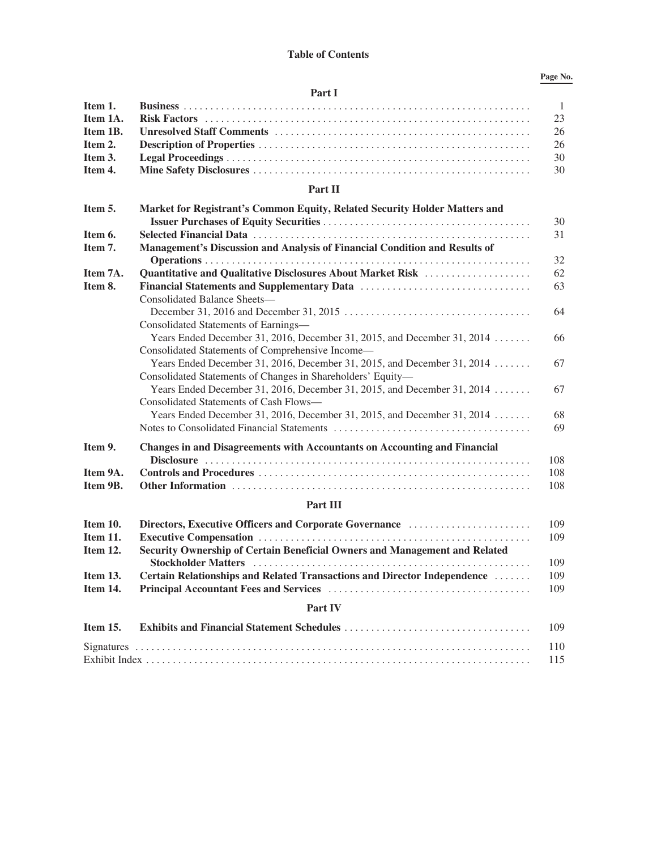# **Table of Contents**

# **Page No.**

| .,<br>۰.<br>×<br>× |  |
|--------------------|--|
|--------------------|--|

| Item 1.  |                                                                                  | $\mathbf{1}$ |
|----------|----------------------------------------------------------------------------------|--------------|
| Item 1A. |                                                                                  | 23           |
| Item 1B. |                                                                                  | 26           |
| Item 2.  |                                                                                  | 26           |
| Item 3.  |                                                                                  | 30           |
| Item 4.  |                                                                                  | 30           |
|          | Part II                                                                          |              |
| Item 5.  | Market for Registrant's Common Equity, Related Security Holder Matters and       |              |
|          |                                                                                  | 30           |
| Item 6.  |                                                                                  | 31           |
| Item 7.  | Management's Discussion and Analysis of Financial Condition and Results of       |              |
|          |                                                                                  | 32           |
| Item 7A. | Quantitative and Qualitative Disclosures About Market Risk                       | 62           |
| Item 8.  |                                                                                  | 63           |
|          | Consolidated Balance Sheets-                                                     |              |
|          |                                                                                  | 64           |
|          | Consolidated Statements of Earnings-                                             |              |
|          | Years Ended December 31, 2016, December 31, 2015, and December 31, 2014          | 66           |
|          | Consolidated Statements of Comprehensive Income-                                 |              |
|          | Years Ended December 31, 2016, December 31, 2015, and December 31, 2014          | 67           |
|          | Consolidated Statements of Changes in Shareholders' Equity-                      |              |
|          | Years Ended December 31, 2016, December 31, 2015, and December 31, 2014          | 67           |
|          | Consolidated Statements of Cash Flows-                                           |              |
|          | Years Ended December 31, 2016, December 31, 2015, and December 31, 2014          | 68           |
|          |                                                                                  | 69           |
| Item 9.  | <b>Changes in and Disagreements with Accountants on Accounting and Financial</b> |              |
|          |                                                                                  | 108          |
| Item 9A. |                                                                                  | 108          |
| Item 9B. |                                                                                  | 108          |
|          | Part III                                                                         |              |
| Item 10. | Directors, Executive Officers and Corporate Governance                           | 109          |
| Item 11. |                                                                                  | 109          |
| Item 12. | Security Ownership of Certain Beneficial Owners and Management and Related       |              |
|          |                                                                                  | 109          |
| Item 13. | Certain Relationships and Related Transactions and Director Independence         | 109          |
| Item 14. |                                                                                  | 109          |
|          | Part IV                                                                          |              |
| Item 15. |                                                                                  | 109          |
|          |                                                                                  | 110          |
|          |                                                                                  | 115          |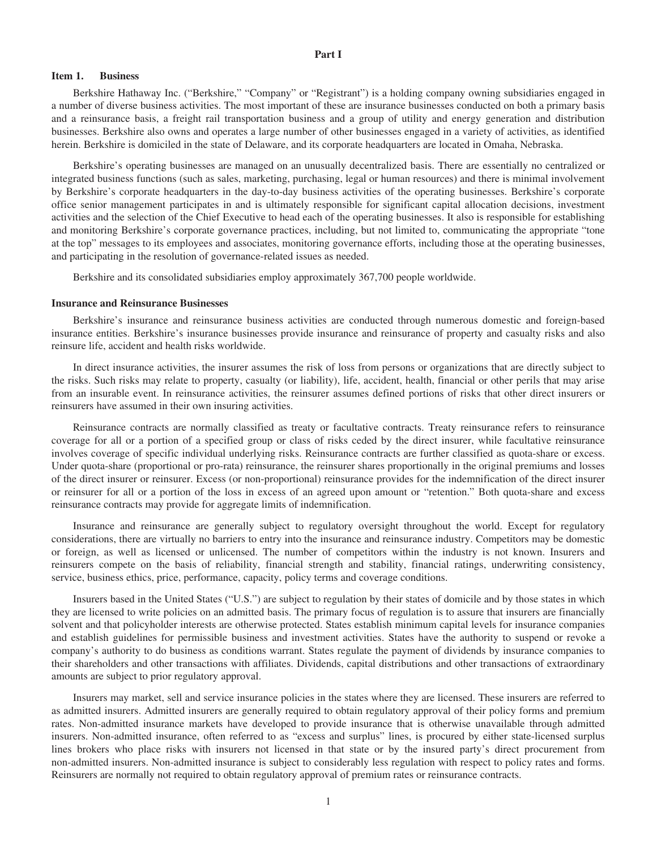# **Part I**

#### **Item 1. Business**

Berkshire Hathaway Inc. ("Berkshire," "Company" or "Registrant") is a holding company owning subsidiaries engaged in a number of diverse business activities. The most important of these are insurance businesses conducted on both a primary basis and a reinsurance basis, a freight rail transportation business and a group of utility and energy generation and distribution businesses. Berkshire also owns and operates a large number of other businesses engaged in a variety of activities, as identified herein. Berkshire is domiciled in the state of Delaware, and its corporate headquarters are located in Omaha, Nebraska.

Berkshire's operating businesses are managed on an unusually decentralized basis. There are essentially no centralized or integrated business functions (such as sales, marketing, purchasing, legal or human resources) and there is minimal involvement by Berkshire's corporate headquarters in the day-to-day business activities of the operating businesses. Berkshire's corporate office senior management participates in and is ultimately responsible for significant capital allocation decisions, investment activities and the selection of the Chief Executive to head each of the operating businesses. It also is responsible for establishing and monitoring Berkshire's corporate governance practices, including, but not limited to, communicating the appropriate "tone at the top" messages to its employees and associates, monitoring governance efforts, including those at the operating businesses, and participating in the resolution of governance-related issues as needed.

Berkshire and its consolidated subsidiaries employ approximately 367,700 people worldwide.

#### **Insurance and Reinsurance Businesses**

Berkshire's insurance and reinsurance business activities are conducted through numerous domestic and foreign-based insurance entities. Berkshire's insurance businesses provide insurance and reinsurance of property and casualty risks and also reinsure life, accident and health risks worldwide.

In direct insurance activities, the insurer assumes the risk of loss from persons or organizations that are directly subject to the risks. Such risks may relate to property, casualty (or liability), life, accident, health, financial or other perils that may arise from an insurable event. In reinsurance activities, the reinsurer assumes defined portions of risks that other direct insurers or reinsurers have assumed in their own insuring activities.

Reinsurance contracts are normally classified as treaty or facultative contracts. Treaty reinsurance refers to reinsurance coverage for all or a portion of a specified group or class of risks ceded by the direct insurer, while facultative reinsurance involves coverage of specific individual underlying risks. Reinsurance contracts are further classified as quota-share or excess. Under quota-share (proportional or pro-rata) reinsurance, the reinsurer shares proportionally in the original premiums and losses of the direct insurer or reinsurer. Excess (or non-proportional) reinsurance provides for the indemnification of the direct insurer or reinsurer for all or a portion of the loss in excess of an agreed upon amount or "retention." Both quota-share and excess reinsurance contracts may provide for aggregate limits of indemnification.

Insurance and reinsurance are generally subject to regulatory oversight throughout the world. Except for regulatory considerations, there are virtually no barriers to entry into the insurance and reinsurance industry. Competitors may be domestic or foreign, as well as licensed or unlicensed. The number of competitors within the industry is not known. Insurers and reinsurers compete on the basis of reliability, financial strength and stability, financial ratings, underwriting consistency, service, business ethics, price, performance, capacity, policy terms and coverage conditions.

Insurers based in the United States ("U.S.") are subject to regulation by their states of domicile and by those states in which they are licensed to write policies on an admitted basis. The primary focus of regulation is to assure that insurers are financially solvent and that policyholder interests are otherwise protected. States establish minimum capital levels for insurance companies and establish guidelines for permissible business and investment activities. States have the authority to suspend or revoke a company's authority to do business as conditions warrant. States regulate the payment of dividends by insurance companies to their shareholders and other transactions with affiliates. Dividends, capital distributions and other transactions of extraordinary amounts are subject to prior regulatory approval.

Insurers may market, sell and service insurance policies in the states where they are licensed. These insurers are referred to as admitted insurers. Admitted insurers are generally required to obtain regulatory approval of their policy forms and premium rates. Non-admitted insurance markets have developed to provide insurance that is otherwise unavailable through admitted insurers. Non-admitted insurance, often referred to as "excess and surplus" lines, is procured by either state-licensed surplus lines brokers who place risks with insurers not licensed in that state or by the insured party's direct procurement from non-admitted insurers. Non-admitted insurance is subject to considerably less regulation with respect to policy rates and forms. Reinsurers are normally not required to obtain regulatory approval of premium rates or reinsurance contracts.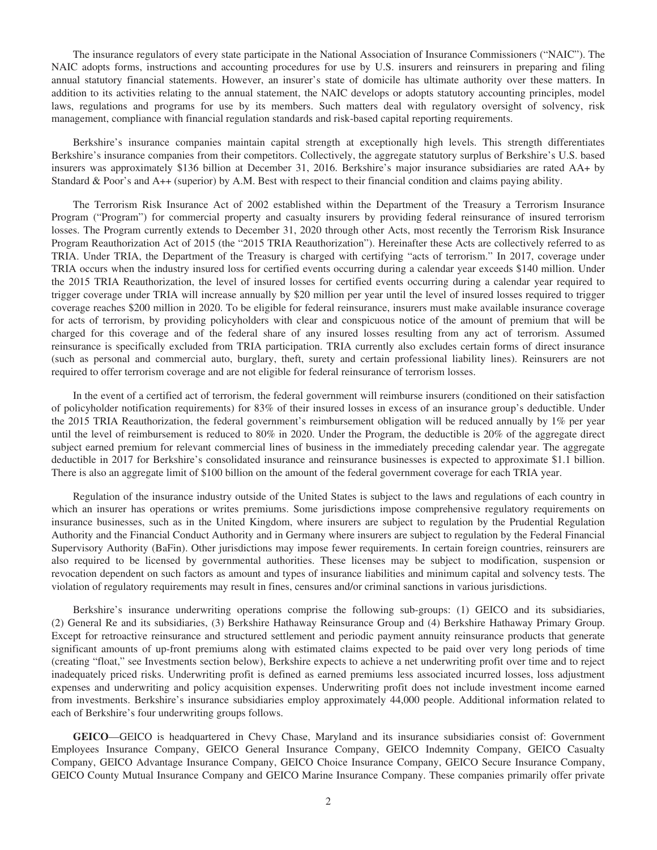The insurance regulators of every state participate in the National Association of Insurance Commissioners ("NAIC"). The NAIC adopts forms, instructions and accounting procedures for use by U.S. insurers and reinsurers in preparing and filing annual statutory financial statements. However, an insurer's state of domicile has ultimate authority over these matters. In addition to its activities relating to the annual statement, the NAIC develops or adopts statutory accounting principles, model laws, regulations and programs for use by its members. Such matters deal with regulatory oversight of solvency, risk management, compliance with financial regulation standards and risk-based capital reporting requirements.

Berkshire's insurance companies maintain capital strength at exceptionally high levels. This strength differentiates Berkshire's insurance companies from their competitors. Collectively, the aggregate statutory surplus of Berkshire's U.S. based insurers was approximately \$136 billion at December 31, 2016. Berkshire's major insurance subsidiaries are rated AA+ by Standard & Poor's and A++ (superior) by A.M. Best with respect to their financial condition and claims paying ability.

The Terrorism Risk Insurance Act of 2002 established within the Department of the Treasury a Terrorism Insurance Program ("Program") for commercial property and casualty insurers by providing federal reinsurance of insured terrorism losses. The Program currently extends to December 31, 2020 through other Acts, most recently the Terrorism Risk Insurance Program Reauthorization Act of 2015 (the "2015 TRIA Reauthorization"). Hereinafter these Acts are collectively referred to as TRIA. Under TRIA, the Department of the Treasury is charged with certifying "acts of terrorism." In 2017, coverage under TRIA occurs when the industry insured loss for certified events occurring during a calendar year exceeds \$140 million. Under the 2015 TRIA Reauthorization, the level of insured losses for certified events occurring during a calendar year required to trigger coverage under TRIA will increase annually by \$20 million per year until the level of insured losses required to trigger coverage reaches \$200 million in 2020. To be eligible for federal reinsurance, insurers must make available insurance coverage for acts of terrorism, by providing policyholders with clear and conspicuous notice of the amount of premium that will be charged for this coverage and of the federal share of any insured losses resulting from any act of terrorism. Assumed reinsurance is specifically excluded from TRIA participation. TRIA currently also excludes certain forms of direct insurance (such as personal and commercial auto, burglary, theft, surety and certain professional liability lines). Reinsurers are not required to offer terrorism coverage and are not eligible for federal reinsurance of terrorism losses.

In the event of a certified act of terrorism, the federal government will reimburse insurers (conditioned on their satisfaction of policyholder notification requirements) for 83% of their insured losses in excess of an insurance group's deductible. Under the 2015 TRIA Reauthorization, the federal government's reimbursement obligation will be reduced annually by 1% per year until the level of reimbursement is reduced to 80% in 2020. Under the Program, the deductible is 20% of the aggregate direct subject earned premium for relevant commercial lines of business in the immediately preceding calendar year. The aggregate deductible in 2017 for Berkshire's consolidated insurance and reinsurance businesses is expected to approximate \$1.1 billion. There is also an aggregate limit of \$100 billion on the amount of the federal government coverage for each TRIA year.

Regulation of the insurance industry outside of the United States is subject to the laws and regulations of each country in which an insurer has operations or writes premiums. Some jurisdictions impose comprehensive regulatory requirements on insurance businesses, such as in the United Kingdom, where insurers are subject to regulation by the Prudential Regulation Authority and the Financial Conduct Authority and in Germany where insurers are subject to regulation by the Federal Financial Supervisory Authority (BaFin). Other jurisdictions may impose fewer requirements. In certain foreign countries, reinsurers are also required to be licensed by governmental authorities. These licenses may be subject to modification, suspension or revocation dependent on such factors as amount and types of insurance liabilities and minimum capital and solvency tests. The violation of regulatory requirements may result in fines, censures and/or criminal sanctions in various jurisdictions.

Berkshire's insurance underwriting operations comprise the following sub-groups: (1) GEICO and its subsidiaries, (2) General Re and its subsidiaries, (3) Berkshire Hathaway Reinsurance Group and (4) Berkshire Hathaway Primary Group. Except for retroactive reinsurance and structured settlement and periodic payment annuity reinsurance products that generate significant amounts of up-front premiums along with estimated claims expected to be paid over very long periods of time (creating "float," see Investments section below), Berkshire expects to achieve a net underwriting profit over time and to reject inadequately priced risks. Underwriting profit is defined as earned premiums less associated incurred losses, loss adjustment expenses and underwriting and policy acquisition expenses. Underwriting profit does not include investment income earned from investments. Berkshire's insurance subsidiaries employ approximately 44,000 people. Additional information related to each of Berkshire's four underwriting groups follows.

**GEICO**—GEICO is headquartered in Chevy Chase, Maryland and its insurance subsidiaries consist of: Government Employees Insurance Company, GEICO General Insurance Company, GEICO Indemnity Company, GEICO Casualty Company, GEICO Advantage Insurance Company, GEICO Choice Insurance Company, GEICO Secure Insurance Company, GEICO County Mutual Insurance Company and GEICO Marine Insurance Company. These companies primarily offer private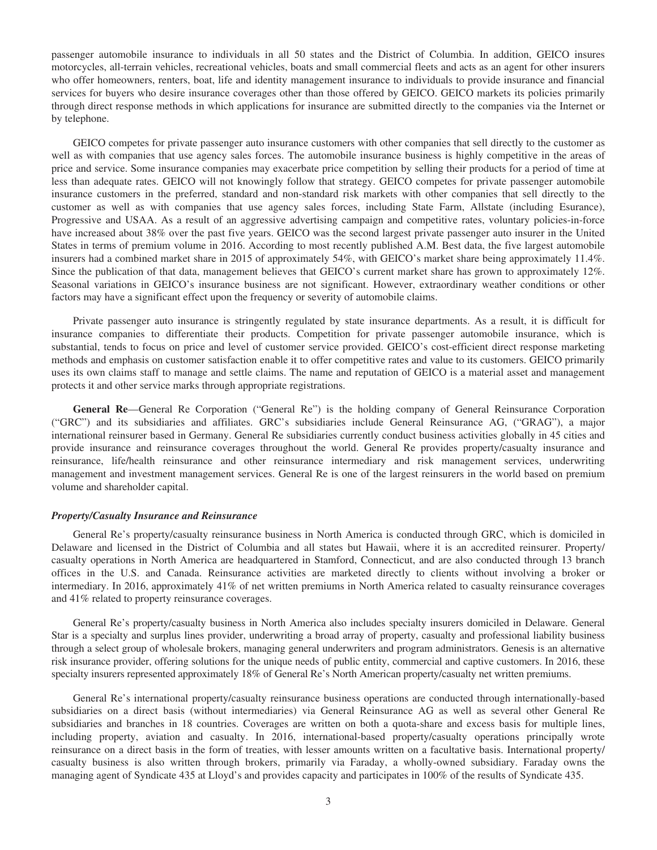passenger automobile insurance to individuals in all 50 states and the District of Columbia. In addition, GEICO insures motorcycles, all-terrain vehicles, recreational vehicles, boats and small commercial fleets and acts as an agent for other insurers who offer homeowners, renters, boat, life and identity management insurance to individuals to provide insurance and financial services for buyers who desire insurance coverages other than those offered by GEICO. GEICO markets its policies primarily through direct response methods in which applications for insurance are submitted directly to the companies via the Internet or by telephone.

GEICO competes for private passenger auto insurance customers with other companies that sell directly to the customer as well as with companies that use agency sales forces. The automobile insurance business is highly competitive in the areas of price and service. Some insurance companies may exacerbate price competition by selling their products for a period of time at less than adequate rates. GEICO will not knowingly follow that strategy. GEICO competes for private passenger automobile insurance customers in the preferred, standard and non-standard risk markets with other companies that sell directly to the customer as well as with companies that use agency sales forces, including State Farm, Allstate (including Esurance), Progressive and USAA. As a result of an aggressive advertising campaign and competitive rates, voluntary policies-in-force have increased about 38% over the past five years. GEICO was the second largest private passenger auto insurer in the United States in terms of premium volume in 2016. According to most recently published A.M. Best data, the five largest automobile insurers had a combined market share in 2015 of approximately 54%, with GEICO's market share being approximately 11.4%. Since the publication of that data, management believes that GEICO's current market share has grown to approximately 12%. Seasonal variations in GEICO's insurance business are not significant. However, extraordinary weather conditions or other factors may have a significant effect upon the frequency or severity of automobile claims.

Private passenger auto insurance is stringently regulated by state insurance departments. As a result, it is difficult for insurance companies to differentiate their products. Competition for private passenger automobile insurance, which is substantial, tends to focus on price and level of customer service provided. GEICO's cost-efficient direct response marketing methods and emphasis on customer satisfaction enable it to offer competitive rates and value to its customers. GEICO primarily uses its own claims staff to manage and settle claims. The name and reputation of GEICO is a material asset and management protects it and other service marks through appropriate registrations.

**General Re**—General Re Corporation ("General Re") is the holding company of General Reinsurance Corporation ("GRC") and its subsidiaries and affiliates. GRC's subsidiaries include General Reinsurance AG, ("GRAG"), a major international reinsurer based in Germany. General Re subsidiaries currently conduct business activities globally in 45 cities and provide insurance and reinsurance coverages throughout the world. General Re provides property/casualty insurance and reinsurance, life/health reinsurance and other reinsurance intermediary and risk management services, underwriting management and investment management services. General Re is one of the largest reinsurers in the world based on premium volume and shareholder capital.

#### *Property/Casualty Insurance and Reinsurance*

General Re's property/casualty reinsurance business in North America is conducted through GRC, which is domiciled in Delaware and licensed in the District of Columbia and all states but Hawaii, where it is an accredited reinsurer. Property/ casualty operations in North America are headquartered in Stamford, Connecticut, and are also conducted through 13 branch offices in the U.S. and Canada. Reinsurance activities are marketed directly to clients without involving a broker or intermediary. In 2016, approximately 41% of net written premiums in North America related to casualty reinsurance coverages and 41% related to property reinsurance coverages.

General Re's property/casualty business in North America also includes specialty insurers domiciled in Delaware. General Star is a specialty and surplus lines provider, underwriting a broad array of property, casualty and professional liability business through a select group of wholesale brokers, managing general underwriters and program administrators. Genesis is an alternative risk insurance provider, offering solutions for the unique needs of public entity, commercial and captive customers. In 2016, these specialty insurers represented approximately 18% of General Re's North American property/casualty net written premiums.

General Re's international property/casualty reinsurance business operations are conducted through internationally-based subsidiaries on a direct basis (without intermediaries) via General Reinsurance AG as well as several other General Re subsidiaries and branches in 18 countries. Coverages are written on both a quota-share and excess basis for multiple lines, including property, aviation and casualty. In 2016, international-based property/casualty operations principally wrote reinsurance on a direct basis in the form of treaties, with lesser amounts written on a facultative basis. International property/ casualty business is also written through brokers, primarily via Faraday, a wholly-owned subsidiary. Faraday owns the managing agent of Syndicate 435 at Lloyd's and provides capacity and participates in 100% of the results of Syndicate 435.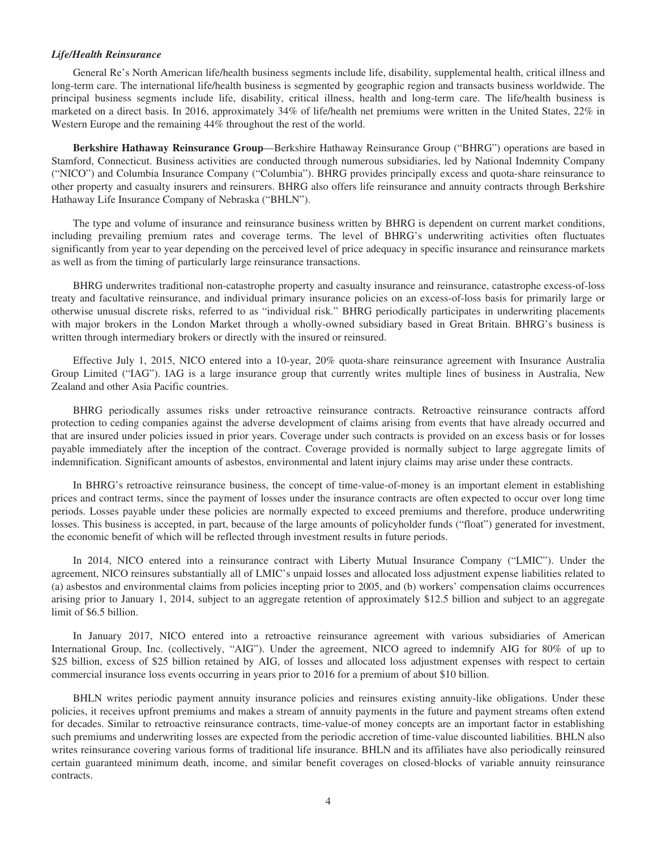# *Life/Health Reinsurance*

General Re's North American life/health business segments include life, disability, supplemental health, critical illness and long-term care. The international life/health business is segmented by geographic region and transacts business worldwide. The principal business segments include life, disability, critical illness, health and long-term care. The life/health business is marketed on a direct basis. In 2016, approximately 34% of life/health net premiums were written in the United States, 22% in Western Europe and the remaining 44% throughout the rest of the world.

**Berkshire Hathaway Reinsurance Group**—Berkshire Hathaway Reinsurance Group ("BHRG") operations are based in Stamford, Connecticut. Business activities are conducted through numerous subsidiaries, led by National Indemnity Company ("NICO") and Columbia Insurance Company ("Columbia"). BHRG provides principally excess and quota-share reinsurance to other property and casualty insurers and reinsurers. BHRG also offers life reinsurance and annuity contracts through Berkshire Hathaway Life Insurance Company of Nebraska ("BHLN").

The type and volume of insurance and reinsurance business written by BHRG is dependent on current market conditions, including prevailing premium rates and coverage terms. The level of BHRG's underwriting activities often fluctuates significantly from year to year depending on the perceived level of price adequacy in specific insurance and reinsurance markets as well as from the timing of particularly large reinsurance transactions.

BHRG underwrites traditional non-catastrophe property and casualty insurance and reinsurance, catastrophe excess-of-loss treaty and facultative reinsurance, and individual primary insurance policies on an excess-of-loss basis for primarily large or otherwise unusual discrete risks, referred to as "individual risk." BHRG periodically participates in underwriting placements with major brokers in the London Market through a wholly-owned subsidiary based in Great Britain. BHRG's business is written through intermediary brokers or directly with the insured or reinsured.

Effective July 1, 2015, NICO entered into a 10-year, 20% quota-share reinsurance agreement with Insurance Australia Group Limited ("IAG"). IAG is a large insurance group that currently writes multiple lines of business in Australia, New Zealand and other Asia Pacific countries.

BHRG periodically assumes risks under retroactive reinsurance contracts. Retroactive reinsurance contracts afford protection to ceding companies against the adverse development of claims arising from events that have already occurred and that are insured under policies issued in prior years. Coverage under such contracts is provided on an excess basis or for losses payable immediately after the inception of the contract. Coverage provided is normally subject to large aggregate limits of indemnification. Significant amounts of asbestos, environmental and latent injury claims may arise under these contracts.

In BHRG's retroactive reinsurance business, the concept of time-value-of-money is an important element in establishing prices and contract terms, since the payment of losses under the insurance contracts are often expected to occur over long time periods. Losses payable under these policies are normally expected to exceed premiums and therefore, produce underwriting losses. This business is accepted, in part, because of the large amounts of policyholder funds ("float") generated for investment, the economic benefit of which will be reflected through investment results in future periods.

In 2014, NICO entered into a reinsurance contract with Liberty Mutual Insurance Company ("LMIC"). Under the agreement, NICO reinsures substantially all of LMIC's unpaid losses and allocated loss adjustment expense liabilities related to (a) asbestos and environmental claims from policies incepting prior to 2005, and (b) workers' compensation claims occurrences arising prior to January 1, 2014, subject to an aggregate retention of approximately \$12.5 billion and subject to an aggregate limit of \$6.5 billion.

In January 2017, NICO entered into a retroactive reinsurance agreement with various subsidiaries of American International Group, Inc. (collectively, "AIG"). Under the agreement, NICO agreed to indemnify AIG for 80% of up to \$25 billion, excess of \$25 billion retained by AIG, of losses and allocated loss adjustment expenses with respect to certain commercial insurance loss events occurring in years prior to 2016 for a premium of about \$10 billion.

BHLN writes periodic payment annuity insurance policies and reinsures existing annuity-like obligations. Under these policies, it receives upfront premiums and makes a stream of annuity payments in the future and payment streams often extend for decades. Similar to retroactive reinsurance contracts, time-value-of money concepts are an important factor in establishing such premiums and underwriting losses are expected from the periodic accretion of time-value discounted liabilities. BHLN also writes reinsurance covering various forms of traditional life insurance. BHLN and its affiliates have also periodically reinsured certain guaranteed minimum death, income, and similar benefit coverages on closed-blocks of variable annuity reinsurance contracts.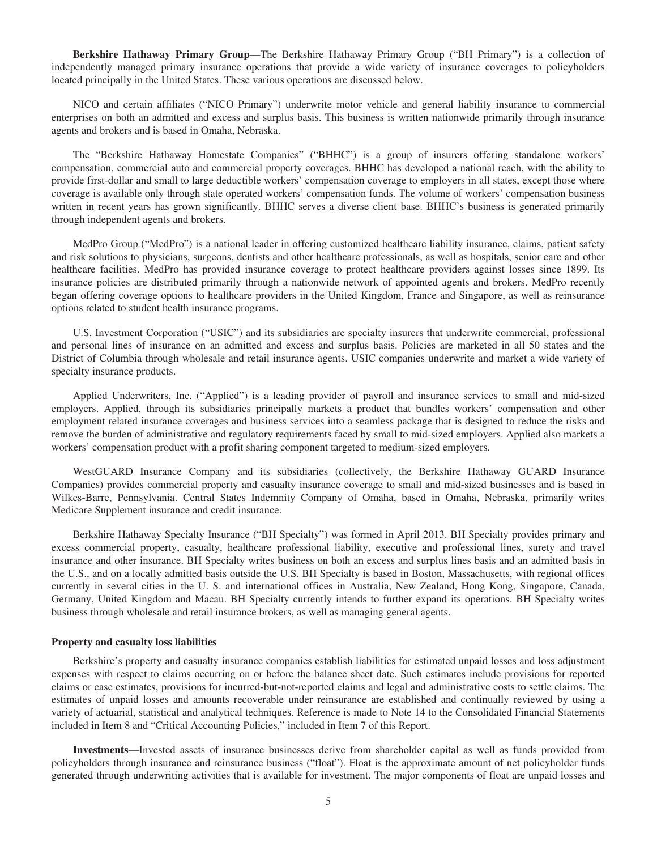**Berkshire Hathaway Primary Group**—The Berkshire Hathaway Primary Group ("BH Primary") is a collection of independently managed primary insurance operations that provide a wide variety of insurance coverages to policyholders located principally in the United States. These various operations are discussed below.

NICO and certain affiliates ("NICO Primary") underwrite motor vehicle and general liability insurance to commercial enterprises on both an admitted and excess and surplus basis. This business is written nationwide primarily through insurance agents and brokers and is based in Omaha, Nebraska.

The "Berkshire Hathaway Homestate Companies" ("BHHC") is a group of insurers offering standalone workers' compensation, commercial auto and commercial property coverages. BHHC has developed a national reach, with the ability to provide first-dollar and small to large deductible workers' compensation coverage to employers in all states, except those where coverage is available only through state operated workers' compensation funds. The volume of workers' compensation business written in recent years has grown significantly. BHHC serves a diverse client base. BHHC's business is generated primarily through independent agents and brokers.

MedPro Group ("MedPro") is a national leader in offering customized healthcare liability insurance, claims, patient safety and risk solutions to physicians, surgeons, dentists and other healthcare professionals, as well as hospitals, senior care and other healthcare facilities. MedPro has provided insurance coverage to protect healthcare providers against losses since 1899. Its insurance policies are distributed primarily through a nationwide network of appointed agents and brokers. MedPro recently began offering coverage options to healthcare providers in the United Kingdom, France and Singapore, as well as reinsurance options related to student health insurance programs.

U.S. Investment Corporation ("USIC") and its subsidiaries are specialty insurers that underwrite commercial, professional and personal lines of insurance on an admitted and excess and surplus basis. Policies are marketed in all 50 states and the District of Columbia through wholesale and retail insurance agents. USIC companies underwrite and market a wide variety of specialty insurance products.

Applied Underwriters, Inc. ("Applied") is a leading provider of payroll and insurance services to small and mid-sized employers. Applied, through its subsidiaries principally markets a product that bundles workers' compensation and other employment related insurance coverages and business services into a seamless package that is designed to reduce the risks and remove the burden of administrative and regulatory requirements faced by small to mid-sized employers. Applied also markets a workers' compensation product with a profit sharing component targeted to medium-sized employers.

WestGUARD Insurance Company and its subsidiaries (collectively, the Berkshire Hathaway GUARD Insurance Companies) provides commercial property and casualty insurance coverage to small and mid-sized businesses and is based in Wilkes-Barre, Pennsylvania. Central States Indemnity Company of Omaha, based in Omaha, Nebraska, primarily writes Medicare Supplement insurance and credit insurance.

Berkshire Hathaway Specialty Insurance ("BH Specialty") was formed in April 2013. BH Specialty provides primary and excess commercial property, casualty, healthcare professional liability, executive and professional lines, surety and travel insurance and other insurance. BH Specialty writes business on both an excess and surplus lines basis and an admitted basis in the U.S., and on a locally admitted basis outside the U.S. BH Specialty is based in Boston, Massachusetts, with regional offices currently in several cities in the U. S. and international offices in Australia, New Zealand, Hong Kong, Singapore, Canada, Germany, United Kingdom and Macau. BH Specialty currently intends to further expand its operations. BH Specialty writes business through wholesale and retail insurance brokers, as well as managing general agents.

### **Property and casualty loss liabilities**

Berkshire's property and casualty insurance companies establish liabilities for estimated unpaid losses and loss adjustment expenses with respect to claims occurring on or before the balance sheet date. Such estimates include provisions for reported claims or case estimates, provisions for incurred-but-not-reported claims and legal and administrative costs to settle claims. The estimates of unpaid losses and amounts recoverable under reinsurance are established and continually reviewed by using a variety of actuarial, statistical and analytical techniques. Reference is made to Note 14 to the Consolidated Financial Statements included in Item 8 and "Critical Accounting Policies," included in Item 7 of this Report.

**Investments**—Invested assets of insurance businesses derive from shareholder capital as well as funds provided from policyholders through insurance and reinsurance business ("float"). Float is the approximate amount of net policyholder funds generated through underwriting activities that is available for investment. The major components of float are unpaid losses and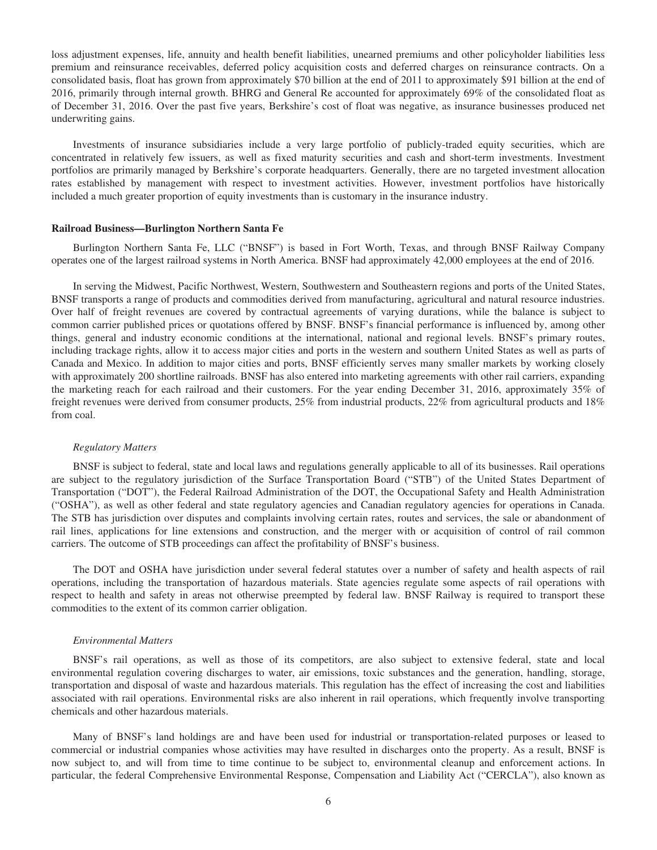loss adjustment expenses, life, annuity and health benefit liabilities, unearned premiums and other policyholder liabilities less premium and reinsurance receivables, deferred policy acquisition costs and deferred charges on reinsurance contracts. On a consolidated basis, float has grown from approximately \$70 billion at the end of 2011 to approximately \$91 billion at the end of 2016, primarily through internal growth. BHRG and General Re accounted for approximately 69% of the consolidated float as of December 31, 2016. Over the past five years, Berkshire's cost of float was negative, as insurance businesses produced net underwriting gains.

Investments of insurance subsidiaries include a very large portfolio of publicly-traded equity securities, which are concentrated in relatively few issuers, as well as fixed maturity securities and cash and short-term investments. Investment portfolios are primarily managed by Berkshire's corporate headquarters. Generally, there are no targeted investment allocation rates established by management with respect to investment activities. However, investment portfolios have historically included a much greater proportion of equity investments than is customary in the insurance industry.

#### **Railroad Business—Burlington Northern Santa Fe**

Burlington Northern Santa Fe, LLC ("BNSF") is based in Fort Worth, Texas, and through BNSF Railway Company operates one of the largest railroad systems in North America. BNSF had approximately 42,000 employees at the end of 2016.

In serving the Midwest, Pacific Northwest, Western, Southwestern and Southeastern regions and ports of the United States, BNSF transports a range of products and commodities derived from manufacturing, agricultural and natural resource industries. Over half of freight revenues are covered by contractual agreements of varying durations, while the balance is subject to common carrier published prices or quotations offered by BNSF. BNSF's financial performance is influenced by, among other things, general and industry economic conditions at the international, national and regional levels. BNSF's primary routes, including trackage rights, allow it to access major cities and ports in the western and southern United States as well as parts of Canada and Mexico. In addition to major cities and ports, BNSF efficiently serves many smaller markets by working closely with approximately 200 shortline railroads. BNSF has also entered into marketing agreements with other rail carriers, expanding the marketing reach for each railroad and their customers. For the year ending December 31, 2016, approximately 35% of freight revenues were derived from consumer products, 25% from industrial products, 22% from agricultural products and 18% from coal.

# *Regulatory Matters*

BNSF is subject to federal, state and local laws and regulations generally applicable to all of its businesses. Rail operations are subject to the regulatory jurisdiction of the Surface Transportation Board ("STB") of the United States Department of Transportation ("DOT"), the Federal Railroad Administration of the DOT, the Occupational Safety and Health Administration ("OSHA"), as well as other federal and state regulatory agencies and Canadian regulatory agencies for operations in Canada. The STB has jurisdiction over disputes and complaints involving certain rates, routes and services, the sale or abandonment of rail lines, applications for line extensions and construction, and the merger with or acquisition of control of rail common carriers. The outcome of STB proceedings can affect the profitability of BNSF's business.

The DOT and OSHA have jurisdiction under several federal statutes over a number of safety and health aspects of rail operations, including the transportation of hazardous materials. State agencies regulate some aspects of rail operations with respect to health and safety in areas not otherwise preempted by federal law. BNSF Railway is required to transport these commodities to the extent of its common carrier obligation.

#### *Environmental Matters*

BNSF's rail operations, as well as those of its competitors, are also subject to extensive federal, state and local environmental regulation covering discharges to water, air emissions, toxic substances and the generation, handling, storage, transportation and disposal of waste and hazardous materials. This regulation has the effect of increasing the cost and liabilities associated with rail operations. Environmental risks are also inherent in rail operations, which frequently involve transporting chemicals and other hazardous materials.

Many of BNSF's land holdings are and have been used for industrial or transportation-related purposes or leased to commercial or industrial companies whose activities may have resulted in discharges onto the property. As a result, BNSF is now subject to, and will from time to time continue to be subject to, environmental cleanup and enforcement actions. In particular, the federal Comprehensive Environmental Response, Compensation and Liability Act ("CERCLA"), also known as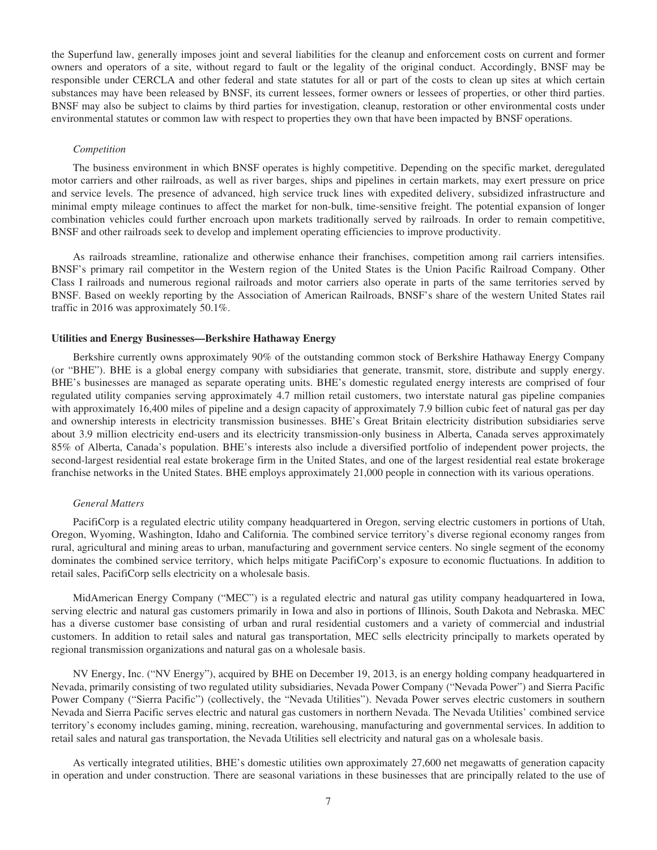the Superfund law, generally imposes joint and several liabilities for the cleanup and enforcement costs on current and former owners and operators of a site, without regard to fault or the legality of the original conduct. Accordingly, BNSF may be responsible under CERCLA and other federal and state statutes for all or part of the costs to clean up sites at which certain substances may have been released by BNSF, its current lessees, former owners or lessees of properties, or other third parties. BNSF may also be subject to claims by third parties for investigation, cleanup, restoration or other environmental costs under environmental statutes or common law with respect to properties they own that have been impacted by BNSF operations.

#### *Competition*

The business environment in which BNSF operates is highly competitive. Depending on the specific market, deregulated motor carriers and other railroads, as well as river barges, ships and pipelines in certain markets, may exert pressure on price and service levels. The presence of advanced, high service truck lines with expedited delivery, subsidized infrastructure and minimal empty mileage continues to affect the market for non-bulk, time-sensitive freight. The potential expansion of longer combination vehicles could further encroach upon markets traditionally served by railroads. In order to remain competitive, BNSF and other railroads seek to develop and implement operating efficiencies to improve productivity.

As railroads streamline, rationalize and otherwise enhance their franchises, competition among rail carriers intensifies. BNSF's primary rail competitor in the Western region of the United States is the Union Pacific Railroad Company. Other Class I railroads and numerous regional railroads and motor carriers also operate in parts of the same territories served by BNSF. Based on weekly reporting by the Association of American Railroads, BNSF's share of the western United States rail traffic in 2016 was approximately 50.1%.

#### **Utilities and Energy Businesses—Berkshire Hathaway Energy**

Berkshire currently owns approximately 90% of the outstanding common stock of Berkshire Hathaway Energy Company (or "BHE"). BHE is a global energy company with subsidiaries that generate, transmit, store, distribute and supply energy. BHE's businesses are managed as separate operating units. BHE's domestic regulated energy interests are comprised of four regulated utility companies serving approximately 4.7 million retail customers, two interstate natural gas pipeline companies with approximately 16,400 miles of pipeline and a design capacity of approximately 7.9 billion cubic feet of natural gas per day and ownership interests in electricity transmission businesses. BHE's Great Britain electricity distribution subsidiaries serve about 3.9 million electricity end-users and its electricity transmission-only business in Alberta, Canada serves approximately 85% of Alberta, Canada's population. BHE's interests also include a diversified portfolio of independent power projects, the second-largest residential real estate brokerage firm in the United States, and one of the largest residential real estate brokerage franchise networks in the United States. BHE employs approximately 21,000 people in connection with its various operations.

#### *General Matters*

PacifiCorp is a regulated electric utility company headquartered in Oregon, serving electric customers in portions of Utah, Oregon, Wyoming, Washington, Idaho and California. The combined service territory's diverse regional economy ranges from rural, agricultural and mining areas to urban, manufacturing and government service centers. No single segment of the economy dominates the combined service territory, which helps mitigate PacifiCorp's exposure to economic fluctuations. In addition to retail sales, PacifiCorp sells electricity on a wholesale basis.

MidAmerican Energy Company ("MEC") is a regulated electric and natural gas utility company headquartered in Iowa, serving electric and natural gas customers primarily in Iowa and also in portions of Illinois, South Dakota and Nebraska. MEC has a diverse customer base consisting of urban and rural residential customers and a variety of commercial and industrial customers. In addition to retail sales and natural gas transportation, MEC sells electricity principally to markets operated by regional transmission organizations and natural gas on a wholesale basis.

NV Energy, Inc. ("NV Energy"), acquired by BHE on December 19, 2013, is an energy holding company headquartered in Nevada, primarily consisting of two regulated utility subsidiaries, Nevada Power Company ("Nevada Power") and Sierra Pacific Power Company ("Sierra Pacific") (collectively, the "Nevada Utilities"). Nevada Power serves electric customers in southern Nevada and Sierra Pacific serves electric and natural gas customers in northern Nevada. The Nevada Utilities' combined service territory's economy includes gaming, mining, recreation, warehousing, manufacturing and governmental services. In addition to retail sales and natural gas transportation, the Nevada Utilities sell electricity and natural gas on a wholesale basis.

As vertically integrated utilities, BHE's domestic utilities own approximately 27,600 net megawatts of generation capacity in operation and under construction. There are seasonal variations in these businesses that are principally related to the use of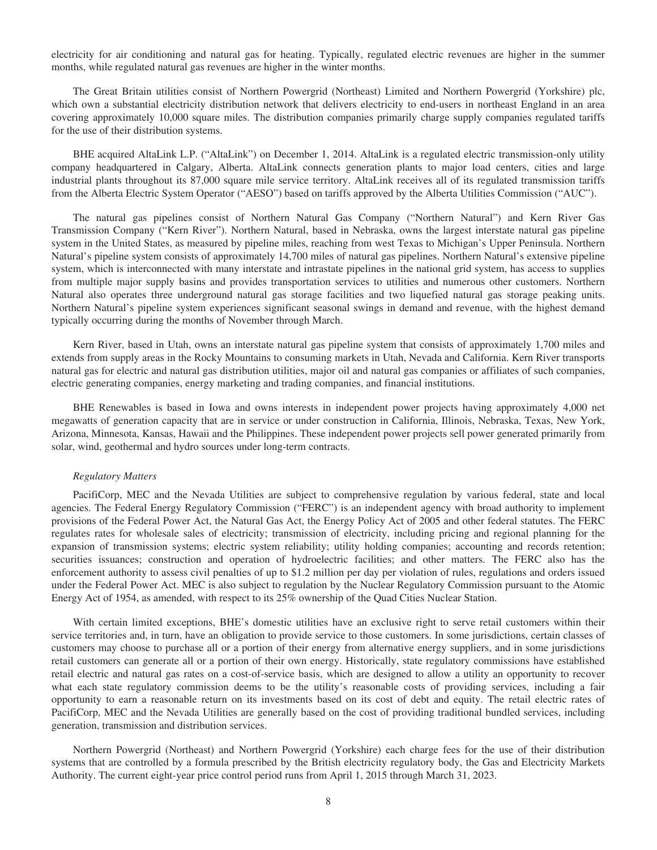electricity for air conditioning and natural gas for heating. Typically, regulated electric revenues are higher in the summer months, while regulated natural gas revenues are higher in the winter months.

The Great Britain utilities consist of Northern Powergrid (Northeast) Limited and Northern Powergrid (Yorkshire) plc, which own a substantial electricity distribution network that delivers electricity to end-users in northeast England in an area covering approximately 10,000 square miles. The distribution companies primarily charge supply companies regulated tariffs for the use of their distribution systems.

BHE acquired AltaLink L.P. ("AltaLink") on December 1, 2014. AltaLink is a regulated electric transmission-only utility company headquartered in Calgary, Alberta. AltaLink connects generation plants to major load centers, cities and large industrial plants throughout its 87,000 square mile service territory. AltaLink receives all of its regulated transmission tariffs from the Alberta Electric System Operator ("AESO") based on tariffs approved by the Alberta Utilities Commission ("AUC").

The natural gas pipelines consist of Northern Natural Gas Company ("Northern Natural") and Kern River Gas Transmission Company ("Kern River"). Northern Natural, based in Nebraska, owns the largest interstate natural gas pipeline system in the United States, as measured by pipeline miles, reaching from west Texas to Michigan's Upper Peninsula. Northern Natural's pipeline system consists of approximately 14,700 miles of natural gas pipelines. Northern Natural's extensive pipeline system, which is interconnected with many interstate and intrastate pipelines in the national grid system, has access to supplies from multiple major supply basins and provides transportation services to utilities and numerous other customers. Northern Natural also operates three underground natural gas storage facilities and two liquefied natural gas storage peaking units. Northern Natural's pipeline system experiences significant seasonal swings in demand and revenue, with the highest demand typically occurring during the months of November through March.

Kern River, based in Utah, owns an interstate natural gas pipeline system that consists of approximately 1,700 miles and extends from supply areas in the Rocky Mountains to consuming markets in Utah, Nevada and California. Kern River transports natural gas for electric and natural gas distribution utilities, major oil and natural gas companies or affiliates of such companies, electric generating companies, energy marketing and trading companies, and financial institutions.

BHE Renewables is based in Iowa and owns interests in independent power projects having approximately 4,000 net megawatts of generation capacity that are in service or under construction in California, Illinois, Nebraska, Texas, New York, Arizona, Minnesota, Kansas, Hawaii and the Philippines. These independent power projects sell power generated primarily from solar, wind, geothermal and hydro sources under long-term contracts.

# *Regulatory Matters*

PacifiCorp, MEC and the Nevada Utilities are subject to comprehensive regulation by various federal, state and local agencies. The Federal Energy Regulatory Commission ("FERC") is an independent agency with broad authority to implement provisions of the Federal Power Act, the Natural Gas Act, the Energy Policy Act of 2005 and other federal statutes. The FERC regulates rates for wholesale sales of electricity; transmission of electricity, including pricing and regional planning for the expansion of transmission systems; electric system reliability; utility holding companies; accounting and records retention; securities issuances; construction and operation of hydroelectric facilities; and other matters. The FERC also has the enforcement authority to assess civil penalties of up to \$1.2 million per day per violation of rules, regulations and orders issued under the Federal Power Act. MEC is also subject to regulation by the Nuclear Regulatory Commission pursuant to the Atomic Energy Act of 1954, as amended, with respect to its 25% ownership of the Quad Cities Nuclear Station.

With certain limited exceptions, BHE's domestic utilities have an exclusive right to serve retail customers within their service territories and, in turn, have an obligation to provide service to those customers. In some jurisdictions, certain classes of customers may choose to purchase all or a portion of their energy from alternative energy suppliers, and in some jurisdictions retail customers can generate all or a portion of their own energy. Historically, state regulatory commissions have established retail electric and natural gas rates on a cost-of-service basis, which are designed to allow a utility an opportunity to recover what each state regulatory commission deems to be the utility's reasonable costs of providing services, including a fair opportunity to earn a reasonable return on its investments based on its cost of debt and equity. The retail electric rates of PacifiCorp, MEC and the Nevada Utilities are generally based on the cost of providing traditional bundled services, including generation, transmission and distribution services.

Northern Powergrid (Northeast) and Northern Powergrid (Yorkshire) each charge fees for the use of their distribution systems that are controlled by a formula prescribed by the British electricity regulatory body, the Gas and Electricity Markets Authority. The current eight-year price control period runs from April 1, 2015 through March 31, 2023.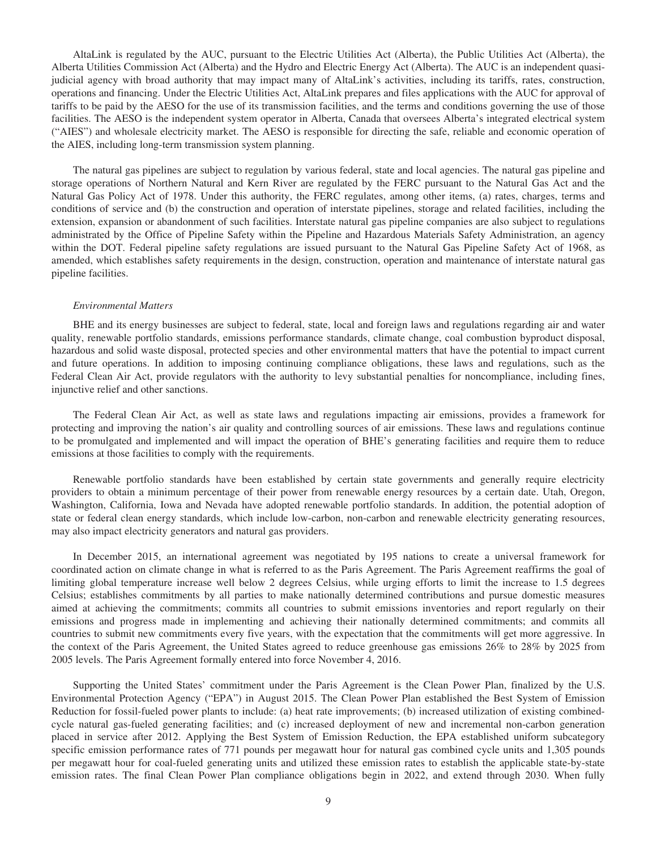AltaLink is regulated by the AUC, pursuant to the Electric Utilities Act (Alberta), the Public Utilities Act (Alberta), the Alberta Utilities Commission Act (Alberta) and the Hydro and Electric Energy Act (Alberta). The AUC is an independent quasijudicial agency with broad authority that may impact many of AltaLink's activities, including its tariffs, rates, construction, operations and financing. Under the Electric Utilities Act, AltaLink prepares and files applications with the AUC for approval of tariffs to be paid by the AESO for the use of its transmission facilities, and the terms and conditions governing the use of those facilities. The AESO is the independent system operator in Alberta, Canada that oversees Alberta's integrated electrical system ("AIES") and wholesale electricity market. The AESO is responsible for directing the safe, reliable and economic operation of the AIES, including long-term transmission system planning.

The natural gas pipelines are subject to regulation by various federal, state and local agencies. The natural gas pipeline and storage operations of Northern Natural and Kern River are regulated by the FERC pursuant to the Natural Gas Act and the Natural Gas Policy Act of 1978. Under this authority, the FERC regulates, among other items, (a) rates, charges, terms and conditions of service and (b) the construction and operation of interstate pipelines, storage and related facilities, including the extension, expansion or abandonment of such facilities. Interstate natural gas pipeline companies are also subject to regulations administrated by the Office of Pipeline Safety within the Pipeline and Hazardous Materials Safety Administration, an agency within the DOT. Federal pipeline safety regulations are issued pursuant to the Natural Gas Pipeline Safety Act of 1968, as amended, which establishes safety requirements in the design, construction, operation and maintenance of interstate natural gas pipeline facilities.

#### *Environmental Matters*

BHE and its energy businesses are subject to federal, state, local and foreign laws and regulations regarding air and water quality, renewable portfolio standards, emissions performance standards, climate change, coal combustion byproduct disposal, hazardous and solid waste disposal, protected species and other environmental matters that have the potential to impact current and future operations. In addition to imposing continuing compliance obligations, these laws and regulations, such as the Federal Clean Air Act, provide regulators with the authority to levy substantial penalties for noncompliance, including fines, injunctive relief and other sanctions.

The Federal Clean Air Act, as well as state laws and regulations impacting air emissions, provides a framework for protecting and improving the nation's air quality and controlling sources of air emissions. These laws and regulations continue to be promulgated and implemented and will impact the operation of BHE's generating facilities and require them to reduce emissions at those facilities to comply with the requirements.

Renewable portfolio standards have been established by certain state governments and generally require electricity providers to obtain a minimum percentage of their power from renewable energy resources by a certain date. Utah, Oregon, Washington, California, Iowa and Nevada have adopted renewable portfolio standards. In addition, the potential adoption of state or federal clean energy standards, which include low-carbon, non-carbon and renewable electricity generating resources, may also impact electricity generators and natural gas providers.

In December 2015, an international agreement was negotiated by 195 nations to create a universal framework for coordinated action on climate change in what is referred to as the Paris Agreement. The Paris Agreement reaffirms the goal of limiting global temperature increase well below 2 degrees Celsius, while urging efforts to limit the increase to 1.5 degrees Celsius; establishes commitments by all parties to make nationally determined contributions and pursue domestic measures aimed at achieving the commitments; commits all countries to submit emissions inventories and report regularly on their emissions and progress made in implementing and achieving their nationally determined commitments; and commits all countries to submit new commitments every five years, with the expectation that the commitments will get more aggressive. In the context of the Paris Agreement, the United States agreed to reduce greenhouse gas emissions 26% to 28% by 2025 from 2005 levels. The Paris Agreement formally entered into force November 4, 2016.

Supporting the United States' commitment under the Paris Agreement is the Clean Power Plan, finalized by the U.S. Environmental Protection Agency ("EPA") in August 2015. The Clean Power Plan established the Best System of Emission Reduction for fossil-fueled power plants to include: (a) heat rate improvements; (b) increased utilization of existing combinedcycle natural gas-fueled generating facilities; and (c) increased deployment of new and incremental non-carbon generation placed in service after 2012. Applying the Best System of Emission Reduction, the EPA established uniform subcategory specific emission performance rates of 771 pounds per megawatt hour for natural gas combined cycle units and 1,305 pounds per megawatt hour for coal-fueled generating units and utilized these emission rates to establish the applicable state-by-state emission rates. The final Clean Power Plan compliance obligations begin in 2022, and extend through 2030. When fully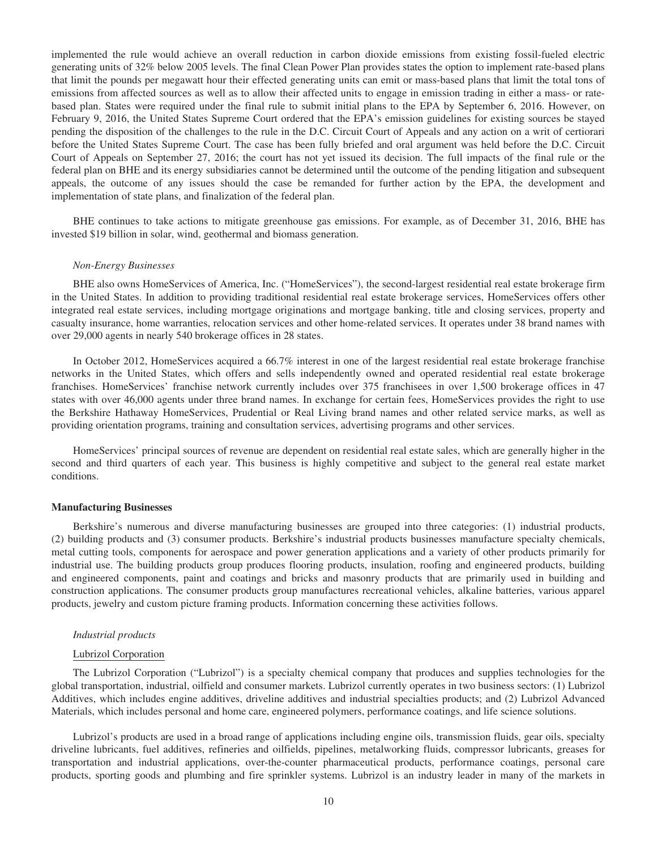implemented the rule would achieve an overall reduction in carbon dioxide emissions from existing fossil-fueled electric generating units of 32% below 2005 levels. The final Clean Power Plan provides states the option to implement rate-based plans that limit the pounds per megawatt hour their effected generating units can emit or mass-based plans that limit the total tons of emissions from affected sources as well as to allow their affected units to engage in emission trading in either a mass- or ratebased plan. States were required under the final rule to submit initial plans to the EPA by September 6, 2016. However, on February 9, 2016, the United States Supreme Court ordered that the EPA's emission guidelines for existing sources be stayed pending the disposition of the challenges to the rule in the D.C. Circuit Court of Appeals and any action on a writ of certiorari before the United States Supreme Court. The case has been fully briefed and oral argument was held before the D.C. Circuit Court of Appeals on September 27, 2016; the court has not yet issued its decision. The full impacts of the final rule or the federal plan on BHE and its energy subsidiaries cannot be determined until the outcome of the pending litigation and subsequent appeals, the outcome of any issues should the case be remanded for further action by the EPA, the development and implementation of state plans, and finalization of the federal plan.

BHE continues to take actions to mitigate greenhouse gas emissions. For example, as of December 31, 2016, BHE has invested \$19 billion in solar, wind, geothermal and biomass generation.

#### *Non-Energy Businesses*

BHE also owns HomeServices of America, Inc. ("HomeServices"), the second-largest residential real estate brokerage firm in the United States. In addition to providing traditional residential real estate brokerage services, HomeServices offers other integrated real estate services, including mortgage originations and mortgage banking, title and closing services, property and casualty insurance, home warranties, relocation services and other home-related services. It operates under 38 brand names with over 29,000 agents in nearly 540 brokerage offices in 28 states.

In October 2012, HomeServices acquired a 66.7% interest in one of the largest residential real estate brokerage franchise networks in the United States, which offers and sells independently owned and operated residential real estate brokerage franchises. HomeServices' franchise network currently includes over 375 franchisees in over 1,500 brokerage offices in 47 states with over 46,000 agents under three brand names. In exchange for certain fees, HomeServices provides the right to use the Berkshire Hathaway HomeServices, Prudential or Real Living brand names and other related service marks, as well as providing orientation programs, training and consultation services, advertising programs and other services.

HomeServices' principal sources of revenue are dependent on residential real estate sales, which are generally higher in the second and third quarters of each year. This business is highly competitive and subject to the general real estate market conditions.

#### **Manufacturing Businesses**

Berkshire's numerous and diverse manufacturing businesses are grouped into three categories: (1) industrial products, (2) building products and (3) consumer products. Berkshire's industrial products businesses manufacture specialty chemicals, metal cutting tools, components for aerospace and power generation applications and a variety of other products primarily for industrial use. The building products group produces flooring products, insulation, roofing and engineered products, building and engineered components, paint and coatings and bricks and masonry products that are primarily used in building and construction applications. The consumer products group manufactures recreational vehicles, alkaline batteries, various apparel products, jewelry and custom picture framing products. Information concerning these activities follows.

#### *Industrial products*

#### Lubrizol Corporation

The Lubrizol Corporation ("Lubrizol") is a specialty chemical company that produces and supplies technologies for the global transportation, industrial, oilfield and consumer markets. Lubrizol currently operates in two business sectors: (1) Lubrizol Additives, which includes engine additives, driveline additives and industrial specialties products; and (2) Lubrizol Advanced Materials, which includes personal and home care, engineered polymers, performance coatings, and life science solutions.

Lubrizol's products are used in a broad range of applications including engine oils, transmission fluids, gear oils, specialty driveline lubricants, fuel additives, refineries and oilfields, pipelines, metalworking fluids, compressor lubricants, greases for transportation and industrial applications, over-the-counter pharmaceutical products, performance coatings, personal care products, sporting goods and plumbing and fire sprinkler systems. Lubrizol is an industry leader in many of the markets in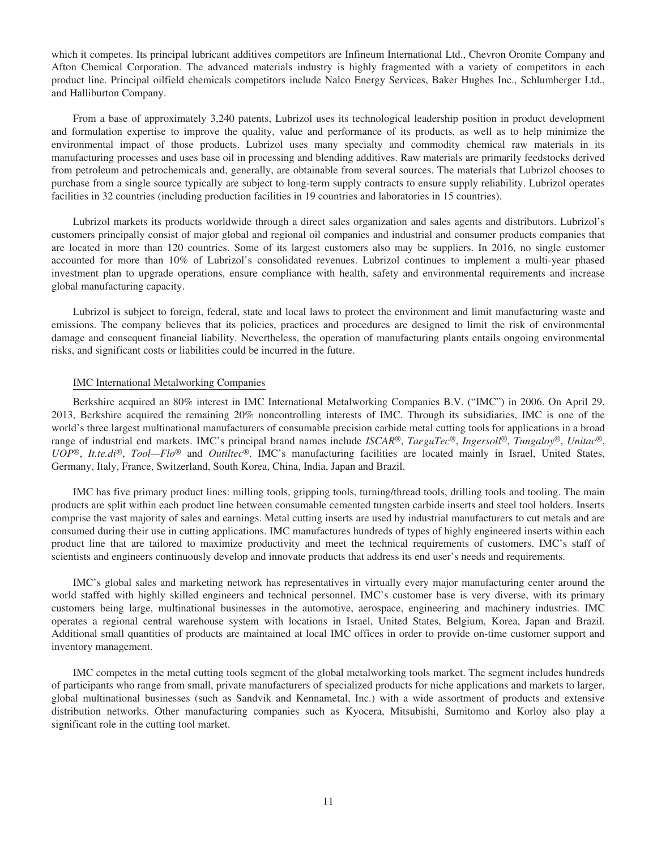which it competes. Its principal lubricant additives competitors are Infineum International Ltd., Chevron Oronite Company and Afton Chemical Corporation. The advanced materials industry is highly fragmented with a variety of competitors in each product line. Principal oilfield chemicals competitors include Nalco Energy Services, Baker Hughes Inc., Schlumberger Ltd., and Halliburton Company.

From a base of approximately 3,240 patents, Lubrizol uses its technological leadership position in product development and formulation expertise to improve the quality, value and performance of its products, as well as to help minimize the environmental impact of those products. Lubrizol uses many specialty and commodity chemical raw materials in its manufacturing processes and uses base oil in processing and blending additives. Raw materials are primarily feedstocks derived from petroleum and petrochemicals and, generally, are obtainable from several sources. The materials that Lubrizol chooses to purchase from a single source typically are subject to long-term supply contracts to ensure supply reliability. Lubrizol operates facilities in 32 countries (including production facilities in 19 countries and laboratories in 15 countries).

Lubrizol markets its products worldwide through a direct sales organization and sales agents and distributors. Lubrizol's customers principally consist of major global and regional oil companies and industrial and consumer products companies that are located in more than 120 countries. Some of its largest customers also may be suppliers. In 2016, no single customer accounted for more than 10% of Lubrizol's consolidated revenues. Lubrizol continues to implement a multi-year phased investment plan to upgrade operations, ensure compliance with health, safety and environmental requirements and increase global manufacturing capacity.

Lubrizol is subject to foreign, federal, state and local laws to protect the environment and limit manufacturing waste and emissions. The company believes that its policies, practices and procedures are designed to limit the risk of environmental damage and consequent financial liability. Nevertheless, the operation of manufacturing plants entails ongoing environmental risks, and significant costs or liabilities could be incurred in the future.

# IMC International Metalworking Companies

Berkshire acquired an 80% interest in IMC International Metalworking Companies B.V. ("IMC") in 2006. On April 29, 2013, Berkshire acquired the remaining 20% noncontrolling interests of IMC. Through its subsidiaries, IMC is one of the world's three largest multinational manufacturers of consumable precision carbide metal cutting tools for applications in a broad range of industrial end markets. IMC's principal brand names include *ISCAR*®, *TaeguTec*®, *Ingersoll*®, *Tungaloy*®, *Unitac*®, *UOP*®, *It.te.di*®, *Tool—Flo*® and *Outiltec*®. IMC's manufacturing facilities are located mainly in Israel, United States, Germany, Italy, France, Switzerland, South Korea, China, India, Japan and Brazil.

IMC has five primary product lines: milling tools, gripping tools, turning/thread tools, drilling tools and tooling. The main products are split within each product line between consumable cemented tungsten carbide inserts and steel tool holders. Inserts comprise the vast majority of sales and earnings. Metal cutting inserts are used by industrial manufacturers to cut metals and are consumed during their use in cutting applications. IMC manufactures hundreds of types of highly engineered inserts within each product line that are tailored to maximize productivity and meet the technical requirements of customers. IMC's staff of scientists and engineers continuously develop and innovate products that address its end user's needs and requirements.

IMC's global sales and marketing network has representatives in virtually every major manufacturing center around the world staffed with highly skilled engineers and technical personnel. IMC's customer base is very diverse, with its primary customers being large, multinational businesses in the automotive, aerospace, engineering and machinery industries. IMC operates a regional central warehouse system with locations in Israel, United States, Belgium, Korea, Japan and Brazil. Additional small quantities of products are maintained at local IMC offices in order to provide on-time customer support and inventory management.

IMC competes in the metal cutting tools segment of the global metalworking tools market. The segment includes hundreds of participants who range from small, private manufacturers of specialized products for niche applications and markets to larger, global multinational businesses (such as Sandvik and Kennametal, Inc.) with a wide assortment of products and extensive distribution networks. Other manufacturing companies such as Kyocera, Mitsubishi, Sumitomo and Korloy also play a significant role in the cutting tool market.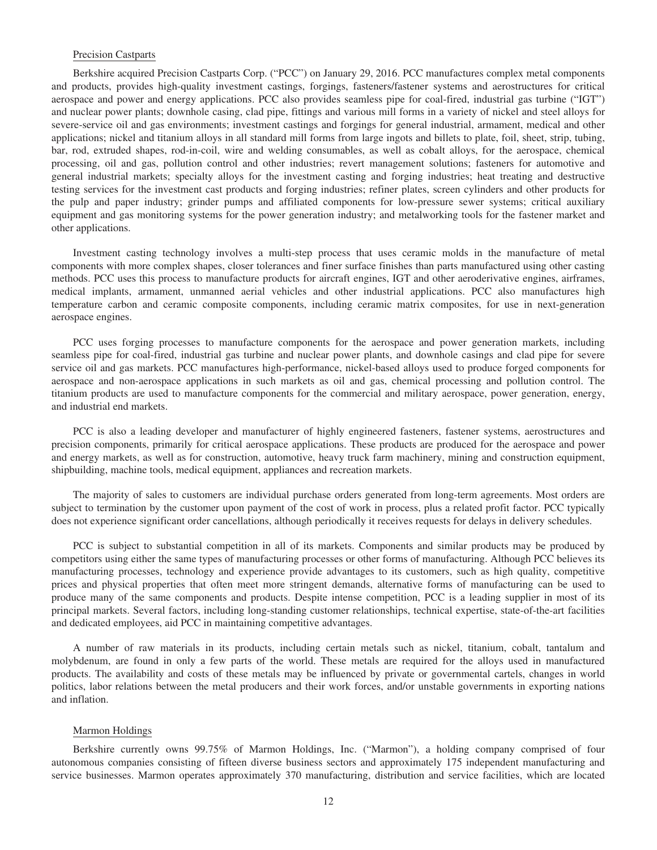# Precision Castparts

Berkshire acquired Precision Castparts Corp. ("PCC") on January 29, 2016. PCC manufactures complex metal components and products, provides high-quality investment castings, forgings, fasteners/fastener systems and aerostructures for critical aerospace and power and energy applications. PCC also provides seamless pipe for coal-fired, industrial gas turbine ("IGT") and nuclear power plants; downhole casing, clad pipe, fittings and various mill forms in a variety of nickel and steel alloys for severe-service oil and gas environments; investment castings and forgings for general industrial, armament, medical and other applications; nickel and titanium alloys in all standard mill forms from large ingots and billets to plate, foil, sheet, strip, tubing, bar, rod, extruded shapes, rod-in-coil, wire and welding consumables, as well as cobalt alloys, for the aerospace, chemical processing, oil and gas, pollution control and other industries; revert management solutions; fasteners for automotive and general industrial markets; specialty alloys for the investment casting and forging industries; heat treating and destructive testing services for the investment cast products and forging industries; refiner plates, screen cylinders and other products for the pulp and paper industry; grinder pumps and affiliated components for low-pressure sewer systems; critical auxiliary equipment and gas monitoring systems for the power generation industry; and metalworking tools for the fastener market and other applications.

Investment casting technology involves a multi-step process that uses ceramic molds in the manufacture of metal components with more complex shapes, closer tolerances and finer surface finishes than parts manufactured using other casting methods. PCC uses this process to manufacture products for aircraft engines, IGT and other aeroderivative engines, airframes, medical implants, armament, unmanned aerial vehicles and other industrial applications. PCC also manufactures high temperature carbon and ceramic composite components, including ceramic matrix composites, for use in next-generation aerospace engines.

PCC uses forging processes to manufacture components for the aerospace and power generation markets, including seamless pipe for coal-fired, industrial gas turbine and nuclear power plants, and downhole casings and clad pipe for severe service oil and gas markets. PCC manufactures high-performance, nickel-based alloys used to produce forged components for aerospace and non-aerospace applications in such markets as oil and gas, chemical processing and pollution control. The titanium products are used to manufacture components for the commercial and military aerospace, power generation, energy, and industrial end markets.

PCC is also a leading developer and manufacturer of highly engineered fasteners, fastener systems, aerostructures and precision components, primarily for critical aerospace applications. These products are produced for the aerospace and power and energy markets, as well as for construction, automotive, heavy truck farm machinery, mining and construction equipment, shipbuilding, machine tools, medical equipment, appliances and recreation markets.

The majority of sales to customers are individual purchase orders generated from long-term agreements. Most orders are subject to termination by the customer upon payment of the cost of work in process, plus a related profit factor. PCC typically does not experience significant order cancellations, although periodically it receives requests for delays in delivery schedules.

PCC is subject to substantial competition in all of its markets. Components and similar products may be produced by competitors using either the same types of manufacturing processes or other forms of manufacturing. Although PCC believes its manufacturing processes, technology and experience provide advantages to its customers, such as high quality, competitive prices and physical properties that often meet more stringent demands, alternative forms of manufacturing can be used to produce many of the same components and products. Despite intense competition, PCC is a leading supplier in most of its principal markets. Several factors, including long-standing customer relationships, technical expertise, state-of-the-art facilities and dedicated employees, aid PCC in maintaining competitive advantages.

A number of raw materials in its products, including certain metals such as nickel, titanium, cobalt, tantalum and molybdenum, are found in only a few parts of the world. These metals are required for the alloys used in manufactured products. The availability and costs of these metals may be influenced by private or governmental cartels, changes in world politics, labor relations between the metal producers and their work forces, and/or unstable governments in exporting nations and inflation.

# Marmon Holdings

Berkshire currently owns 99.75% of Marmon Holdings, Inc. ("Marmon"), a holding company comprised of four autonomous companies consisting of fifteen diverse business sectors and approximately 175 independent manufacturing and service businesses. Marmon operates approximately 370 manufacturing, distribution and service facilities, which are located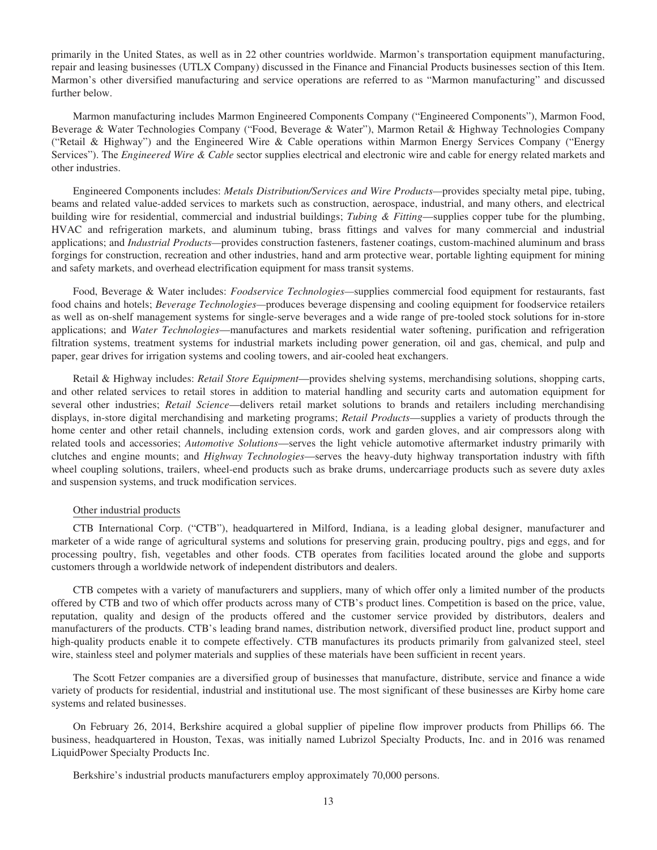primarily in the United States, as well as in 22 other countries worldwide. Marmon's transportation equipment manufacturing, repair and leasing businesses (UTLX Company) discussed in the Finance and Financial Products businesses section of this Item. Marmon's other diversified manufacturing and service operations are referred to as "Marmon manufacturing" and discussed further below.

Marmon manufacturing includes Marmon Engineered Components Company ("Engineered Components"), Marmon Food, Beverage & Water Technologies Company ("Food, Beverage & Water"), Marmon Retail & Highway Technologies Company ("Retail & Highway") and the Engineered Wire & Cable operations within Marmon Energy Services Company ("Energy Services"). The *Engineered Wire & Cable* sector supplies electrical and electronic wire and cable for energy related markets and other industries.

Engineered Components includes: *Metals Distribution/Services and Wire Products—*provides specialty metal pipe, tubing, beams and related value-added services to markets such as construction, aerospace, industrial, and many others, and electrical building wire for residential, commercial and industrial buildings; *Tubing & Fitting*—supplies copper tube for the plumbing, HVAC and refrigeration markets, and aluminum tubing, brass fittings and valves for many commercial and industrial applications; and *Industrial Products—*provides construction fasteners, fastener coatings, custom-machined aluminum and brass forgings for construction, recreation and other industries, hand and arm protective wear, portable lighting equipment for mining and safety markets, and overhead electrification equipment for mass transit systems.

Food, Beverage & Water includes: *Foodservice Technologies—*supplies commercial food equipment for restaurants, fast food chains and hotels; *Beverage Technologies—*produces beverage dispensing and cooling equipment for foodservice retailers as well as on-shelf management systems for single-serve beverages and a wide range of pre-tooled stock solutions for in-store applications; and *Water Technologies*—manufactures and markets residential water softening, purification and refrigeration filtration systems, treatment systems for industrial markets including power generation, oil and gas, chemical, and pulp and paper, gear drives for irrigation systems and cooling towers, and air-cooled heat exchangers.

Retail & Highway includes: *Retail Store Equipment*—provides shelving systems, merchandising solutions, shopping carts, and other related services to retail stores in addition to material handling and security carts and automation equipment for several other industries; *Retail Science*—delivers retail market solutions to brands and retailers including merchandising displays, in-store digital merchandising and marketing programs; *Retail Products*—supplies a variety of products through the home center and other retail channels, including extension cords, work and garden gloves, and air compressors along with related tools and accessories; *Automotive Solutions*—serves the light vehicle automotive aftermarket industry primarily with clutches and engine mounts; and *Highway Technologies*—serves the heavy-duty highway transportation industry with fifth wheel coupling solutions, trailers, wheel-end products such as brake drums, undercarriage products such as severe duty axles and suspension systems, and truck modification services.

# Other industrial products

CTB International Corp. ("CTB"), headquartered in Milford, Indiana, is a leading global designer, manufacturer and marketer of a wide range of agricultural systems and solutions for preserving grain, producing poultry, pigs and eggs, and for processing poultry, fish, vegetables and other foods. CTB operates from facilities located around the globe and supports customers through a worldwide network of independent distributors and dealers.

CTB competes with a variety of manufacturers and suppliers, many of which offer only a limited number of the products offered by CTB and two of which offer products across many of CTB's product lines. Competition is based on the price, value, reputation, quality and design of the products offered and the customer service provided by distributors, dealers and manufacturers of the products. CTB's leading brand names, distribution network, diversified product line, product support and high-quality products enable it to compete effectively. CTB manufactures its products primarily from galvanized steel, steel wire, stainless steel and polymer materials and supplies of these materials have been sufficient in recent years.

The Scott Fetzer companies are a diversified group of businesses that manufacture, distribute, service and finance a wide variety of products for residential, industrial and institutional use. The most significant of these businesses are Kirby home care systems and related businesses.

On February 26, 2014, Berkshire acquired a global supplier of pipeline flow improver products from Phillips 66. The business, headquartered in Houston, Texas, was initially named Lubrizol Specialty Products, Inc. and in 2016 was renamed LiquidPower Specialty Products Inc.

Berkshire's industrial products manufacturers employ approximately 70,000 persons.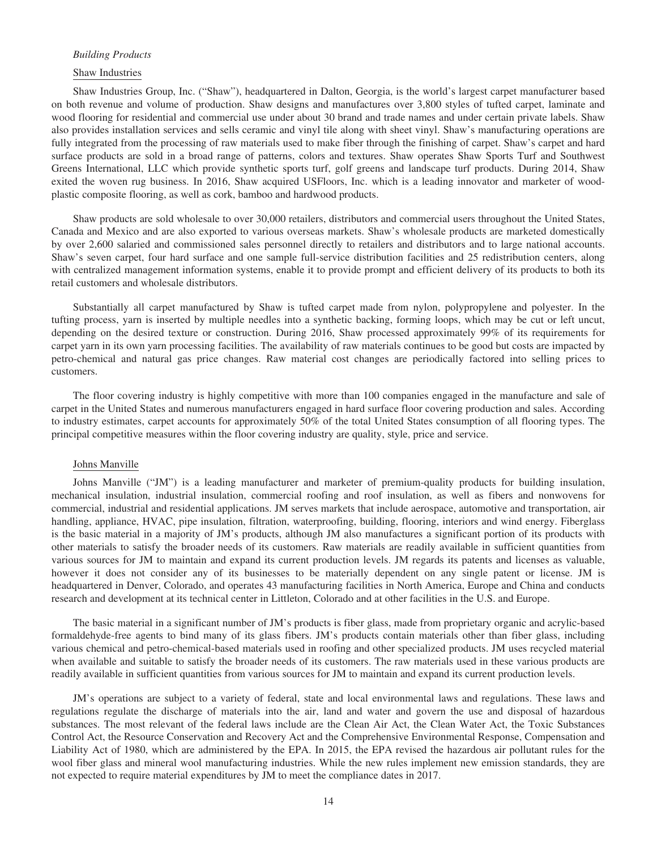# *Building Products*

## Shaw Industries

Shaw Industries Group, Inc. ("Shaw"), headquartered in Dalton, Georgia, is the world's largest carpet manufacturer based on both revenue and volume of production. Shaw designs and manufactures over 3,800 styles of tufted carpet, laminate and wood flooring for residential and commercial use under about 30 brand and trade names and under certain private labels. Shaw also provides installation services and sells ceramic and vinyl tile along with sheet vinyl. Shaw's manufacturing operations are fully integrated from the processing of raw materials used to make fiber through the finishing of carpet. Shaw's carpet and hard surface products are sold in a broad range of patterns, colors and textures. Shaw operates Shaw Sports Turf and Southwest Greens International, LLC which provide synthetic sports turf, golf greens and landscape turf products. During 2014, Shaw exited the woven rug business. In 2016, Shaw acquired USFloors, Inc. which is a leading innovator and marketer of woodplastic composite flooring, as well as cork, bamboo and hardwood products.

Shaw products are sold wholesale to over 30,000 retailers, distributors and commercial users throughout the United States, Canada and Mexico and are also exported to various overseas markets. Shaw's wholesale products are marketed domestically by over 2,600 salaried and commissioned sales personnel directly to retailers and distributors and to large national accounts. Shaw's seven carpet, four hard surface and one sample full-service distribution facilities and 25 redistribution centers, along with centralized management information systems, enable it to provide prompt and efficient delivery of its products to both its retail customers and wholesale distributors.

Substantially all carpet manufactured by Shaw is tufted carpet made from nylon, polypropylene and polyester. In the tufting process, yarn is inserted by multiple needles into a synthetic backing, forming loops, which may be cut or left uncut, depending on the desired texture or construction. During 2016, Shaw processed approximately 99% of its requirements for carpet yarn in its own yarn processing facilities. The availability of raw materials continues to be good but costs are impacted by petro-chemical and natural gas price changes. Raw material cost changes are periodically factored into selling prices to customers.

The floor covering industry is highly competitive with more than 100 companies engaged in the manufacture and sale of carpet in the United States and numerous manufacturers engaged in hard surface floor covering production and sales. According to industry estimates, carpet accounts for approximately 50% of the total United States consumption of all flooring types. The principal competitive measures within the floor covering industry are quality, style, price and service.

# Johns Manville

Johns Manville ("JM") is a leading manufacturer and marketer of premium-quality products for building insulation, mechanical insulation, industrial insulation, commercial roofing and roof insulation, as well as fibers and nonwovens for commercial, industrial and residential applications. JM serves markets that include aerospace, automotive and transportation, air handling, appliance, HVAC, pipe insulation, filtration, waterproofing, building, flooring, interiors and wind energy. Fiberglass is the basic material in a majority of JM's products, although JM also manufactures a significant portion of its products with other materials to satisfy the broader needs of its customers. Raw materials are readily available in sufficient quantities from various sources for JM to maintain and expand its current production levels. JM regards its patents and licenses as valuable, however it does not consider any of its businesses to be materially dependent on any single patent or license. JM is headquartered in Denver, Colorado, and operates 43 manufacturing facilities in North America, Europe and China and conducts research and development at its technical center in Littleton, Colorado and at other facilities in the U.S. and Europe.

The basic material in a significant number of JM's products is fiber glass, made from proprietary organic and acrylic-based formaldehyde-free agents to bind many of its glass fibers. JM's products contain materials other than fiber glass, including various chemical and petro-chemical-based materials used in roofing and other specialized products. JM uses recycled material when available and suitable to satisfy the broader needs of its customers. The raw materials used in these various products are readily available in sufficient quantities from various sources for JM to maintain and expand its current production levels.

JM's operations are subject to a variety of federal, state and local environmental laws and regulations. These laws and regulations regulate the discharge of materials into the air, land and water and govern the use and disposal of hazardous substances. The most relevant of the federal laws include are the Clean Air Act, the Clean Water Act, the Toxic Substances Control Act, the Resource Conservation and Recovery Act and the Comprehensive Environmental Response, Compensation and Liability Act of 1980, which are administered by the EPA. In 2015, the EPA revised the hazardous air pollutant rules for the wool fiber glass and mineral wool manufacturing industries. While the new rules implement new emission standards, they are not expected to require material expenditures by JM to meet the compliance dates in 2017.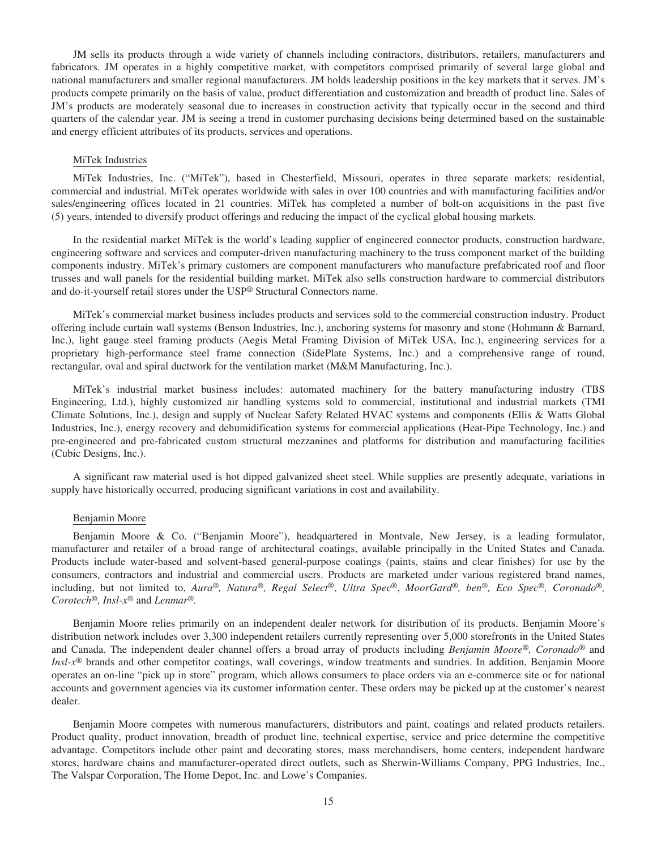JM sells its products through a wide variety of channels including contractors, distributors, retailers, manufacturers and fabricators. JM operates in a highly competitive market, with competitors comprised primarily of several large global and national manufacturers and smaller regional manufacturers. JM holds leadership positions in the key markets that it serves. JM's products compete primarily on the basis of value, product differentiation and customization and breadth of product line. Sales of JM's products are moderately seasonal due to increases in construction activity that typically occur in the second and third quarters of the calendar year. JM is seeing a trend in customer purchasing decisions being determined based on the sustainable and energy efficient attributes of its products, services and operations.

#### MiTek Industries

MiTek Industries, Inc. ("MiTek"), based in Chesterfield, Missouri, operates in three separate markets: residential, commercial and industrial. MiTek operates worldwide with sales in over 100 countries and with manufacturing facilities and/or sales/engineering offices located in 21 countries. MiTek has completed a number of bolt-on acquisitions in the past five (5) years, intended to diversify product offerings and reducing the impact of the cyclical global housing markets.

In the residential market MiTek is the world's leading supplier of engineered connector products, construction hardware, engineering software and services and computer-driven manufacturing machinery to the truss component market of the building components industry. MiTek's primary customers are component manufacturers who manufacture prefabricated roof and floor trusses and wall panels for the residential building market. MiTek also sells construction hardware to commercial distributors and do-it-yourself retail stores under the USP® Structural Connectors name.

MiTek's commercial market business includes products and services sold to the commercial construction industry. Product offering include curtain wall systems (Benson Industries, Inc.), anchoring systems for masonry and stone (Hohmann & Barnard, Inc.), light gauge steel framing products (Aegis Metal Framing Division of MiTek USA, Inc.), engineering services for a proprietary high-performance steel frame connection (SidePlate Systems, Inc.) and a comprehensive range of round, rectangular, oval and spiral ductwork for the ventilation market (M&M Manufacturing, Inc.).

MiTek's industrial market business includes: automated machinery for the battery manufacturing industry (TBS Engineering, Ltd.), highly customized air handling systems sold to commercial, institutional and industrial markets (TMI Climate Solutions, Inc.), design and supply of Nuclear Safety Related HVAC systems and components (Ellis & Watts Global Industries, Inc.), energy recovery and dehumidification systems for commercial applications (Heat-Pipe Technology, Inc.) and pre-engineered and pre-fabricated custom structural mezzanines and platforms for distribution and manufacturing facilities (Cubic Designs, Inc.).

A significant raw material used is hot dipped galvanized sheet steel. While supplies are presently adequate, variations in supply have historically occurred, producing significant variations in cost and availability.

# Benjamin Moore

Benjamin Moore & Co. ("Benjamin Moore"), headquartered in Montvale, New Jersey, is a leading formulator, manufacturer and retailer of a broad range of architectural coatings, available principally in the United States and Canada. Products include water-based and solvent-based general-purpose coatings (paints, stains and clear finishes) for use by the consumers, contractors and industrial and commercial users. Products are marketed under various registered brand names, including, but not limited to, *Aura®, Natura®, Regal Select*®, *Ultra Spec*®, *MoorGard®, ben®, Eco Spec®, Coronado®, Corotech®, Insl-x®* and *Lenmar®.*

Benjamin Moore relies primarily on an independent dealer network for distribution of its products. Benjamin Moore's distribution network includes over 3,300 independent retailers currently representing over 5,000 storefronts in the United States and Canada. The independent dealer channel offers a broad array of products including *Benjamin Moore®, Coronado®* and *Insl-x®* brands and other competitor coatings, wall coverings, window treatments and sundries. In addition, Benjamin Moore operates an on-line "pick up in store" program, which allows consumers to place orders via an e-commerce site or for national accounts and government agencies via its customer information center. These orders may be picked up at the customer's nearest dealer.

Benjamin Moore competes with numerous manufacturers, distributors and paint, coatings and related products retailers. Product quality, product innovation, breadth of product line, technical expertise, service and price determine the competitive advantage. Competitors include other paint and decorating stores, mass merchandisers, home centers, independent hardware stores, hardware chains and manufacturer-operated direct outlets, such as Sherwin-Williams Company, PPG Industries, Inc., The Valspar Corporation, The Home Depot, Inc. and Lowe's Companies.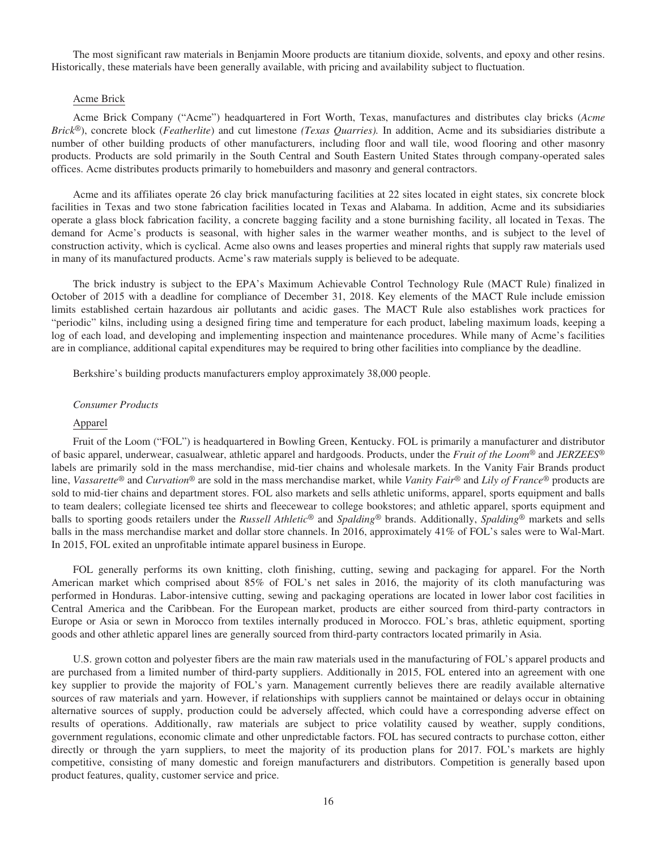The most significant raw materials in Benjamin Moore products are titanium dioxide, solvents, and epoxy and other resins. Historically, these materials have been generally available, with pricing and availability subject to fluctuation.

## Acme Brick

Acme Brick Company ("Acme") headquartered in Fort Worth, Texas, manufactures and distributes clay bricks (*Acme Brick*®), concrete block (*Featherlite*) and cut limestone *(Texas Quarries).* In addition, Acme and its subsidiaries distribute a number of other building products of other manufacturers, including floor and wall tile, wood flooring and other masonry products. Products are sold primarily in the South Central and South Eastern United States through company-operated sales offices. Acme distributes products primarily to homebuilders and masonry and general contractors.

Acme and its affiliates operate 26 clay brick manufacturing facilities at 22 sites located in eight states, six concrete block facilities in Texas and two stone fabrication facilities located in Texas and Alabama. In addition, Acme and its subsidiaries operate a glass block fabrication facility, a concrete bagging facility and a stone burnishing facility, all located in Texas. The demand for Acme's products is seasonal, with higher sales in the warmer weather months, and is subject to the level of construction activity, which is cyclical. Acme also owns and leases properties and mineral rights that supply raw materials used in many of its manufactured products. Acme's raw materials supply is believed to be adequate.

The brick industry is subject to the EPA's Maximum Achievable Control Technology Rule (MACT Rule) finalized in October of 2015 with a deadline for compliance of December 31, 2018. Key elements of the MACT Rule include emission limits established certain hazardous air pollutants and acidic gases. The MACT Rule also establishes work practices for "periodic" kilns, including using a designed firing time and temperature for each product, labeling maximum loads, keeping a log of each load, and developing and implementing inspection and maintenance procedures. While many of Acme's facilities are in compliance, additional capital expenditures may be required to bring other facilities into compliance by the deadline.

Berkshire's building products manufacturers employ approximately 38,000 people.

#### *Consumer Products*

# Apparel

Fruit of the Loom ("FOL") is headquartered in Bowling Green, Kentucky. FOL is primarily a manufacturer and distributor of basic apparel, underwear, casualwear, athletic apparel and hardgoods. Products, under the *Fruit of the Loom®* and *JERZEES®* labels are primarily sold in the mass merchandise, mid-tier chains and wholesale markets. In the Vanity Fair Brands product line, *Vassarette®* and *Curvation®* are sold in the mass merchandise market, while *Vanity Fair®* and *Lily of France®* products are sold to mid-tier chains and department stores. FOL also markets and sells athletic uniforms, apparel, sports equipment and balls to team dealers; collegiate licensed tee shirts and fleecewear to college bookstores; and athletic apparel, sports equipment and balls to sporting goods retailers under the *Russell Athletic®* and *Spalding®* brands. Additionally, *Spalding®* markets and sells balls in the mass merchandise market and dollar store channels. In 2016, approximately 41% of FOL's sales were to Wal-Mart. In 2015, FOL exited an unprofitable intimate apparel business in Europe.

FOL generally performs its own knitting, cloth finishing, cutting, sewing and packaging for apparel. For the North American market which comprised about 85% of FOL's net sales in 2016, the majority of its cloth manufacturing was performed in Honduras. Labor-intensive cutting, sewing and packaging operations are located in lower labor cost facilities in Central America and the Caribbean. For the European market, products are either sourced from third-party contractors in Europe or Asia or sewn in Morocco from textiles internally produced in Morocco. FOL's bras, athletic equipment, sporting goods and other athletic apparel lines are generally sourced from third-party contractors located primarily in Asia.

U.S. grown cotton and polyester fibers are the main raw materials used in the manufacturing of FOL's apparel products and are purchased from a limited number of third-party suppliers. Additionally in 2015, FOL entered into an agreement with one key supplier to provide the majority of FOL's yarn. Management currently believes there are readily available alternative sources of raw materials and yarn. However, if relationships with suppliers cannot be maintained or delays occur in obtaining alternative sources of supply, production could be adversely affected, which could have a corresponding adverse effect on results of operations. Additionally, raw materials are subject to price volatility caused by weather, supply conditions, government regulations, economic climate and other unpredictable factors. FOL has secured contracts to purchase cotton, either directly or through the yarn suppliers, to meet the majority of its production plans for 2017. FOL's markets are highly competitive, consisting of many domestic and foreign manufacturers and distributors. Competition is generally based upon product features, quality, customer service and price.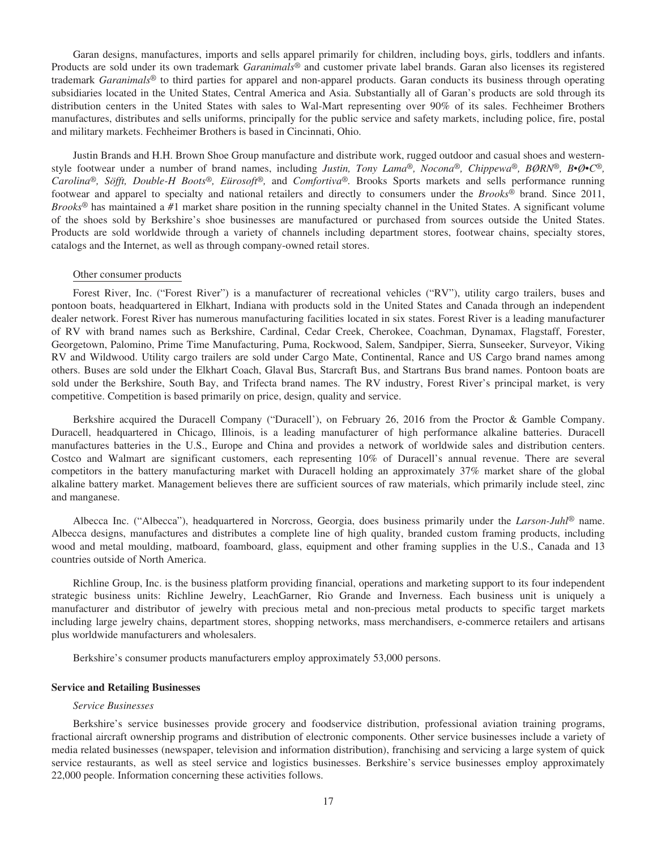Garan designs, manufactures, imports and sells apparel primarily for children, including boys, girls, toddlers and infants. Products are sold under its own trademark *Garanimals*® and customer private label brands. Garan also licenses its registered trademark *Garanimals*® to third parties for apparel and non-apparel products. Garan conducts its business through operating subsidiaries located in the United States, Central America and Asia. Substantially all of Garan's products are sold through its distribution centers in the United States with sales to Wal-Mart representing over 90% of its sales. Fechheimer Brothers manufactures, distributes and sells uniforms, principally for the public service and safety markets, including police, fire, postal and military markets. Fechheimer Brothers is based in Cincinnati, Ohio.

Justin Brands and H.H. Brown Shoe Group manufacture and distribute work, rugged outdoor and casual shoes and westernstyle footwear under a number of brand names, including *Justin, Tony Lama®, Nocona®, Chippewa®, BØRN®, B*•*Ø*•*C®, Carolina®, Söfft, Double-H Boots®, Eürosoft®,* and *Comfortiva®.* Brooks Sports markets and sells performance running footwear and apparel to specialty and national retailers and directly to consumers under the *Brooks®* brand. Since 2011, *Brooks*<sup>®</sup> has maintained a #1 market share position in the running specialty channel in the United States. A significant volume of the shoes sold by Berkshire's shoe businesses are manufactured or purchased from sources outside the United States. Products are sold worldwide through a variety of channels including department stores, footwear chains, specialty stores, catalogs and the Internet, as well as through company-owned retail stores.

#### Other consumer products

Forest River, Inc. ("Forest River") is a manufacturer of recreational vehicles ("RV"), utility cargo trailers, buses and pontoon boats, headquartered in Elkhart, Indiana with products sold in the United States and Canada through an independent dealer network. Forest River has numerous manufacturing facilities located in six states. Forest River is a leading manufacturer of RV with brand names such as Berkshire, Cardinal, Cedar Creek, Cherokee, Coachman, Dynamax, Flagstaff, Forester, Georgetown, Palomino, Prime Time Manufacturing, Puma, Rockwood, Salem, Sandpiper, Sierra, Sunseeker, Surveyor, Viking RV and Wildwood. Utility cargo trailers are sold under Cargo Mate, Continental, Rance and US Cargo brand names among others. Buses are sold under the Elkhart Coach, Glaval Bus, Starcraft Bus, and Startrans Bus brand names. Pontoon boats are sold under the Berkshire, South Bay, and Trifecta brand names. The RV industry, Forest River's principal market, is very competitive. Competition is based primarily on price, design, quality and service.

Berkshire acquired the Duracell Company ("Duracell'), on February 26, 2016 from the Proctor & Gamble Company. Duracell, headquartered in Chicago, Illinois, is a leading manufacturer of high performance alkaline batteries. Duracell manufactures batteries in the U.S., Europe and China and provides a network of worldwide sales and distribution centers. Costco and Walmart are significant customers, each representing 10% of Duracell's annual revenue. There are several competitors in the battery manufacturing market with Duracell holding an approximately 37% market share of the global alkaline battery market. Management believes there are sufficient sources of raw materials, which primarily include steel, zinc and manganese.

Albecca Inc. ("Albecca"), headquartered in Norcross, Georgia, does business primarily under the *Larson-Juhl*® name. Albecca designs, manufactures and distributes a complete line of high quality, branded custom framing products, including wood and metal moulding, matboard, foamboard, glass, equipment and other framing supplies in the U.S., Canada and 13 countries outside of North America.

Richline Group, Inc. is the business platform providing financial, operations and marketing support to its four independent strategic business units: Richline Jewelry, LeachGarner, Rio Grande and Inverness. Each business unit is uniquely a manufacturer and distributor of jewelry with precious metal and non-precious metal products to specific target markets including large jewelry chains, department stores, shopping networks, mass merchandisers, e-commerce retailers and artisans plus worldwide manufacturers and wholesalers.

Berkshire's consumer products manufacturers employ approximately 53,000 persons.

#### **Service and Retailing Businesses**

# *Service Businesses*

Berkshire's service businesses provide grocery and foodservice distribution, professional aviation training programs, fractional aircraft ownership programs and distribution of electronic components. Other service businesses include a variety of media related businesses (newspaper, television and information distribution), franchising and servicing a large system of quick service restaurants, as well as steel service and logistics businesses. Berkshire's service businesses employ approximately 22,000 people. Information concerning these activities follows.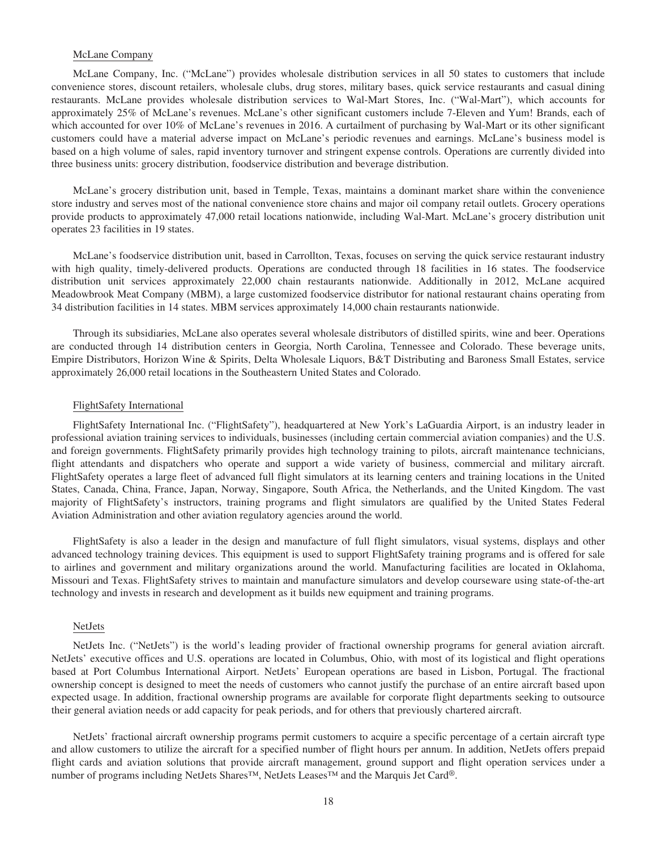# McLane Company

McLane Company, Inc. ("McLane") provides wholesale distribution services in all 50 states to customers that include convenience stores, discount retailers, wholesale clubs, drug stores, military bases, quick service restaurants and casual dining restaurants. McLane provides wholesale distribution services to Wal-Mart Stores, Inc. ("Wal-Mart"), which accounts for approximately 25% of McLane's revenues. McLane's other significant customers include 7-Eleven and Yum! Brands, each of which accounted for over 10% of McLane's revenues in 2016. A curtailment of purchasing by Wal-Mart or its other significant customers could have a material adverse impact on McLane's periodic revenues and earnings. McLane's business model is based on a high volume of sales, rapid inventory turnover and stringent expense controls. Operations are currently divided into three business units: grocery distribution, foodservice distribution and beverage distribution.

McLane's grocery distribution unit, based in Temple, Texas, maintains a dominant market share within the convenience store industry and serves most of the national convenience store chains and major oil company retail outlets. Grocery operations provide products to approximately 47,000 retail locations nationwide, including Wal-Mart. McLane's grocery distribution unit operates 23 facilities in 19 states.

McLane's foodservice distribution unit, based in Carrollton, Texas, focuses on serving the quick service restaurant industry with high quality, timely-delivered products. Operations are conducted through 18 facilities in 16 states. The foodservice distribution unit services approximately 22,000 chain restaurants nationwide. Additionally in 2012, McLane acquired Meadowbrook Meat Company (MBM), a large customized foodservice distributor for national restaurant chains operating from 34 distribution facilities in 14 states. MBM services approximately 14,000 chain restaurants nationwide.

Through its subsidiaries, McLane also operates several wholesale distributors of distilled spirits, wine and beer. Operations are conducted through 14 distribution centers in Georgia, North Carolina, Tennessee and Colorado. These beverage units, Empire Distributors, Horizon Wine & Spirits, Delta Wholesale Liquors, B&T Distributing and Baroness Small Estates, service approximately 26,000 retail locations in the Southeastern United States and Colorado.

# FlightSafety International

FlightSafety International Inc. ("FlightSafety"), headquartered at New York's LaGuardia Airport, is an industry leader in professional aviation training services to individuals, businesses (including certain commercial aviation companies) and the U.S. and foreign governments. FlightSafety primarily provides high technology training to pilots, aircraft maintenance technicians, flight attendants and dispatchers who operate and support a wide variety of business, commercial and military aircraft. FlightSafety operates a large fleet of advanced full flight simulators at its learning centers and training locations in the United States, Canada, China, France, Japan, Norway, Singapore, South Africa, the Netherlands, and the United Kingdom. The vast majority of FlightSafety's instructors, training programs and flight simulators are qualified by the United States Federal Aviation Administration and other aviation regulatory agencies around the world.

FlightSafety is also a leader in the design and manufacture of full flight simulators, visual systems, displays and other advanced technology training devices. This equipment is used to support FlightSafety training programs and is offered for sale to airlines and government and military organizations around the world. Manufacturing facilities are located in Oklahoma, Missouri and Texas. FlightSafety strives to maintain and manufacture simulators and develop courseware using state-of-the-art technology and invests in research and development as it builds new equipment and training programs.

# NetJets

NetJets Inc. ("NetJets") is the world's leading provider of fractional ownership programs for general aviation aircraft. NetJets' executive offices and U.S. operations are located in Columbus, Ohio, with most of its logistical and flight operations based at Port Columbus International Airport. NetJets' European operations are based in Lisbon, Portugal. The fractional ownership concept is designed to meet the needs of customers who cannot justify the purchase of an entire aircraft based upon expected usage. In addition, fractional ownership programs are available for corporate flight departments seeking to outsource their general aviation needs or add capacity for peak periods, and for others that previously chartered aircraft.

NetJets' fractional aircraft ownership programs permit customers to acquire a specific percentage of a certain aircraft type and allow customers to utilize the aircraft for a specified number of flight hours per annum. In addition, NetJets offers prepaid flight cards and aviation solutions that provide aircraft management, ground support and flight operation services under a number of programs including NetJets Shares™, NetJets Leases™ and the Marquis Jet Card®.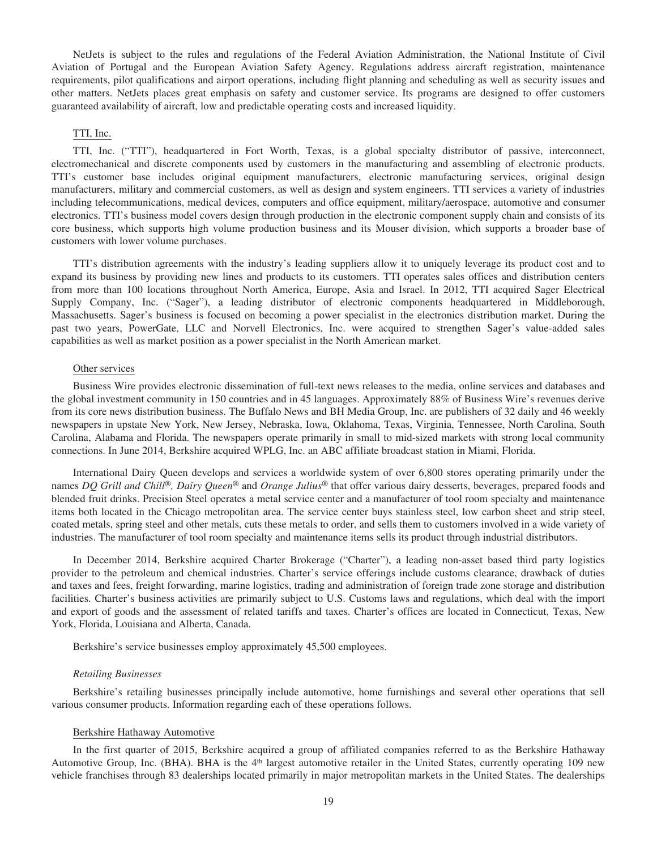NetJets is subject to the rules and regulations of the Federal Aviation Administration, the National Institute of Civil Aviation of Portugal and the European Aviation Safety Agency. Regulations address aircraft registration, maintenance requirements, pilot qualifications and airport operations, including flight planning and scheduling as well as security issues and other matters. NetJets places great emphasis on safety and customer service. Its programs are designed to offer customers guaranteed availability of aircraft, low and predictable operating costs and increased liquidity.

# TTI, Inc.

TTI, Inc. ("TTI"), headquartered in Fort Worth, Texas, is a global specialty distributor of passive, interconnect, electromechanical and discrete components used by customers in the manufacturing and assembling of electronic products. TTI's customer base includes original equipment manufacturers, electronic manufacturing services, original design manufacturers, military and commercial customers, as well as design and system engineers. TTI services a variety of industries including telecommunications, medical devices, computers and office equipment, military/aerospace, automotive and consumer electronics. TTI's business model covers design through production in the electronic component supply chain and consists of its core business, which supports high volume production business and its Mouser division, which supports a broader base of customers with lower volume purchases.

TTI's distribution agreements with the industry's leading suppliers allow it to uniquely leverage its product cost and to expand its business by providing new lines and products to its customers. TTI operates sales offices and distribution centers from more than 100 locations throughout North America, Europe, Asia and Israel. In 2012, TTI acquired Sager Electrical Supply Company, Inc. ("Sager"), a leading distributor of electronic components headquartered in Middleborough, Massachusetts. Sager's business is focused on becoming a power specialist in the electronics distribution market. During the past two years, PowerGate, LLC and Norvell Electronics, Inc. were acquired to strengthen Sager's value-added sales capabilities as well as market position as a power specialist in the North American market.

#### Other services

Business Wire provides electronic dissemination of full-text news releases to the media, online services and databases and the global investment community in 150 countries and in 45 languages. Approximately 88% of Business Wire's revenues derive from its core news distribution business. The Buffalo News and BH Media Group, Inc. are publishers of 32 daily and 46 weekly newspapers in upstate New York, New Jersey, Nebraska, Iowa, Oklahoma, Texas, Virginia, Tennessee, North Carolina, South Carolina, Alabama and Florida. The newspapers operate primarily in small to mid-sized markets with strong local community connections. In June 2014, Berkshire acquired WPLG, Inc. an ABC affiliate broadcast station in Miami, Florida.

International Dairy Queen develops and services a worldwide system of over 6,800 stores operating primarily under the names *DQ Grill and Chill®, Dairy Queen*® and *Orange Julius*® that offer various dairy desserts, beverages, prepared foods and blended fruit drinks. Precision Steel operates a metal service center and a manufacturer of tool room specialty and maintenance items both located in the Chicago metropolitan area. The service center buys stainless steel, low carbon sheet and strip steel, coated metals, spring steel and other metals, cuts these metals to order, and sells them to customers involved in a wide variety of industries. The manufacturer of tool room specialty and maintenance items sells its product through industrial distributors.

In December 2014, Berkshire acquired Charter Brokerage ("Charter"), a leading non-asset based third party logistics provider to the petroleum and chemical industries. Charter's service offerings include customs clearance, drawback of duties and taxes and fees, freight forwarding, marine logistics, trading and administration of foreign trade zone storage and distribution facilities. Charter's business activities are primarily subject to U.S. Customs laws and regulations, which deal with the import and export of goods and the assessment of related tariffs and taxes. Charter's offices are located in Connecticut, Texas, New York, Florida, Louisiana and Alberta, Canada.

Berkshire's service businesses employ approximately 45,500 employees.

#### *Retailing Businesses*

Berkshire's retailing businesses principally include automotive, home furnishings and several other operations that sell various consumer products. Information regarding each of these operations follows.

#### Berkshire Hathaway Automotive

In the first quarter of 2015, Berkshire acquired a group of affiliated companies referred to as the Berkshire Hathaway Automotive Group, Inc. (BHA). BHA is the  $4<sup>th</sup>$  largest automotive retailer in the United States, currently operating 109 new vehicle franchises through 83 dealerships located primarily in major metropolitan markets in the United States. The dealerships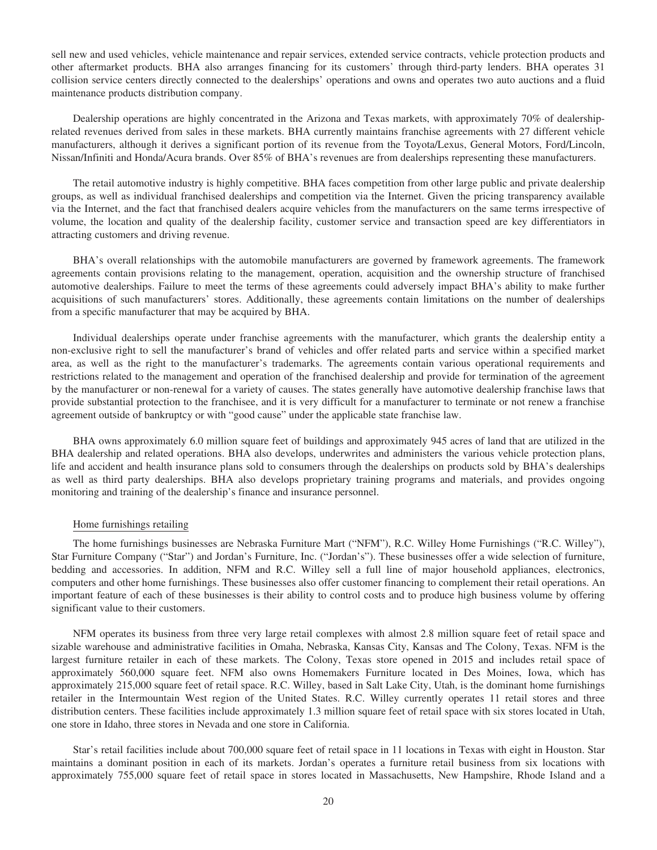sell new and used vehicles, vehicle maintenance and repair services, extended service contracts, vehicle protection products and other aftermarket products. BHA also arranges financing for its customers' through third-party lenders. BHA operates 31 collision service centers directly connected to the dealerships' operations and owns and operates two auto auctions and a fluid maintenance products distribution company.

Dealership operations are highly concentrated in the Arizona and Texas markets, with approximately 70% of dealershiprelated revenues derived from sales in these markets. BHA currently maintains franchise agreements with 27 different vehicle manufacturers, although it derives a significant portion of its revenue from the Toyota/Lexus, General Motors, Ford/Lincoln, Nissan/Infiniti and Honda/Acura brands. Over 85% of BHA's revenues are from dealerships representing these manufacturers.

The retail automotive industry is highly competitive. BHA faces competition from other large public and private dealership groups, as well as individual franchised dealerships and competition via the Internet. Given the pricing transparency available via the Internet, and the fact that franchised dealers acquire vehicles from the manufacturers on the same terms irrespective of volume, the location and quality of the dealership facility, customer service and transaction speed are key differentiators in attracting customers and driving revenue.

BHA's overall relationships with the automobile manufacturers are governed by framework agreements. The framework agreements contain provisions relating to the management, operation, acquisition and the ownership structure of franchised automotive dealerships. Failure to meet the terms of these agreements could adversely impact BHA's ability to make further acquisitions of such manufacturers' stores. Additionally, these agreements contain limitations on the number of dealerships from a specific manufacturer that may be acquired by BHA.

Individual dealerships operate under franchise agreements with the manufacturer, which grants the dealership entity a non-exclusive right to sell the manufacturer's brand of vehicles and offer related parts and service within a specified market area, as well as the right to the manufacturer's trademarks. The agreements contain various operational requirements and restrictions related to the management and operation of the franchised dealership and provide for termination of the agreement by the manufacturer or non-renewal for a variety of causes. The states generally have automotive dealership franchise laws that provide substantial protection to the franchisee, and it is very difficult for a manufacturer to terminate or not renew a franchise agreement outside of bankruptcy or with "good cause" under the applicable state franchise law.

BHA owns approximately 6.0 million square feet of buildings and approximately 945 acres of land that are utilized in the BHA dealership and related operations. BHA also develops, underwrites and administers the various vehicle protection plans, life and accident and health insurance plans sold to consumers through the dealerships on products sold by BHA's dealerships as well as third party dealerships. BHA also develops proprietary training programs and materials, and provides ongoing monitoring and training of the dealership's finance and insurance personnel.

# Home furnishings retailing

The home furnishings businesses are Nebraska Furniture Mart ("NFM"), R.C. Willey Home Furnishings ("R.C. Willey"), Star Furniture Company ("Star") and Jordan's Furniture, Inc. ("Jordan's"). These businesses offer a wide selection of furniture, bedding and accessories. In addition, NFM and R.C. Willey sell a full line of major household appliances, electronics, computers and other home furnishings. These businesses also offer customer financing to complement their retail operations. An important feature of each of these businesses is their ability to control costs and to produce high business volume by offering significant value to their customers.

NFM operates its business from three very large retail complexes with almost 2.8 million square feet of retail space and sizable warehouse and administrative facilities in Omaha, Nebraska, Kansas City, Kansas and The Colony, Texas. NFM is the largest furniture retailer in each of these markets. The Colony, Texas store opened in 2015 and includes retail space of approximately 560,000 square feet. NFM also owns Homemakers Furniture located in Des Moines, Iowa, which has approximately 215,000 square feet of retail space. R.C. Willey, based in Salt Lake City, Utah, is the dominant home furnishings retailer in the Intermountain West region of the United States. R.C. Willey currently operates 11 retail stores and three distribution centers. These facilities include approximately 1.3 million square feet of retail space with six stores located in Utah, one store in Idaho, three stores in Nevada and one store in California.

Star's retail facilities include about 700,000 square feet of retail space in 11 locations in Texas with eight in Houston. Star maintains a dominant position in each of its markets. Jordan's operates a furniture retail business from six locations with approximately 755,000 square feet of retail space in stores located in Massachusetts, New Hampshire, Rhode Island and a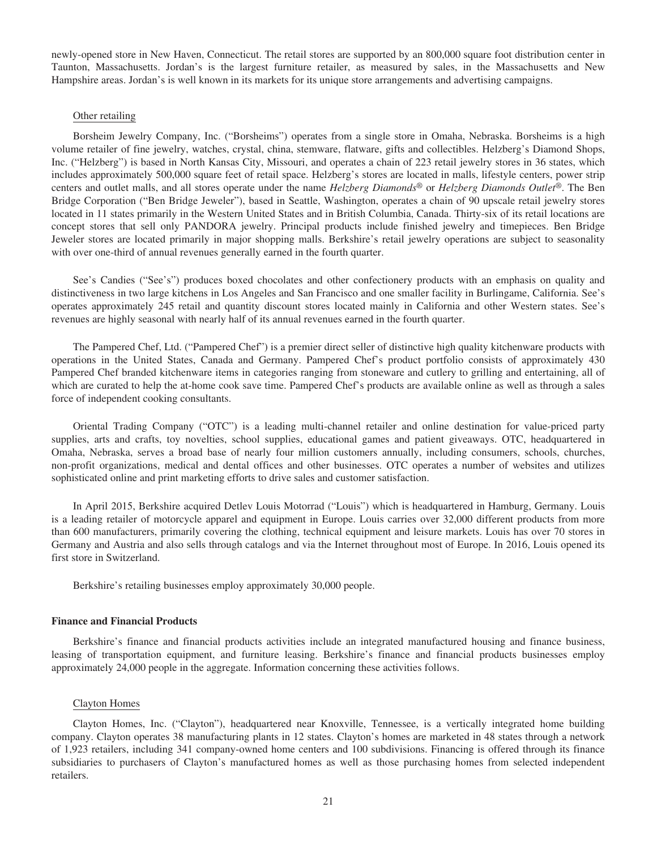newly-opened store in New Haven, Connecticut. The retail stores are supported by an 800,000 square foot distribution center in Taunton, Massachusetts. Jordan's is the largest furniture retailer, as measured by sales, in the Massachusetts and New Hampshire areas. Jordan's is well known in its markets for its unique store arrangements and advertising campaigns.

### Other retailing

Borsheim Jewelry Company, Inc. ("Borsheims") operates from a single store in Omaha, Nebraska. Borsheims is a high volume retailer of fine jewelry, watches, crystal, china, stemware, flatware, gifts and collectibles. Helzberg's Diamond Shops, Inc. ("Helzberg") is based in North Kansas City, Missouri, and operates a chain of 223 retail jewelry stores in 36 states, which includes approximately 500,000 square feet of retail space. Helzberg's stores are located in malls, lifestyle centers, power strip centers and outlet malls, and all stores operate under the name *Helzberg Diamonds*® or *Helzberg Diamonds Outlet*®. The Ben Bridge Corporation ("Ben Bridge Jeweler"), based in Seattle, Washington, operates a chain of 90 upscale retail jewelry stores located in 11 states primarily in the Western United States and in British Columbia, Canada. Thirty-six of its retail locations are concept stores that sell only PANDORA jewelry. Principal products include finished jewelry and timepieces. Ben Bridge Jeweler stores are located primarily in major shopping malls. Berkshire's retail jewelry operations are subject to seasonality with over one-third of annual revenues generally earned in the fourth quarter.

See's Candies ("See's") produces boxed chocolates and other confectionery products with an emphasis on quality and distinctiveness in two large kitchens in Los Angeles and San Francisco and one smaller facility in Burlingame, California. See's operates approximately 245 retail and quantity discount stores located mainly in California and other Western states. See's revenues are highly seasonal with nearly half of its annual revenues earned in the fourth quarter.

The Pampered Chef, Ltd. ("Pampered Chef") is a premier direct seller of distinctive high quality kitchenware products with operations in the United States, Canada and Germany. Pampered Chef's product portfolio consists of approximately 430 Pampered Chef branded kitchenware items in categories ranging from stoneware and cutlery to grilling and entertaining, all of which are curated to help the at-home cook save time. Pampered Chef's products are available online as well as through a sales force of independent cooking consultants.

Oriental Trading Company ("OTC") is a leading multi-channel retailer and online destination for value-priced party supplies, arts and crafts, toy novelties, school supplies, educational games and patient giveaways. OTC, headquartered in Omaha, Nebraska, serves a broad base of nearly four million customers annually, including consumers, schools, churches, non-profit organizations, medical and dental offices and other businesses. OTC operates a number of websites and utilizes sophisticated online and print marketing efforts to drive sales and customer satisfaction.

In April 2015, Berkshire acquired Detlev Louis Motorrad ("Louis") which is headquartered in Hamburg, Germany. Louis is a leading retailer of motorcycle apparel and equipment in Europe. Louis carries over 32,000 different products from more than 600 manufacturers, primarily covering the clothing, technical equipment and leisure markets. Louis has over 70 stores in Germany and Austria and also sells through catalogs and via the Internet throughout most of Europe. In 2016, Louis opened its first store in Switzerland.

Berkshire's retailing businesses employ approximately 30,000 people.

# **Finance and Financial Products**

Berkshire's finance and financial products activities include an integrated manufactured housing and finance business, leasing of transportation equipment, and furniture leasing. Berkshire's finance and financial products businesses employ approximately 24,000 people in the aggregate. Information concerning these activities follows.

#### Clayton Homes

Clayton Homes, Inc. ("Clayton"), headquartered near Knoxville, Tennessee, is a vertically integrated home building company. Clayton operates 38 manufacturing plants in 12 states. Clayton's homes are marketed in 48 states through a network of 1,923 retailers, including 341 company-owned home centers and 100 subdivisions. Financing is offered through its finance subsidiaries to purchasers of Clayton's manufactured homes as well as those purchasing homes from selected independent retailers.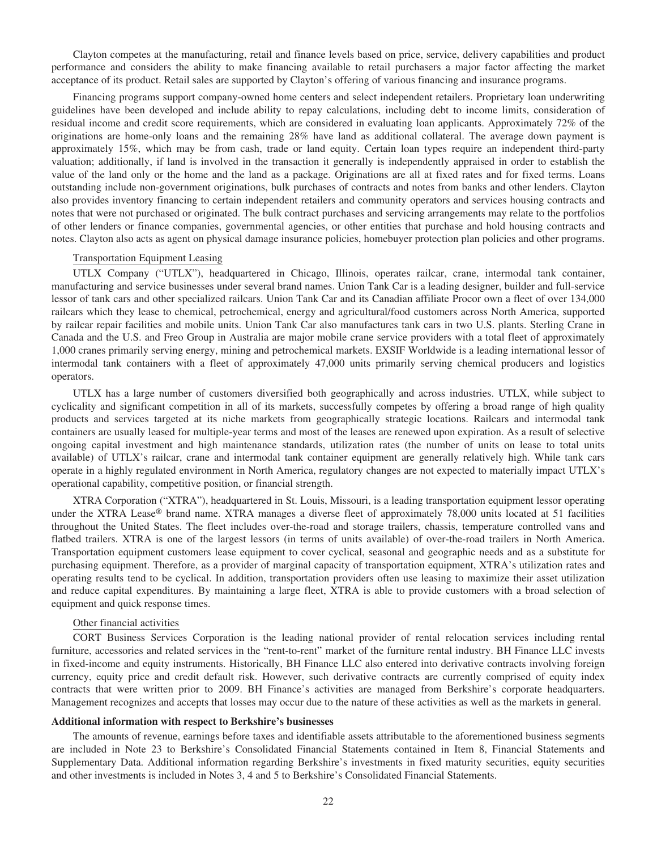Clayton competes at the manufacturing, retail and finance levels based on price, service, delivery capabilities and product performance and considers the ability to make financing available to retail purchasers a major factor affecting the market acceptance of its product. Retail sales are supported by Clayton's offering of various financing and insurance programs.

Financing programs support company-owned home centers and select independent retailers. Proprietary loan underwriting guidelines have been developed and include ability to repay calculations, including debt to income limits, consideration of residual income and credit score requirements, which are considered in evaluating loan applicants. Approximately 72% of the originations are home-only loans and the remaining 28% have land as additional collateral. The average down payment is approximately 15%, which may be from cash, trade or land equity. Certain loan types require an independent third-party valuation; additionally, if land is involved in the transaction it generally is independently appraised in order to establish the value of the land only or the home and the land as a package. Originations are all at fixed rates and for fixed terms. Loans outstanding include non-government originations, bulk purchases of contracts and notes from banks and other lenders. Clayton also provides inventory financing to certain independent retailers and community operators and services housing contracts and notes that were not purchased or originated. The bulk contract purchases and servicing arrangements may relate to the portfolios of other lenders or finance companies, governmental agencies, or other entities that purchase and hold housing contracts and notes. Clayton also acts as agent on physical damage insurance policies, homebuyer protection plan policies and other programs.

# Transportation Equipment Leasing

UTLX Company ("UTLX"), headquartered in Chicago, Illinois, operates railcar, crane, intermodal tank container, manufacturing and service businesses under several brand names. Union Tank Car is a leading designer, builder and full-service lessor of tank cars and other specialized railcars. Union Tank Car and its Canadian affiliate Procor own a fleet of over 134,000 railcars which they lease to chemical, petrochemical, energy and agricultural/food customers across North America, supported by railcar repair facilities and mobile units. Union Tank Car also manufactures tank cars in two U.S. plants. Sterling Crane in Canada and the U.S. and Freo Group in Australia are major mobile crane service providers with a total fleet of approximately 1,000 cranes primarily serving energy, mining and petrochemical markets. EXSIF Worldwide is a leading international lessor of intermodal tank containers with a fleet of approximately 47,000 units primarily serving chemical producers and logistics operators.

UTLX has a large number of customers diversified both geographically and across industries. UTLX, while subject to cyclicality and significant competition in all of its markets, successfully competes by offering a broad range of high quality products and services targeted at its niche markets from geographically strategic locations. Railcars and intermodal tank containers are usually leased for multiple-year terms and most of the leases are renewed upon expiration. As a result of selective ongoing capital investment and high maintenance standards, utilization rates (the number of units on lease to total units available) of UTLX's railcar, crane and intermodal tank container equipment are generally relatively high. While tank cars operate in a highly regulated environment in North America, regulatory changes are not expected to materially impact UTLX's operational capability, competitive position, or financial strength.

XTRA Corporation ("XTRA"), headquartered in St. Louis, Missouri, is a leading transportation equipment lessor operating under the XTRA Lease® brand name. XTRA manages a diverse fleet of approximately 78,000 units located at 51 facilities throughout the United States. The fleet includes over-the-road and storage trailers, chassis, temperature controlled vans and flatbed trailers. XTRA is one of the largest lessors (in terms of units available) of over-the-road trailers in North America. Transportation equipment customers lease equipment to cover cyclical, seasonal and geographic needs and as a substitute for purchasing equipment. Therefore, as a provider of marginal capacity of transportation equipment, XTRA's utilization rates and operating results tend to be cyclical. In addition, transportation providers often use leasing to maximize their asset utilization and reduce capital expenditures. By maintaining a large fleet, XTRA is able to provide customers with a broad selection of equipment and quick response times.

# Other financial activities

CORT Business Services Corporation is the leading national provider of rental relocation services including rental furniture, accessories and related services in the "rent-to-rent" market of the furniture rental industry. BH Finance LLC invests in fixed-income and equity instruments. Historically, BH Finance LLC also entered into derivative contracts involving foreign currency, equity price and credit default risk. However, such derivative contracts are currently comprised of equity index contracts that were written prior to 2009. BH Finance's activities are managed from Berkshire's corporate headquarters. Management recognizes and accepts that losses may occur due to the nature of these activities as well as the markets in general.

#### **Additional information with respect to Berkshire's businesses**

The amounts of revenue, earnings before taxes and identifiable assets attributable to the aforementioned business segments are included in Note 23 to Berkshire's Consolidated Financial Statements contained in Item 8, Financial Statements and Supplementary Data. Additional information regarding Berkshire's investments in fixed maturity securities, equity securities and other investments is included in Notes 3, 4 and 5 to Berkshire's Consolidated Financial Statements.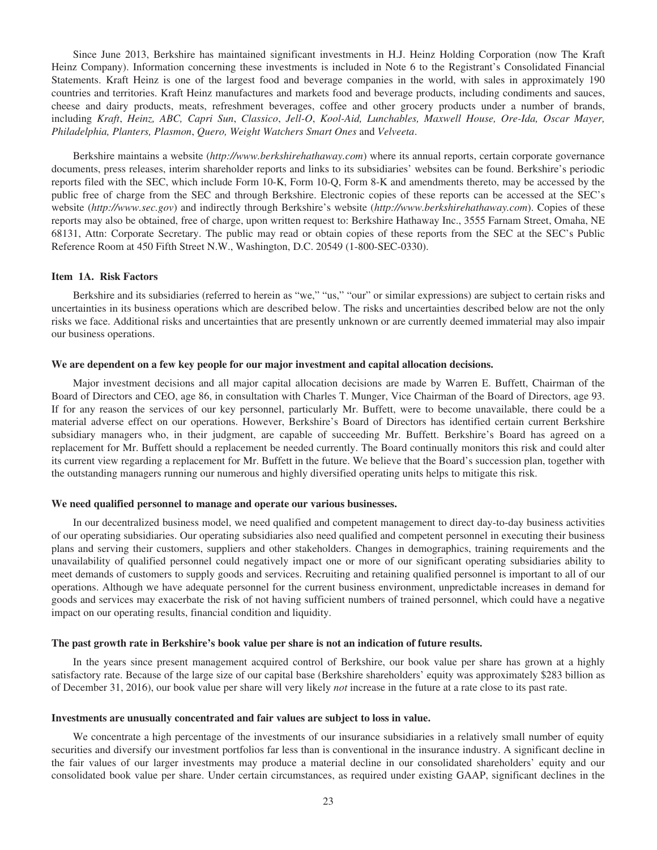Since June 2013, Berkshire has maintained significant investments in H.J. Heinz Holding Corporation (now The Kraft Heinz Company). Information concerning these investments is included in Note 6 to the Registrant's Consolidated Financial Statements. Kraft Heinz is one of the largest food and beverage companies in the world, with sales in approximately 190 countries and territories. Kraft Heinz manufactures and markets food and beverage products, including condiments and sauces, cheese and dairy products, meats, refreshment beverages, coffee and other grocery products under a number of brands, including *Kraft*, *Heinz, ABC, Capri Sun*, *Classico*, *Jell-O*, *Kool-Aid, Lunchables, Maxwell House, Ore-Ida, Oscar Mayer, Philadelphia, Planters, Plasmon*, *Quero, Weight Watchers Smart Ones* and *Velveeta*.

Berkshire maintains a website (*http://www.berkshirehathaway.com*) where its annual reports, certain corporate governance documents, press releases, interim shareholder reports and links to its subsidiaries' websites can be found. Berkshire's periodic reports filed with the SEC, which include Form 10-K, Form 10-Q, Form 8-K and amendments thereto, may be accessed by the public free of charge from the SEC and through Berkshire. Electronic copies of these reports can be accessed at the SEC's website (*http://www.sec.gov*) and indirectly through Berkshire's website (*http://www.berkshirehathaway.com*). Copies of these reports may also be obtained, free of charge, upon written request to: Berkshire Hathaway Inc., 3555 Farnam Street, Omaha, NE 68131, Attn: Corporate Secretary. The public may read or obtain copies of these reports from the SEC at the SEC's Public Reference Room at 450 Fifth Street N.W., Washington, D.C. 20549 (1-800-SEC-0330).

# **Item 1A. Risk Factors**

Berkshire and its subsidiaries (referred to herein as "we," "us," "our" or similar expressions) are subject to certain risks and uncertainties in its business operations which are described below. The risks and uncertainties described below are not the only risks we face. Additional risks and uncertainties that are presently unknown or are currently deemed immaterial may also impair our business operations.

## **We are dependent on a few key people for our major investment and capital allocation decisions.**

Major investment decisions and all major capital allocation decisions are made by Warren E. Buffett, Chairman of the Board of Directors and CEO, age 86, in consultation with Charles T. Munger, Vice Chairman of the Board of Directors, age 93. If for any reason the services of our key personnel, particularly Mr. Buffett, were to become unavailable, there could be a material adverse effect on our operations. However, Berkshire's Board of Directors has identified certain current Berkshire subsidiary managers who, in their judgment, are capable of succeeding Mr. Buffett. Berkshire's Board has agreed on a replacement for Mr. Buffett should a replacement be needed currently. The Board continually monitors this risk and could alter its current view regarding a replacement for Mr. Buffett in the future. We believe that the Board's succession plan, together with the outstanding managers running our numerous and highly diversified operating units helps to mitigate this risk.

#### **We need qualified personnel to manage and operate our various businesses.**

In our decentralized business model, we need qualified and competent management to direct day-to-day business activities of our operating subsidiaries. Our operating subsidiaries also need qualified and competent personnel in executing their business plans and serving their customers, suppliers and other stakeholders. Changes in demographics, training requirements and the unavailability of qualified personnel could negatively impact one or more of our significant operating subsidiaries ability to meet demands of customers to supply goods and services. Recruiting and retaining qualified personnel is important to all of our operations. Although we have adequate personnel for the current business environment, unpredictable increases in demand for goods and services may exacerbate the risk of not having sufficient numbers of trained personnel, which could have a negative impact on our operating results, financial condition and liquidity.

## **The past growth rate in Berkshire's book value per share is not an indication of future results.**

In the years since present management acquired control of Berkshire, our book value per share has grown at a highly satisfactory rate. Because of the large size of our capital base (Berkshire shareholders' equity was approximately \$283 billion as of December 31, 2016), our book value per share will very likely *not* increase in the future at a rate close to its past rate.

#### **Investments are unusually concentrated and fair values are subject to loss in value.**

We concentrate a high percentage of the investments of our insurance subsidiaries in a relatively small number of equity securities and diversify our investment portfolios far less than is conventional in the insurance industry. A significant decline in the fair values of our larger investments may produce a material decline in our consolidated shareholders' equity and our consolidated book value per share. Under certain circumstances, as required under existing GAAP, significant declines in the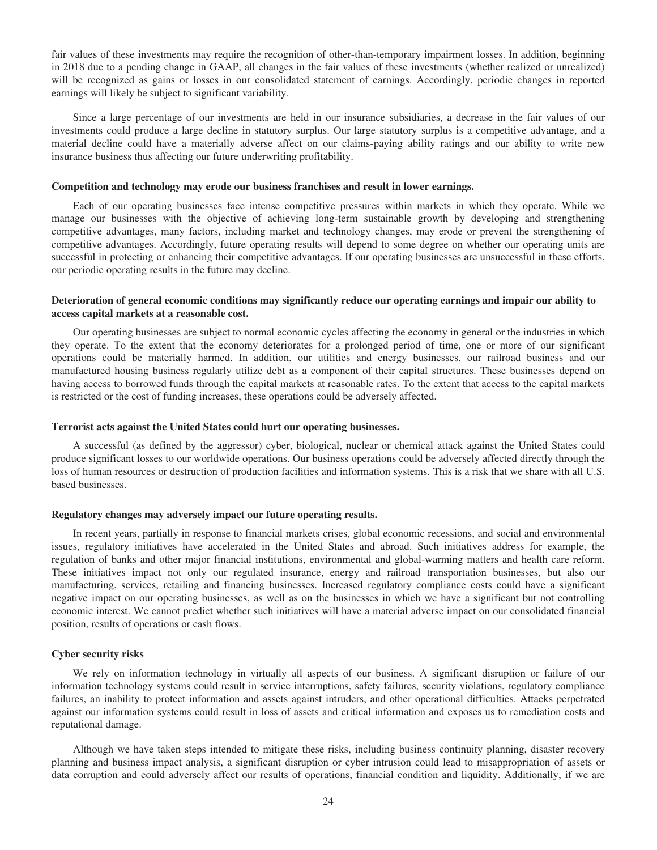fair values of these investments may require the recognition of other-than-temporary impairment losses. In addition, beginning in 2018 due to a pending change in GAAP, all changes in the fair values of these investments (whether realized or unrealized) will be recognized as gains or losses in our consolidated statement of earnings. Accordingly, periodic changes in reported earnings will likely be subject to significant variability.

Since a large percentage of our investments are held in our insurance subsidiaries, a decrease in the fair values of our investments could produce a large decline in statutory surplus. Our large statutory surplus is a competitive advantage, and a material decline could have a materially adverse affect on our claims-paying ability ratings and our ability to write new insurance business thus affecting our future underwriting profitability.

#### **Competition and technology may erode our business franchises and result in lower earnings.**

Each of our operating businesses face intense competitive pressures within markets in which they operate. While we manage our businesses with the objective of achieving long-term sustainable growth by developing and strengthening competitive advantages, many factors, including market and technology changes, may erode or prevent the strengthening of competitive advantages. Accordingly, future operating results will depend to some degree on whether our operating units are successful in protecting or enhancing their competitive advantages. If our operating businesses are unsuccessful in these efforts, our periodic operating results in the future may decline.

# **Deterioration of general economic conditions may significantly reduce our operating earnings and impair our ability to access capital markets at a reasonable cost.**

Our operating businesses are subject to normal economic cycles affecting the economy in general or the industries in which they operate. To the extent that the economy deteriorates for a prolonged period of time, one or more of our significant operations could be materially harmed. In addition, our utilities and energy businesses, our railroad business and our manufactured housing business regularly utilize debt as a component of their capital structures. These businesses depend on having access to borrowed funds through the capital markets at reasonable rates. To the extent that access to the capital markets is restricted or the cost of funding increases, these operations could be adversely affected.

#### **Terrorist acts against the United States could hurt our operating businesses.**

A successful (as defined by the aggressor) cyber, biological, nuclear or chemical attack against the United States could produce significant losses to our worldwide operations. Our business operations could be adversely affected directly through the loss of human resources or destruction of production facilities and information systems. This is a risk that we share with all U.S. based businesses.

#### **Regulatory changes may adversely impact our future operating results.**

In recent years, partially in response to financial markets crises, global economic recessions, and social and environmental issues, regulatory initiatives have accelerated in the United States and abroad. Such initiatives address for example, the regulation of banks and other major financial institutions, environmental and global-warming matters and health care reform. These initiatives impact not only our regulated insurance, energy and railroad transportation businesses, but also our manufacturing, services, retailing and financing businesses. Increased regulatory compliance costs could have a significant negative impact on our operating businesses, as well as on the businesses in which we have a significant but not controlling economic interest. We cannot predict whether such initiatives will have a material adverse impact on our consolidated financial position, results of operations or cash flows.

### **Cyber security risks**

We rely on information technology in virtually all aspects of our business. A significant disruption or failure of our information technology systems could result in service interruptions, safety failures, security violations, regulatory compliance failures, an inability to protect information and assets against intruders, and other operational difficulties. Attacks perpetrated against our information systems could result in loss of assets and critical information and exposes us to remediation costs and reputational damage.

Although we have taken steps intended to mitigate these risks, including business continuity planning, disaster recovery planning and business impact analysis, a significant disruption or cyber intrusion could lead to misappropriation of assets or data corruption and could adversely affect our results of operations, financial condition and liquidity. Additionally, if we are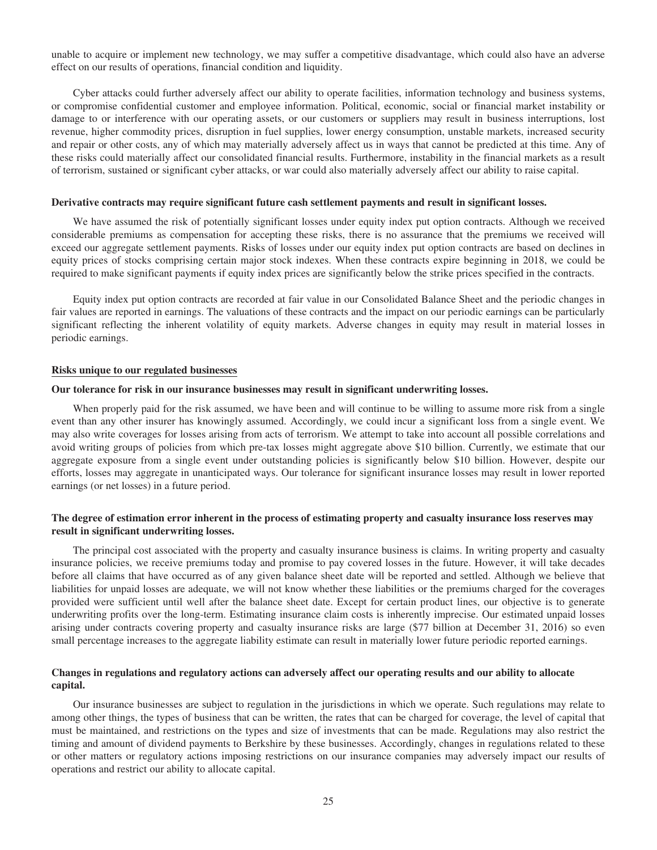unable to acquire or implement new technology, we may suffer a competitive disadvantage, which could also have an adverse effect on our results of operations, financial condition and liquidity.

Cyber attacks could further adversely affect our ability to operate facilities, information technology and business systems, or compromise confidential customer and employee information. Political, economic, social or financial market instability or damage to or interference with our operating assets, or our customers or suppliers may result in business interruptions, lost revenue, higher commodity prices, disruption in fuel supplies, lower energy consumption, unstable markets, increased security and repair or other costs, any of which may materially adversely affect us in ways that cannot be predicted at this time. Any of these risks could materially affect our consolidated financial results. Furthermore, instability in the financial markets as a result of terrorism, sustained or significant cyber attacks, or war could also materially adversely affect our ability to raise capital.

#### **Derivative contracts may require significant future cash settlement payments and result in significant losses.**

We have assumed the risk of potentially significant losses under equity index put option contracts. Although we received considerable premiums as compensation for accepting these risks, there is no assurance that the premiums we received will exceed our aggregate settlement payments. Risks of losses under our equity index put option contracts are based on declines in equity prices of stocks comprising certain major stock indexes. When these contracts expire beginning in 2018, we could be required to make significant payments if equity index prices are significantly below the strike prices specified in the contracts.

Equity index put option contracts are recorded at fair value in our Consolidated Balance Sheet and the periodic changes in fair values are reported in earnings. The valuations of these contracts and the impact on our periodic earnings can be particularly significant reflecting the inherent volatility of equity markets. Adverse changes in equity may result in material losses in periodic earnings.

# **Risks unique to our regulated businesses**

#### **Our tolerance for risk in our insurance businesses may result in significant underwriting losses.**

When properly paid for the risk assumed, we have been and will continue to be willing to assume more risk from a single event than any other insurer has knowingly assumed. Accordingly, we could incur a significant loss from a single event. We may also write coverages for losses arising from acts of terrorism. We attempt to take into account all possible correlations and avoid writing groups of policies from which pre-tax losses might aggregate above \$10 billion. Currently, we estimate that our aggregate exposure from a single event under outstanding policies is significantly below \$10 billion. However, despite our efforts, losses may aggregate in unanticipated ways. Our tolerance for significant insurance losses may result in lower reported earnings (or net losses) in a future period.

# **The degree of estimation error inherent in the process of estimating property and casualty insurance loss reserves may result in significant underwriting losses.**

The principal cost associated with the property and casualty insurance business is claims. In writing property and casualty insurance policies, we receive premiums today and promise to pay covered losses in the future. However, it will take decades before all claims that have occurred as of any given balance sheet date will be reported and settled. Although we believe that liabilities for unpaid losses are adequate, we will not know whether these liabilities or the premiums charged for the coverages provided were sufficient until well after the balance sheet date. Except for certain product lines, our objective is to generate underwriting profits over the long-term. Estimating insurance claim costs is inherently imprecise. Our estimated unpaid losses arising under contracts covering property and casualty insurance risks are large (\$77 billion at December 31, 2016) so even small percentage increases to the aggregate liability estimate can result in materially lower future periodic reported earnings.

# **Changes in regulations and regulatory actions can adversely affect our operating results and our ability to allocate capital.**

Our insurance businesses are subject to regulation in the jurisdictions in which we operate. Such regulations may relate to among other things, the types of business that can be written, the rates that can be charged for coverage, the level of capital that must be maintained, and restrictions on the types and size of investments that can be made. Regulations may also restrict the timing and amount of dividend payments to Berkshire by these businesses. Accordingly, changes in regulations related to these or other matters or regulatory actions imposing restrictions on our insurance companies may adversely impact our results of operations and restrict our ability to allocate capital.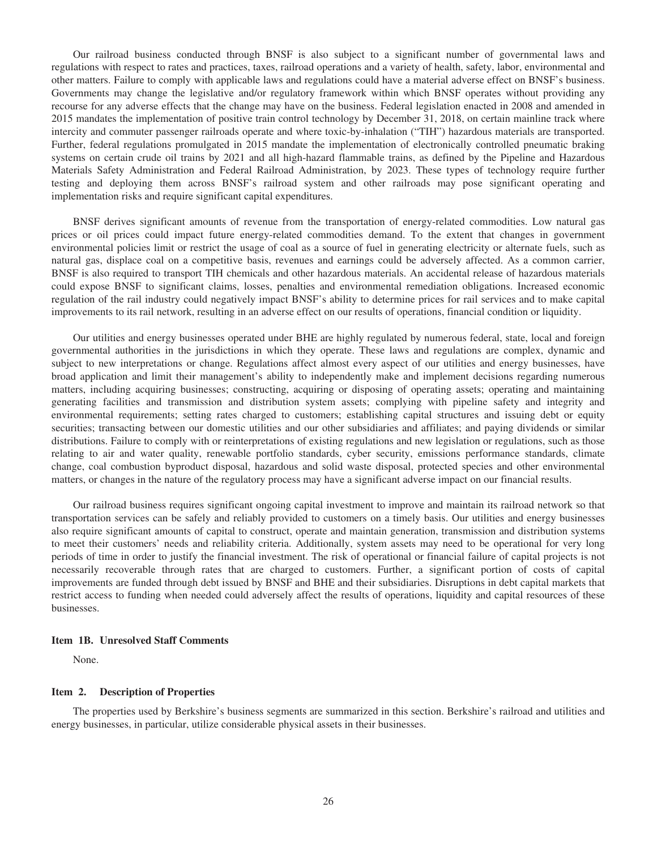Our railroad business conducted through BNSF is also subject to a significant number of governmental laws and regulations with respect to rates and practices, taxes, railroad operations and a variety of health, safety, labor, environmental and other matters. Failure to comply with applicable laws and regulations could have a material adverse effect on BNSF's business. Governments may change the legislative and/or regulatory framework within which BNSF operates without providing any recourse for any adverse effects that the change may have on the business. Federal legislation enacted in 2008 and amended in 2015 mandates the implementation of positive train control technology by December 31, 2018, on certain mainline track where intercity and commuter passenger railroads operate and where toxic-by-inhalation ("TIH") hazardous materials are transported. Further, federal regulations promulgated in 2015 mandate the implementation of electronically controlled pneumatic braking systems on certain crude oil trains by 2021 and all high-hazard flammable trains, as defined by the Pipeline and Hazardous Materials Safety Administration and Federal Railroad Administration, by 2023. These types of technology require further testing and deploying them across BNSF's railroad system and other railroads may pose significant operating and implementation risks and require significant capital expenditures.

BNSF derives significant amounts of revenue from the transportation of energy-related commodities. Low natural gas prices or oil prices could impact future energy-related commodities demand. To the extent that changes in government environmental policies limit or restrict the usage of coal as a source of fuel in generating electricity or alternate fuels, such as natural gas, displace coal on a competitive basis, revenues and earnings could be adversely affected. As a common carrier, BNSF is also required to transport TIH chemicals and other hazardous materials. An accidental release of hazardous materials could expose BNSF to significant claims, losses, penalties and environmental remediation obligations. Increased economic regulation of the rail industry could negatively impact BNSF's ability to determine prices for rail services and to make capital improvements to its rail network, resulting in an adverse effect on our results of operations, financial condition or liquidity.

Our utilities and energy businesses operated under BHE are highly regulated by numerous federal, state, local and foreign governmental authorities in the jurisdictions in which they operate. These laws and regulations are complex, dynamic and subject to new interpretations or change. Regulations affect almost every aspect of our utilities and energy businesses, have broad application and limit their management's ability to independently make and implement decisions regarding numerous matters, including acquiring businesses; constructing, acquiring or disposing of operating assets; operating and maintaining generating facilities and transmission and distribution system assets; complying with pipeline safety and integrity and environmental requirements; setting rates charged to customers; establishing capital structures and issuing debt or equity securities; transacting between our domestic utilities and our other subsidiaries and affiliates; and paying dividends or similar distributions. Failure to comply with or reinterpretations of existing regulations and new legislation or regulations, such as those relating to air and water quality, renewable portfolio standards, cyber security, emissions performance standards, climate change, coal combustion byproduct disposal, hazardous and solid waste disposal, protected species and other environmental matters, or changes in the nature of the regulatory process may have a significant adverse impact on our financial results.

Our railroad business requires significant ongoing capital investment to improve and maintain its railroad network so that transportation services can be safely and reliably provided to customers on a timely basis. Our utilities and energy businesses also require significant amounts of capital to construct, operate and maintain generation, transmission and distribution systems to meet their customers' needs and reliability criteria. Additionally, system assets may need to be operational for very long periods of time in order to justify the financial investment. The risk of operational or financial failure of capital projects is not necessarily recoverable through rates that are charged to customers. Further, a significant portion of costs of capital improvements are funded through debt issued by BNSF and BHE and their subsidiaries. Disruptions in debt capital markets that restrict access to funding when needed could adversely affect the results of operations, liquidity and capital resources of these businesses.

#### **Item 1B. Unresolved Staff Comments**

None.

# **Item 2. Description of Properties**

The properties used by Berkshire's business segments are summarized in this section. Berkshire's railroad and utilities and energy businesses, in particular, utilize considerable physical assets in their businesses.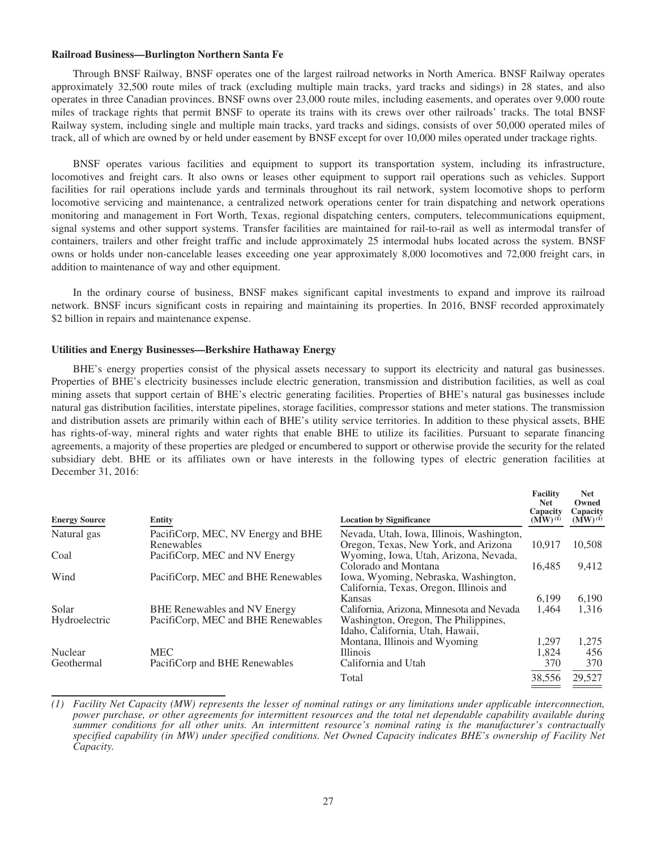# **Railroad Business—Burlington Northern Santa Fe**

Through BNSF Railway, BNSF operates one of the largest railroad networks in North America. BNSF Railway operates approximately 32,500 route miles of track (excluding multiple main tracks, yard tracks and sidings) in 28 states, and also operates in three Canadian provinces. BNSF owns over 23,000 route miles, including easements, and operates over 9,000 route miles of trackage rights that permit BNSF to operate its trains with its crews over other railroads' tracks. The total BNSF Railway system, including single and multiple main tracks, yard tracks and sidings, consists of over 50,000 operated miles of track, all of which are owned by or held under easement by BNSF except for over 10,000 miles operated under trackage rights.

BNSF operates various facilities and equipment to support its transportation system, including its infrastructure, locomotives and freight cars. It also owns or leases other equipment to support rail operations such as vehicles. Support facilities for rail operations include yards and terminals throughout its rail network, system locomotive shops to perform locomotive servicing and maintenance, a centralized network operations center for train dispatching and network operations monitoring and management in Fort Worth, Texas, regional dispatching centers, computers, telecommunications equipment, signal systems and other support systems. Transfer facilities are maintained for rail-to-rail as well as intermodal transfer of containers, trailers and other freight traffic and include approximately 25 intermodal hubs located across the system. BNSF owns or holds under non-cancelable leases exceeding one year approximately 8,000 locomotives and 72,000 freight cars, in addition to maintenance of way and other equipment.

In the ordinary course of business, BNSF makes significant capital investments to expand and improve its railroad network. BNSF incurs significant costs in repairing and maintaining its properties. In 2016, BNSF recorded approximately \$2 billion in repairs and maintenance expense.

# **Utilities and Energy Businesses—Berkshire Hathaway Energy**

BHE's energy properties consist of the physical assets necessary to support its electricity and natural gas businesses. Properties of BHE's electricity businesses include electric generation, transmission and distribution facilities, as well as coal mining assets that support certain of BHE's electric generating facilities. Properties of BHE's natural gas businesses include natural gas distribution facilities, interstate pipelines, storage facilities, compressor stations and meter stations. The transmission and distribution assets are primarily within each of BHE's utility service territories. In addition to these physical assets, BHE has rights-of-way, mineral rights and water rights that enable BHE to utilize its facilities. Pursuant to separate financing agreements, a majority of these properties are pledged or encumbered to support or otherwise provide the security for the related subsidiary debt. BHE or its affiliates own or have interests in the following types of electric generation facilities at December 31, 2016:

|                      |                                     |                                           | <b>Facility</b><br><b>Net</b><br>Capacity | <b>Net</b><br>Owned<br>Capacity |
|----------------------|-------------------------------------|-------------------------------------------|-------------------------------------------|---------------------------------|
| <b>Energy Source</b> | <b>Entity</b>                       | <b>Location by Significance</b>           | $(MW)^{(1)}$                              | $(MW)^{(1)}$                    |
| Natural gas          | PacifiCorp, MEC, NV Energy and BHE  | Nevada, Utah, Iowa, Illinois, Washington, |                                           |                                 |
|                      | Renewables                          | Oregon, Texas, New York, and Arizona      | 10.917                                    | 10,508                          |
| Coal                 | PacifiCorp, MEC and NV Energy       | Wyoming, Iowa, Utah, Arizona, Nevada,     |                                           |                                 |
|                      |                                     | Colorado and Montana                      | 16.485                                    | 9,412                           |
| Wind                 | PacifiCorp, MEC and BHE Renewables  | Iowa, Wyoming, Nebraska, Washington,      |                                           |                                 |
|                      |                                     | California, Texas, Oregon, Illinois and   |                                           |                                 |
|                      |                                     | <b>Kansas</b>                             | 6.199                                     | 6,190                           |
| Solar                | <b>BHE Renewables and NV Energy</b> | California, Arizona, Minnesota and Nevada | 1.464                                     | 1,316                           |
| Hydroelectric        | PacifiCorp, MEC and BHE Renewables  | Washington, Oregon, The Philippines,      |                                           |                                 |
|                      |                                     | Idaho, California, Utah, Hawaii,          |                                           |                                 |
|                      |                                     | Montana, Illinois and Wyoming             | 1,297                                     | 1,275                           |
| Nuclear              | <b>MEC</b>                          | <i>Illinois</i>                           | 1.824                                     | 456                             |
| Geothermal           | PacifiCorp and BHE Renewables       | California and Utah                       | 370                                       | 370                             |
|                      |                                     | Total                                     | 38,556                                    | 29,527                          |

*<sup>(1)</sup> Facility Net Capacity (MW) represents the lesser of nominal ratings or any limitations under applicable interconnection, power purchase, or other agreements for intermittent resources and the total net dependable capability available during summer conditions for all other units. An intermittent resource's nominal rating is the manufacturer's contractually specified capability (in MW) under specified conditions. Net Owned Capacity indicates BHE's ownership of Facility Net Capacity.*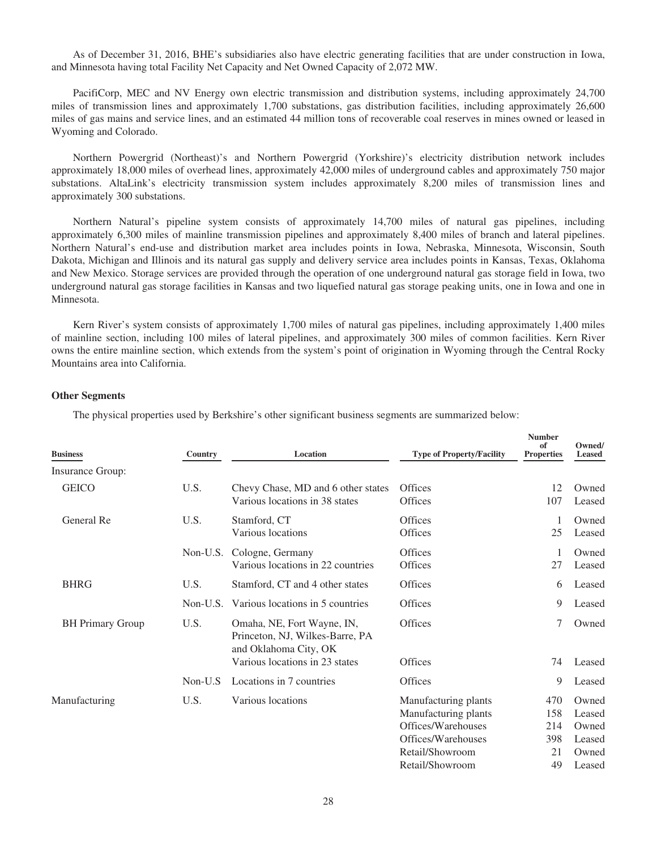As of December 31, 2016, BHE's subsidiaries also have electric generating facilities that are under construction in Iowa, and Minnesota having total Facility Net Capacity and Net Owned Capacity of 2,072 MW.

PacifiCorp, MEC and NV Energy own electric transmission and distribution systems, including approximately 24,700 miles of transmission lines and approximately 1,700 substations, gas distribution facilities, including approximately 26,600 miles of gas mains and service lines, and an estimated 44 million tons of recoverable coal reserves in mines owned or leased in Wyoming and Colorado.

Northern Powergrid (Northeast)'s and Northern Powergrid (Yorkshire)'s electricity distribution network includes approximately 18,000 miles of overhead lines, approximately 42,000 miles of underground cables and approximately 750 major substations. AltaLink's electricity transmission system includes approximately 8,200 miles of transmission lines and approximately 300 substations.

Northern Natural's pipeline system consists of approximately 14,700 miles of natural gas pipelines, including approximately 6,300 miles of mainline transmission pipelines and approximately 8,400 miles of branch and lateral pipelines. Northern Natural's end-use and distribution market area includes points in Iowa, Nebraska, Minnesota, Wisconsin, South Dakota, Michigan and Illinois and its natural gas supply and delivery service area includes points in Kansas, Texas, Oklahoma and New Mexico. Storage services are provided through the operation of one underground natural gas storage field in Iowa, two underground natural gas storage facilities in Kansas and two liquefied natural gas storage peaking units, one in Iowa and one in Minnesota.

Kern River's system consists of approximately 1,700 miles of natural gas pipelines, including approximately 1,400 miles of mainline section, including 100 miles of lateral pipelines, and approximately 300 miles of common facilities. Kern River owns the entire mainline section, which extends from the system's point of origination in Wyoming through the Central Rocky Mountains area into California.

# **Other Segments**

| <b>Business</b>         | Country    | Location                                                                               | <b>Type of Property/Facility</b> | <b>Number</b><br>of<br><b>Properties</b> | Owned/<br><b>Leased</b> |
|-------------------------|------------|----------------------------------------------------------------------------------------|----------------------------------|------------------------------------------|-------------------------|
| <b>Insurance Group:</b> |            |                                                                                        |                                  |                                          |                         |
| <b>GEICO</b>            | U.S.       | Chevy Chase, MD and 6 other states                                                     | Offices                          | 12                                       | Owned                   |
|                         |            | Various locations in 38 states                                                         | Offices                          | 107                                      | Leased                  |
| General Re              | U.S.       | Stamford, CT                                                                           | Offices                          |                                          | Owned                   |
|                         |            | Various locations                                                                      | Offices                          | 25                                       | Leased                  |
|                         | Non-U.S.   | Cologne, Germany                                                                       | <b>Offices</b>                   | 1                                        | Owned                   |
|                         |            | Various locations in 22 countries                                                      | <b>Offices</b>                   | 27                                       | Leased                  |
| <b>BHRG</b>             | U.S.       | Stamford, CT and 4 other states                                                        | <b>Offices</b>                   | 6                                        | Leased                  |
|                         | $Non-U.S.$ | Various locations in 5 countries                                                       | <b>Offices</b>                   | 9                                        | Leased                  |
| <b>BH Primary Group</b> | U.S.       | Omaha, NE, Fort Wayne, IN,<br>Princeton, NJ, Wilkes-Barre, PA<br>and Oklahoma City, OK | <b>Offices</b>                   | $\tau$                                   | Owned                   |
|                         |            | Various locations in 23 states                                                         | <b>Offices</b>                   | 74                                       | Leased                  |
|                         | $Non-U.S$  | Locations in 7 countries                                                               | <b>Offices</b>                   | 9                                        | Leased                  |
| Manufacturing           | U.S.       | Various locations                                                                      | Manufacturing plants             | 470                                      | Owned                   |
|                         |            |                                                                                        | Manufacturing plants             | 158                                      | Leased                  |
|                         |            |                                                                                        | Offices/Warehouses               | 214                                      | Owned                   |
|                         |            |                                                                                        | Offices/Warehouses               | 398                                      | Leased                  |
|                         |            |                                                                                        | Retail/Showroom                  | 21                                       | Owned                   |

The physical properties used by Berkshire's other significant business segments are summarized below:

Retail/Showroom

49 Leased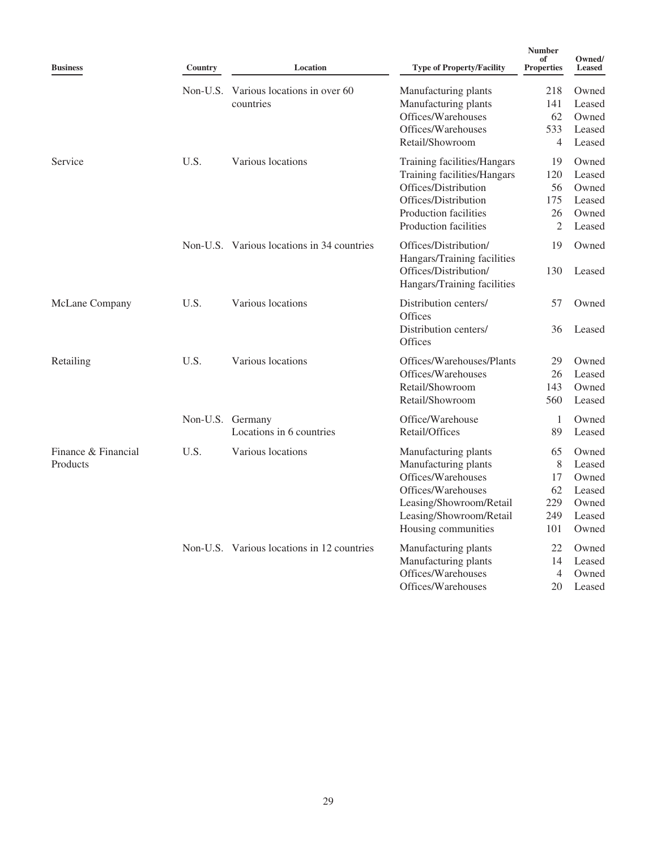| <b>Business</b>     | Country  | Location                                   | <b>Type of Property/Facility</b>                     | <b>Number</b><br>of<br><b>Properties</b> | Owned/<br><b>Leased</b> |
|---------------------|----------|--------------------------------------------|------------------------------------------------------|------------------------------------------|-------------------------|
|                     |          | Non-U.S. Various locations in over 60      | Manufacturing plants                                 | 218                                      | Owned                   |
|                     |          | countries                                  | Manufacturing plants                                 | 141                                      | Leased                  |
|                     |          |                                            | Offices/Warehouses                                   | 62                                       | Owned                   |
|                     |          |                                            | Offices/Warehouses                                   | 533                                      | Leased                  |
|                     |          |                                            | Retail/Showroom                                      | 4                                        | Leased                  |
| Service             | U.S.     | Various locations                          | Training facilities/Hangars                          | 19                                       | Owned                   |
|                     |          |                                            | Training facilities/Hangars                          | 120                                      | Leased                  |
|                     |          |                                            | Offices/Distribution                                 | 56                                       | Owned                   |
|                     |          |                                            | Offices/Distribution                                 | 175                                      | Leased                  |
|                     |          |                                            | Production facilities                                | 26                                       | Owned                   |
|                     |          |                                            | Production facilities                                | $\overline{2}$                           | Leased                  |
|                     |          | Non-U.S. Various locations in 34 countries | Offices/Distribution/<br>Hangars/Training facilities | 19                                       | Owned                   |
|                     |          |                                            | Offices/Distribution/<br>Hangars/Training facilities | 130                                      | Leased                  |
| McLane Company      | U.S.     | Various locations                          | Distribution centers/<br>Offices                     | 57                                       | Owned                   |
|                     |          |                                            | Distribution centers/<br>Offices                     | 36                                       | Leased                  |
| Retailing           | U.S.     | Various locations                          | Offices/Warehouses/Plants                            | 29                                       | Owned                   |
|                     |          |                                            | Offices/Warehouses                                   | 26                                       | Leased                  |
|                     |          |                                            | Retail/Showroom                                      | 143                                      | Owned                   |
|                     |          |                                            | Retail/Showroom                                      | 560                                      | Leased                  |
|                     | Non-U.S. | Germany                                    | Office/Warehouse                                     | $\mathbf{1}$                             | Owned                   |
|                     |          | Locations in 6 countries                   | Retail/Offices                                       | 89                                       | Leased                  |
| Finance & Financial | U.S.     | Various locations                          | Manufacturing plants                                 | 65                                       | Owned                   |
| Products            |          |                                            | Manufacturing plants                                 | 8                                        | Leased                  |
|                     |          |                                            | Offices/Warehouses                                   | 17                                       | Owned                   |
|                     |          |                                            | Offices/Warehouses                                   | 62                                       | Leased                  |
|                     |          |                                            | Leasing/Showroom/Retail                              | 229                                      | Owned                   |
|                     |          |                                            | Leasing/Showroom/Retail                              | 249                                      | Leased                  |
|                     |          |                                            | Housing communities                                  | 101                                      | Owned                   |
|                     |          | Non-U.S. Various locations in 12 countries | Manufacturing plants                                 | 22                                       | Owned                   |
|                     |          |                                            | Manufacturing plants                                 | 14                                       | Leased                  |
|                     |          |                                            | Offices/Warehouses                                   | 4                                        | Owned                   |
|                     |          |                                            | Offices/Warehouses                                   | 20                                       | Leased                  |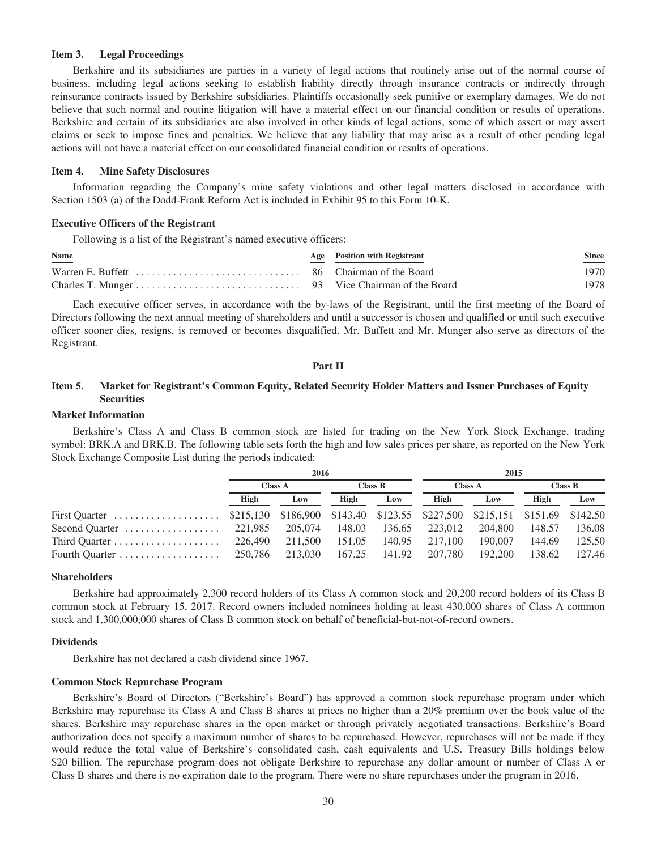# **Item 3. Legal Proceedings**

Berkshire and its subsidiaries are parties in a variety of legal actions that routinely arise out of the normal course of business, including legal actions seeking to establish liability directly through insurance contracts or indirectly through reinsurance contracts issued by Berkshire subsidiaries. Plaintiffs occasionally seek punitive or exemplary damages. We do not believe that such normal and routine litigation will have a material effect on our financial condition or results of operations. Berkshire and certain of its subsidiaries are also involved in other kinds of legal actions, some of which assert or may assert claims or seek to impose fines and penalties. We believe that any liability that may arise as a result of other pending legal actions will not have a material effect on our consolidated financial condition or results of operations.

# **Item 4. Mine Safety Disclosures**

Information regarding the Company's mine safety violations and other legal matters disclosed in accordance with Section 1503 (a) of the Dodd-Frank Reform Act is included in Exhibit 95 to this Form 10-K.

# **Executive Officers of the Registrant**

Following is a list of the Registrant's named executive officers:

| <b>Name</b><br>$\overline{\phantom{a}}$ | Age Position with Registrant | <b>Since</b><br>___ |
|-----------------------------------------|------------------------------|---------------------|
|                                         |                              | 1970                |
|                                         |                              | 1978                |

Each executive officer serves, in accordance with the by-laws of the Registrant, until the first meeting of the Board of Directors following the next annual meeting of shareholders and until a successor is chosen and qualified or until such executive officer sooner dies, resigns, is removed or becomes disqualified. Mr. Buffett and Mr. Munger also serve as directors of the Registrant.

# **Part II**

# **Item 5. Market for Registrant's Common Equity, Related Security Holder Matters and Issuer Purchases of Equity Securities**

# **Market Information**

Berkshire's Class A and Class B common stock are listed for trading on the New York Stock Exchange, trading symbol: BRK.A and BRK.B. The following table sets forth the high and low sales prices per share, as reported on the New York Stock Exchange Composite List during the periods indicated:

|                                                              | 2016           |         |                |        |         | 2015    |                |        |
|--------------------------------------------------------------|----------------|---------|----------------|--------|---------|---------|----------------|--------|
|                                                              | <b>Class A</b> |         | <b>Class B</b> |        | Class A |         | <b>Class B</b> |        |
|                                                              | High           | Low     | High           | Low    | High    | Low     | High           | Low    |
|                                                              |                |         |                |        |         |         |                |        |
| Second Quarter $\dots \dots \dots \dots \dots \dots$ 221,985 |                | 205.074 | 148.03         | 136.65 | 223,012 | 204,800 | 148.57         | 136.08 |
|                                                              |                | 211.500 | 151.05         | 140.95 | 217.100 | 190,007 | 144.69         | 125.50 |
| Fourth Quarter                                               | 250,786        | 213,030 | 167.25         | 141.92 | 207.780 | 192,200 | 138.62         | 127.46 |

# **Shareholders**

Berkshire had approximately 2,300 record holders of its Class A common stock and 20,200 record holders of its Class B common stock at February 15, 2017. Record owners included nominees holding at least 430,000 shares of Class A common stock and 1,300,000,000 shares of Class B common stock on behalf of beneficial-but-not-of-record owners.

### **Dividends**

Berkshire has not declared a cash dividend since 1967.

#### **Common Stock Repurchase Program**

Berkshire's Board of Directors ("Berkshire's Board") has approved a common stock repurchase program under which Berkshire may repurchase its Class A and Class B shares at prices no higher than a 20% premium over the book value of the shares. Berkshire may repurchase shares in the open market or through privately negotiated transactions. Berkshire's Board authorization does not specify a maximum number of shares to be repurchased. However, repurchases will not be made if they would reduce the total value of Berkshire's consolidated cash, cash equivalents and U.S. Treasury Bills holdings below \$20 billion. The repurchase program does not obligate Berkshire to repurchase any dollar amount or number of Class A or Class B shares and there is no expiration date to the program. There were no share repurchases under the program in 2016.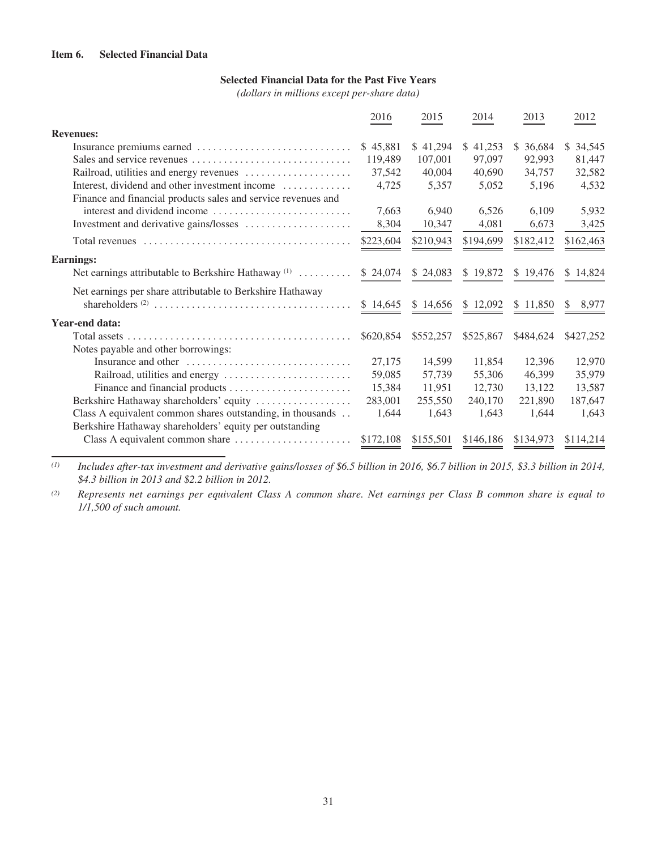# **Selected Financial Data for the Past Five Years**

*(dollars in millions except per-share data)*

| 2016                                                           | 2015      | 2014      | 2013      | 2012        |
|----------------------------------------------------------------|-----------|-----------|-----------|-------------|
|                                                                |           |           |           |             |
| \$45,881                                                       | \$41,294  | \$41,253  | \$ 36,684 | \$34,545    |
| 119.489                                                        | 107,001   | 97,097    | 92,993    | 81,447      |
| 37,542                                                         | 40,004    | 40,690    | 34,757    | 32,582      |
| 4,725                                                          | 5,357     | 5,052     | 5,196     | 4,532       |
|                                                                |           |           |           |             |
| 7,663                                                          | 6,940     | 6,526     | 6,109     | 5,932       |
| 8,304                                                          | 10,347    | 4,081     | 6,673     | 3,425       |
| \$223,604                                                      | \$210,943 | \$194,699 | \$182,412 | \$162,463   |
|                                                                |           |           |           |             |
| Net earnings attributable to Berkshire Hathaway <sup>(1)</sup> | \$24,083  | \$19,872  | \$19,476  | \$14,824    |
|                                                                |           |           |           |             |
| \$14,645                                                       | \$14,656  | \$12,092  | \$11,850  | 8,977<br>S. |
|                                                                |           |           |           |             |
| \$620,854                                                      | \$552,257 | \$525,867 | \$484,624 | \$427,252   |
|                                                                |           |           |           |             |
| 27,175                                                         | 14,599    | 11,854    | 12,396    | 12,970      |
| 59,085                                                         | 57,739    | 55,306    | 46,399    | 35,979      |
| 15,384                                                         | 11,951    | 12,730    | 13,122    | 13,587      |
| 283,001                                                        | 255,550   | 240,170   | 221,890   | 187,647     |
| 1,644                                                          | 1,643     | 1,643     | 1,644     | 1,643       |
|                                                                |           |           |           |             |
| \$172,108                                                      | \$155,501 | \$146,186 | \$134,973 | \$114,214   |
|                                                                |           | \$24,074  |           |             |

*(1) Includes after-tax investment and derivative gains/losses of \$6.5 billion in 2016, \$6.7 billion in 2015, \$3.3 billion in 2014, \$4.3 billion in 2013 and \$2.2 billion in 2012.*

*(2) Represents net earnings per equivalent Class A common share. Net earnings per Class B common share is equal to 1/1,500 of such amount.*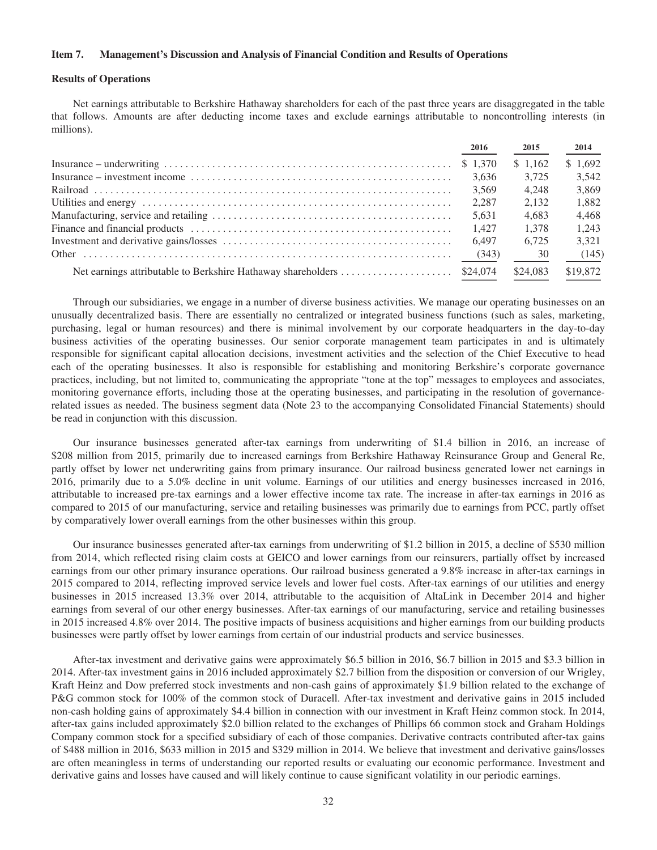## **Item 7. Management's Discussion and Analysis of Financial Condition and Results of Operations**

# **Results of Operations**

Net earnings attributable to Berkshire Hathaway shareholders for each of the past three years are disaggregated in the table that follows. Amounts are after deducting income taxes and exclude earnings attributable to noncontrolling interests (in millions).

|                                                                                                                                             | 2016  | 2015     | 2014     |
|---------------------------------------------------------------------------------------------------------------------------------------------|-------|----------|----------|
|                                                                                                                                             |       | \$1.162  | \$1,692  |
| $Insurance - investment income \dots \dots \dots \dots \dots \dots \dots \dots \dots \dots \dots \dots \dots \dots \dots \dots \dots \dots$ | 3.636 | 3.725    | 3.542    |
|                                                                                                                                             | 3.569 | 4.248    | 3.869    |
|                                                                                                                                             | 2.287 | 2.132    | 1.882    |
|                                                                                                                                             | 5.631 | 4.683    | 4.468    |
|                                                                                                                                             | 1.427 | 1.378    | 1.243    |
|                                                                                                                                             | 6.497 | 6.725    | 3.321    |
|                                                                                                                                             |       | 30       | (145)    |
|                                                                                                                                             |       | \$24,083 | \$19,872 |

Through our subsidiaries, we engage in a number of diverse business activities. We manage our operating businesses on an unusually decentralized basis. There are essentially no centralized or integrated business functions (such as sales, marketing, purchasing, legal or human resources) and there is minimal involvement by our corporate headquarters in the day-to-day business activities of the operating businesses. Our senior corporate management team participates in and is ultimately responsible for significant capital allocation decisions, investment activities and the selection of the Chief Executive to head each of the operating businesses. It also is responsible for establishing and monitoring Berkshire's corporate governance practices, including, but not limited to, communicating the appropriate "tone at the top" messages to employees and associates, monitoring governance efforts, including those at the operating businesses, and participating in the resolution of governancerelated issues as needed. The business segment data (Note 23 to the accompanying Consolidated Financial Statements) should be read in conjunction with this discussion.

Our insurance businesses generated after-tax earnings from underwriting of \$1.4 billion in 2016, an increase of \$208 million from 2015, primarily due to increased earnings from Berkshire Hathaway Reinsurance Group and General Re, partly offset by lower net underwriting gains from primary insurance. Our railroad business generated lower net earnings in 2016, primarily due to a 5.0% decline in unit volume. Earnings of our utilities and energy businesses increased in 2016, attributable to increased pre-tax earnings and a lower effective income tax rate. The increase in after-tax earnings in 2016 as compared to 2015 of our manufacturing, service and retailing businesses was primarily due to earnings from PCC, partly offset by comparatively lower overall earnings from the other businesses within this group.

Our insurance businesses generated after-tax earnings from underwriting of \$1.2 billion in 2015, a decline of \$530 million from 2014, which reflected rising claim costs at GEICO and lower earnings from our reinsurers, partially offset by increased earnings from our other primary insurance operations. Our railroad business generated a 9.8% increase in after-tax earnings in 2015 compared to 2014, reflecting improved service levels and lower fuel costs. After-tax earnings of our utilities and energy businesses in 2015 increased 13.3% over 2014, attributable to the acquisition of AltaLink in December 2014 and higher earnings from several of our other energy businesses. After-tax earnings of our manufacturing, service and retailing businesses in 2015 increased 4.8% over 2014. The positive impacts of business acquisitions and higher earnings from our building products businesses were partly offset by lower earnings from certain of our industrial products and service businesses.

After-tax investment and derivative gains were approximately \$6.5 billion in 2016, \$6.7 billion in 2015 and \$3.3 billion in 2014. After-tax investment gains in 2016 included approximately \$2.7 billion from the disposition or conversion of our Wrigley, Kraft Heinz and Dow preferred stock investments and non-cash gains of approximately \$1.9 billion related to the exchange of P&G common stock for 100% of the common stock of Duracell. After-tax investment and derivative gains in 2015 included non-cash holding gains of approximately \$4.4 billion in connection with our investment in Kraft Heinz common stock. In 2014, after-tax gains included approximately \$2.0 billion related to the exchanges of Phillips 66 common stock and Graham Holdings Company common stock for a specified subsidiary of each of those companies. Derivative contracts contributed after-tax gains of \$488 million in 2016, \$633 million in 2015 and \$329 million in 2014. We believe that investment and derivative gains/losses are often meaningless in terms of understanding our reported results or evaluating our economic performance. Investment and derivative gains and losses have caused and will likely continue to cause significant volatility in our periodic earnings.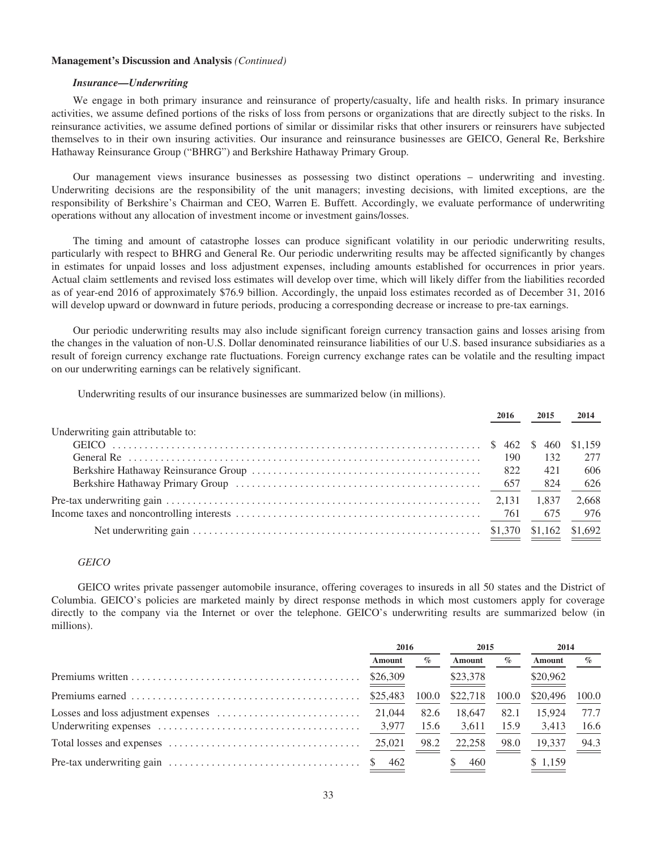# **Management's Discussion and Analysis** *(Continued)*

# *Insurance—Underwriting*

We engage in both primary insurance and reinsurance of property/casualty, life and health risks. In primary insurance activities, we assume defined portions of the risks of loss from persons or organizations that are directly subject to the risks. In reinsurance activities, we assume defined portions of similar or dissimilar risks that other insurers or reinsurers have subjected themselves to in their own insuring activities. Our insurance and reinsurance businesses are GEICO, General Re, Berkshire Hathaway Reinsurance Group ("BHRG") and Berkshire Hathaway Primary Group.

Our management views insurance businesses as possessing two distinct operations – underwriting and investing. Underwriting decisions are the responsibility of the unit managers; investing decisions, with limited exceptions, are the responsibility of Berkshire's Chairman and CEO, Warren E. Buffett. Accordingly, we evaluate performance of underwriting operations without any allocation of investment income or investment gains/losses.

The timing and amount of catastrophe losses can produce significant volatility in our periodic underwriting results, particularly with respect to BHRG and General Re. Our periodic underwriting results may be affected significantly by changes in estimates for unpaid losses and loss adjustment expenses, including amounts established for occurrences in prior years. Actual claim settlements and revised loss estimates will develop over time, which will likely differ from the liabilities recorded as of year-end 2016 of approximately \$76.9 billion. Accordingly, the unpaid loss estimates recorded as of December 31, 2016 will develop upward or downward in future periods, producing a corresponding decrease or increase to pre-tax earnings.

Our periodic underwriting results may also include significant foreign currency transaction gains and losses arising from the changes in the valuation of non-U.S. Dollar denominated reinsurance liabilities of our U.S. based insurance subsidiaries as a result of foreign currency exchange rate fluctuations. Foreign currency exchange rates can be volatile and the resulting impact on our underwriting earnings can be relatively significant.

Underwriting results of our insurance businesses are summarized below (in millions).

|                                    | 2016 | 2015  | 2014  |
|------------------------------------|------|-------|-------|
| Underwriting gain attributable to: |      |       |       |
|                                    |      |       |       |
|                                    | 190  | 132   | 2.77  |
|                                    |      | 421   | 606   |
|                                    |      | 824   | 626   |
|                                    |      | 1.837 | 2,668 |
|                                    |      |       | 976   |
|                                    |      |       |       |

# *GEICO*

GEICO writes private passenger automobile insurance, offering coverages to insureds in all 50 states and the District of Columbia. GEICO's policies are marketed mainly by direct response methods in which most customers apply for coverage directly to the company via the Internet or over the telephone. GEICO's underwriting results are summarized below (in millions).

| 2016   |       | 2015          |       | 2014     |       |
|--------|-------|---------------|-------|----------|-------|
| Amount | $\%$  | <b>Amount</b> | $\%$  | Amount   | $\%$  |
|        |       | \$23,378      |       | \$20,962 |       |
|        | 100.0 | \$22,718      | 100.0 | \$20,496 | 100.0 |
| 21,044 | 82.6  | 18.647        | 82.1  | 15.924   | 77.7  |
|        | 15.6  | 3,611 15.9    |       | 3,413    | 16.6  |
| 25,021 | 98.2  | 22.258        | 98.0  | 19.337   | 94.3  |
|        |       | 460           |       | \$1,159  |       |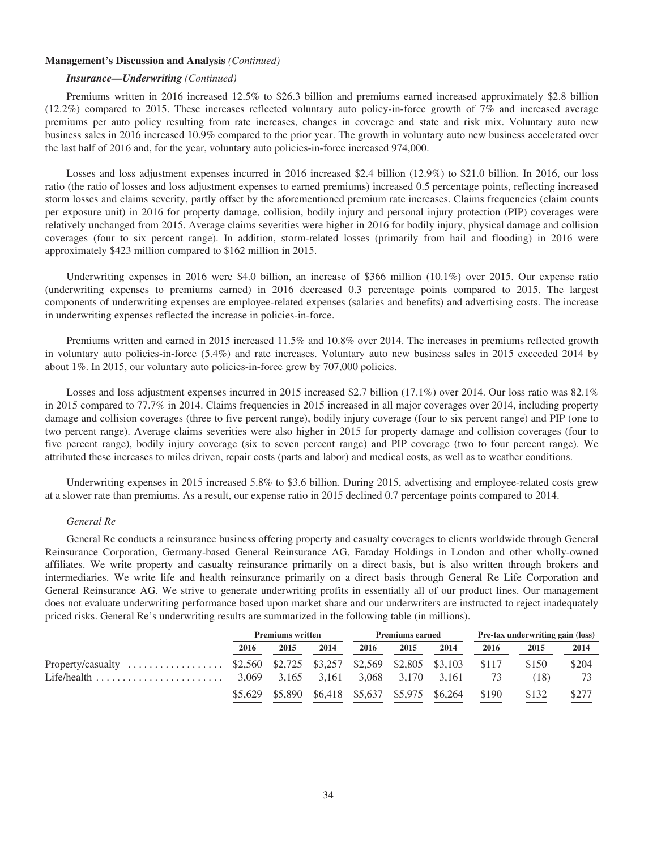# **Management's Discussion and Analysis** *(Continued)*

# *Insurance—Underwriting (Continued)*

Premiums written in 2016 increased 12.5% to \$26.3 billion and premiums earned increased approximately \$2.8 billion (12.2%) compared to 2015. These increases reflected voluntary auto policy-in-force growth of 7% and increased average premiums per auto policy resulting from rate increases, changes in coverage and state and risk mix. Voluntary auto new business sales in 2016 increased 10.9% compared to the prior year. The growth in voluntary auto new business accelerated over the last half of 2016 and, for the year, voluntary auto policies-in-force increased 974,000.

Losses and loss adjustment expenses incurred in 2016 increased \$2.4 billion (12.9%) to \$21.0 billion. In 2016, our loss ratio (the ratio of losses and loss adjustment expenses to earned premiums) increased 0.5 percentage points, reflecting increased storm losses and claims severity, partly offset by the aforementioned premium rate increases. Claims frequencies (claim counts per exposure unit) in 2016 for property damage, collision, bodily injury and personal injury protection (PIP) coverages were relatively unchanged from 2015. Average claims severities were higher in 2016 for bodily injury, physical damage and collision coverages (four to six percent range). In addition, storm-related losses (primarily from hail and flooding) in 2016 were approximately \$423 million compared to \$162 million in 2015.

Underwriting expenses in 2016 were \$4.0 billion, an increase of \$366 million (10.1%) over 2015. Our expense ratio (underwriting expenses to premiums earned) in 2016 decreased 0.3 percentage points compared to 2015. The largest components of underwriting expenses are employee-related expenses (salaries and benefits) and advertising costs. The increase in underwriting expenses reflected the increase in policies-in-force.

Premiums written and earned in 2015 increased 11.5% and 10.8% over 2014. The increases in premiums reflected growth in voluntary auto policies-in-force (5.4%) and rate increases. Voluntary auto new business sales in 2015 exceeded 2014 by about 1%. In 2015, our voluntary auto policies-in-force grew by 707,000 policies.

Losses and loss adjustment expenses incurred in 2015 increased \$2.7 billion (17.1%) over 2014. Our loss ratio was 82.1% in 2015 compared to 77.7% in 2014. Claims frequencies in 2015 increased in all major coverages over 2014, including property damage and collision coverages (three to five percent range), bodily injury coverage (four to six percent range) and PIP (one to two percent range). Average claims severities were also higher in 2015 for property damage and collision coverages (four to five percent range), bodily injury coverage (six to seven percent range) and PIP coverage (two to four percent range). We attributed these increases to miles driven, repair costs (parts and labor) and medical costs, as well as to weather conditions.

Underwriting expenses in 2015 increased 5.8% to \$3.6 billion. During 2015, advertising and employee-related costs grew at a slower rate than premiums. As a result, our expense ratio in 2015 declined 0.7 percentage points compared to 2014.

# *General Re*

General Re conducts a reinsurance business offering property and casualty coverages to clients worldwide through General Reinsurance Corporation, Germany-based General Reinsurance AG, Faraday Holdings in London and other wholly-owned affiliates. We write property and casualty reinsurance primarily on a direct basis, but is also written through brokers and intermediaries. We write life and health reinsurance primarily on a direct basis through General Re Life Corporation and General Reinsurance AG. We strive to generate underwriting profits in essentially all of our product lines. Our management does not evaluate underwriting performance based upon market share and our underwriters are instructed to reject inadequately priced risks. General Re's underwriting results are summarized in the following table (in millions).

| <b>Premiums written</b> |         | <b>Premiums earned</b> |                 |         | <b>Pre-tax underwriting gain (loss)</b> |       |       |       |
|-------------------------|---------|------------------------|-----------------|---------|-----------------------------------------|-------|-------|-------|
| 2016                    | 2015    | 2014                   | 2016            | 2015    | 2014                                    | 2016  | 2015  | 2014  |
| \$2,560 \$2,725         |         | \$3,257                | \$2,569         | \$2,805 | \$3,103                                 | \$117 | \$150 | \$204 |
| 3.069                   | 3.165   | 3.161                  | 3.068           | 3.170   | 3.161                                   |       | (18)  |       |
| \$5,629                 | \$5,890 |                        | \$6,418 \$5,637 | \$5,975 | \$6,264                                 | \$190 | \$132 | \$277 |
|                         |         |                        |                 |         |                                         |       |       |       |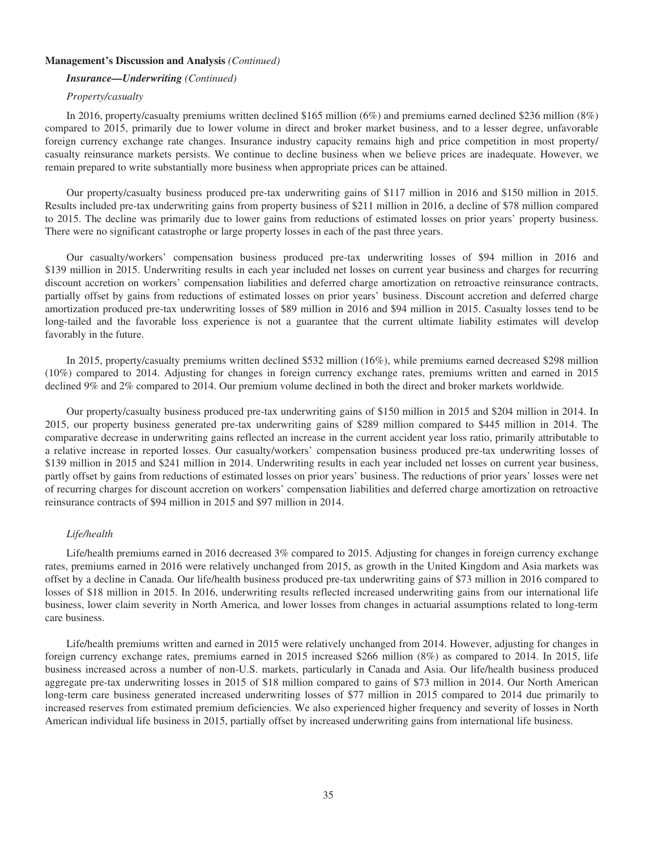### *Insurance—Underwriting (Continued)*

## *Property/casualty*

In 2016, property/casualty premiums written declined \$165 million (6%) and premiums earned declined \$236 million (8%) compared to 2015, primarily due to lower volume in direct and broker market business, and to a lesser degree, unfavorable foreign currency exchange rate changes. Insurance industry capacity remains high and price competition in most property/ casualty reinsurance markets persists. We continue to decline business when we believe prices are inadequate. However, we remain prepared to write substantially more business when appropriate prices can be attained.

Our property/casualty business produced pre-tax underwriting gains of \$117 million in 2016 and \$150 million in 2015. Results included pre-tax underwriting gains from property business of \$211 million in 2016, a decline of \$78 million compared to 2015. The decline was primarily due to lower gains from reductions of estimated losses on prior years' property business. There were no significant catastrophe or large property losses in each of the past three years.

Our casualty/workers' compensation business produced pre-tax underwriting losses of \$94 million in 2016 and \$139 million in 2015. Underwriting results in each year included net losses on current year business and charges for recurring discount accretion on workers' compensation liabilities and deferred charge amortization on retroactive reinsurance contracts, partially offset by gains from reductions of estimated losses on prior years' business. Discount accretion and deferred charge amortization produced pre-tax underwriting losses of \$89 million in 2016 and \$94 million in 2015. Casualty losses tend to be long-tailed and the favorable loss experience is not a guarantee that the current ultimate liability estimates will develop favorably in the future.

In 2015, property/casualty premiums written declined \$532 million (16%), while premiums earned decreased \$298 million (10%) compared to 2014. Adjusting for changes in foreign currency exchange rates, premiums written and earned in 2015 declined 9% and 2% compared to 2014. Our premium volume declined in both the direct and broker markets worldwide.

Our property/casualty business produced pre-tax underwriting gains of \$150 million in 2015 and \$204 million in 2014. In 2015, our property business generated pre-tax underwriting gains of \$289 million compared to \$445 million in 2014. The comparative decrease in underwriting gains reflected an increase in the current accident year loss ratio, primarily attributable to a relative increase in reported losses. Our casualty/workers' compensation business produced pre-tax underwriting losses of \$139 million in 2015 and \$241 million in 2014. Underwriting results in each year included net losses on current year business, partly offset by gains from reductions of estimated losses on prior years' business. The reductions of prior years' losses were net of recurring charges for discount accretion on workers' compensation liabilities and deferred charge amortization on retroactive reinsurance contracts of \$94 million in 2015 and \$97 million in 2014.

#### *Life/health*

Life/health premiums earned in 2016 decreased 3% compared to 2015. Adjusting for changes in foreign currency exchange rates, premiums earned in 2016 were relatively unchanged from 2015, as growth in the United Kingdom and Asia markets was offset by a decline in Canada. Our life/health business produced pre-tax underwriting gains of \$73 million in 2016 compared to losses of \$18 million in 2015. In 2016, underwriting results reflected increased underwriting gains from our international life business, lower claim severity in North America, and lower losses from changes in actuarial assumptions related to long-term care business.

Life/health premiums written and earned in 2015 were relatively unchanged from 2014. However, adjusting for changes in foreign currency exchange rates, premiums earned in 2015 increased \$266 million (8%) as compared to 2014. In 2015, life business increased across a number of non-U.S. markets, particularly in Canada and Asia. Our life/health business produced aggregate pre-tax underwriting losses in 2015 of \$18 million compared to gains of \$73 million in 2014. Our North American long-term care business generated increased underwriting losses of \$77 million in 2015 compared to 2014 due primarily to increased reserves from estimated premium deficiencies. We also experienced higher frequency and severity of losses in North American individual life business in 2015, partially offset by increased underwriting gains from international life business.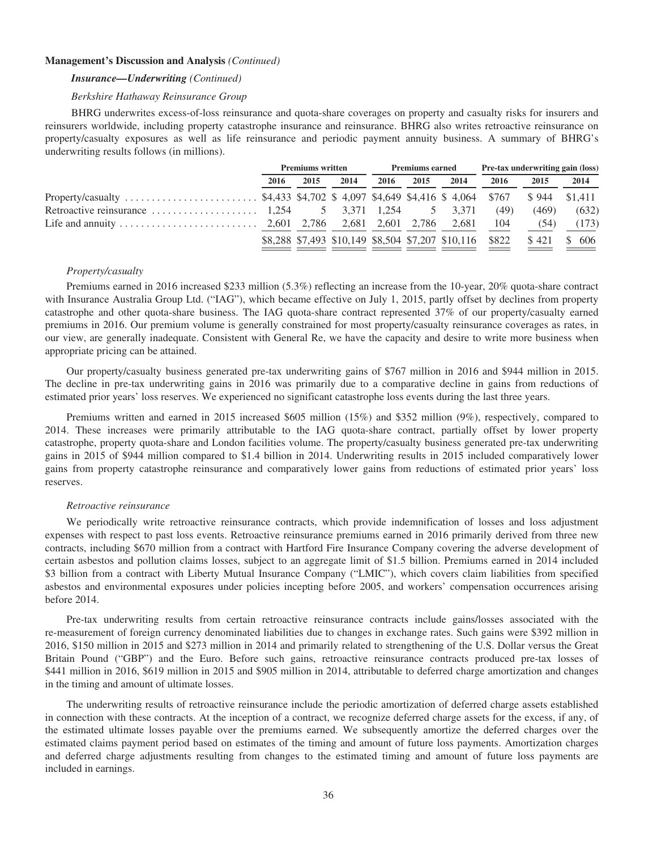## *Insurance—Underwriting (Continued)*

## *Berkshire Hathaway Reinsurance Group*

BHRG underwrites excess-of-loss reinsurance and quota-share coverages on property and casualty risks for insurers and reinsurers worldwide, including property catastrophe insurance and reinsurance. BHRG also writes retroactive reinsurance on property/casualty exposures as well as life reinsurance and periodic payment annuity business. A summary of BHRG's underwriting results follows (in millions).

|      | <b>Premiums written</b> |                                                         |      | <b>Premiums earned</b> |         |      | Pre-tax underwriting gain (loss) |        |
|------|-------------------------|---------------------------------------------------------|------|------------------------|---------|------|----------------------------------|--------|
| 2016 | 2015                    | 2014                                                    | 2016 | 2015                   | 2014    | 2016 | 2015                             | 2014   |
|      |                         |                                                         |      |                        |         |      | \$944 \$1.411                    |        |
|      |                         |                                                         |      |                        | 5 3,371 | (49) | (469)                            | (632)  |
|      |                         |                                                         |      |                        |         | 104  | (54)                             | (173)  |
|      |                         | \$8,288 \$7,493 \$10,149 \$8,504 \$7,207 \$10,116 \$822 |      |                        |         |      | \$421                            | \$ 606 |

## *Property/casualty*

Premiums earned in 2016 increased \$233 million (5.3%) reflecting an increase from the 10-year, 20% quota-share contract with Insurance Australia Group Ltd. ("IAG"), which became effective on July 1, 2015, partly offset by declines from property catastrophe and other quota-share business. The IAG quota-share contract represented 37% of our property/casualty earned premiums in 2016. Our premium volume is generally constrained for most property/casualty reinsurance coverages as rates, in our view, are generally inadequate. Consistent with General Re, we have the capacity and desire to write more business when appropriate pricing can be attained.

Our property/casualty business generated pre-tax underwriting gains of \$767 million in 2016 and \$944 million in 2015. The decline in pre-tax underwriting gains in 2016 was primarily due to a comparative decline in gains from reductions of estimated prior years' loss reserves. We experienced no significant catastrophe loss events during the last three years.

Premiums written and earned in 2015 increased \$605 million (15%) and \$352 million (9%), respectively, compared to 2014. These increases were primarily attributable to the IAG quota-share contract, partially offset by lower property catastrophe, property quota-share and London facilities volume. The property/casualty business generated pre-tax underwriting gains in 2015 of \$944 million compared to \$1.4 billion in 2014. Underwriting results in 2015 included comparatively lower gains from property catastrophe reinsurance and comparatively lower gains from reductions of estimated prior years' loss reserves.

## *Retroactive reinsurance*

We periodically write retroactive reinsurance contracts, which provide indemnification of losses and loss adjustment expenses with respect to past loss events. Retroactive reinsurance premiums earned in 2016 primarily derived from three new contracts, including \$670 million from a contract with Hartford Fire Insurance Company covering the adverse development of certain asbestos and pollution claims losses, subject to an aggregate limit of \$1.5 billion. Premiums earned in 2014 included \$3 billion from a contract with Liberty Mutual Insurance Company ("LMIC"), which covers claim liabilities from specified asbestos and environmental exposures under policies incepting before 2005, and workers' compensation occurrences arising before 2014.

Pre-tax underwriting results from certain retroactive reinsurance contracts include gains/losses associated with the re-measurement of foreign currency denominated liabilities due to changes in exchange rates. Such gains were \$392 million in 2016, \$150 million in 2015 and \$273 million in 2014 and primarily related to strengthening of the U.S. Dollar versus the Great Britain Pound ("GBP") and the Euro. Before such gains, retroactive reinsurance contracts produced pre-tax losses of \$441 million in 2016, \$619 million in 2015 and \$905 million in 2014, attributable to deferred charge amortization and changes in the timing and amount of ultimate losses.

The underwriting results of retroactive reinsurance include the periodic amortization of deferred charge assets established in connection with these contracts. At the inception of a contract, we recognize deferred charge assets for the excess, if any, of the estimated ultimate losses payable over the premiums earned. We subsequently amortize the deferred charges over the estimated claims payment period based on estimates of the timing and amount of future loss payments. Amortization charges and deferred charge adjustments resulting from changes to the estimated timing and amount of future loss payments are included in earnings.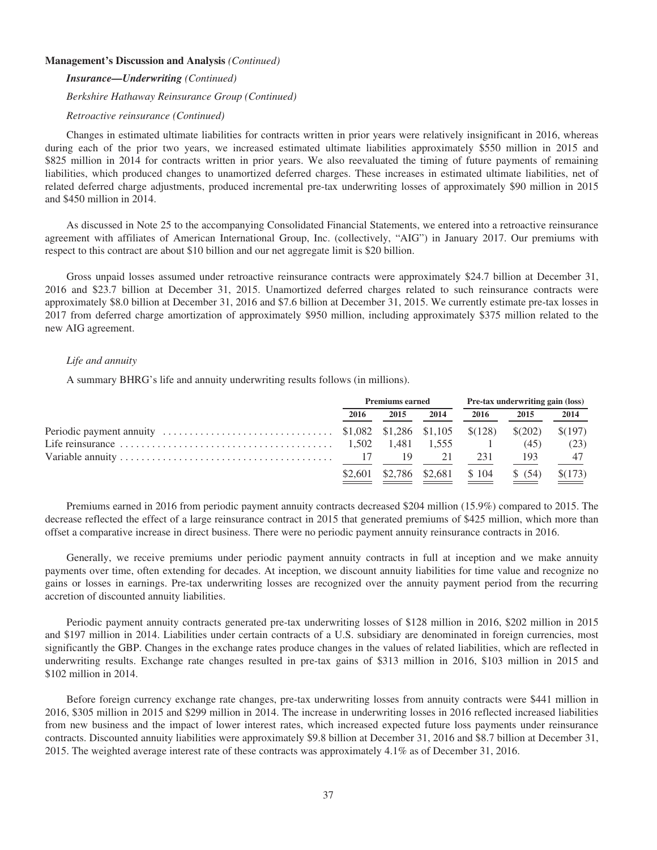*Insurance—Underwriting (Continued) Berkshire Hathaway Reinsurance Group (Continued) Retroactive reinsurance (Continued)*

Changes in estimated ultimate liabilities for contracts written in prior years were relatively insignificant in 2016, whereas during each of the prior two years, we increased estimated ultimate liabilities approximately \$550 million in 2015 and \$825 million in 2014 for contracts written in prior years. We also reevaluated the timing of future payments of remaining liabilities, which produced changes to unamortized deferred charges. These increases in estimated ultimate liabilities, net of related deferred charge adjustments, produced incremental pre-tax underwriting losses of approximately \$90 million in 2015 and \$450 million in 2014.

As discussed in Note 25 to the accompanying Consolidated Financial Statements, we entered into a retroactive reinsurance agreement with affiliates of American International Group, Inc. (collectively, "AIG") in January 2017. Our premiums with respect to this contract are about \$10 billion and our net aggregate limit is \$20 billion.

Gross unpaid losses assumed under retroactive reinsurance contracts were approximately \$24.7 billion at December 31, 2016 and \$23.7 billion at December 31, 2015. Unamortized deferred charges related to such reinsurance contracts were approximately \$8.0 billion at December 31, 2016 and \$7.6 billion at December 31, 2015. We currently estimate pre-tax losses in 2017 from deferred charge amortization of approximately \$950 million, including approximately \$375 million related to the new AIG agreement.

## *Life and annuity*

A summary BHRG's life and annuity underwriting results follows (in millions).

|      | <b>Pre-tax underwriting gain (loss)</b><br><b>Premiums earned</b> |                                   |      |           |         |
|------|-------------------------------------------------------------------|-----------------------------------|------|-----------|---------|
| 2016 | 2015                                                              | 2014                              | 2016 | 2015      | 2014    |
|      |                                                                   |                                   |      | $\$(202)$ | \$(197) |
|      |                                                                   |                                   |      | (45)      | (23)    |
|      | 19                                                                | 21                                | 231  | 193       | 47      |
|      |                                                                   | $$2,601$ $$2,786$ $$2,681$ $$104$ |      | \$ (54)   | \$(173) |

Premiums earned in 2016 from periodic payment annuity contracts decreased \$204 million (15.9%) compared to 2015. The decrease reflected the effect of a large reinsurance contract in 2015 that generated premiums of \$425 million, which more than offset a comparative increase in direct business. There were no periodic payment annuity reinsurance contracts in 2016.

Generally, we receive premiums under periodic payment annuity contracts in full at inception and we make annuity payments over time, often extending for decades. At inception, we discount annuity liabilities for time value and recognize no gains or losses in earnings. Pre-tax underwriting losses are recognized over the annuity payment period from the recurring accretion of discounted annuity liabilities.

Periodic payment annuity contracts generated pre-tax underwriting losses of \$128 million in 2016, \$202 million in 2015 and \$197 million in 2014. Liabilities under certain contracts of a U.S. subsidiary are denominated in foreign currencies, most significantly the GBP. Changes in the exchange rates produce changes in the values of related liabilities, which are reflected in underwriting results. Exchange rate changes resulted in pre-tax gains of \$313 million in 2016, \$103 million in 2015 and \$102 million in 2014.

Before foreign currency exchange rate changes, pre-tax underwriting losses from annuity contracts were \$441 million in 2016, \$305 million in 2015 and \$299 million in 2014. The increase in underwriting losses in 2016 reflected increased liabilities from new business and the impact of lower interest rates, which increased expected future loss payments under reinsurance contracts. Discounted annuity liabilities were approximately \$9.8 billion at December 31, 2016 and \$8.7 billion at December 31, 2015. The weighted average interest rate of these contracts was approximately 4.1% as of December 31, 2016.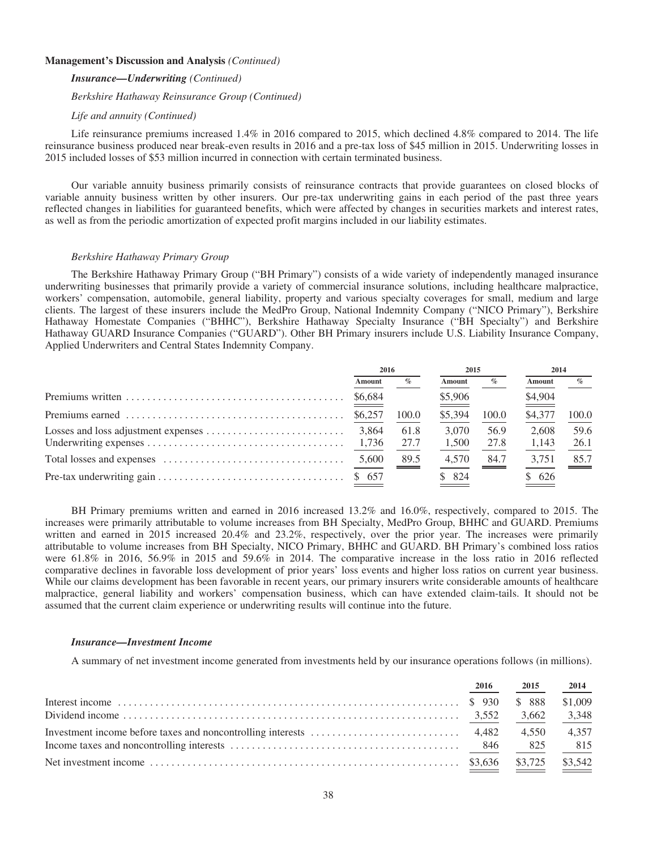### *Insurance—Underwriting (Continued)*

*Berkshire Hathaway Reinsurance Group (Continued)*

#### *Life and annuity (Continued)*

Life reinsurance premiums increased 1.4% in 2016 compared to 2015, which declined 4.8% compared to 2014. The life reinsurance business produced near break-even results in 2016 and a pre-tax loss of \$45 million in 2015. Underwriting losses in 2015 included losses of \$53 million incurred in connection with certain terminated business.

Our variable annuity business primarily consists of reinsurance contracts that provide guarantees on closed blocks of variable annuity business written by other insurers. Our pre-tax underwriting gains in each period of the past three years reflected changes in liabilities for guaranteed benefits, which were affected by changes in securities markets and interest rates, as well as from the periodic amortization of expected profit margins included in our liability estimates.

#### *Berkshire Hathaway Primary Group*

The Berkshire Hathaway Primary Group ("BH Primary") consists of a wide variety of independently managed insurance underwriting businesses that primarily provide a variety of commercial insurance solutions, including healthcare malpractice, workers' compensation, automobile, general liability, property and various specialty coverages for small, medium and large clients. The largest of these insurers include the MedPro Group, National Indemnity Company ("NICO Primary"), Berkshire Hathaway Homestate Companies ("BHHC"), Berkshire Hathaway Specialty Insurance ("BH Specialty") and Berkshire Hathaway GUARD Insurance Companies ("GUARD"). Other BH Primary insurers include U.S. Liability Insurance Company, Applied Underwriters and Central States Indemnity Company.

| 2016    |       | 2015          |                             | 2014    |       |
|---------|-------|---------------|-----------------------------|---------|-------|
| Amount  | $\%$  | <b>Amount</b> | $\mathcal{O}_{\mathcal{O}}$ | Amount  | $\%$  |
| \$6,684 |       | \$5,906       |                             | \$4,904 |       |
| \$6,257 | 100.0 | \$5,394       | 100.0                       | \$4,377 | 100.0 |
| 3.864   | 61.8  | 3.070         | 56.9                        | 2.608   | 59.6  |
|         | 27.7  | 1,500         | 27.8                        | 1,143   | 26.1  |
| 5,600   | 89.5  | 4.570         | 84.7                        | 3.751   | 85.7  |
|         |       | \$ 824        |                             | \$626   |       |

BH Primary premiums written and earned in 2016 increased 13.2% and 16.0%, respectively, compared to 2015. The increases were primarily attributable to volume increases from BH Specialty, MedPro Group, BHHC and GUARD. Premiums written and earned in 2015 increased 20.4% and 23.2%, respectively, over the prior year. The increases were primarily attributable to volume increases from BH Specialty, NICO Primary, BHHC and GUARD. BH Primary's combined loss ratios were 61.8% in 2016, 56.9% in 2015 and 59.6% in 2014. The comparative increase in the loss ratio in 2016 reflected comparative declines in favorable loss development of prior years' loss events and higher loss ratios on current year business. While our claims development has been favorable in recent years, our primary insurers write considerable amounts of healthcare malpractice, general liability and workers' compensation business, which can have extended claim-tails. It should not be assumed that the current claim experience or underwriting results will continue into the future.

#### *Insurance—Investment Income*

A summary of net investment income generated from investments held by our insurance operations follows (in millions).

|                                                                                                                                 | 2016 | 2015              | 2014    |
|---------------------------------------------------------------------------------------------------------------------------------|------|-------------------|---------|
| Interest income $\dots \dots \dots \dots \dots \dots \dots \dots \dots \dots \dots \dots \dots \dots \dots \dots$ \$ 930 \$ 888 |      |                   | \$1,009 |
|                                                                                                                                 |      | 3,662             | 3,348   |
|                                                                                                                                 |      | 4.550             | 4,357   |
|                                                                                                                                 |      | 825               | 815     |
|                                                                                                                                 |      | $$3,725$ $$3,542$ |         |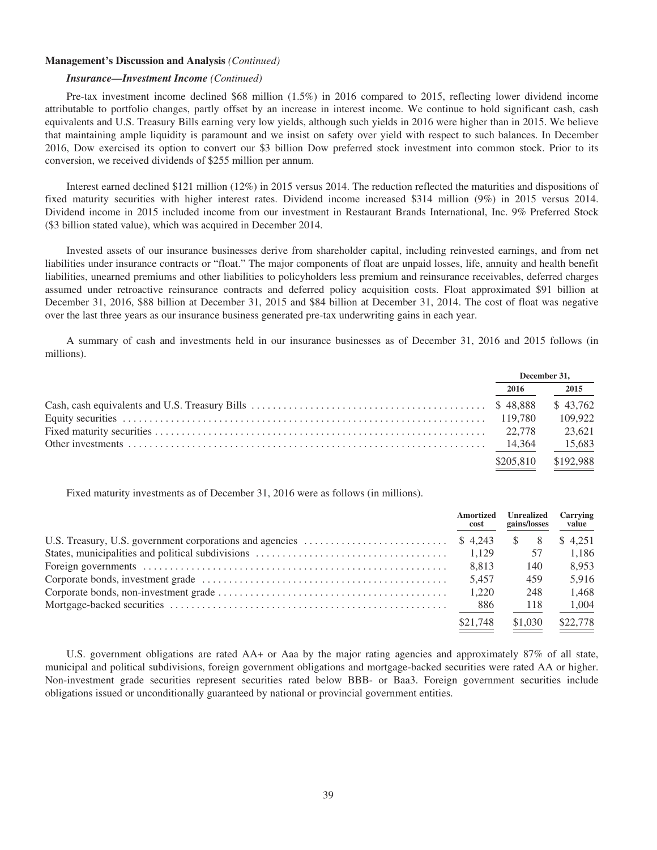## *Insurance—Investment Income (Continued)*

Pre-tax investment income declined \$68 million (1.5%) in 2016 compared to 2015, reflecting lower dividend income attributable to portfolio changes, partly offset by an increase in interest income. We continue to hold significant cash, cash equivalents and U.S. Treasury Bills earning very low yields, although such yields in 2016 were higher than in 2015. We believe that maintaining ample liquidity is paramount and we insist on safety over yield with respect to such balances. In December 2016, Dow exercised its option to convert our \$3 billion Dow preferred stock investment into common stock. Prior to its conversion, we received dividends of \$255 million per annum.

Interest earned declined \$121 million (12%) in 2015 versus 2014. The reduction reflected the maturities and dispositions of fixed maturity securities with higher interest rates. Dividend income increased \$314 million (9%) in 2015 versus 2014. Dividend income in 2015 included income from our investment in Restaurant Brands International, Inc. 9% Preferred Stock (\$3 billion stated value), which was acquired in December 2014.

Invested assets of our insurance businesses derive from shareholder capital, including reinvested earnings, and from net liabilities under insurance contracts or "float." The major components of float are unpaid losses, life, annuity and health benefit liabilities, unearned premiums and other liabilities to policyholders less premium and reinsurance receivables, deferred charges assumed under retroactive reinsurance contracts and deferred policy acquisition costs. Float approximated \$91 billion at December 31, 2016, \$88 billion at December 31, 2015 and \$84 billion at December 31, 2014. The cost of float was negative over the last three years as our insurance business generated pre-tax underwriting gains in each year.

A summary of cash and investments held in our insurance businesses as of December 31, 2016 and 2015 follows (in millions).

|           | December 31. |
|-----------|--------------|
| 2016      | 2015         |
|           | \$43,762     |
|           | 109.922      |
|           | 23.621       |
|           | 15,683       |
| \$205,810 | \$192,988    |

Fixed maturity investments as of December 31, 2016 were as follows (in millions).

| Amortized<br>cost | <b>Unrealized</b><br>gains/losses | Carrying<br>value |
|-------------------|-----------------------------------|-------------------|
|                   | S <sub>8</sub>                    | \$4.251           |
|                   | 57                                | 1.186             |
| 8.813             | 140                               | 8.953             |
| 5.457             | 459                               | 5.916             |
| 1.220             | 248                               | 1.468             |
| 886               | 118                               | 1,004             |
| \$21,748          | \$1,030                           | \$22,778          |

U.S. government obligations are rated AA+ or Aaa by the major rating agencies and approximately 87% of all state, municipal and political subdivisions, foreign government obligations and mortgage-backed securities were rated AA or higher. Non-investment grade securities represent securities rated below BBB- or Baa3. Foreign government securities include obligations issued or unconditionally guaranteed by national or provincial government entities.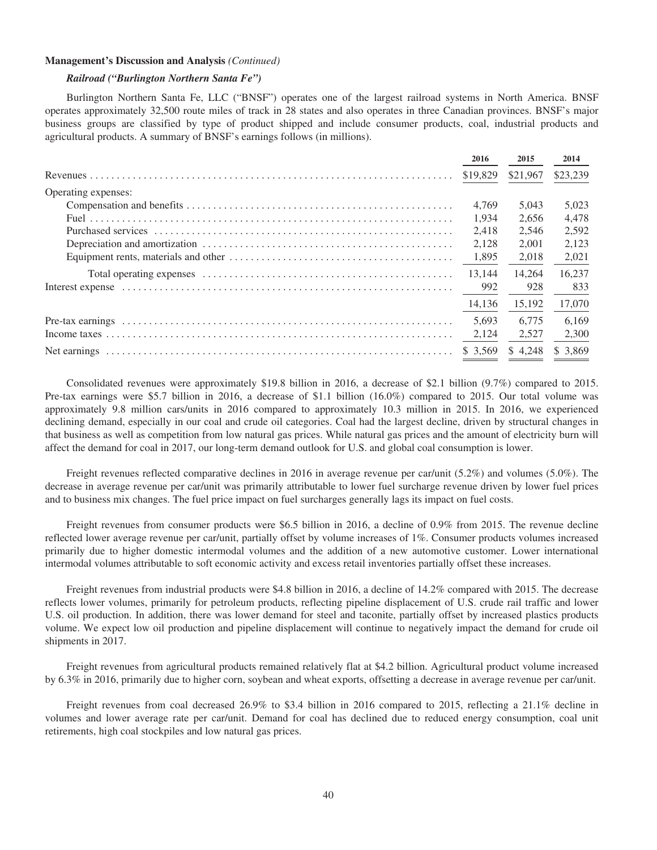## *Railroad ("Burlington Northern Santa Fe")*

Burlington Northern Santa Fe, LLC ("BNSF") operates one of the largest railroad systems in North America. BNSF operates approximately 32,500 route miles of track in 28 states and also operates in three Canadian provinces. BNSF's major business groups are classified by type of product shipped and include consumer products, coal, industrial products and agricultural products. A summary of BNSF's earnings follows (in millions).

|                     | 2016     | 2015     | 2014     |
|---------------------|----------|----------|----------|
|                     | \$19,829 | \$21,967 | \$23,239 |
| Operating expenses: |          |          |          |
|                     | 4.769    | 5.043    | 5.023    |
|                     | 1.934    | 2.656    | 4,478    |
|                     | 2.418    | 2,546    | 2,592    |
|                     | 2.128    | 2.001    | 2.123    |
|                     | 1,895    | 2,018    | 2,021    |
|                     | 13.144   | 14.264   | 16,237   |
|                     | 992      | 928      | 833      |
|                     | 14,136   | 15,192   | 17,070   |
|                     | 5.693    | 6.775    | 6.169    |
|                     | 2,124    | 2,527    | 2,300    |
|                     | \$3.569  | \$4.248  | \$3.869  |

Consolidated revenues were approximately \$19.8 billion in 2016, a decrease of \$2.1 billion (9.7%) compared to 2015. Pre-tax earnings were \$5.7 billion in 2016, a decrease of \$1.1 billion (16.0%) compared to 2015. Our total volume was approximately 9.8 million cars/units in 2016 compared to approximately 10.3 million in 2015. In 2016, we experienced declining demand, especially in our coal and crude oil categories. Coal had the largest decline, driven by structural changes in that business as well as competition from low natural gas prices. While natural gas prices and the amount of electricity burn will affect the demand for coal in 2017, our long-term demand outlook for U.S. and global coal consumption is lower.

Freight revenues reflected comparative declines in 2016 in average revenue per car/unit (5.2%) and volumes (5.0%). The decrease in average revenue per car/unit was primarily attributable to lower fuel surcharge revenue driven by lower fuel prices and to business mix changes. The fuel price impact on fuel surcharges generally lags its impact on fuel costs.

Freight revenues from consumer products were \$6.5 billion in 2016, a decline of 0.9% from 2015. The revenue decline reflected lower average revenue per car/unit, partially offset by volume increases of 1%. Consumer products volumes increased primarily due to higher domestic intermodal volumes and the addition of a new automotive customer. Lower international intermodal volumes attributable to soft economic activity and excess retail inventories partially offset these increases.

Freight revenues from industrial products were \$4.8 billion in 2016, a decline of 14.2% compared with 2015. The decrease reflects lower volumes, primarily for petroleum products, reflecting pipeline displacement of U.S. crude rail traffic and lower U.S. oil production. In addition, there was lower demand for steel and taconite, partially offset by increased plastics products volume. We expect low oil production and pipeline displacement will continue to negatively impact the demand for crude oil shipments in 2017.

Freight revenues from agricultural products remained relatively flat at \$4.2 billion. Agricultural product volume increased by 6.3% in 2016, primarily due to higher corn, soybean and wheat exports, offsetting a decrease in average revenue per car/unit.

Freight revenues from coal decreased 26.9% to \$3.4 billion in 2016 compared to 2015, reflecting a 21.1% decline in volumes and lower average rate per car/unit. Demand for coal has declined due to reduced energy consumption, coal unit retirements, high coal stockpiles and low natural gas prices.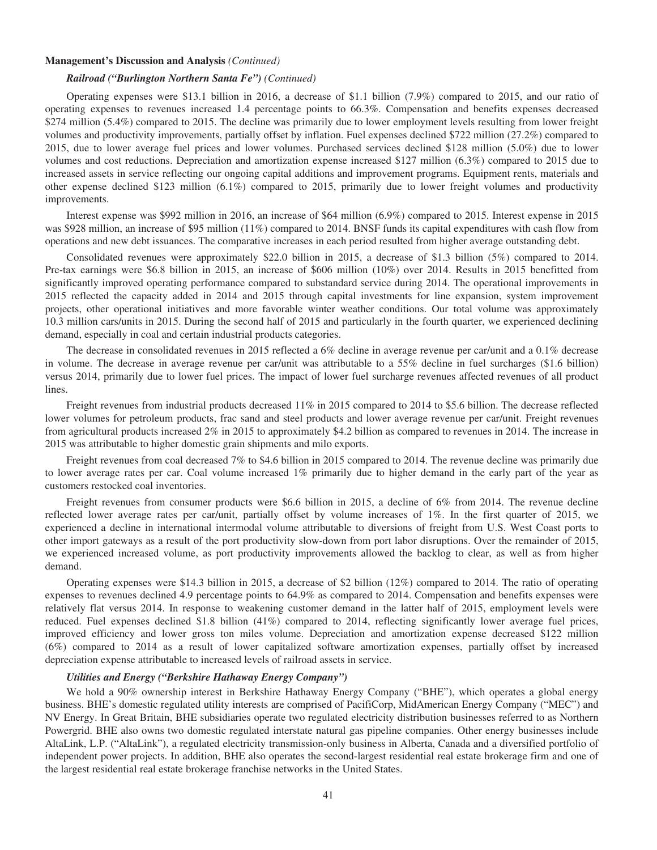## *Railroad ("Burlington Northern Santa Fe") (Continued)*

Operating expenses were \$13.1 billion in 2016, a decrease of \$1.1 billion (7.9%) compared to 2015, and our ratio of operating expenses to revenues increased 1.4 percentage points to 66.3%. Compensation and benefits expenses decreased \$274 million (5.4%) compared to 2015. The decline was primarily due to lower employment levels resulting from lower freight volumes and productivity improvements, partially offset by inflation. Fuel expenses declined \$722 million (27.2%) compared to 2015, due to lower average fuel prices and lower volumes. Purchased services declined \$128 million (5.0%) due to lower volumes and cost reductions. Depreciation and amortization expense increased \$127 million (6.3%) compared to 2015 due to increased assets in service reflecting our ongoing capital additions and improvement programs. Equipment rents, materials and other expense declined \$123 million (6.1%) compared to 2015, primarily due to lower freight volumes and productivity improvements.

Interest expense was \$992 million in 2016, an increase of \$64 million (6.9%) compared to 2015. Interest expense in 2015 was \$928 million, an increase of \$95 million (11%) compared to 2014. BNSF funds its capital expenditures with cash flow from operations and new debt issuances. The comparative increases in each period resulted from higher average outstanding debt.

Consolidated revenues were approximately \$22.0 billion in 2015, a decrease of \$1.3 billion (5%) compared to 2014. Pre-tax earnings were \$6.8 billion in 2015, an increase of \$606 million (10%) over 2014. Results in 2015 benefitted from significantly improved operating performance compared to substandard service during 2014. The operational improvements in 2015 reflected the capacity added in 2014 and 2015 through capital investments for line expansion, system improvement projects, other operational initiatives and more favorable winter weather conditions. Our total volume was approximately 10.3 million cars/units in 2015. During the second half of 2015 and particularly in the fourth quarter, we experienced declining demand, especially in coal and certain industrial products categories.

The decrease in consolidated revenues in 2015 reflected a 6% decline in average revenue per car/unit and a 0.1% decrease in volume. The decrease in average revenue per car/unit was attributable to a 55% decline in fuel surcharges (\$1.6 billion) versus 2014, primarily due to lower fuel prices. The impact of lower fuel surcharge revenues affected revenues of all product lines.

Freight revenues from industrial products decreased 11% in 2015 compared to 2014 to \$5.6 billion. The decrease reflected lower volumes for petroleum products, frac sand and steel products and lower average revenue per car/unit. Freight revenues from agricultural products increased 2% in 2015 to approximately \$4.2 billion as compared to revenues in 2014. The increase in 2015 was attributable to higher domestic grain shipments and milo exports.

Freight revenues from coal decreased 7% to \$4.6 billion in 2015 compared to 2014. The revenue decline was primarily due to lower average rates per car. Coal volume increased 1% primarily due to higher demand in the early part of the year as customers restocked coal inventories.

Freight revenues from consumer products were \$6.6 billion in 2015, a decline of 6% from 2014. The revenue decline reflected lower average rates per car/unit, partially offset by volume increases of 1%. In the first quarter of 2015, we experienced a decline in international intermodal volume attributable to diversions of freight from U.S. West Coast ports to other import gateways as a result of the port productivity slow-down from port labor disruptions. Over the remainder of 2015, we experienced increased volume, as port productivity improvements allowed the backlog to clear, as well as from higher demand.

Operating expenses were \$14.3 billion in 2015, a decrease of \$2 billion (12%) compared to 2014. The ratio of operating expenses to revenues declined 4.9 percentage points to 64.9% as compared to 2014. Compensation and benefits expenses were relatively flat versus 2014. In response to weakening customer demand in the latter half of 2015, employment levels were reduced. Fuel expenses declined \$1.8 billion (41%) compared to 2014, reflecting significantly lower average fuel prices, improved efficiency and lower gross ton miles volume. Depreciation and amortization expense decreased \$122 million (6%) compared to 2014 as a result of lower capitalized software amortization expenses, partially offset by increased depreciation expense attributable to increased levels of railroad assets in service.

### *Utilities and Energy ("Berkshire Hathaway Energy Company")*

We hold a 90% ownership interest in Berkshire Hathaway Energy Company ("BHE"), which operates a global energy business. BHE's domestic regulated utility interests are comprised of PacifiCorp, MidAmerican Energy Company ("MEC") and NV Energy. In Great Britain, BHE subsidiaries operate two regulated electricity distribution businesses referred to as Northern Powergrid. BHE also owns two domestic regulated interstate natural gas pipeline companies. Other energy businesses include AltaLink, L.P. ("AltaLink"), a regulated electricity transmission-only business in Alberta, Canada and a diversified portfolio of independent power projects. In addition, BHE also operates the second-largest residential real estate brokerage firm and one of the largest residential real estate brokerage franchise networks in the United States.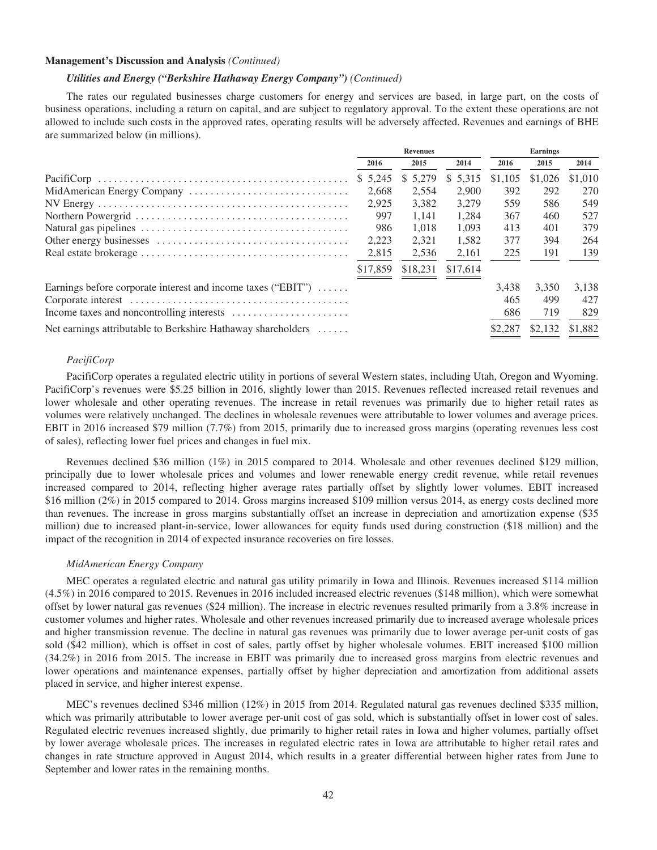## *Utilities and Energy ("Berkshire Hathaway Energy Company") (Continued)*

The rates our regulated businesses charge customers for energy and services are based, in large part, on the costs of business operations, including a return on capital, and are subject to regulatory approval. To the extent these operations are not allowed to include such costs in the approved rates, operating results will be adversely affected. Revenues and earnings of BHE are summarized below (in millions).

|                                                                      | <b>Revenues</b> |          |          |         | <b>Earnings</b> |         |  |
|----------------------------------------------------------------------|-----------------|----------|----------|---------|-----------------|---------|--|
|                                                                      | 2016            | 2015     | 2014     | 2016    | 2015            | 2014    |  |
|                                                                      | \$5,245         | \$5,279  | \$5,315  | \$1,105 | \$1,026         | \$1,010 |  |
|                                                                      | 2.668           | 2.554    | 2.900    | 392     | 292             | 270     |  |
|                                                                      | 2.925           | 3,382    | 3.279    | 559     | 586             | 549     |  |
|                                                                      | 997             | 1.141    | 1.284    | 367     | 460             | 527     |  |
|                                                                      | 986             | 1.018    | 1.093    | 413     | 401             | 379     |  |
|                                                                      | 2.223           | 2.321    | 1.582    | 377     | 394             | 264     |  |
|                                                                      | 2,815           | 2,536    | 2,161    | 225     | 191             | 139     |  |
|                                                                      | \$17,859        | \$18.231 | \$17.614 |         |                 |         |  |
| Earnings before corporate interest and income taxes ("EBIT") $\dots$ |                 |          |          | 3.438   | 3.350           | 3.138   |  |
|                                                                      |                 |          |          | 465     | 499             | 427     |  |
|                                                                      |                 |          |          | 686     | 719             | 829     |  |
| Net earnings attributable to Berkshire Hathaway shareholders         |                 |          |          | \$2,287 | \$2,132         | \$1,882 |  |

## *PacifiCorp*

PacifiCorp operates a regulated electric utility in portions of several Western states, including Utah, Oregon and Wyoming. PacifiCorp's revenues were \$5.25 billion in 2016, slightly lower than 2015. Revenues reflected increased retail revenues and lower wholesale and other operating revenues. The increase in retail revenues was primarily due to higher retail rates as volumes were relatively unchanged. The declines in wholesale revenues were attributable to lower volumes and average prices. EBIT in 2016 increased \$79 million (7.7%) from 2015, primarily due to increased gross margins (operating revenues less cost of sales), reflecting lower fuel prices and changes in fuel mix.

Revenues declined \$36 million (1%) in 2015 compared to 2014. Wholesale and other revenues declined \$129 million, principally due to lower wholesale prices and volumes and lower renewable energy credit revenue, while retail revenues increased compared to 2014, reflecting higher average rates partially offset by slightly lower volumes. EBIT increased \$16 million (2%) in 2015 compared to 2014. Gross margins increased \$109 million versus 2014, as energy costs declined more than revenues. The increase in gross margins substantially offset an increase in depreciation and amortization expense (\$35 million) due to increased plant-in-service, lower allowances for equity funds used during construction (\$18 million) and the impact of the recognition in 2014 of expected insurance recoveries on fire losses.

## *MidAmerican Energy Company*

MEC operates a regulated electric and natural gas utility primarily in Iowa and Illinois. Revenues increased \$114 million (4.5%) in 2016 compared to 2015. Revenues in 2016 included increased electric revenues (\$148 million), which were somewhat offset by lower natural gas revenues (\$24 million). The increase in electric revenues resulted primarily from a 3.8% increase in customer volumes and higher rates. Wholesale and other revenues increased primarily due to increased average wholesale prices and higher transmission revenue. The decline in natural gas revenues was primarily due to lower average per-unit costs of gas sold (\$42 million), which is offset in cost of sales, partly offset by higher wholesale volumes. EBIT increased \$100 million (34.2%) in 2016 from 2015. The increase in EBIT was primarily due to increased gross margins from electric revenues and lower operations and maintenance expenses, partially offset by higher depreciation and amortization from additional assets placed in service, and higher interest expense.

MEC's revenues declined \$346 million (12%) in 2015 from 2014. Regulated natural gas revenues declined \$335 million, which was primarily attributable to lower average per-unit cost of gas sold, which is substantially offset in lower cost of sales. Regulated electric revenues increased slightly, due primarily to higher retail rates in Iowa and higher volumes, partially offset by lower average wholesale prices. The increases in regulated electric rates in Iowa are attributable to higher retail rates and changes in rate structure approved in August 2014, which results in a greater differential between higher rates from June to September and lower rates in the remaining months.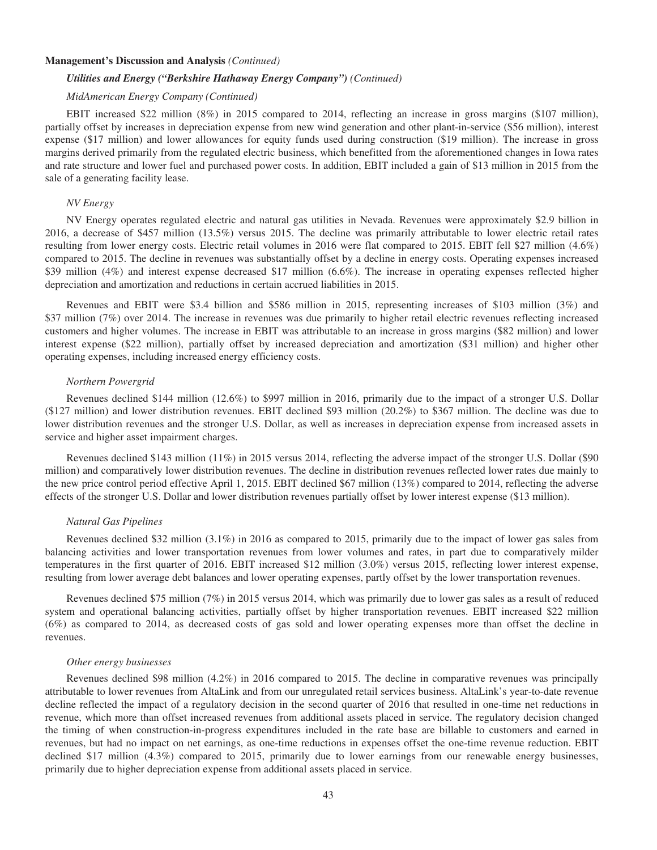## *Utilities and Energy ("Berkshire Hathaway Energy Company") (Continued)*

## *MidAmerican Energy Company (Continued)*

EBIT increased \$22 million (8%) in 2015 compared to 2014, reflecting an increase in gross margins (\$107 million), partially offset by increases in depreciation expense from new wind generation and other plant-in-service (\$56 million), interest expense (\$17 million) and lower allowances for equity funds used during construction (\$19 million). The increase in gross margins derived primarily from the regulated electric business, which benefitted from the aforementioned changes in Iowa rates and rate structure and lower fuel and purchased power costs. In addition, EBIT included a gain of \$13 million in 2015 from the sale of a generating facility lease.

#### *NV Energy*

NV Energy operates regulated electric and natural gas utilities in Nevada. Revenues were approximately \$2.9 billion in 2016, a decrease of \$457 million (13.5%) versus 2015. The decline was primarily attributable to lower electric retail rates resulting from lower energy costs. Electric retail volumes in 2016 were flat compared to 2015. EBIT fell \$27 million (4.6%) compared to 2015. The decline in revenues was substantially offset by a decline in energy costs. Operating expenses increased \$39 million (4%) and interest expense decreased \$17 million (6.6%). The increase in operating expenses reflected higher depreciation and amortization and reductions in certain accrued liabilities in 2015.

Revenues and EBIT were \$3.4 billion and \$586 million in 2015, representing increases of \$103 million (3%) and \$37 million (7%) over 2014. The increase in revenues was due primarily to higher retail electric revenues reflecting increased customers and higher volumes. The increase in EBIT was attributable to an increase in gross margins (\$82 million) and lower interest expense (\$22 million), partially offset by increased depreciation and amortization (\$31 million) and higher other operating expenses, including increased energy efficiency costs.

## *Northern Powergrid*

Revenues declined \$144 million (12.6%) to \$997 million in 2016, primarily due to the impact of a stronger U.S. Dollar (\$127 million) and lower distribution revenues. EBIT declined \$93 million (20.2%) to \$367 million. The decline was due to lower distribution revenues and the stronger U.S. Dollar, as well as increases in depreciation expense from increased assets in service and higher asset impairment charges.

Revenues declined \$143 million (11%) in 2015 versus 2014, reflecting the adverse impact of the stronger U.S. Dollar (\$90 million) and comparatively lower distribution revenues. The decline in distribution revenues reflected lower rates due mainly to the new price control period effective April 1, 2015. EBIT declined \$67 million (13%) compared to 2014, reflecting the adverse effects of the stronger U.S. Dollar and lower distribution revenues partially offset by lower interest expense (\$13 million).

#### *Natural Gas Pipelines*

Revenues declined \$32 million (3.1%) in 2016 as compared to 2015, primarily due to the impact of lower gas sales from balancing activities and lower transportation revenues from lower volumes and rates, in part due to comparatively milder temperatures in the first quarter of 2016. EBIT increased \$12 million (3.0%) versus 2015, reflecting lower interest expense, resulting from lower average debt balances and lower operating expenses, partly offset by the lower transportation revenues.

Revenues declined \$75 million (7%) in 2015 versus 2014, which was primarily due to lower gas sales as a result of reduced system and operational balancing activities, partially offset by higher transportation revenues. EBIT increased \$22 million (6%) as compared to 2014, as decreased costs of gas sold and lower operating expenses more than offset the decline in revenues.

#### *Other energy businesses*

Revenues declined \$98 million (4.2%) in 2016 compared to 2015. The decline in comparative revenues was principally attributable to lower revenues from AltaLink and from our unregulated retail services business. AltaLink's year-to-date revenue decline reflected the impact of a regulatory decision in the second quarter of 2016 that resulted in one-time net reductions in revenue, which more than offset increased revenues from additional assets placed in service. The regulatory decision changed the timing of when construction-in-progress expenditures included in the rate base are billable to customers and earned in revenues, but had no impact on net earnings, as one-time reductions in expenses offset the one-time revenue reduction. EBIT declined \$17 million (4.3%) compared to 2015, primarily due to lower earnings from our renewable energy businesses, primarily due to higher depreciation expense from additional assets placed in service.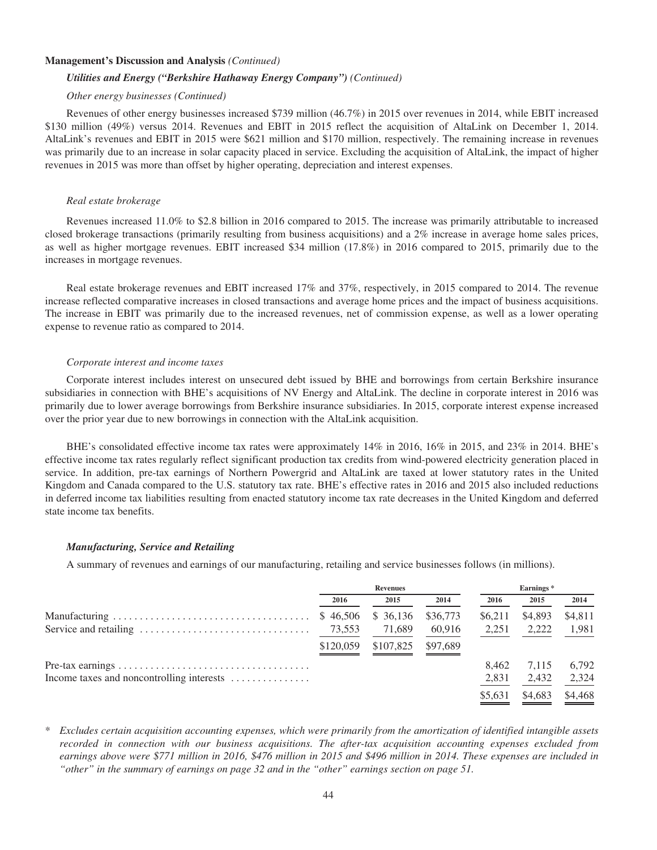## *Utilities and Energy ("Berkshire Hathaway Energy Company") (Continued)*

## *Other energy businesses (Continued)*

Revenues of other energy businesses increased \$739 million (46.7%) in 2015 over revenues in 2014, while EBIT increased \$130 million (49%) versus 2014. Revenues and EBIT in 2015 reflect the acquisition of AltaLink on December 1, 2014. AltaLink's revenues and EBIT in 2015 were \$621 million and \$170 million, respectively. The remaining increase in revenues was primarily due to an increase in solar capacity placed in service. Excluding the acquisition of AltaLink, the impact of higher revenues in 2015 was more than offset by higher operating, depreciation and interest expenses.

## *Real estate brokerage*

Revenues increased 11.0% to \$2.8 billion in 2016 compared to 2015. The increase was primarily attributable to increased closed brokerage transactions (primarily resulting from business acquisitions) and a 2% increase in average home sales prices, as well as higher mortgage revenues. EBIT increased \$34 million (17.8%) in 2016 compared to 2015, primarily due to the increases in mortgage revenues.

Real estate brokerage revenues and EBIT increased 17% and 37%, respectively, in 2015 compared to 2014. The revenue increase reflected comparative increases in closed transactions and average home prices and the impact of business acquisitions. The increase in EBIT was primarily due to the increased revenues, net of commission expense, as well as a lower operating expense to revenue ratio as compared to 2014.

#### *Corporate interest and income taxes*

Corporate interest includes interest on unsecured debt issued by BHE and borrowings from certain Berkshire insurance subsidiaries in connection with BHE's acquisitions of NV Energy and AltaLink. The decline in corporate interest in 2016 was primarily due to lower average borrowings from Berkshire insurance subsidiaries. In 2015, corporate interest expense increased over the prior year due to new borrowings in connection with the AltaLink acquisition.

BHE's consolidated effective income tax rates were approximately 14% in 2016, 16% in 2015, and 23% in 2014. BHE's effective income tax rates regularly reflect significant production tax credits from wind-powered electricity generation placed in service. In addition, pre-tax earnings of Northern Powergrid and AltaLink are taxed at lower statutory rates in the United Kingdom and Canada compared to the U.S. statutory tax rate. BHE's effective rates in 2016 and 2015 also included reductions in deferred income tax liabilities resulting from enacted statutory income tax rate decreases in the United Kingdom and deferred state income tax benefits.

## *Manufacturing, Service and Retailing*

A summary of revenues and earnings of our manufacturing, retailing and service businesses follows (in millions).

|                                           |           | <b>Revenues</b> |          |         | Earnings* |         |
|-------------------------------------------|-----------|-----------------|----------|---------|-----------|---------|
|                                           | 2016      | 2015            | 2014     | 2016    | 2015      | 2014    |
|                                           |           | \$ 36,136       | \$36,773 | \$6,211 | \$4,893   | \$4,811 |
|                                           | 73,553    | 71.689          | 60,916   | 2,251   | 2.222     | 1,981   |
|                                           | \$120,059 | \$107,825       | \$97,689 |         |           |         |
|                                           |           |                 |          | 8.462   | 7.115     | 6,792   |
| Income taxes and noncontrolling interests |           |                 |          | 2,831   | 2,432     | 2,324   |
|                                           |           |                 |          | \$5,631 | \$4,683   | \$4,468 |

*\* Excludes certain acquisition accounting expenses, which were primarily from the amortization of identified intangible assets recorded in connection with our business acquisitions. The after-tax acquisition accounting expenses excluded from earnings above were \$771 million in 2016, \$476 million in 2015 and \$496 million in 2014. These expenses are included in "other" in the summary of earnings on page 32 and in the "other" earnings section on page 51.*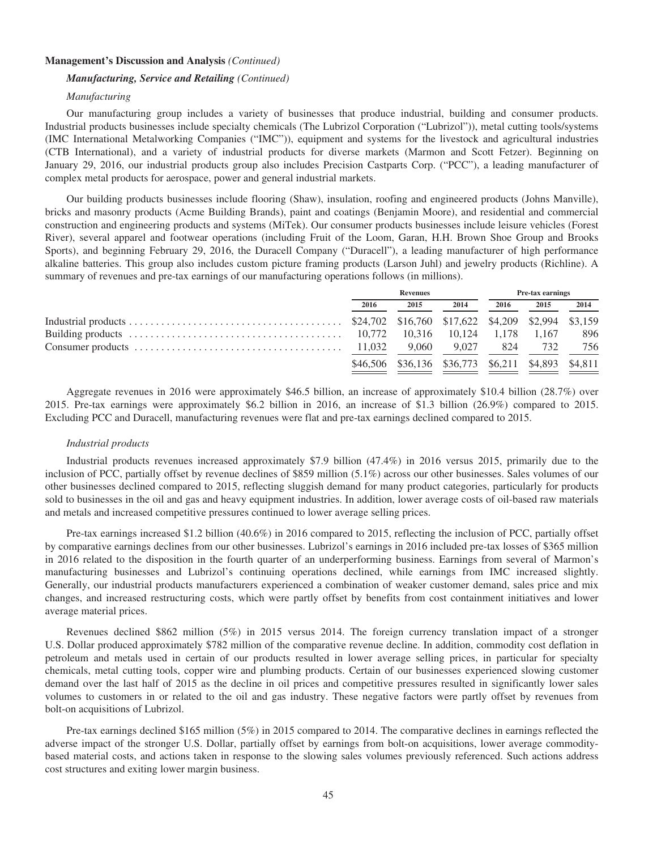## *Manufacturing, Service and Retailing (Continued)*

## *Manufacturing*

Our manufacturing group includes a variety of businesses that produce industrial, building and consumer products. Industrial products businesses include specialty chemicals (The Lubrizol Corporation ("Lubrizol")), metal cutting tools/systems (IMC International Metalworking Companies ("IMC")), equipment and systems for the livestock and agricultural industries (CTB International), and a variety of industrial products for diverse markets (Marmon and Scott Fetzer). Beginning on January 29, 2016, our industrial products group also includes Precision Castparts Corp. ("PCC"), a leading manufacturer of complex metal products for aerospace, power and general industrial markets.

Our building products businesses include flooring (Shaw), insulation, roofing and engineered products (Johns Manville), bricks and masonry products (Acme Building Brands), paint and coatings (Benjamin Moore), and residential and commercial construction and engineering products and systems (MiTek). Our consumer products businesses include leisure vehicles (Forest River), several apparel and footwear operations (including Fruit of the Loom, Garan, H.H. Brown Shoe Group and Brooks Sports), and beginning February 29, 2016, the Duracell Company ("Duracell"), a leading manufacturer of high performance alkaline batteries. This group also includes custom picture framing products (Larson Juhl) and jewelry products (Richline). A summary of revenues and pre-tax earnings of our manufacturing operations follows (in millions).

| <b>Revenues</b> |                                                    | Pre-tax earnings |      |      |       |
|-----------------|----------------------------------------------------|------------------|------|------|-------|
| 2016            | 2015                                               | 2014             | 2016 | 2015 | 2014  |
|                 |                                                    |                  |      |      |       |
|                 |                                                    |                  |      |      | -896  |
|                 |                                                    |                  |      |      | - 756 |
|                 | \$46,506 \$36,136 \$36,773 \$6,211 \$4,893 \$4,811 |                  |      |      |       |

Aggregate revenues in 2016 were approximately \$46.5 billion, an increase of approximately \$10.4 billion (28.7%) over 2015. Pre-tax earnings were approximately \$6.2 billion in 2016, an increase of \$1.3 billion (26.9%) compared to 2015. Excluding PCC and Duracell, manufacturing revenues were flat and pre-tax earnings declined compared to 2015.

## *Industrial products*

Industrial products revenues increased approximately \$7.9 billion (47.4%) in 2016 versus 2015, primarily due to the inclusion of PCC, partially offset by revenue declines of \$859 million (5.1%) across our other businesses. Sales volumes of our other businesses declined compared to 2015, reflecting sluggish demand for many product categories, particularly for products sold to businesses in the oil and gas and heavy equipment industries. In addition, lower average costs of oil-based raw materials and metals and increased competitive pressures continued to lower average selling prices.

Pre-tax earnings increased \$1.2 billion (40.6%) in 2016 compared to 2015, reflecting the inclusion of PCC, partially offset by comparative earnings declines from our other businesses. Lubrizol's earnings in 2016 included pre-tax losses of \$365 million in 2016 related to the disposition in the fourth quarter of an underperforming business. Earnings from several of Marmon's manufacturing businesses and Lubrizol's continuing operations declined, while earnings from IMC increased slightly. Generally, our industrial products manufacturers experienced a combination of weaker customer demand, sales price and mix changes, and increased restructuring costs, which were partly offset by benefits from cost containment initiatives and lower average material prices.

Revenues declined \$862 million (5%) in 2015 versus 2014. The foreign currency translation impact of a stronger U.S. Dollar produced approximately \$782 million of the comparative revenue decline. In addition, commodity cost deflation in petroleum and metals used in certain of our products resulted in lower average selling prices, in particular for specialty chemicals, metal cutting tools, copper wire and plumbing products. Certain of our businesses experienced slowing customer demand over the last half of 2015 as the decline in oil prices and competitive pressures resulted in significantly lower sales volumes to customers in or related to the oil and gas industry. These negative factors were partly offset by revenues from bolt-on acquisitions of Lubrizol.

Pre-tax earnings declined \$165 million (5%) in 2015 compared to 2014. The comparative declines in earnings reflected the adverse impact of the stronger U.S. Dollar, partially offset by earnings from bolt-on acquisitions, lower average commoditybased material costs, and actions taken in response to the slowing sales volumes previously referenced. Such actions address cost structures and exiting lower margin business.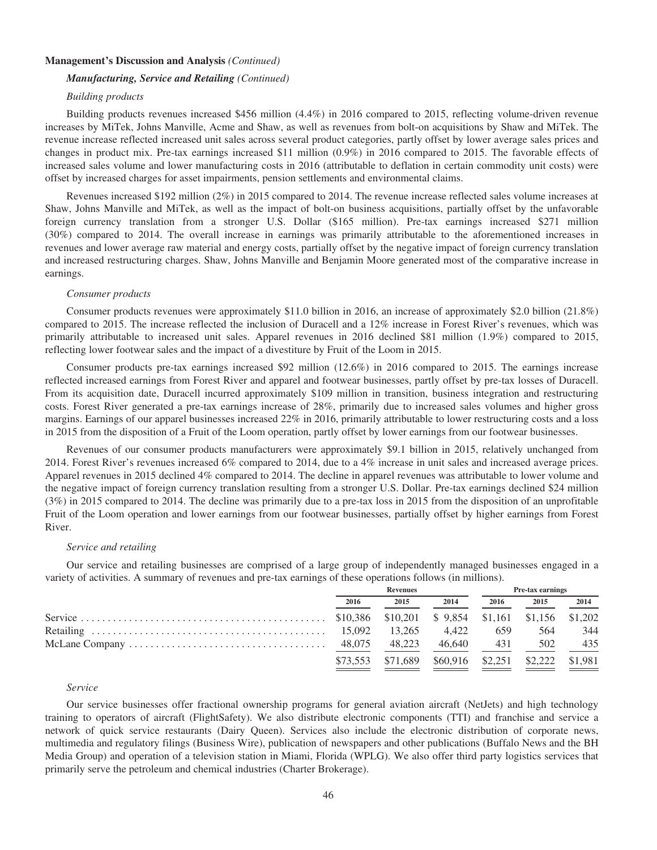## *Manufacturing, Service and Retailing (Continued)*

## *Building products*

Building products revenues increased \$456 million (4.4%) in 2016 compared to 2015, reflecting volume-driven revenue increases by MiTek, Johns Manville, Acme and Shaw, as well as revenues from bolt-on acquisitions by Shaw and MiTek. The revenue increase reflected increased unit sales across several product categories, partly offset by lower average sales prices and changes in product mix. Pre-tax earnings increased \$11 million (0.9%) in 2016 compared to 2015. The favorable effects of increased sales volume and lower manufacturing costs in 2016 (attributable to deflation in certain commodity unit costs) were offset by increased charges for asset impairments, pension settlements and environmental claims.

Revenues increased \$192 million (2%) in 2015 compared to 2014. The revenue increase reflected sales volume increases at Shaw, Johns Manville and MiTek, as well as the impact of bolt-on business acquisitions, partially offset by the unfavorable foreign currency translation from a stronger U.S. Dollar (\$165 million). Pre-tax earnings increased \$271 million (30%) compared to 2014. The overall increase in earnings was primarily attributable to the aforementioned increases in revenues and lower average raw material and energy costs, partially offset by the negative impact of foreign currency translation and increased restructuring charges. Shaw, Johns Manville and Benjamin Moore generated most of the comparative increase in earnings.

## *Consumer products*

Consumer products revenues were approximately \$11.0 billion in 2016, an increase of approximately \$2.0 billion (21.8%) compared to 2015. The increase reflected the inclusion of Duracell and a 12% increase in Forest River's revenues, which was primarily attributable to increased unit sales. Apparel revenues in 2016 declined \$81 million (1.9%) compared to 2015, reflecting lower footwear sales and the impact of a divestiture by Fruit of the Loom in 2015.

Consumer products pre-tax earnings increased \$92 million (12.6%) in 2016 compared to 2015. The earnings increase reflected increased earnings from Forest River and apparel and footwear businesses, partly offset by pre-tax losses of Duracell. From its acquisition date, Duracell incurred approximately \$109 million in transition, business integration and restructuring costs. Forest River generated a pre-tax earnings increase of 28%, primarily due to increased sales volumes and higher gross margins. Earnings of our apparel businesses increased 22% in 2016, primarily attributable to lower restructuring costs and a loss in 2015 from the disposition of a Fruit of the Loom operation, partly offset by lower earnings from our footwear businesses.

Revenues of our consumer products manufacturers were approximately \$9.1 billion in 2015, relatively unchanged from 2014. Forest River's revenues increased 6% compared to 2014, due to a 4% increase in unit sales and increased average prices. Apparel revenues in 2015 declined 4% compared to 2014. The decline in apparel revenues was attributable to lower volume and the negative impact of foreign currency translation resulting from a stronger U.S. Dollar. Pre-tax earnings declined \$24 million (3%) in 2015 compared to 2014. The decline was primarily due to a pre-tax loss in 2015 from the disposition of an unprofitable Fruit of the Loom operation and lower earnings from our footwear businesses, partially offset by higher earnings from Forest River.

## *Service and retailing*

Our service and retailing businesses are comprised of a large group of independently managed businesses engaged in a variety of activities. A summary of revenues and pre-tax earnings of these operations follows (in millions).

| <b>Revenues</b> |        |                                                    |      | <b>Pre-tax earnings</b> |      |
|-----------------|--------|----------------------------------------------------|------|-------------------------|------|
| 2016            | 2015   | 2014                                               | 2016 | 2015                    | 2014 |
|                 |        |                                                    |      |                         |      |
|                 |        |                                                    | 659  | 564                     | 344  |
|                 | 48.223 | 46.640 431                                         |      | 502                     | 435  |
|                 |        | \$73,553 \$71,689 \$60,916 \$2,251 \$2,222 \$1,981 |      |                         |      |

#### *Service*

Our service businesses offer fractional ownership programs for general aviation aircraft (NetJets) and high technology training to operators of aircraft (FlightSafety). We also distribute electronic components (TTI) and franchise and service a network of quick service restaurants (Dairy Queen). Services also include the electronic distribution of corporate news, multimedia and regulatory filings (Business Wire), publication of newspapers and other publications (Buffalo News and the BH Media Group) and operation of a television station in Miami, Florida (WPLG). We also offer third party logistics services that primarily serve the petroleum and chemical industries (Charter Brokerage).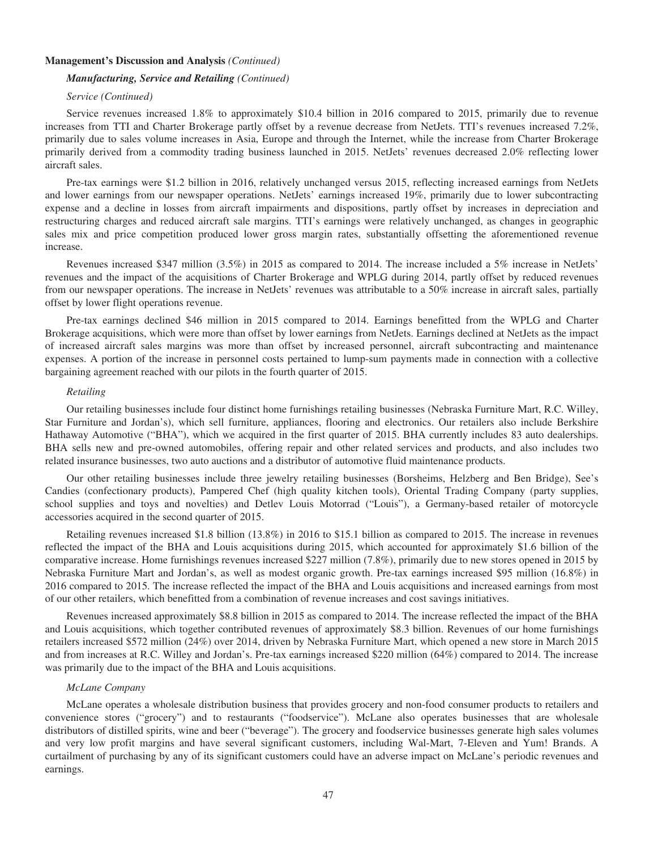## *Manufacturing, Service and Retailing (Continued)*

## *Service (Continued)*

Service revenues increased 1.8% to approximately \$10.4 billion in 2016 compared to 2015, primarily due to revenue increases from TTI and Charter Brokerage partly offset by a revenue decrease from NetJets. TTI's revenues increased 7.2%, primarily due to sales volume increases in Asia, Europe and through the Internet, while the increase from Charter Brokerage primarily derived from a commodity trading business launched in 2015. NetJets' revenues decreased 2.0% reflecting lower aircraft sales.

Pre-tax earnings were \$1.2 billion in 2016, relatively unchanged versus 2015, reflecting increased earnings from NetJets and lower earnings from our newspaper operations. NetJets' earnings increased 19%, primarily due to lower subcontracting expense and a decline in losses from aircraft impairments and dispositions, partly offset by increases in depreciation and restructuring charges and reduced aircraft sale margins. TTI's earnings were relatively unchanged, as changes in geographic sales mix and price competition produced lower gross margin rates, substantially offsetting the aforementioned revenue increase.

Revenues increased \$347 million (3.5%) in 2015 as compared to 2014. The increase included a 5% increase in NetJets' revenues and the impact of the acquisitions of Charter Brokerage and WPLG during 2014, partly offset by reduced revenues from our newspaper operations. The increase in NetJets' revenues was attributable to a 50% increase in aircraft sales, partially offset by lower flight operations revenue.

Pre-tax earnings declined \$46 million in 2015 compared to 2014. Earnings benefitted from the WPLG and Charter Brokerage acquisitions, which were more than offset by lower earnings from NetJets. Earnings declined at NetJets as the impact of increased aircraft sales margins was more than offset by increased personnel, aircraft subcontracting and maintenance expenses. A portion of the increase in personnel costs pertained to lump-sum payments made in connection with a collective bargaining agreement reached with our pilots in the fourth quarter of 2015.

### *Retailing*

Our retailing businesses include four distinct home furnishings retailing businesses (Nebraska Furniture Mart, R.C. Willey, Star Furniture and Jordan's), which sell furniture, appliances, flooring and electronics. Our retailers also include Berkshire Hathaway Automotive ("BHA"), which we acquired in the first quarter of 2015. BHA currently includes 83 auto dealerships. BHA sells new and pre-owned automobiles, offering repair and other related services and products, and also includes two related insurance businesses, two auto auctions and a distributor of automotive fluid maintenance products.

Our other retailing businesses include three jewelry retailing businesses (Borsheims, Helzberg and Ben Bridge), See's Candies (confectionary products), Pampered Chef (high quality kitchen tools), Oriental Trading Company (party supplies, school supplies and toys and novelties) and Detlev Louis Motorrad ("Louis"), a Germany-based retailer of motorcycle accessories acquired in the second quarter of 2015.

Retailing revenues increased \$1.8 billion (13.8%) in 2016 to \$15.1 billion as compared to 2015. The increase in revenues reflected the impact of the BHA and Louis acquisitions during 2015, which accounted for approximately \$1.6 billion of the comparative increase. Home furnishings revenues increased \$227 million (7.8%), primarily due to new stores opened in 2015 by Nebraska Furniture Mart and Jordan's, as well as modest organic growth. Pre-tax earnings increased \$95 million (16.8%) in 2016 compared to 2015. The increase reflected the impact of the BHA and Louis acquisitions and increased earnings from most of our other retailers, which benefitted from a combination of revenue increases and cost savings initiatives.

Revenues increased approximately \$8.8 billion in 2015 as compared to 2014. The increase reflected the impact of the BHA and Louis acquisitions, which together contributed revenues of approximately \$8.3 billion. Revenues of our home furnishings retailers increased \$572 million (24%) over 2014, driven by Nebraska Furniture Mart, which opened a new store in March 2015 and from increases at R.C. Willey and Jordan's. Pre-tax earnings increased \$220 million (64%) compared to 2014. The increase was primarily due to the impact of the BHA and Louis acquisitions.

## *McLane Company*

McLane operates a wholesale distribution business that provides grocery and non-food consumer products to retailers and convenience stores ("grocery") and to restaurants ("foodservice"). McLane also operates businesses that are wholesale distributors of distilled spirits, wine and beer ("beverage"). The grocery and foodservice businesses generate high sales volumes and very low profit margins and have several significant customers, including Wal-Mart, 7-Eleven and Yum! Brands. A curtailment of purchasing by any of its significant customers could have an adverse impact on McLane's periodic revenues and earnings.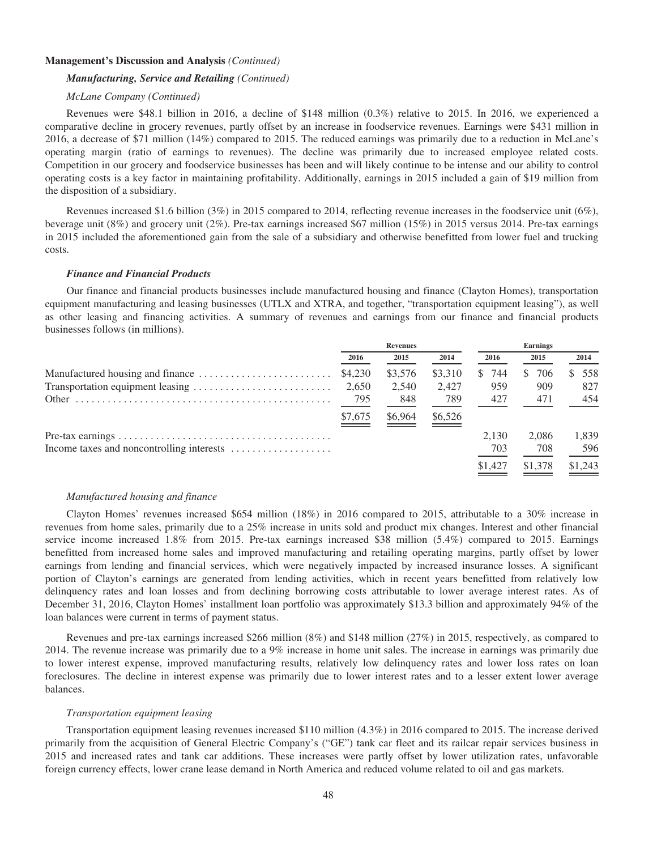## *Manufacturing, Service and Retailing (Continued)*

## *McLane Company (Continued)*

Revenues were \$48.1 billion in 2016, a decline of \$148 million (0.3%) relative to 2015. In 2016, we experienced a comparative decline in grocery revenues, partly offset by an increase in foodservice revenues. Earnings were \$431 million in 2016, a decrease of \$71 million (14%) compared to 2015. The reduced earnings was primarily due to a reduction in McLane's operating margin (ratio of earnings to revenues). The decline was primarily due to increased employee related costs. Competition in our grocery and foodservice businesses has been and will likely continue to be intense and our ability to control operating costs is a key factor in maintaining profitability. Additionally, earnings in 2015 included a gain of \$19 million from the disposition of a subsidiary.

Revenues increased \$1.6 billion (3%) in 2015 compared to 2014, reflecting revenue increases in the foodservice unit (6%), beverage unit (8%) and grocery unit (2%). Pre-tax earnings increased \$67 million (15%) in 2015 versus 2014. Pre-tax earnings in 2015 included the aforementioned gain from the sale of a subsidiary and otherwise benefitted from lower fuel and trucking costs.

#### *Finance and Financial Products*

Our finance and financial products businesses include manufactured housing and finance (Clayton Homes), transportation equipment manufacturing and leasing businesses (UTLX and XTRA, and together, "transportation equipment leasing"), as well as other leasing and financing activities. A summary of revenues and earnings from our finance and financial products businesses follows (in millions).

|         | <b>Revenues</b> |         |         | <b>Earnings</b> |         |
|---------|-----------------|---------|---------|-----------------|---------|
| 2016    | 2015            | 2014    | 2016    | 2015            | 2014    |
| \$4,230 | \$3,576         | \$3,310 | \$ 744  | \$ 706          | \$558   |
| 2,650   | 2.540           | 2.427   | 959     | 909             | 827     |
| 795     | 848             | 789     | 427     | 471             | 454     |
| \$7,675 | \$6,964         | \$6,526 |         |                 |         |
|         |                 |         | 2.130   | 2.086           | 1,839   |
|         |                 |         | 703     | 708             | 596     |
|         |                 |         | \$1,427 | \$1,378         | \$1,243 |
|         |                 |         |         |                 |         |

#### *Manufactured housing and finance*

Clayton Homes' revenues increased \$654 million (18%) in 2016 compared to 2015, attributable to a 30% increase in revenues from home sales, primarily due to a 25% increase in units sold and product mix changes. Interest and other financial service income increased 1.8% from 2015. Pre-tax earnings increased \$38 million (5.4%) compared to 2015. Earnings benefitted from increased home sales and improved manufacturing and retailing operating margins, partly offset by lower earnings from lending and financial services, which were negatively impacted by increased insurance losses. A significant portion of Clayton's earnings are generated from lending activities, which in recent years benefitted from relatively low delinquency rates and loan losses and from declining borrowing costs attributable to lower average interest rates. As of December 31, 2016, Clayton Homes' installment loan portfolio was approximately \$13.3 billion and approximately 94% of the loan balances were current in terms of payment status.

Revenues and pre-tax earnings increased \$266 million (8%) and \$148 million (27%) in 2015, respectively, as compared to 2014. The revenue increase was primarily due to a 9% increase in home unit sales. The increase in earnings was primarily due to lower interest expense, improved manufacturing results, relatively low delinquency rates and lower loss rates on loan foreclosures. The decline in interest expense was primarily due to lower interest rates and to a lesser extent lower average balances.

#### *Transportation equipment leasing*

Transportation equipment leasing revenues increased \$110 million (4.3%) in 2016 compared to 2015. The increase derived primarily from the acquisition of General Electric Company's ("GE") tank car fleet and its railcar repair services business in 2015 and increased rates and tank car additions. These increases were partly offset by lower utilization rates, unfavorable foreign currency effects, lower crane lease demand in North America and reduced volume related to oil and gas markets.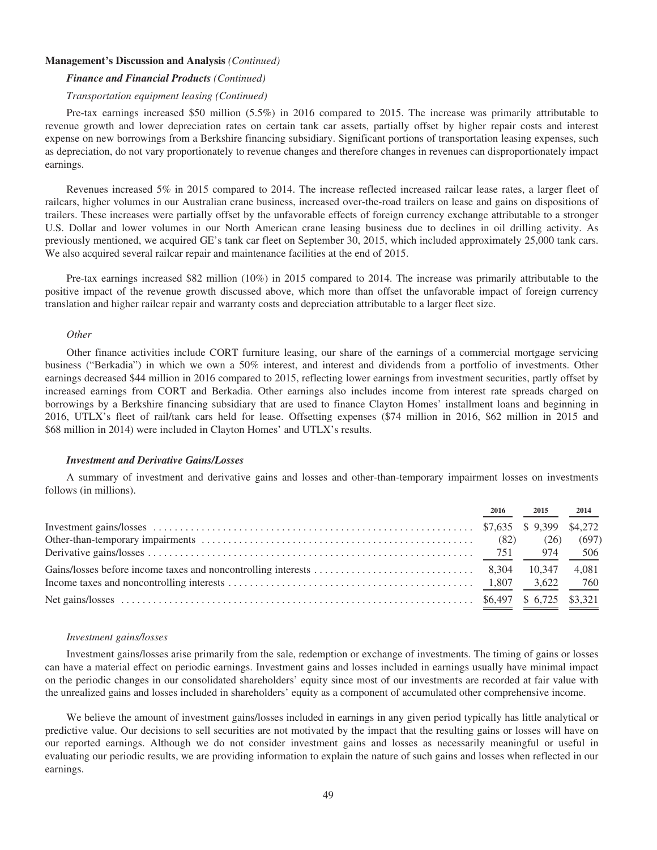## *Finance and Financial Products (Continued)*

## *Transportation equipment leasing (Continued)*

Pre-tax earnings increased \$50 million (5.5%) in 2016 compared to 2015. The increase was primarily attributable to revenue growth and lower depreciation rates on certain tank car assets, partially offset by higher repair costs and interest expense on new borrowings from a Berkshire financing subsidiary. Significant portions of transportation leasing expenses, such as depreciation, do not vary proportionately to revenue changes and therefore changes in revenues can disproportionately impact earnings.

Revenues increased 5% in 2015 compared to 2014. The increase reflected increased railcar lease rates, a larger fleet of railcars, higher volumes in our Australian crane business, increased over-the-road trailers on lease and gains on dispositions of trailers. These increases were partially offset by the unfavorable effects of foreign currency exchange attributable to a stronger U.S. Dollar and lower volumes in our North American crane leasing business due to declines in oil drilling activity. As previously mentioned, we acquired GE's tank car fleet on September 30, 2015, which included approximately 25,000 tank cars. We also acquired several railcar repair and maintenance facilities at the end of 2015.

Pre-tax earnings increased \$82 million (10%) in 2015 compared to 2014. The increase was primarily attributable to the positive impact of the revenue growth discussed above, which more than offset the unfavorable impact of foreign currency translation and higher railcar repair and warranty costs and depreciation attributable to a larger fleet size.

#### *Other*

Other finance activities include CORT furniture leasing, our share of the earnings of a commercial mortgage servicing business ("Berkadia") in which we own a 50% interest, and interest and dividends from a portfolio of investments. Other earnings decreased \$44 million in 2016 compared to 2015, reflecting lower earnings from investment securities, partly offset by increased earnings from CORT and Berkadia. Other earnings also includes income from interest rate spreads charged on borrowings by a Berkshire financing subsidiary that are used to finance Clayton Homes' installment loans and beginning in 2016, UTLX's fleet of rail/tank cars held for lease. Offsetting expenses (\$74 million in 2016, \$62 million in 2015 and \$68 million in 2014) were included in Clayton Homes' and UTLX's results.

## *Investment and Derivative Gains/Losses*

A summary of investment and derivative gains and losses and other-than-temporary impairment losses on investments follows (in millions).

| 2016 | 2015         | $\frac{2014}{201}$ |
|------|--------------|--------------------|
|      |              |                    |
| (82) | (26)         | (697)              |
|      | 974          | 506                |
|      | 10.347 4.081 |                    |
|      |              | 760                |
|      |              |                    |

#### *Investment gains/losses*

Investment gains/losses arise primarily from the sale, redemption or exchange of investments. The timing of gains or losses can have a material effect on periodic earnings. Investment gains and losses included in earnings usually have minimal impact on the periodic changes in our consolidated shareholders' equity since most of our investments are recorded at fair value with the unrealized gains and losses included in shareholders' equity as a component of accumulated other comprehensive income.

We believe the amount of investment gains/losses included in earnings in any given period typically has little analytical or predictive value. Our decisions to sell securities are not motivated by the impact that the resulting gains or losses will have on our reported earnings. Although we do not consider investment gains and losses as necessarily meaningful or useful in evaluating our periodic results, we are providing information to explain the nature of such gains and losses when reflected in our earnings.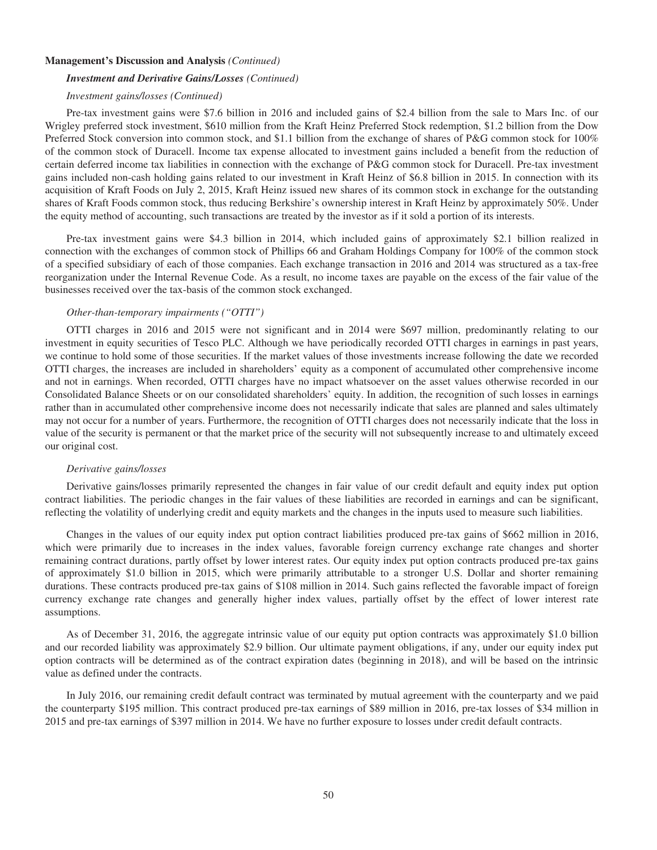## *Investment and Derivative Gains/Losses (Continued)*

## *Investment gains/losses (Continued)*

Pre-tax investment gains were \$7.6 billion in 2016 and included gains of \$2.4 billion from the sale to Mars Inc. of our Wrigley preferred stock investment, \$610 million from the Kraft Heinz Preferred Stock redemption, \$1.2 billion from the Dow Preferred Stock conversion into common stock, and \$1.1 billion from the exchange of shares of P&G common stock for 100% of the common stock of Duracell. Income tax expense allocated to investment gains included a benefit from the reduction of certain deferred income tax liabilities in connection with the exchange of P&G common stock for Duracell. Pre-tax investment gains included non-cash holding gains related to our investment in Kraft Heinz of \$6.8 billion in 2015. In connection with its acquisition of Kraft Foods on July 2, 2015, Kraft Heinz issued new shares of its common stock in exchange for the outstanding shares of Kraft Foods common stock, thus reducing Berkshire's ownership interest in Kraft Heinz by approximately 50%. Under the equity method of accounting, such transactions are treated by the investor as if it sold a portion of its interests.

Pre-tax investment gains were \$4.3 billion in 2014, which included gains of approximately \$2.1 billion realized in connection with the exchanges of common stock of Phillips 66 and Graham Holdings Company for 100% of the common stock of a specified subsidiary of each of those companies. Each exchange transaction in 2016 and 2014 was structured as a tax-free reorganization under the Internal Revenue Code. As a result, no income taxes are payable on the excess of the fair value of the businesses received over the tax-basis of the common stock exchanged.

## *Other-than-temporary impairments ("OTTI")*

OTTI charges in 2016 and 2015 were not significant and in 2014 were \$697 million, predominantly relating to our investment in equity securities of Tesco PLC. Although we have periodically recorded OTTI charges in earnings in past years, we continue to hold some of those securities. If the market values of those investments increase following the date we recorded OTTI charges, the increases are included in shareholders' equity as a component of accumulated other comprehensive income and not in earnings. When recorded, OTTI charges have no impact whatsoever on the asset values otherwise recorded in our Consolidated Balance Sheets or on our consolidated shareholders' equity. In addition, the recognition of such losses in earnings rather than in accumulated other comprehensive income does not necessarily indicate that sales are planned and sales ultimately may not occur for a number of years. Furthermore, the recognition of OTTI charges does not necessarily indicate that the loss in value of the security is permanent or that the market price of the security will not subsequently increase to and ultimately exceed our original cost.

#### *Derivative gains/losses*

Derivative gains/losses primarily represented the changes in fair value of our credit default and equity index put option contract liabilities. The periodic changes in the fair values of these liabilities are recorded in earnings and can be significant, reflecting the volatility of underlying credit and equity markets and the changes in the inputs used to measure such liabilities.

Changes in the values of our equity index put option contract liabilities produced pre-tax gains of \$662 million in 2016, which were primarily due to increases in the index values, favorable foreign currency exchange rate changes and shorter remaining contract durations, partly offset by lower interest rates. Our equity index put option contracts produced pre-tax gains of approximately \$1.0 billion in 2015, which were primarily attributable to a stronger U.S. Dollar and shorter remaining durations. These contracts produced pre-tax gains of \$108 million in 2014. Such gains reflected the favorable impact of foreign currency exchange rate changes and generally higher index values, partially offset by the effect of lower interest rate assumptions.

As of December 31, 2016, the aggregate intrinsic value of our equity put option contracts was approximately \$1.0 billion and our recorded liability was approximately \$2.9 billion. Our ultimate payment obligations, if any, under our equity index put option contracts will be determined as of the contract expiration dates (beginning in 2018), and will be based on the intrinsic value as defined under the contracts.

In July 2016, our remaining credit default contract was terminated by mutual agreement with the counterparty and we paid the counterparty \$195 million. This contract produced pre-tax earnings of \$89 million in 2016, pre-tax losses of \$34 million in 2015 and pre-tax earnings of \$397 million in 2014. We have no further exposure to losses under credit default contracts.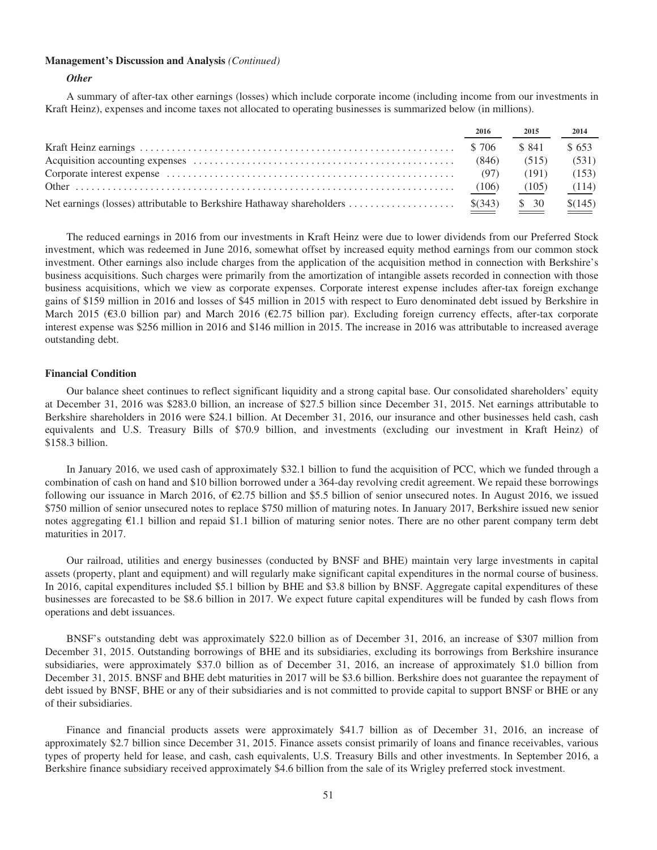## *Other*

A summary of after-tax other earnings (losses) which include corporate income (including income from our investments in Kraft Heinz), expenses and income taxes not allocated to operating businesses is summarized below (in millions).

| 2016  | 2015                | 2014                  |
|-------|---------------------|-----------------------|
|       | \$841               | \$653                 |
| (846) | (515)               | (531)                 |
| (97)  | (191)               | (153)                 |
| (106) | (105)               | (114)                 |
|       | $\underline{\$ 30}$ | $\frac{\{(145)}{2}\}$ |

The reduced earnings in 2016 from our investments in Kraft Heinz were due to lower dividends from our Preferred Stock investment, which was redeemed in June 2016, somewhat offset by increased equity method earnings from our common stock investment. Other earnings also include charges from the application of the acquisition method in connection with Berkshire's business acquisitions. Such charges were primarily from the amortization of intangible assets recorded in connection with those business acquisitions, which we view as corporate expenses. Corporate interest expense includes after-tax foreign exchange gains of \$159 million in 2016 and losses of \$45 million in 2015 with respect to Euro denominated debt issued by Berkshire in March 2015 ( $\epsilon$ 3.0 billion par) and March 2016 ( $\epsilon$ 2.75 billion par). Excluding foreign currency effects, after-tax corporate interest expense was \$256 million in 2016 and \$146 million in 2015. The increase in 2016 was attributable to increased average outstanding debt.

#### **Financial Condition**

Our balance sheet continues to reflect significant liquidity and a strong capital base. Our consolidated shareholders' equity at December 31, 2016 was \$283.0 billion, an increase of \$27.5 billion since December 31, 2015. Net earnings attributable to Berkshire shareholders in 2016 were \$24.1 billion. At December 31, 2016, our insurance and other businesses held cash, cash equivalents and U.S. Treasury Bills of \$70.9 billion, and investments (excluding our investment in Kraft Heinz) of \$158.3 billion.

In January 2016, we used cash of approximately \$32.1 billion to fund the acquisition of PCC, which we funded through a combination of cash on hand and \$10 billion borrowed under a 364-day revolving credit agreement. We repaid these borrowings following our issuance in March 2016, of €2.75 billion and \$5.5 billion of senior unsecured notes. In August 2016, we issued \$750 million of senior unsecured notes to replace \$750 million of maturing notes. In January 2017, Berkshire issued new senior notes aggregating €1.1 billion and repaid \$1.1 billion of maturing senior notes. There are no other parent company term debt maturities in 2017.

Our railroad, utilities and energy businesses (conducted by BNSF and BHE) maintain very large investments in capital assets (property, plant and equipment) and will regularly make significant capital expenditures in the normal course of business. In 2016, capital expenditures included \$5.1 billion by BHE and \$3.8 billion by BNSF. Aggregate capital expenditures of these businesses are forecasted to be \$8.6 billion in 2017. We expect future capital expenditures will be funded by cash flows from operations and debt issuances.

BNSF's outstanding debt was approximately \$22.0 billion as of December 31, 2016, an increase of \$307 million from December 31, 2015. Outstanding borrowings of BHE and its subsidiaries, excluding its borrowings from Berkshire insurance subsidiaries, were approximately \$37.0 billion as of December 31, 2016, an increase of approximately \$1.0 billion from December 31, 2015. BNSF and BHE debt maturities in 2017 will be \$3.6 billion. Berkshire does not guarantee the repayment of debt issued by BNSF, BHE or any of their subsidiaries and is not committed to provide capital to support BNSF or BHE or any of their subsidiaries.

Finance and financial products assets were approximately \$41.7 billion as of December 31, 2016, an increase of approximately \$2.7 billion since December 31, 2015. Finance assets consist primarily of loans and finance receivables, various types of property held for lease, and cash, cash equivalents, U.S. Treasury Bills and other investments. In September 2016, a Berkshire finance subsidiary received approximately \$4.6 billion from the sale of its Wrigley preferred stock investment.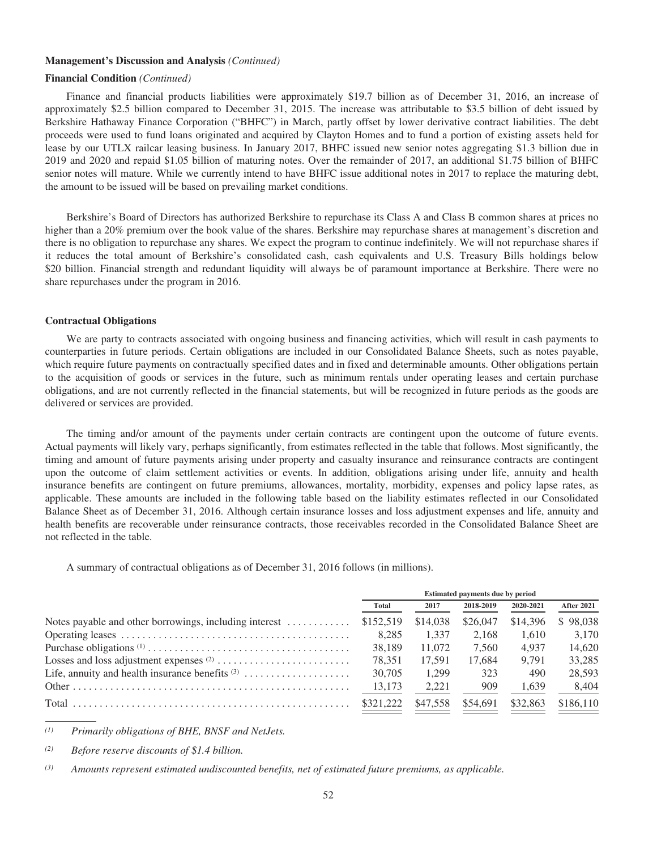### **Financial Condition** *(Continued)*

Finance and financial products liabilities were approximately \$19.7 billion as of December 31, 2016, an increase of approximately \$2.5 billion compared to December 31, 2015. The increase was attributable to \$3.5 billion of debt issued by Berkshire Hathaway Finance Corporation ("BHFC") in March, partly offset by lower derivative contract liabilities. The debt proceeds were used to fund loans originated and acquired by Clayton Homes and to fund a portion of existing assets held for lease by our UTLX railcar leasing business. In January 2017, BHFC issued new senior notes aggregating \$1.3 billion due in 2019 and 2020 and repaid \$1.05 billion of maturing notes. Over the remainder of 2017, an additional \$1.75 billion of BHFC senior notes will mature. While we currently intend to have BHFC issue additional notes in 2017 to replace the maturing debt, the amount to be issued will be based on prevailing market conditions.

Berkshire's Board of Directors has authorized Berkshire to repurchase its Class A and Class B common shares at prices no higher than a 20% premium over the book value of the shares. Berkshire may repurchase shares at management's discretion and there is no obligation to repurchase any shares. We expect the program to continue indefinitely. We will not repurchase shares if it reduces the total amount of Berkshire's consolidated cash, cash equivalents and U.S. Treasury Bills holdings below \$20 billion. Financial strength and redundant liquidity will always be of paramount importance at Berkshire. There were no share repurchases under the program in 2016.

#### **Contractual Obligations**

We are party to contracts associated with ongoing business and financing activities, which will result in cash payments to counterparties in future periods. Certain obligations are included in our Consolidated Balance Sheets, such as notes payable, which require future payments on contractually specified dates and in fixed and determinable amounts. Other obligations pertain to the acquisition of goods or services in the future, such as minimum rentals under operating leases and certain purchase obligations, and are not currently reflected in the financial statements, but will be recognized in future periods as the goods are delivered or services are provided.

The timing and/or amount of the payments under certain contracts are contingent upon the outcome of future events. Actual payments will likely vary, perhaps significantly, from estimates reflected in the table that follows. Most significantly, the timing and amount of future payments arising under property and casualty insurance and reinsurance contracts are contingent upon the outcome of claim settlement activities or events. In addition, obligations arising under life, annuity and health insurance benefits are contingent on future premiums, allowances, mortality, morbidity, expenses and policy lapse rates, as applicable. These amounts are included in the following table based on the liability estimates reflected in our Consolidated Balance Sheet as of December 31, 2016. Although certain insurance losses and loss adjustment expenses and life, annuity and health benefits are recoverable under reinsurance contracts, those receivables recorded in the Consolidated Balance Sheet are not reflected in the table.

A summary of contractual obligations as of December 31, 2016 follows (in millions).

|                                                                               | Estimated payments due by period |          |           |           |                   |  |
|-------------------------------------------------------------------------------|----------------------------------|----------|-----------|-----------|-------------------|--|
|                                                                               | Total                            | 2017     | 2018-2019 | 2020-2021 | <b>After 2021</b> |  |
| Notes payable and other borrowings, including interest $\dots\dots\dots\dots$ | \$152,519                        | \$14,038 | \$26,047  | \$14,396  | \$98,038          |  |
|                                                                               | 8.285                            | 1.337    | 2.168     | 1.610     | 3.170             |  |
|                                                                               | 38.189                           | 11.072   | 7.560     | 4.937     | 14.620            |  |
|                                                                               | 78.351                           | 17.591   | 17.684    | 9.791     | 33.285            |  |
|                                                                               | 30,705                           | 1.299    | 323       | 490       | 28.593            |  |
|                                                                               | 13.173                           | 2.221    | 909       | 1.639     | 8.404             |  |
|                                                                               | \$321.222                        | \$47.558 | \$54.691  | \$32,863  | \$186,110         |  |

*(1) Primarily obligations of BHE, BNSF and NetJets.*

*(2) Before reserve discounts of \$1.4 billion.*

*<sup>(3)</sup> Amounts represent estimated undiscounted benefits, net of estimated future premiums, as applicable.*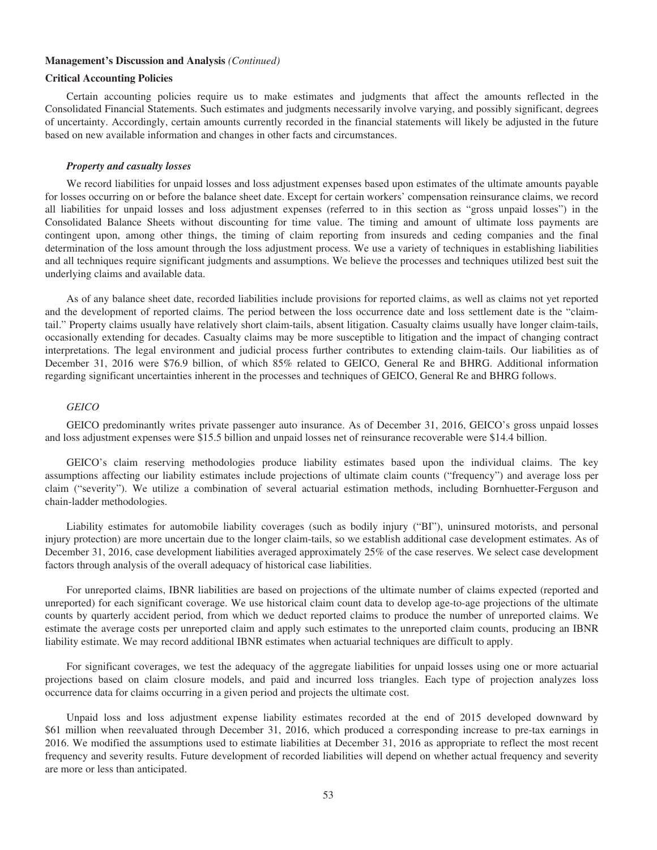## **Critical Accounting Policies**

Certain accounting policies require us to make estimates and judgments that affect the amounts reflected in the Consolidated Financial Statements. Such estimates and judgments necessarily involve varying, and possibly significant, degrees of uncertainty. Accordingly, certain amounts currently recorded in the financial statements will likely be adjusted in the future based on new available information and changes in other facts and circumstances.

#### *Property and casualty losses*

We record liabilities for unpaid losses and loss adjustment expenses based upon estimates of the ultimate amounts payable for losses occurring on or before the balance sheet date. Except for certain workers' compensation reinsurance claims, we record all liabilities for unpaid losses and loss adjustment expenses (referred to in this section as "gross unpaid losses") in the Consolidated Balance Sheets without discounting for time value. The timing and amount of ultimate loss payments are contingent upon, among other things, the timing of claim reporting from insureds and ceding companies and the final determination of the loss amount through the loss adjustment process. We use a variety of techniques in establishing liabilities and all techniques require significant judgments and assumptions. We believe the processes and techniques utilized best suit the underlying claims and available data.

As of any balance sheet date, recorded liabilities include provisions for reported claims, as well as claims not yet reported and the development of reported claims. The period between the loss occurrence date and loss settlement date is the "claimtail." Property claims usually have relatively short claim-tails, absent litigation. Casualty claims usually have longer claim-tails, occasionally extending for decades. Casualty claims may be more susceptible to litigation and the impact of changing contract interpretations. The legal environment and judicial process further contributes to extending claim-tails. Our liabilities as of December 31, 2016 were \$76.9 billion, of which 85% related to GEICO, General Re and BHRG. Additional information regarding significant uncertainties inherent in the processes and techniques of GEICO, General Re and BHRG follows.

## *GEICO*

GEICO predominantly writes private passenger auto insurance. As of December 31, 2016, GEICO's gross unpaid losses and loss adjustment expenses were \$15.5 billion and unpaid losses net of reinsurance recoverable were \$14.4 billion.

GEICO's claim reserving methodologies produce liability estimates based upon the individual claims. The key assumptions affecting our liability estimates include projections of ultimate claim counts ("frequency") and average loss per claim ("severity"). We utilize a combination of several actuarial estimation methods, including Bornhuetter-Ferguson and chain-ladder methodologies.

Liability estimates for automobile liability coverages (such as bodily injury ("BI"), uninsured motorists, and personal injury protection) are more uncertain due to the longer claim-tails, so we establish additional case development estimates. As of December 31, 2016, case development liabilities averaged approximately 25% of the case reserves. We select case development factors through analysis of the overall adequacy of historical case liabilities.

For unreported claims, IBNR liabilities are based on projections of the ultimate number of claims expected (reported and unreported) for each significant coverage. We use historical claim count data to develop age-to-age projections of the ultimate counts by quarterly accident period, from which we deduct reported claims to produce the number of unreported claims. We estimate the average costs per unreported claim and apply such estimates to the unreported claim counts, producing an IBNR liability estimate. We may record additional IBNR estimates when actuarial techniques are difficult to apply.

For significant coverages, we test the adequacy of the aggregate liabilities for unpaid losses using one or more actuarial projections based on claim closure models, and paid and incurred loss triangles. Each type of projection analyzes loss occurrence data for claims occurring in a given period and projects the ultimate cost.

Unpaid loss and loss adjustment expense liability estimates recorded at the end of 2015 developed downward by \$61 million when reevaluated through December 31, 2016, which produced a corresponding increase to pre-tax earnings in 2016. We modified the assumptions used to estimate liabilities at December 31, 2016 as appropriate to reflect the most recent frequency and severity results. Future development of recorded liabilities will depend on whether actual frequency and severity are more or less than anticipated.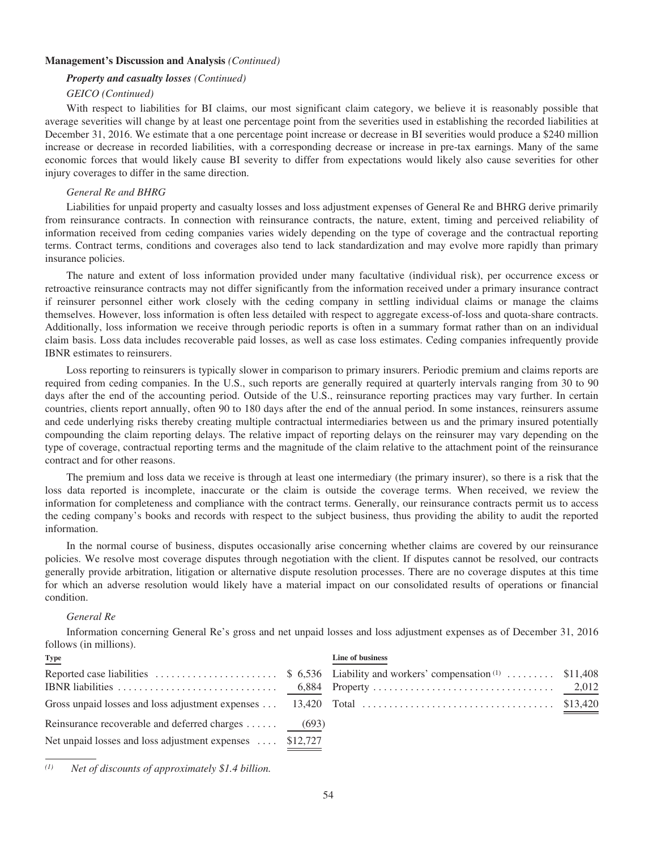### *Property and casualty losses (Continued)*

## *GEICO (Continued)*

With respect to liabilities for BI claims, our most significant claim category, we believe it is reasonably possible that average severities will change by at least one percentage point from the severities used in establishing the recorded liabilities at December 31, 2016. We estimate that a one percentage point increase or decrease in BI severities would produce a \$240 million increase or decrease in recorded liabilities, with a corresponding decrease or increase in pre-tax earnings. Many of the same economic forces that would likely cause BI severity to differ from expectations would likely also cause severities for other injury coverages to differ in the same direction.

## *General Re and BHRG*

Liabilities for unpaid property and casualty losses and loss adjustment expenses of General Re and BHRG derive primarily from reinsurance contracts. In connection with reinsurance contracts, the nature, extent, timing and perceived reliability of information received from ceding companies varies widely depending on the type of coverage and the contractual reporting terms. Contract terms, conditions and coverages also tend to lack standardization and may evolve more rapidly than primary insurance policies.

The nature and extent of loss information provided under many facultative (individual risk), per occurrence excess or retroactive reinsurance contracts may not differ significantly from the information received under a primary insurance contract if reinsurer personnel either work closely with the ceding company in settling individual claims or manage the claims themselves. However, loss information is often less detailed with respect to aggregate excess-of-loss and quota-share contracts. Additionally, loss information we receive through periodic reports is often in a summary format rather than on an individual claim basis. Loss data includes recoverable paid losses, as well as case loss estimates. Ceding companies infrequently provide IBNR estimates to reinsurers.

Loss reporting to reinsurers is typically slower in comparison to primary insurers. Periodic premium and claims reports are required from ceding companies. In the U.S., such reports are generally required at quarterly intervals ranging from 30 to 90 days after the end of the accounting period. Outside of the U.S., reinsurance reporting practices may vary further. In certain countries, clients report annually, often 90 to 180 days after the end of the annual period. In some instances, reinsurers assume and cede underlying risks thereby creating multiple contractual intermediaries between us and the primary insured potentially compounding the claim reporting delays. The relative impact of reporting delays on the reinsurer may vary depending on the type of coverage, contractual reporting terms and the magnitude of the claim relative to the attachment point of the reinsurance contract and for other reasons.

The premium and loss data we receive is through at least one intermediary (the primary insurer), so there is a risk that the loss data reported is incomplete, inaccurate or the claim is outside the coverage terms. When received, we review the information for completeness and compliance with the contract terms. Generally, our reinsurance contracts permit us to access the ceding company's books and records with respect to the subject business, thus providing the ability to audit the reported information.

In the normal course of business, disputes occasionally arise concerning whether claims are covered by our reinsurance policies. We resolve most coverage disputes through negotiation with the client. If disputes cannot be resolved, our contracts generally provide arbitration, litigation or alternative dispute resolution processes. There are no coverage disputes at this time for which an adverse resolution would likely have a material impact on our consolidated results of operations or financial condition.

## *General Re*

Information concerning General Re's gross and net unpaid losses and loss adjustment expenses as of December 31, 2016 follows (in millions).

| <b>Type</b>                                                     | Line of business |  |
|-----------------------------------------------------------------|------------------|--|
|                                                                 |                  |  |
|                                                                 |                  |  |
|                                                                 |                  |  |
| Reinsurance recoverable and deferred charges $\dots$ (693)      |                  |  |
| Net unpaid losses and loss adjustment expenses $\dots$ \$12,727 |                  |  |

*(1) Net of discounts of approximately \$1.4 billion.*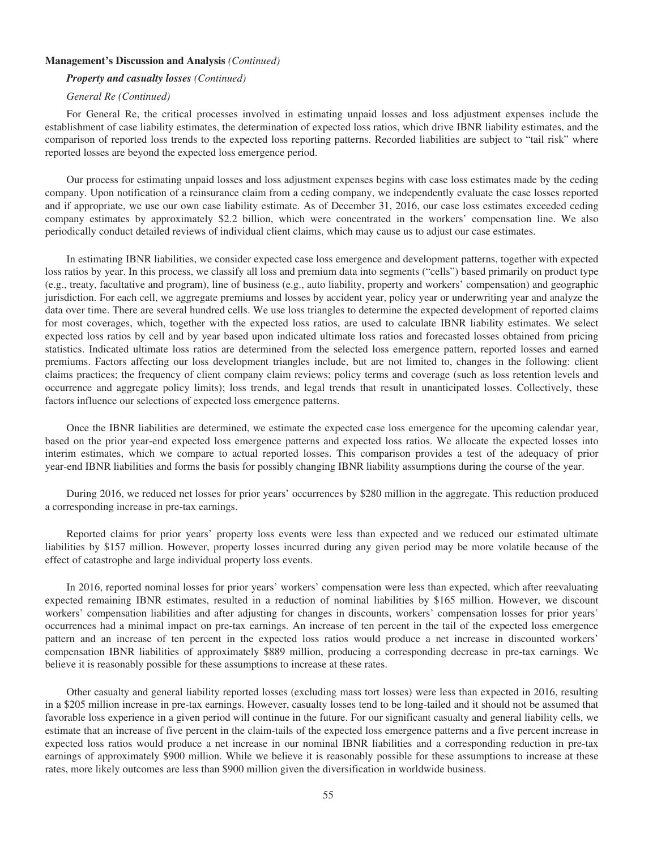## *Property and casualty losses (Continued)*

## *General Re (Continued)*

For General Re, the critical processes involved in estimating unpaid losses and loss adjustment expenses include the establishment of case liability estimates, the determination of expected loss ratios, which drive IBNR liability estimates, and the comparison of reported loss trends to the expected loss reporting patterns. Recorded liabilities are subject to "tail risk" where reported losses are beyond the expected loss emergence period.

Our process for estimating unpaid losses and loss adjustment expenses begins with case loss estimates made by the ceding company. Upon notification of a reinsurance claim from a ceding company, we independently evaluate the case losses reported and if appropriate, we use our own case liability estimate. As of December 31, 2016, our case loss estimates exceeded ceding company estimates by approximately \$2.2 billion, which were concentrated in the workers' compensation line. We also periodically conduct detailed reviews of individual client claims, which may cause us to adjust our case estimates.

In estimating IBNR liabilities, we consider expected case loss emergence and development patterns, together with expected loss ratios by year. In this process, we classify all loss and premium data into segments ("cells") based primarily on product type (e.g., treaty, facultative and program), line of business (e.g., auto liability, property and workers' compensation) and geographic jurisdiction. For each cell, we aggregate premiums and losses by accident year, policy year or underwriting year and analyze the data over time. There are several hundred cells. We use loss triangles to determine the expected development of reported claims for most coverages, which, together with the expected loss ratios, are used to calculate IBNR liability estimates. We select expected loss ratios by cell and by year based upon indicated ultimate loss ratios and forecasted losses obtained from pricing statistics. Indicated ultimate loss ratios are determined from the selected loss emergence pattern, reported losses and earned premiums. Factors affecting our loss development triangles include, but are not limited to, changes in the following: client claims practices; the frequency of client company claim reviews; policy terms and coverage (such as loss retention levels and occurrence and aggregate policy limits); loss trends, and legal trends that result in unanticipated losses. Collectively, these factors influence our selections of expected loss emergence patterns.

Once the IBNR liabilities are determined, we estimate the expected case loss emergence for the upcoming calendar year, based on the prior year-end expected loss emergence patterns and expected loss ratios. We allocate the expected losses into interim estimates, which we compare to actual reported losses. This comparison provides a test of the adequacy of prior year-end IBNR liabilities and forms the basis for possibly changing IBNR liability assumptions during the course of the year.

During 2016, we reduced net losses for prior years' occurrences by \$280 million in the aggregate. This reduction produced a corresponding increase in pre-tax earnings.

Reported claims for prior years' property loss events were less than expected and we reduced our estimated ultimate liabilities by \$157 million. However, property losses incurred during any given period may be more volatile because of the effect of catastrophe and large individual property loss events.

In 2016, reported nominal losses for prior years' workers' compensation were less than expected, which after reevaluating expected remaining IBNR estimates, resulted in a reduction of nominal liabilities by \$165 million. However, we discount workers' compensation liabilities and after adjusting for changes in discounts, workers' compensation losses for prior years' occurrences had a minimal impact on pre-tax earnings. An increase of ten percent in the tail of the expected loss emergence pattern and an increase of ten percent in the expected loss ratios would produce a net increase in discounted workers' compensation IBNR liabilities of approximately \$889 million, producing a corresponding decrease in pre-tax earnings. We believe it is reasonably possible for these assumptions to increase at these rates.

Other casualty and general liability reported losses (excluding mass tort losses) were less than expected in 2016, resulting in a \$205 million increase in pre-tax earnings. However, casualty losses tend to be long-tailed and it should not be assumed that favorable loss experience in a given period will continue in the future. For our significant casualty and general liability cells, we estimate that an increase of five percent in the claim-tails of the expected loss emergence patterns and a five percent increase in expected loss ratios would produce a net increase in our nominal IBNR liabilities and a corresponding reduction in pre-tax earnings of approximately \$900 million. While we believe it is reasonably possible for these assumptions to increase at these rates, more likely outcomes are less than \$900 million given the diversification in worldwide business.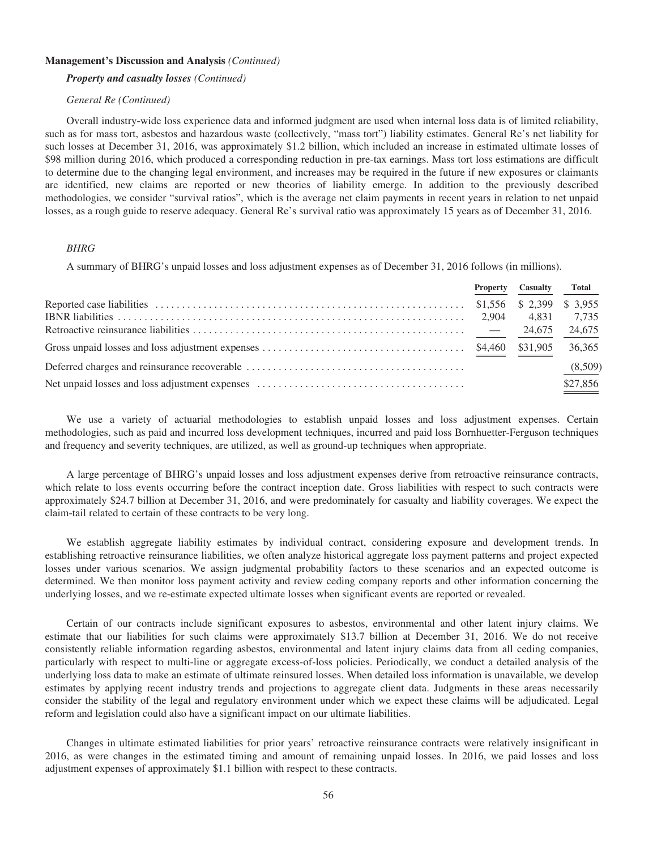## *Property and casualty losses (Continued)*

## *General Re (Continued)*

Overall industry-wide loss experience data and informed judgment are used when internal loss data is of limited reliability, such as for mass tort, asbestos and hazardous waste (collectively, "mass tort") liability estimates. General Re's net liability for such losses at December 31, 2016, was approximately \$1.2 billion, which included an increase in estimated ultimate losses of \$98 million during 2016, which produced a corresponding reduction in pre-tax earnings. Mass tort loss estimations are difficult to determine due to the changing legal environment, and increases may be required in the future if new exposures or claimants are identified, new claims are reported or new theories of liability emerge. In addition to the previously described methodologies, we consider "survival ratios", which is the average net claim payments in recent years in relation to net unpaid losses, as a rough guide to reserve adequacy. General Re's survival ratio was approximately 15 years as of December 31, 2016.

#### *BHRG*

A summary of BHRG's unpaid losses and loss adjustment expenses as of December 31, 2016 follows (in millions).

|  | <b>Property</b> Casualty | Total    |
|--|--------------------------|----------|
|  |                          |          |
|  | 4.831 7.735              |          |
|  |                          | 24,675   |
|  |                          | 36,365   |
|  |                          | (8,509)  |
|  |                          | \$27,856 |

We use a variety of actuarial methodologies to establish unpaid losses and loss adjustment expenses. Certain methodologies, such as paid and incurred loss development techniques, incurred and paid loss Bornhuetter-Ferguson techniques and frequency and severity techniques, are utilized, as well as ground-up techniques when appropriate.

A large percentage of BHRG's unpaid losses and loss adjustment expenses derive from retroactive reinsurance contracts, which relate to loss events occurring before the contract inception date. Gross liabilities with respect to such contracts were approximately \$24.7 billion at December 31, 2016, and were predominately for casualty and liability coverages. We expect the claim-tail related to certain of these contracts to be very long.

We establish aggregate liability estimates by individual contract, considering exposure and development trends. In establishing retroactive reinsurance liabilities, we often analyze historical aggregate loss payment patterns and project expected losses under various scenarios. We assign judgmental probability factors to these scenarios and an expected outcome is determined. We then monitor loss payment activity and review ceding company reports and other information concerning the underlying losses, and we re-estimate expected ultimate losses when significant events are reported or revealed.

Certain of our contracts include significant exposures to asbestos, environmental and other latent injury claims. We estimate that our liabilities for such claims were approximately \$13.7 billion at December 31, 2016. We do not receive consistently reliable information regarding asbestos, environmental and latent injury claims data from all ceding companies, particularly with respect to multi-line or aggregate excess-of-loss policies. Periodically, we conduct a detailed analysis of the underlying loss data to make an estimate of ultimate reinsured losses. When detailed loss information is unavailable, we develop estimates by applying recent industry trends and projections to aggregate client data. Judgments in these areas necessarily consider the stability of the legal and regulatory environment under which we expect these claims will be adjudicated. Legal reform and legislation could also have a significant impact on our ultimate liabilities.

Changes in ultimate estimated liabilities for prior years' retroactive reinsurance contracts were relatively insignificant in 2016, as were changes in the estimated timing and amount of remaining unpaid losses. In 2016, we paid losses and loss adjustment expenses of approximately \$1.1 billion with respect to these contracts.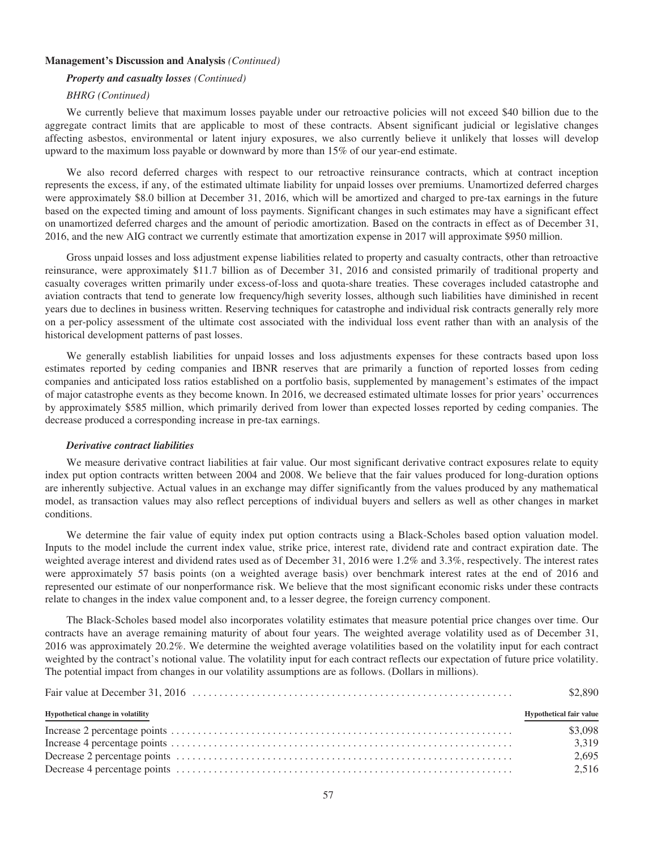## *Property and casualty losses (Continued)*

## *BHRG (Continued)*

We currently believe that maximum losses payable under our retroactive policies will not exceed \$40 billion due to the aggregate contract limits that are applicable to most of these contracts. Absent significant judicial or legislative changes affecting asbestos, environmental or latent injury exposures, we also currently believe it unlikely that losses will develop upward to the maximum loss payable or downward by more than 15% of our year-end estimate.

We also record deferred charges with respect to our retroactive reinsurance contracts, which at contract inception represents the excess, if any, of the estimated ultimate liability for unpaid losses over premiums. Unamortized deferred charges were approximately \$8.0 billion at December 31, 2016, which will be amortized and charged to pre-tax earnings in the future based on the expected timing and amount of loss payments. Significant changes in such estimates may have a significant effect on unamortized deferred charges and the amount of periodic amortization. Based on the contracts in effect as of December 31, 2016, and the new AIG contract we currently estimate that amortization expense in 2017 will approximate \$950 million.

Gross unpaid losses and loss adjustment expense liabilities related to property and casualty contracts, other than retroactive reinsurance, were approximately \$11.7 billion as of December 31, 2016 and consisted primarily of traditional property and casualty coverages written primarily under excess-of-loss and quota-share treaties. These coverages included catastrophe and aviation contracts that tend to generate low frequency/high severity losses, although such liabilities have diminished in recent years due to declines in business written. Reserving techniques for catastrophe and individual risk contracts generally rely more on a per-policy assessment of the ultimate cost associated with the individual loss event rather than with an analysis of the historical development patterns of past losses.

We generally establish liabilities for unpaid losses and loss adjustments expenses for these contracts based upon loss estimates reported by ceding companies and IBNR reserves that are primarily a function of reported losses from ceding companies and anticipated loss ratios established on a portfolio basis, supplemented by management's estimates of the impact of major catastrophe events as they become known. In 2016, we decreased estimated ultimate losses for prior years' occurrences by approximately \$585 million, which primarily derived from lower than expected losses reported by ceding companies. The decrease produced a corresponding increase in pre-tax earnings.

#### *Derivative contract liabilities*

We measure derivative contract liabilities at fair value. Our most significant derivative contract exposures relate to equity index put option contracts written between 2004 and 2008. We believe that the fair values produced for long-duration options are inherently subjective. Actual values in an exchange may differ significantly from the values produced by any mathematical model, as transaction values may also reflect perceptions of individual buyers and sellers as well as other changes in market conditions.

We determine the fair value of equity index put option contracts using a Black-Scholes based option valuation model. Inputs to the model include the current index value, strike price, interest rate, dividend rate and contract expiration date. The weighted average interest and dividend rates used as of December 31, 2016 were 1.2% and 3.3%, respectively. The interest rates were approximately 57 basis points (on a weighted average basis) over benchmark interest rates at the end of 2016 and represented our estimate of our nonperformance risk. We believe that the most significant economic risks under these contracts relate to changes in the index value component and, to a lesser degree, the foreign currency component.

The Black-Scholes based model also incorporates volatility estimates that measure potential price changes over time. Our contracts have an average remaining maturity of about four years. The weighted average volatility used as of December 31, 2016 was approximately 20.2%. We determine the weighted average volatilities based on the volatility input for each contract weighted by the contract's notional value. The volatility input for each contract reflects our expectation of future price volatility. The potential impact from changes in our volatility assumptions are as follows. (Dollars in millions).

|                                   | \$2.890                        |
|-----------------------------------|--------------------------------|
| Hypothetical change in volatility | <b>Hypothetical fair value</b> |
|                                   | \$3,098                        |
|                                   | 3.319                          |
|                                   | 2.695                          |
|                                   | 2.516                          |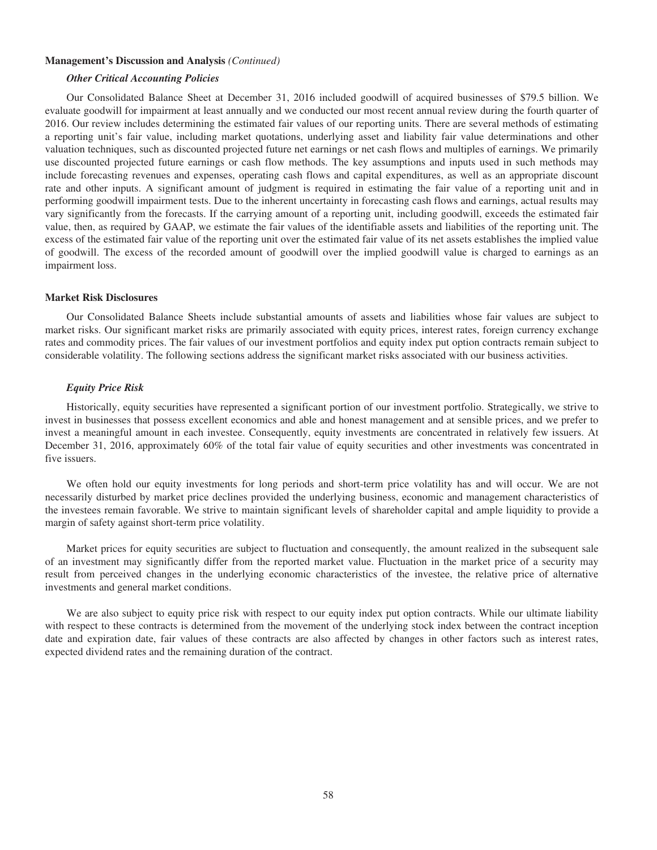## *Other Critical Accounting Policies*

Our Consolidated Balance Sheet at December 31, 2016 included goodwill of acquired businesses of \$79.5 billion. We evaluate goodwill for impairment at least annually and we conducted our most recent annual review during the fourth quarter of 2016. Our review includes determining the estimated fair values of our reporting units. There are several methods of estimating a reporting unit's fair value, including market quotations, underlying asset and liability fair value determinations and other valuation techniques, such as discounted projected future net earnings or net cash flows and multiples of earnings. We primarily use discounted projected future earnings or cash flow methods. The key assumptions and inputs used in such methods may include forecasting revenues and expenses, operating cash flows and capital expenditures, as well as an appropriate discount rate and other inputs. A significant amount of judgment is required in estimating the fair value of a reporting unit and in performing goodwill impairment tests. Due to the inherent uncertainty in forecasting cash flows and earnings, actual results may vary significantly from the forecasts. If the carrying amount of a reporting unit, including goodwill, exceeds the estimated fair value, then, as required by GAAP, we estimate the fair values of the identifiable assets and liabilities of the reporting unit. The excess of the estimated fair value of the reporting unit over the estimated fair value of its net assets establishes the implied value of goodwill. The excess of the recorded amount of goodwill over the implied goodwill value is charged to earnings as an impairment loss.

#### **Market Risk Disclosures**

Our Consolidated Balance Sheets include substantial amounts of assets and liabilities whose fair values are subject to market risks. Our significant market risks are primarily associated with equity prices, interest rates, foreign currency exchange rates and commodity prices. The fair values of our investment portfolios and equity index put option contracts remain subject to considerable volatility. The following sections address the significant market risks associated with our business activities.

## *Equity Price Risk*

Historically, equity securities have represented a significant portion of our investment portfolio. Strategically, we strive to invest in businesses that possess excellent economics and able and honest management and at sensible prices, and we prefer to invest a meaningful amount in each investee. Consequently, equity investments are concentrated in relatively few issuers. At December 31, 2016, approximately 60% of the total fair value of equity securities and other investments was concentrated in five issuers.

We often hold our equity investments for long periods and short-term price volatility has and will occur. We are not necessarily disturbed by market price declines provided the underlying business, economic and management characteristics of the investees remain favorable. We strive to maintain significant levels of shareholder capital and ample liquidity to provide a margin of safety against short-term price volatility.

Market prices for equity securities are subject to fluctuation and consequently, the amount realized in the subsequent sale of an investment may significantly differ from the reported market value. Fluctuation in the market price of a security may result from perceived changes in the underlying economic characteristics of the investee, the relative price of alternative investments and general market conditions.

We are also subject to equity price risk with respect to our equity index put option contracts. While our ultimate liability with respect to these contracts is determined from the movement of the underlying stock index between the contract inception date and expiration date, fair values of these contracts are also affected by changes in other factors such as interest rates, expected dividend rates and the remaining duration of the contract.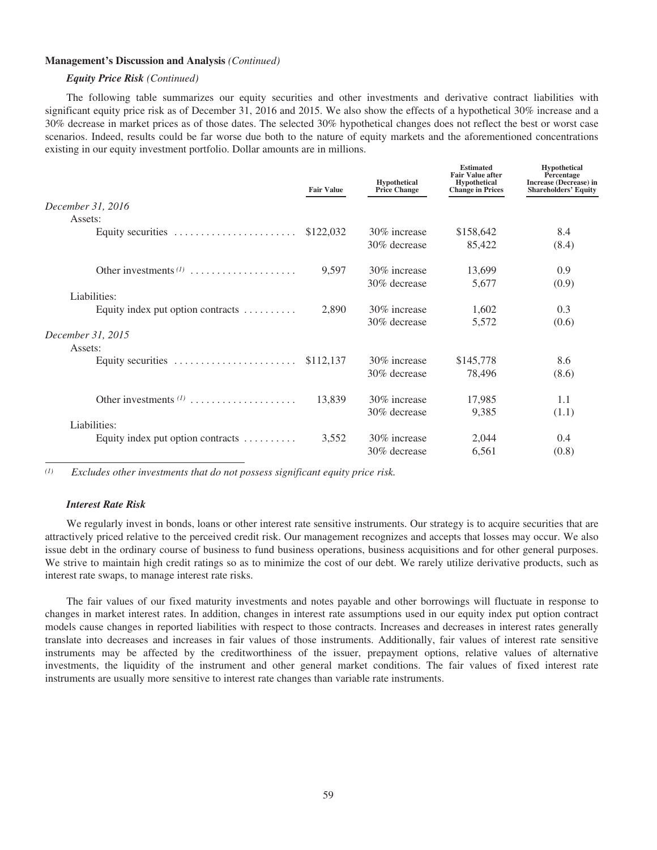## *Equity Price Risk (Continued)*

The following table summarizes our equity securities and other investments and derivative contract liabilities with significant equity price risk as of December 31, 2016 and 2015. We also show the effects of a hypothetical 30% increase and a 30% decrease in market prices as of those dates. The selected 30% hypothetical changes does not reflect the best or worst case scenarios. Indeed, results could be far worse due both to the nature of equity markets and the aforementioned concentrations existing in our equity investment portfolio. Dollar amounts are in millions.

|                                                               | <b>Fair Value</b> | <b>Hypothetical</b><br><b>Price Change</b> | <b>Estimated</b><br><b>Fair Value after</b><br><b>Hypothetical</b><br><b>Change in Prices</b> | <b>Hypothetical</b><br>Percentage<br>Increase (Decrease) in<br><b>Shareholders' Equity</b> |
|---------------------------------------------------------------|-------------------|--------------------------------------------|-----------------------------------------------------------------------------------------------|--------------------------------------------------------------------------------------------|
| December 31, 2016                                             |                   |                                            |                                                                                               |                                                                                            |
| Assets:                                                       |                   |                                            |                                                                                               |                                                                                            |
| Equity securities $\dots \dots \dots \dots \dots \dots \dots$ | \$122,032         | 30% increase                               | \$158,642                                                                                     | 8.4                                                                                        |
|                                                               |                   | 30% decrease                               | 85,422                                                                                        | (8.4)                                                                                      |
| Other investments $(1)$                                       | 9,597             | 30% increase                               | 13,699                                                                                        | 0.9                                                                                        |
|                                                               |                   | 30% decrease                               | 5,677                                                                                         | (0.9)                                                                                      |
| Liabilities:                                                  |                   |                                            |                                                                                               |                                                                                            |
| Equity index put option contracts $\dots\dots\dots$           | 2,890             | 30% increase                               | 1,602                                                                                         | 0.3                                                                                        |
|                                                               |                   | 30% decrease                               | 5,572                                                                                         | (0.6)                                                                                      |
| December 31, 2015                                             |                   |                                            |                                                                                               |                                                                                            |
| Assets:                                                       |                   |                                            |                                                                                               |                                                                                            |
| Equity securities                                             | \$112,137         | 30% increase                               | \$145,778                                                                                     | 8.6                                                                                        |
|                                                               |                   | 30% decrease                               | 78,496                                                                                        | (8.6)                                                                                      |
| Other investments $(1)$                                       | 13,839            | 30% increase                               | 17,985                                                                                        | 1.1                                                                                        |
|                                                               |                   | 30% decrease                               | 9,385                                                                                         | (1.1)                                                                                      |
| Liabilities:                                                  |                   |                                            |                                                                                               |                                                                                            |
| Equity index put option contracts $\dots\dots\dots$           | 3,552             | 30% increase                               | 2,044                                                                                         | 0.4                                                                                        |
|                                                               |                   | 30% decrease                               | 6,561                                                                                         | (0.8)                                                                                      |
|                                                               |                   |                                            |                                                                                               |                                                                                            |

*(1) Excludes other investments that do not possess significant equity price risk.*

### *Interest Rate Risk*

We regularly invest in bonds, loans or other interest rate sensitive instruments. Our strategy is to acquire securities that are attractively priced relative to the perceived credit risk. Our management recognizes and accepts that losses may occur. We also issue debt in the ordinary course of business to fund business operations, business acquisitions and for other general purposes. We strive to maintain high credit ratings so as to minimize the cost of our debt. We rarely utilize derivative products, such as interest rate swaps, to manage interest rate risks.

The fair values of our fixed maturity investments and notes payable and other borrowings will fluctuate in response to changes in market interest rates. In addition, changes in interest rate assumptions used in our equity index put option contract models cause changes in reported liabilities with respect to those contracts. Increases and decreases in interest rates generally translate into decreases and increases in fair values of those instruments. Additionally, fair values of interest rate sensitive instruments may be affected by the creditworthiness of the issuer, prepayment options, relative values of alternative investments, the liquidity of the instrument and other general market conditions. The fair values of fixed interest rate instruments are usually more sensitive to interest rate changes than variable rate instruments.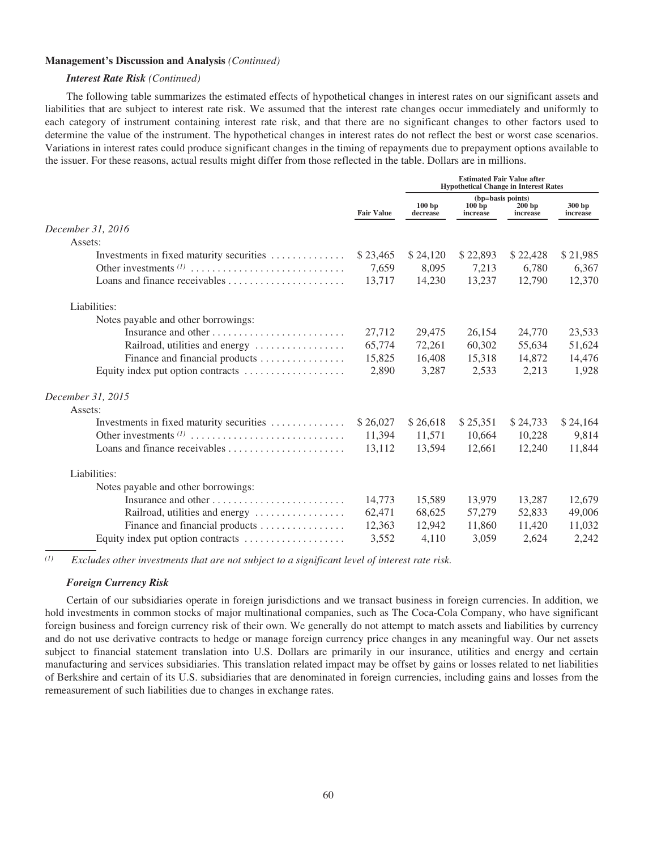## *Interest Rate Risk (Continued)*

The following table summarizes the estimated effects of hypothetical changes in interest rates on our significant assets and liabilities that are subject to interest rate risk. We assumed that the interest rate changes occur immediately and uniformly to each category of instrument containing interest rate risk, and that there are no significant changes to other factors used to determine the value of the instrument. The hypothetical changes in interest rates do not reflect the best or worst case scenarios. Variations in interest rates could produce significant changes in the timing of repayments due to prepayment options available to the issuer. For these reasons, actual results might differ from those reflected in the table. Dollars are in millions.

|                                          |                   | <b>Hypothetical Change in Interest Rates</b> |                                           |                      |                    |
|------------------------------------------|-------------------|----------------------------------------------|-------------------------------------------|----------------------|--------------------|
|                                          | <b>Fair Value</b> | 100 <sub>bp</sub><br>decrease                | (bp=basis points)<br>$100$ bp<br>increase | $200$ bp<br>increase | 300 bp<br>increase |
| December 31, 2016                        |                   |                                              |                                           |                      |                    |
| Assets:                                  |                   |                                              |                                           |                      |                    |
| Investments in fixed maturity securities | \$23,465          | \$24,120                                     | \$22,893                                  | \$22,428             | \$21,985           |
|                                          | 7,659             | 8,095                                        | 7,213                                     | 6,780                | 6,367              |
|                                          | 13.717            | 14,230                                       | 13,237                                    | 12,790               | 12,370             |
| Liabilities:                             |                   |                                              |                                           |                      |                    |
| Notes payable and other borrowings:      |                   |                                              |                                           |                      |                    |
|                                          | 27,712            | 29,475                                       | 26,154                                    | 24,770               | 23,533             |
| Railroad, utilities and energy           | 65,774            | 72,261                                       | 60,302                                    | 55,634               | 51,624             |
| Finance and financial products           | 15,825            | 16,408                                       | 15,318                                    | 14,872               | 14,476             |
| Equity index put option contracts        | 2,890             | 3,287                                        | 2,533                                     | 2,213                | 1,928              |
| December 31, 2015                        |                   |                                              |                                           |                      |                    |
| Assets:                                  |                   |                                              |                                           |                      |                    |
| Investments in fixed maturity securities | \$26,027          | \$26,618                                     | \$25,351                                  | \$24,733             | \$24,164           |
|                                          | 11,394            | 11,571                                       | 10,664                                    | 10,228               | 9,814              |
|                                          | 13,112            | 13,594                                       | 12,661                                    | 12,240               | 11,844             |
| Liabilities:                             |                   |                                              |                                           |                      |                    |
| Notes payable and other borrowings:      |                   |                                              |                                           |                      |                    |
|                                          | 14,773            | 15,589                                       | 13,979                                    | 13,287               | 12,679             |
| Railroad, utilities and energy           | 62,471            | 68,625                                       | 57,279                                    | 52,833               | 49,006             |
| Finance and financial products           | 12,363            | 12.942                                       | 11,860                                    | 11,420               | 11,032             |
| Equity index put option contracts        | 3,552             | 4,110                                        | 3,059                                     | 2,624                | 2,242              |

*(1) Excludes other investments that are not subject to a significant level of interest rate risk.*

#### *Foreign Currency Risk*

Certain of our subsidiaries operate in foreign jurisdictions and we transact business in foreign currencies. In addition, we hold investments in common stocks of major multinational companies, such as The Coca-Cola Company, who have significant foreign business and foreign currency risk of their own. We generally do not attempt to match assets and liabilities by currency and do not use derivative contracts to hedge or manage foreign currency price changes in any meaningful way. Our net assets subject to financial statement translation into U.S. Dollars are primarily in our insurance, utilities and energy and certain manufacturing and services subsidiaries. This translation related impact may be offset by gains or losses related to net liabilities of Berkshire and certain of its U.S. subsidiaries that are denominated in foreign currencies, including gains and losses from the remeasurement of such liabilities due to changes in exchange rates.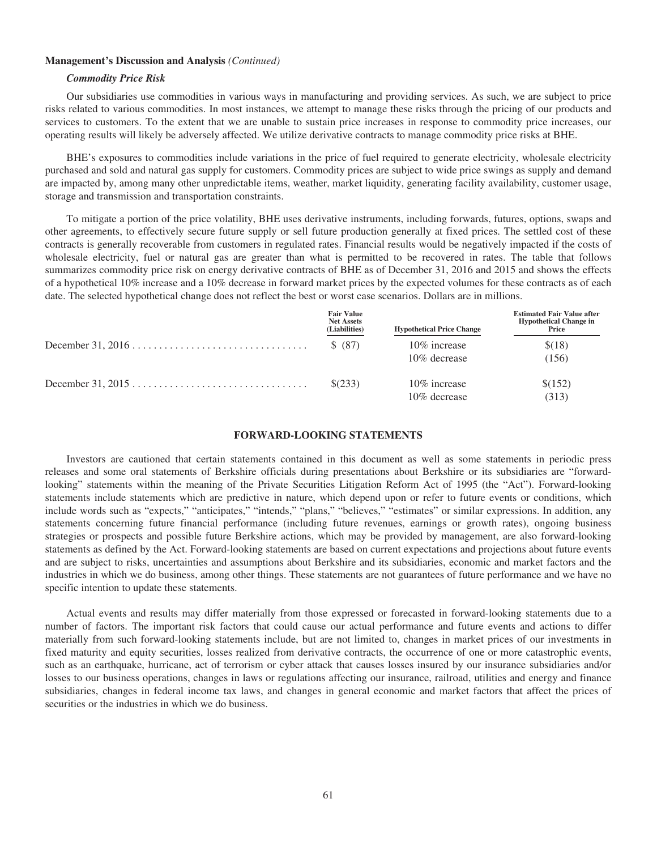## *Commodity Price Risk*

Our subsidiaries use commodities in various ways in manufacturing and providing services. As such, we are subject to price risks related to various commodities. In most instances, we attempt to manage these risks through the pricing of our products and services to customers. To the extent that we are unable to sustain price increases in response to commodity price increases, our operating results will likely be adversely affected. We utilize derivative contracts to manage commodity price risks at BHE.

BHE's exposures to commodities include variations in the price of fuel required to generate electricity, wholesale electricity purchased and sold and natural gas supply for customers. Commodity prices are subject to wide price swings as supply and demand are impacted by, among many other unpredictable items, weather, market liquidity, generating facility availability, customer usage, storage and transmission and transportation constraints.

To mitigate a portion of the price volatility, BHE uses derivative instruments, including forwards, futures, options, swaps and other agreements, to effectively secure future supply or sell future production generally at fixed prices. The settled cost of these contracts is generally recoverable from customers in regulated rates. Financial results would be negatively impacted if the costs of wholesale electricity, fuel or natural gas are greater than what is permitted to be recovered in rates. The table that follows summarizes commodity price risk on energy derivative contracts of BHE as of December 31, 2016 and 2015 and shows the effects of a hypothetical 10% increase and a 10% decrease in forward market prices by the expected volumes for these contracts as of each date. The selected hypothetical change does not reflect the best or worst case scenarios. Dollars are in millions.

| <b>Fair Value</b><br><b>Net Assets</b><br>(Liabilities) | <b>Hypothetical Price Change</b> | <b>Estimated Fair Value after</b><br><b>Hypothetical Change in</b><br>Price |
|---------------------------------------------------------|----------------------------------|-----------------------------------------------------------------------------|
| \$ (87)                                                 | 10\% increase                    | \$(18)                                                                      |
|                                                         | 10\% decrease                    | (156)                                                                       |
| $$^{(233)}$                                             | $10\%$ increase                  | \$(152)                                                                     |
|                                                         | 10% decrease                     | (313)                                                                       |

### **FORWARD-LOOKING STATEMENTS**

Investors are cautioned that certain statements contained in this document as well as some statements in periodic press releases and some oral statements of Berkshire officials during presentations about Berkshire or its subsidiaries are "forwardlooking" statements within the meaning of the Private Securities Litigation Reform Act of 1995 (the "Act"). Forward-looking statements include statements which are predictive in nature, which depend upon or refer to future events or conditions, which include words such as "expects," "anticipates," "intends," "plans," "believes," "estimates" or similar expressions. In addition, any statements concerning future financial performance (including future revenues, earnings or growth rates), ongoing business strategies or prospects and possible future Berkshire actions, which may be provided by management, are also forward-looking statements as defined by the Act. Forward-looking statements are based on current expectations and projections about future events and are subject to risks, uncertainties and assumptions about Berkshire and its subsidiaries, economic and market factors and the industries in which we do business, among other things. These statements are not guarantees of future performance and we have no specific intention to update these statements.

Actual events and results may differ materially from those expressed or forecasted in forward-looking statements due to a number of factors. The important risk factors that could cause our actual performance and future events and actions to differ materially from such forward-looking statements include, but are not limited to, changes in market prices of our investments in fixed maturity and equity securities, losses realized from derivative contracts, the occurrence of one or more catastrophic events, such as an earthquake, hurricane, act of terrorism or cyber attack that causes losses insured by our insurance subsidiaries and/or losses to our business operations, changes in laws or regulations affecting our insurance, railroad, utilities and energy and finance subsidiaries, changes in federal income tax laws, and changes in general economic and market factors that affect the prices of securities or the industries in which we do business.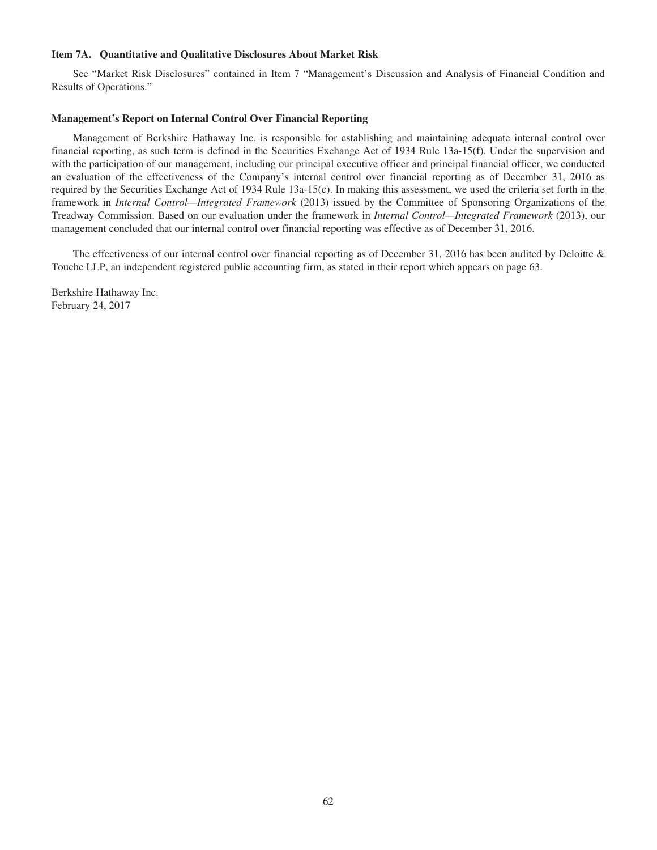## **Item 7A. Quantitative and Qualitative Disclosures About Market Risk**

See "Market Risk Disclosures" contained in Item 7 "Management's Discussion and Analysis of Financial Condition and Results of Operations."

## **Management's Report on Internal Control Over Financial Reporting**

Management of Berkshire Hathaway Inc. is responsible for establishing and maintaining adequate internal control over financial reporting, as such term is defined in the Securities Exchange Act of 1934 Rule 13a-15(f). Under the supervision and with the participation of our management, including our principal executive officer and principal financial officer, we conducted an evaluation of the effectiveness of the Company's internal control over financial reporting as of December 31, 2016 as required by the Securities Exchange Act of 1934 Rule 13a-15(c). In making this assessment, we used the criteria set forth in the framework in *Internal Control—Integrated Framework* (2013) issued by the Committee of Sponsoring Organizations of the Treadway Commission. Based on our evaluation under the framework in *Internal Control—Integrated Framework* (2013), our management concluded that our internal control over financial reporting was effective as of December 31, 2016.

The effectiveness of our internal control over financial reporting as of December 31, 2016 has been audited by Deloitte  $\&$ Touche LLP, an independent registered public accounting firm, as stated in their report which appears on page 63.

Berkshire Hathaway Inc. February 24, 2017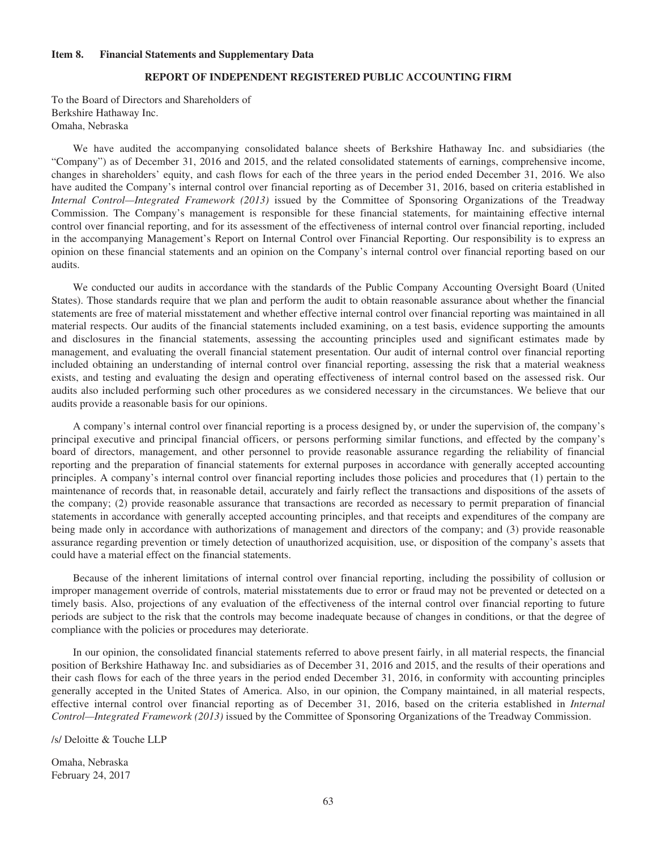#### **Item 8. Financial Statements and Supplementary Data**

## **REPORT OF INDEPENDENT REGISTERED PUBLIC ACCOUNTING FIRM**

To the Board of Directors and Shareholders of Berkshire Hathaway Inc. Omaha, Nebraska

We have audited the accompanying consolidated balance sheets of Berkshire Hathaway Inc. and subsidiaries (the "Company") as of December 31, 2016 and 2015, and the related consolidated statements of earnings, comprehensive income, changes in shareholders' equity, and cash flows for each of the three years in the period ended December 31, 2016. We also have audited the Company's internal control over financial reporting as of December 31, 2016, based on criteria established in *Internal Control—Integrated Framework (2013)* issued by the Committee of Sponsoring Organizations of the Treadway Commission. The Company's management is responsible for these financial statements, for maintaining effective internal control over financial reporting, and for its assessment of the effectiveness of internal control over financial reporting, included in the accompanying Management's Report on Internal Control over Financial Reporting. Our responsibility is to express an opinion on these financial statements and an opinion on the Company's internal control over financial reporting based on our audits.

We conducted our audits in accordance with the standards of the Public Company Accounting Oversight Board (United States). Those standards require that we plan and perform the audit to obtain reasonable assurance about whether the financial statements are free of material misstatement and whether effective internal control over financial reporting was maintained in all material respects. Our audits of the financial statements included examining, on a test basis, evidence supporting the amounts and disclosures in the financial statements, assessing the accounting principles used and significant estimates made by management, and evaluating the overall financial statement presentation. Our audit of internal control over financial reporting included obtaining an understanding of internal control over financial reporting, assessing the risk that a material weakness exists, and testing and evaluating the design and operating effectiveness of internal control based on the assessed risk. Our audits also included performing such other procedures as we considered necessary in the circumstances. We believe that our audits provide a reasonable basis for our opinions.

A company's internal control over financial reporting is a process designed by, or under the supervision of, the company's principal executive and principal financial officers, or persons performing similar functions, and effected by the company's board of directors, management, and other personnel to provide reasonable assurance regarding the reliability of financial reporting and the preparation of financial statements for external purposes in accordance with generally accepted accounting principles. A company's internal control over financial reporting includes those policies and procedures that (1) pertain to the maintenance of records that, in reasonable detail, accurately and fairly reflect the transactions and dispositions of the assets of the company; (2) provide reasonable assurance that transactions are recorded as necessary to permit preparation of financial statements in accordance with generally accepted accounting principles, and that receipts and expenditures of the company are being made only in accordance with authorizations of management and directors of the company; and (3) provide reasonable assurance regarding prevention or timely detection of unauthorized acquisition, use, or disposition of the company's assets that could have a material effect on the financial statements.

Because of the inherent limitations of internal control over financial reporting, including the possibility of collusion or improper management override of controls, material misstatements due to error or fraud may not be prevented or detected on a timely basis. Also, projections of any evaluation of the effectiveness of the internal control over financial reporting to future periods are subject to the risk that the controls may become inadequate because of changes in conditions, or that the degree of compliance with the policies or procedures may deteriorate.

In our opinion, the consolidated financial statements referred to above present fairly, in all material respects, the financial position of Berkshire Hathaway Inc. and subsidiaries as of December 31, 2016 and 2015, and the results of their operations and their cash flows for each of the three years in the period ended December 31, 2016, in conformity with accounting principles generally accepted in the United States of America. Also, in our opinion, the Company maintained, in all material respects, effective internal control over financial reporting as of December 31, 2016, based on the criteria established in *Internal Control—Integrated Framework (2013)* issued by the Committee of Sponsoring Organizations of the Treadway Commission.

/s/ Deloitte & Touche LLP

Omaha, Nebraska February 24, 2017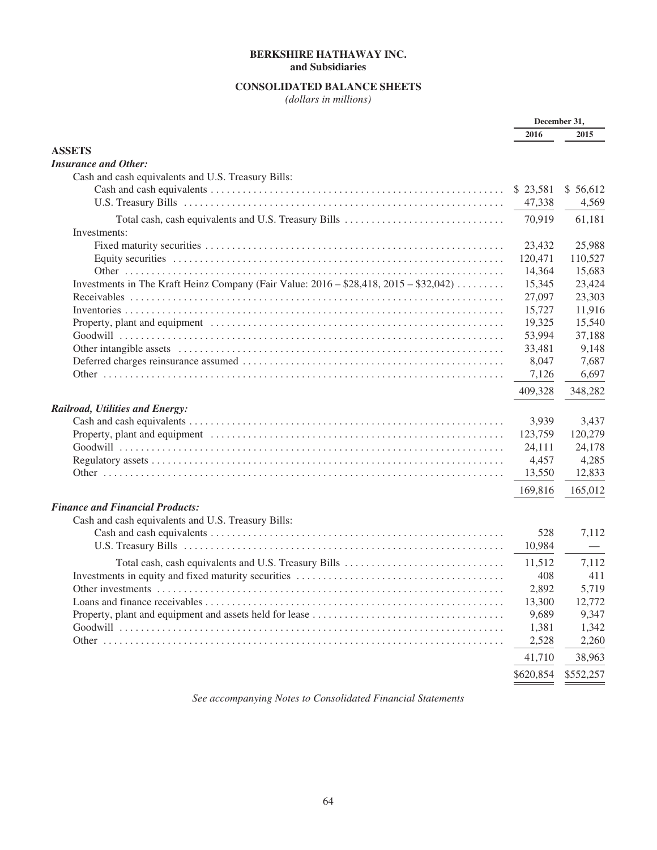# **CONSOLIDATED BALANCE SHEETS**

*(dollars in millions)*

|                                                                                       |           | December 31, |
|---------------------------------------------------------------------------------------|-----------|--------------|
|                                                                                       | 2016      | 2015         |
| <b>ASSETS</b>                                                                         |           |              |
| <b>Insurance and Other:</b>                                                           |           |              |
| Cash and cash equivalents and U.S. Treasury Bills:                                    |           |              |
|                                                                                       | \$23,581  | \$56,612     |
|                                                                                       | 47,338    | 4,569        |
|                                                                                       | 70,919    | 61,181       |
| Investments:                                                                          |           |              |
|                                                                                       | 23,432    | 25,988       |
|                                                                                       | 120,471   | 110,527      |
|                                                                                       | 14,364    | 15,683       |
| Investments in The Kraft Heinz Company (Fair Value: $2016 - $28,418, 2015 - $32,042)$ | 15,345    | 23,424       |
|                                                                                       | 27,097    | 23,303       |
|                                                                                       | 15,727    | 11,916       |
|                                                                                       | 19,325    | 15,540       |
|                                                                                       | 53,994    | 37,188       |
|                                                                                       | 33,481    | 9,148        |
|                                                                                       | 8,047     | 7,687        |
|                                                                                       | 7,126     | 6,697        |
|                                                                                       | 409,328   | 348,282      |
| <b>Railroad, Utilities and Energy:</b>                                                |           |              |
|                                                                                       | 3,939     | 3,437        |
|                                                                                       | 123,759   | 120,279      |
|                                                                                       | 24,111    | 24,178       |
|                                                                                       | 4,457     | 4,285        |
|                                                                                       | 13,550    | 12,833       |
|                                                                                       | 169,816   | 165,012      |
| <b>Finance and Financial Products:</b>                                                |           |              |
| Cash and cash equivalents and U.S. Treasury Bills:                                    |           |              |
|                                                                                       | 528       | 7.112        |
|                                                                                       | 10,984    |              |
|                                                                                       | 11,512    | 7,112        |
|                                                                                       | 408       | 411          |
|                                                                                       | 2,892     | 5,719        |
|                                                                                       | 13,300    | 12,772       |
|                                                                                       | 9,689     | 9,347        |
|                                                                                       | 1,381     | 1,342        |
|                                                                                       | 2,528     | 2,260        |
|                                                                                       | 41,710    | 38,963       |
|                                                                                       | \$620,854 | \$552,257    |
|                                                                                       |           |              |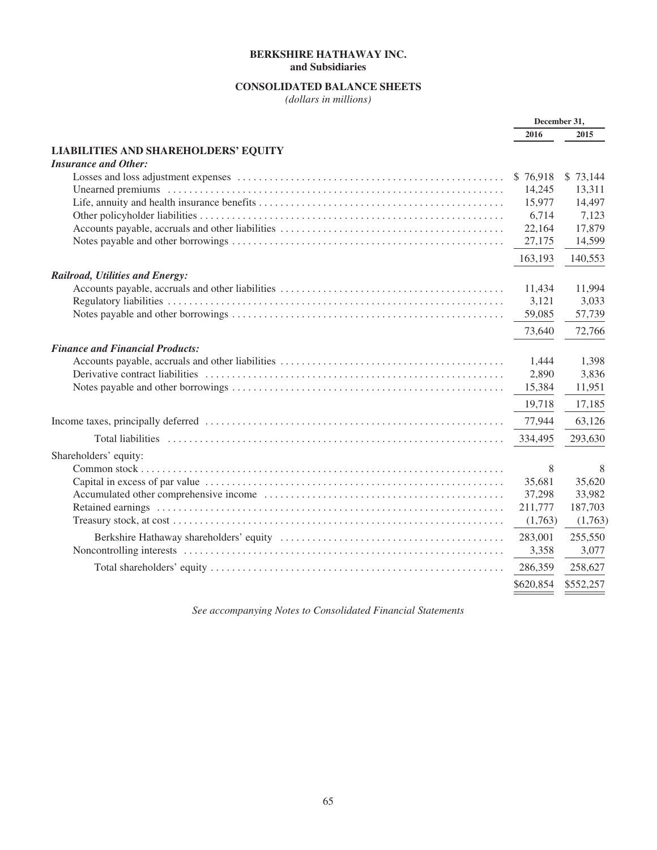# **CONSOLIDATED BALANCE SHEETS**

*(dollars in millions)*

|                                             | December 31, |           |
|---------------------------------------------|--------------|-----------|
|                                             | 2016         | 2015      |
| <b>LIABILITIES AND SHAREHOLDERS' EQUITY</b> |              |           |
| <b>Insurance and Other:</b>                 |              |           |
|                                             | \$76,918     | \$73,144  |
|                                             | 14,245       | 13,311    |
|                                             | 15,977       | 14,497    |
|                                             | 6,714        | 7,123     |
|                                             | 22,164       | 17,879    |
|                                             | 27,175       | 14,599    |
|                                             | 163,193      | 140,553   |
| Railroad, Utilities and Energy:             |              |           |
|                                             | 11,434       | 11,994    |
|                                             | 3,121        | 3,033     |
|                                             | 59,085       | 57,739    |
|                                             | 73,640       | 72,766    |
| <b>Finance and Financial Products:</b>      |              |           |
|                                             | 1,444        | 1,398     |
|                                             | 2,890        | 3,836     |
|                                             | 15,384       | 11,951    |
|                                             | 19,718       | 17,185    |
|                                             | 77,944       | 63,126    |
|                                             | 334,495      | 293,630   |
| Shareholders' equity:                       |              |           |
|                                             | 8            | 8         |
|                                             | 35,681       | 35,620    |
|                                             | 37,298       | 33,982    |
|                                             | 211,777      | 187,703   |
|                                             | (1,763)      | (1,763)   |
|                                             | 283,001      | 255,550   |
|                                             | 3,358        | 3,077     |
|                                             | 286,359      | 258,627   |
|                                             | \$620,854    | \$552,257 |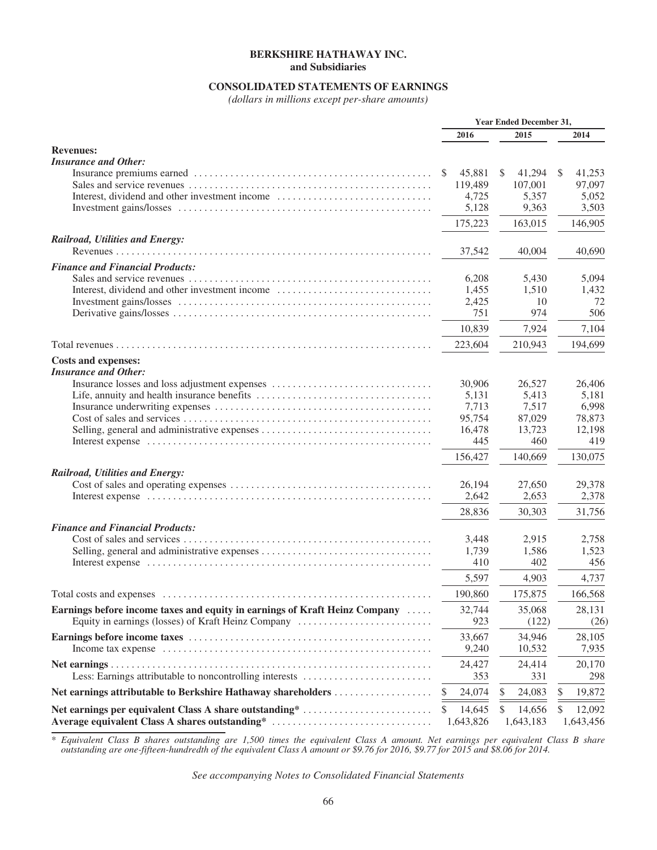## **CONSOLIDATED STATEMENTS OF EARNINGS**

*(dollars in millions except per-share amounts)*

|                                                                                                          |    | <b>Year Ended December 31,</b> |               |                     |                           |  |
|----------------------------------------------------------------------------------------------------------|----|--------------------------------|---------------|---------------------|---------------------------|--|
|                                                                                                          |    | 2016                           |               | 2015                | 2014                      |  |
| <b>Revenues:</b>                                                                                         |    |                                |               |                     |                           |  |
| <b>Insurance and Other:</b>                                                                              |    |                                |               |                     |                           |  |
|                                                                                                          | S  | 45,881                         | <sup>\$</sup> | 41,294              | \$<br>41,253              |  |
|                                                                                                          |    | 119,489                        |               | 107,001             | 97,097                    |  |
| Interest, dividend and other investment income                                                           |    | 4,725                          |               | 5,357               | 5,052                     |  |
|                                                                                                          |    | 5,128                          |               | 9,363               | 3,503                     |  |
|                                                                                                          |    | 175,223                        |               | 163,015             | 146,905                   |  |
| <b>Railroad, Utilities and Energy:</b>                                                                   |    |                                |               |                     |                           |  |
|                                                                                                          |    | 37,542                         |               | 40,004              | 40,690                    |  |
|                                                                                                          |    |                                |               |                     |                           |  |
| <b>Finance and Financial Products:</b>                                                                   |    |                                |               |                     |                           |  |
|                                                                                                          |    | 6,208                          |               | 5,430               | 5,094                     |  |
| Interest, dividend and other investment income                                                           |    | 1,455                          |               | 1,510               | 1,432                     |  |
|                                                                                                          |    | 2,425<br>751                   |               | 10<br>974           | 72<br>506                 |  |
|                                                                                                          |    |                                |               |                     |                           |  |
|                                                                                                          |    | 10,839                         |               | 7,924               | 7,104                     |  |
|                                                                                                          |    | 223,604                        |               | 210,943             | 194,699                   |  |
| <b>Costs and expenses:</b>                                                                               |    |                                |               |                     |                           |  |
| <b>Insurance and Other:</b>                                                                              |    |                                |               |                     |                           |  |
|                                                                                                          |    | 30,906                         |               | 26,527              | 26,406                    |  |
|                                                                                                          |    | 5,131                          |               | 5,413               | 5,181                     |  |
|                                                                                                          |    | 7,713                          |               | 7,517               | 6,998                     |  |
|                                                                                                          |    | 95,754                         |               | 87,029              | 78,873                    |  |
|                                                                                                          |    | 16,478                         |               | 13,723              | 12,198                    |  |
|                                                                                                          |    | 445                            |               | 460                 | 419                       |  |
|                                                                                                          |    | 156,427                        |               | 140,669             | 130,075                   |  |
| <b>Railroad, Utilities and Energy:</b>                                                                   |    |                                |               |                     |                           |  |
|                                                                                                          |    | 26,194                         |               | 27,650              | 29,378                    |  |
|                                                                                                          |    | 2,642                          |               | 2,653               | 2,378                     |  |
|                                                                                                          |    | 28,836                         |               | 30,303              | 31,756                    |  |
| <b>Finance and Financial Products:</b>                                                                   |    |                                |               |                     |                           |  |
|                                                                                                          |    | 3,448                          |               | 2,915               | 2,758                     |  |
|                                                                                                          |    | 1,739                          |               | 1,586               | 1,523                     |  |
|                                                                                                          |    | 410                            |               | 402                 | 456                       |  |
|                                                                                                          |    | 5,597                          |               | 4,903               | 4,737                     |  |
|                                                                                                          |    | 190,860                        |               | 175,875             | 166,568                   |  |
| Earnings before income taxes and equity in earnings of Kraft Heinz Company                               |    | 32,744                         |               | 35,068              | 28,131                    |  |
| Equity in earnings (losses) of Kraft Heinz Company                                                       |    | 923                            |               | (122)               | (26)                      |  |
|                                                                                                          |    | 33,667                         |               | 34,946              | 28,105                    |  |
|                                                                                                          |    | 9,240                          |               | 10,532              | 7,935                     |  |
|                                                                                                          |    | 24,427                         |               | 24,414              | 20,170                    |  |
| Less: Earnings attributable to noncontrolling interests                                                  |    | 353                            |               | 331                 | 298                       |  |
| Net earnings attributable to Berkshire Hathaway shareholders                                             |    | 24,074                         | \$            | 24,083              | \$<br>19,872              |  |
|                                                                                                          |    |                                |               |                     |                           |  |
| Net earnings per equivalent Class A share outstanding*<br>Average equivalent Class A shares outstanding* | \$ | 14,645<br>1,643,826            | \$            | 14,656<br>1,643,183 | \$<br>12,092<br>1,643,456 |  |

*\* Equivalent Class B shares outstanding are 1,500 times the equivalent Class A amount. Net earnings per equivalent Class B share outstanding are one-fifteen-hundredth of the equivalent Class A amount or \$9.76 for 2016, \$9.77 for 2015 and \$8.06 for 2014.*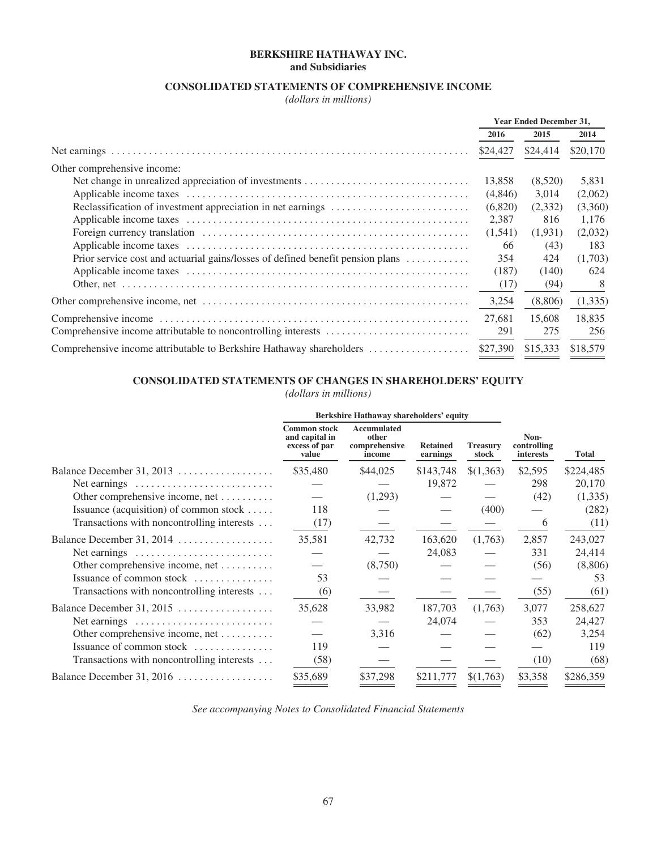## **CONSOLIDATED STATEMENTS OF COMPREHENSIVE INCOME**

*(dollars in millions)*

|                                                                                | <b>Year Ended December 31,</b> |          |          |
|--------------------------------------------------------------------------------|--------------------------------|----------|----------|
|                                                                                | 2016                           | 2015     | 2014     |
|                                                                                | \$24,427                       | \$24,414 | \$20,170 |
| Other comprehensive income:                                                    |                                |          |          |
|                                                                                | 13,858                         | (8,520)  | 5,831    |
|                                                                                | (4,846)                        | 3,014    | (2,062)  |
|                                                                                | (6,820)                        | (2,332)  | (3,360)  |
|                                                                                | 2,387                          | 816      | 1,176    |
|                                                                                | (1,541)                        | (1,931)  | (2,032)  |
|                                                                                | 66                             | (43)     | 183      |
| Prior service cost and actuarial gains/losses of defined benefit pension plans | 354                            | 424      | (1,703)  |
|                                                                                | (187)                          | (140)    | 624      |
|                                                                                | (17)                           | (94)     | -8       |
|                                                                                | 3,254                          | (8,806)  | (1,335)  |
|                                                                                | 27.681                         | 15,608   | 18.835   |
|                                                                                | 291                            | 275      | 256      |
|                                                                                | \$27,390                       | \$15,333 | \$18,579 |

# **CONSOLIDATED STATEMENTS OF CHANGES IN SHAREHOLDERS' EQUITY**

*(dollars in millions)*

|                                                                | <b>Berkshire Hathaway shareholders' equity</b>                  |                                                        |                             |                          |                                         |              |
|----------------------------------------------------------------|-----------------------------------------------------------------|--------------------------------------------------------|-----------------------------|--------------------------|-----------------------------------------|--------------|
|                                                                | <b>Common stock</b><br>and capital in<br>excess of par<br>value | <b>Accumulated</b><br>other<br>comprehensive<br>income | <b>Retained</b><br>earnings | <b>Treasurv</b><br>stock | Non-<br>controlling<br><i>interests</i> | <b>Total</b> |
| Balance December 31, 2013                                      | \$35,480                                                        | \$44,025                                               | \$143,748                   | \$(1,363)                | \$2,595                                 | \$224,485    |
| Net earnings                                                   |                                                                 |                                                        | 19,872                      |                          | 298                                     | 20,170       |
| Other comprehensive income, net                                |                                                                 | (1,293)                                                |                             |                          | (42)                                    | (1,335)      |
| Issuance (acquisition) of common stock                         | 118                                                             |                                                        |                             | (400)                    |                                         | (282)        |
| Transactions with noncontrolling interests                     | (17)                                                            |                                                        |                             |                          | 6                                       | (11)         |
| Balance December 31, 2014                                      | 35,581                                                          | 42,732                                                 | 163,620                     | (1,763)                  | 2,857                                   | 243,027      |
| Net earnings $\dots \dots \dots \dots \dots \dots \dots \dots$ |                                                                 |                                                        | 24,083                      |                          | 331                                     | 24,414       |
| Other comprehensive income, net                                |                                                                 | (8,750)                                                |                             |                          | (56)                                    | (8,806)      |
| Issuance of common stock                                       | 53                                                              |                                                        |                             |                          |                                         | 53           |
| Transactions with noncontrolling interests                     | (6)                                                             |                                                        |                             |                          | (55)                                    | (61)         |
| Balance December 31, 2015                                      | 35,628                                                          | 33,982                                                 | 187,703                     | (1,763)                  | 3,077                                   | 258,627      |
| Net earnings $\dots \dots \dots \dots \dots \dots \dots \dots$ |                                                                 |                                                        | 24,074                      |                          | 353                                     | 24,427       |
| Other comprehensive income, net                                |                                                                 | 3,316                                                  |                             |                          | (62)                                    | 3,254        |
| Issuance of common stock                                       | 119                                                             |                                                        |                             |                          |                                         | 119          |
| Transactions with noncontrolling interests                     | (58)                                                            |                                                        |                             |                          | (10)                                    | (68)         |
| Balance December 31, 2016                                      | \$35,689                                                        | \$37,298                                               | \$211,777                   | \$(1,763)                | \$3,358                                 | \$286,359    |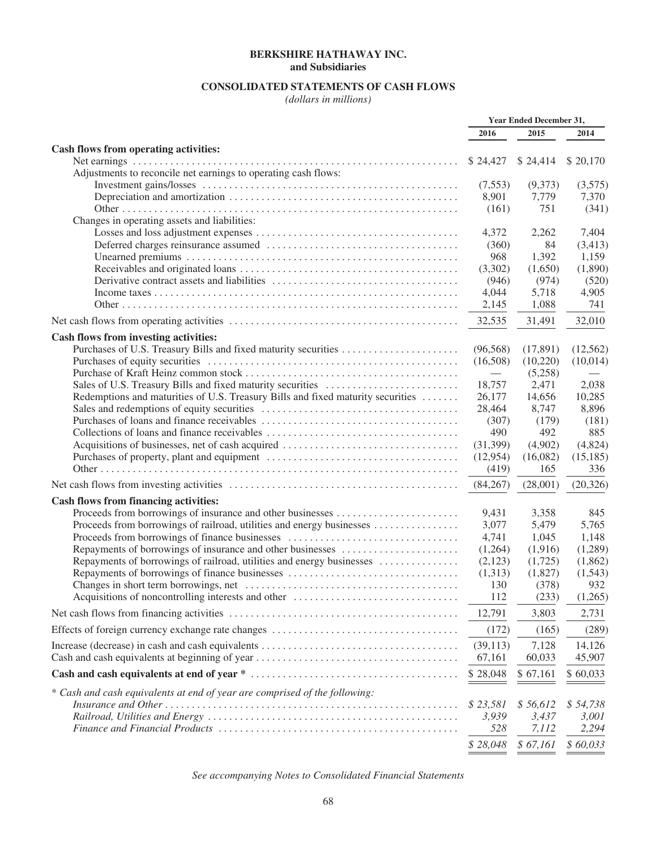# **CONSOLIDATED STATEMENTS OF CASH FLOWS**

*(dollars in millions)*

|                                                                                 | <b>Year Ended December 31,</b> |           |           |
|---------------------------------------------------------------------------------|--------------------------------|-----------|-----------|
|                                                                                 | 2016                           | 2015      | 2014      |
| Cash flows from operating activities:                                           |                                |           |           |
|                                                                                 | \$24,427                       | \$24,414  | \$ 20,170 |
| Adjustments to reconcile net earnings to operating cash flows:                  |                                |           |           |
|                                                                                 | (7,553)                        | (9,373)   | (3,575)   |
|                                                                                 | 8,901                          | 7,779     | 7,370     |
|                                                                                 | (161)                          | 751       | (341)     |
| Changes in operating assets and liabilities:                                    |                                |           |           |
|                                                                                 | 4,372                          | 2,262     | 7,404     |
|                                                                                 | (360)                          | 84        | (3,413)   |
|                                                                                 | 968                            | 1,392     | 1,159     |
|                                                                                 | (3,302)                        | (1,650)   | (1,890)   |
|                                                                                 | (946)                          | (974)     | (520)     |
|                                                                                 | 4,044                          | 5,718     | 4,905     |
|                                                                                 | 2,145                          | 1,088     | 741       |
|                                                                                 | 32,535                         | 31,491    | 32,010    |
|                                                                                 |                                |           |           |
| <b>Cash flows from investing activities:</b>                                    |                                |           |           |
|                                                                                 | (96, 568)                      | (17, 891) | (12,562)  |
|                                                                                 | (16,508)                       | (10,220)  | (10,014)  |
|                                                                                 | $\overline{\phantom{m}}$       | (5,258)   |           |
|                                                                                 | 18,757                         | 2,471     | 2,038     |
| Redemptions and maturities of U.S. Treasury Bills and fixed maturity securities | 26,177                         | 14,656    | 10,285    |
|                                                                                 | 28,464                         | 8,747     | 8,896     |
|                                                                                 | (307)                          | (179)     | (181)     |
|                                                                                 | 490                            | 492       | 885       |
|                                                                                 | (31,399)                       | (4,902)   | (4,824)   |
|                                                                                 | (12,954)                       | (16,082)  | (15, 185) |
|                                                                                 | (419)                          | 165       | 336       |
|                                                                                 | (84,267)                       | (28,001)  | (20, 326) |
| <b>Cash flows from financing activities:</b>                                    |                                |           |           |
|                                                                                 | 9,431                          | 3,358     | 845       |
| Proceeds from borrowings of railroad, utilities and energy businesses           | 3,077                          | 5,479     | 5,765     |
|                                                                                 | 4,741                          | 1,045     | 1,148     |
| Repayments of borrowings of insurance and other businesses                      | (1,264)                        | (1,916)   | (1,289)   |
| Repayments of borrowings of railroad, utilities and energy businesses           | (2,123)                        | (1,725)   | (1,862)   |
|                                                                                 | (1,313)                        | (1,827)   | (1, 543)  |
|                                                                                 | 130                            | (378)     | 932       |
| Acquisitions of noncontrolling interests and other                              | 112                            | (233)     | (1,265)   |
|                                                                                 | 12,791                         | 3,803     | 2,731     |
|                                                                                 | (172)                          | (165)     | (289)     |
|                                                                                 | (39, 113)                      | 7,128     | 14,126    |
|                                                                                 | 67,161                         | 60,033    | 45,907    |
|                                                                                 | \$28,048                       | \$67,161  | \$60,033  |
| * Cash and cash equivalents at end of year are comprised of the following:      |                                |           |           |
|                                                                                 | \$23,581                       | \$56,612  | \$54,738  |
|                                                                                 | 3,939                          | 3,437     | 3,001     |
|                                                                                 | 528                            | 7,112     | 2,294     |
|                                                                                 |                                |           |           |
|                                                                                 | \$28,048                       | \$67,161  | \$60,033  |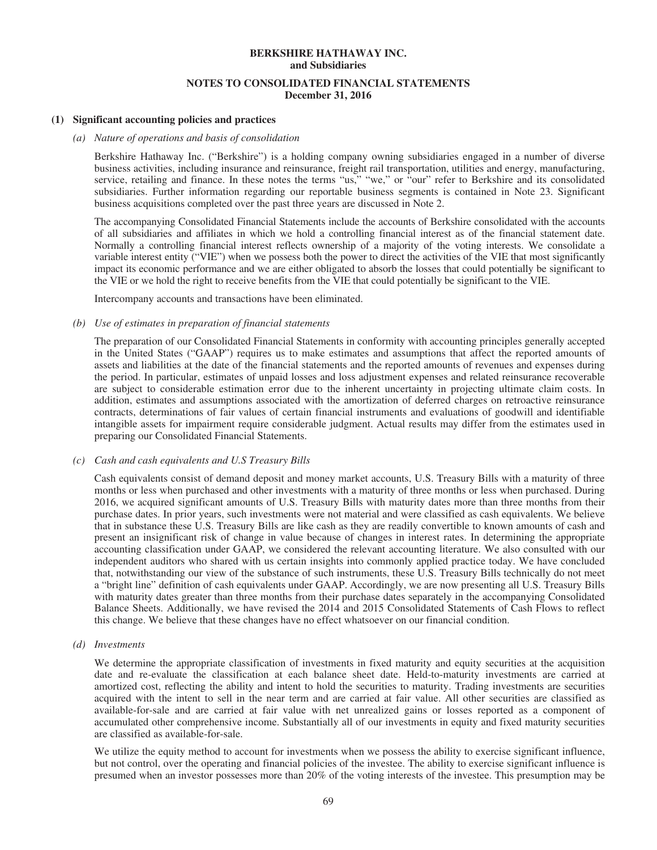## **NOTES TO CONSOLIDATED FINANCIAL STATEMENTS December 31, 2016**

## **(1) Significant accounting policies and practices**

#### *(a) Nature of operations and basis of consolidation*

Berkshire Hathaway Inc. ("Berkshire") is a holding company owning subsidiaries engaged in a number of diverse business activities, including insurance and reinsurance, freight rail transportation, utilities and energy, manufacturing, service, retailing and finance. In these notes the terms "us," "we," or "our" refer to Berkshire and its consolidated subsidiaries. Further information regarding our reportable business segments is contained in Note 23. Significant business acquisitions completed over the past three years are discussed in Note 2.

The accompanying Consolidated Financial Statements include the accounts of Berkshire consolidated with the accounts of all subsidiaries and affiliates in which we hold a controlling financial interest as of the financial statement date. Normally a controlling financial interest reflects ownership of a majority of the voting interests. We consolidate a variable interest entity ("VIE") when we possess both the power to direct the activities of the VIE that most significantly impact its economic performance and we are either obligated to absorb the losses that could potentially be significant to the VIE or we hold the right to receive benefits from the VIE that could potentially be significant to the VIE.

Intercompany accounts and transactions have been eliminated.

#### *(b) Use of estimates in preparation of financial statements*

The preparation of our Consolidated Financial Statements in conformity with accounting principles generally accepted in the United States ("GAAP") requires us to make estimates and assumptions that affect the reported amounts of assets and liabilities at the date of the financial statements and the reported amounts of revenues and expenses during the period. In particular, estimates of unpaid losses and loss adjustment expenses and related reinsurance recoverable are subject to considerable estimation error due to the inherent uncertainty in projecting ultimate claim costs. In addition, estimates and assumptions associated with the amortization of deferred charges on retroactive reinsurance contracts, determinations of fair values of certain financial instruments and evaluations of goodwill and identifiable intangible assets for impairment require considerable judgment. Actual results may differ from the estimates used in preparing our Consolidated Financial Statements.

## *(c) Cash and cash equivalents and U.S Treasury Bills*

Cash equivalents consist of demand deposit and money market accounts, U.S. Treasury Bills with a maturity of three months or less when purchased and other investments with a maturity of three months or less when purchased. During 2016, we acquired significant amounts of U.S. Treasury Bills with maturity dates more than three months from their purchase dates. In prior years, such investments were not material and were classified as cash equivalents. We believe that in substance these U.S. Treasury Bills are like cash as they are readily convertible to known amounts of cash and present an insignificant risk of change in value because of changes in interest rates. In determining the appropriate accounting classification under GAAP, we considered the relevant accounting literature. We also consulted with our independent auditors who shared with us certain insights into commonly applied practice today. We have concluded that, notwithstanding our view of the substance of such instruments, these U.S. Treasury Bills technically do not meet a "bright line" definition of cash equivalents under GAAP. Accordingly, we are now presenting all U.S. Treasury Bills with maturity dates greater than three months from their purchase dates separately in the accompanying Consolidated Balance Sheets. Additionally, we have revised the 2014 and 2015 Consolidated Statements of Cash Flows to reflect this change. We believe that these changes have no effect whatsoever on our financial condition.

*(d) Investments*

We determine the appropriate classification of investments in fixed maturity and equity securities at the acquisition date and re-evaluate the classification at each balance sheet date. Held-to-maturity investments are carried at amortized cost, reflecting the ability and intent to hold the securities to maturity. Trading investments are securities acquired with the intent to sell in the near term and are carried at fair value. All other securities are classified as available-for-sale and are carried at fair value with net unrealized gains or losses reported as a component of accumulated other comprehensive income. Substantially all of our investments in equity and fixed maturity securities are classified as available-for-sale.

We utilize the equity method to account for investments when we possess the ability to exercise significant influence, but not control, over the operating and financial policies of the investee. The ability to exercise significant influence is presumed when an investor possesses more than 20% of the voting interests of the investee. This presumption may be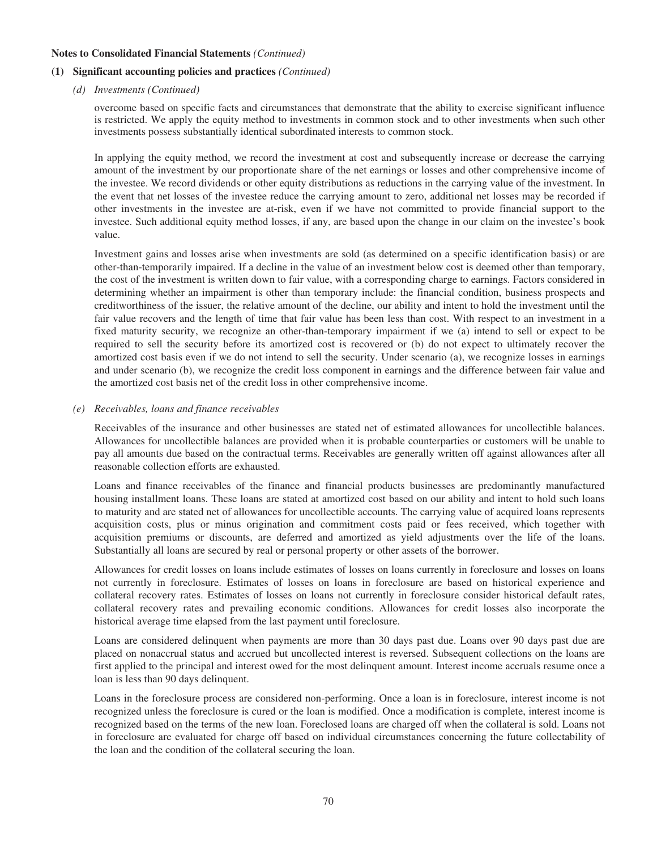## **Notes to Consolidated Financial Statements** *(Continued)*

## **(1) Significant accounting policies and practices** *(Continued)*

*(d) Investments (Continued)*

overcome based on specific facts and circumstances that demonstrate that the ability to exercise significant influence is restricted. We apply the equity method to investments in common stock and to other investments when such other investments possess substantially identical subordinated interests to common stock.

In applying the equity method, we record the investment at cost and subsequently increase or decrease the carrying amount of the investment by our proportionate share of the net earnings or losses and other comprehensive income of the investee. We record dividends or other equity distributions as reductions in the carrying value of the investment. In the event that net losses of the investee reduce the carrying amount to zero, additional net losses may be recorded if other investments in the investee are at-risk, even if we have not committed to provide financial support to the investee. Such additional equity method losses, if any, are based upon the change in our claim on the investee's book value.

Investment gains and losses arise when investments are sold (as determined on a specific identification basis) or are other-than-temporarily impaired. If a decline in the value of an investment below cost is deemed other than temporary, the cost of the investment is written down to fair value, with a corresponding charge to earnings. Factors considered in determining whether an impairment is other than temporary include: the financial condition, business prospects and creditworthiness of the issuer, the relative amount of the decline, our ability and intent to hold the investment until the fair value recovers and the length of time that fair value has been less than cost. With respect to an investment in a fixed maturity security, we recognize an other-than-temporary impairment if we (a) intend to sell or expect to be required to sell the security before its amortized cost is recovered or (b) do not expect to ultimately recover the amortized cost basis even if we do not intend to sell the security. Under scenario (a), we recognize losses in earnings and under scenario (b), we recognize the credit loss component in earnings and the difference between fair value and the amortized cost basis net of the credit loss in other comprehensive income.

## *(e) Receivables, loans and finance receivables*

Receivables of the insurance and other businesses are stated net of estimated allowances for uncollectible balances. Allowances for uncollectible balances are provided when it is probable counterparties or customers will be unable to pay all amounts due based on the contractual terms. Receivables are generally written off against allowances after all reasonable collection efforts are exhausted.

Loans and finance receivables of the finance and financial products businesses are predominantly manufactured housing installment loans. These loans are stated at amortized cost based on our ability and intent to hold such loans to maturity and are stated net of allowances for uncollectible accounts. The carrying value of acquired loans represents acquisition costs, plus or minus origination and commitment costs paid or fees received, which together with acquisition premiums or discounts, are deferred and amortized as yield adjustments over the life of the loans. Substantially all loans are secured by real or personal property or other assets of the borrower.

Allowances for credit losses on loans include estimates of losses on loans currently in foreclosure and losses on loans not currently in foreclosure. Estimates of losses on loans in foreclosure are based on historical experience and collateral recovery rates. Estimates of losses on loans not currently in foreclosure consider historical default rates, collateral recovery rates and prevailing economic conditions. Allowances for credit losses also incorporate the historical average time elapsed from the last payment until foreclosure.

Loans are considered delinquent when payments are more than 30 days past due. Loans over 90 days past due are placed on nonaccrual status and accrued but uncollected interest is reversed. Subsequent collections on the loans are first applied to the principal and interest owed for the most delinquent amount. Interest income accruals resume once a loan is less than 90 days delinquent.

Loans in the foreclosure process are considered non-performing. Once a loan is in foreclosure, interest income is not recognized unless the foreclosure is cured or the loan is modified. Once a modification is complete, interest income is recognized based on the terms of the new loan. Foreclosed loans are charged off when the collateral is sold. Loans not in foreclosure are evaluated for charge off based on individual circumstances concerning the future collectability of the loan and the condition of the collateral securing the loan.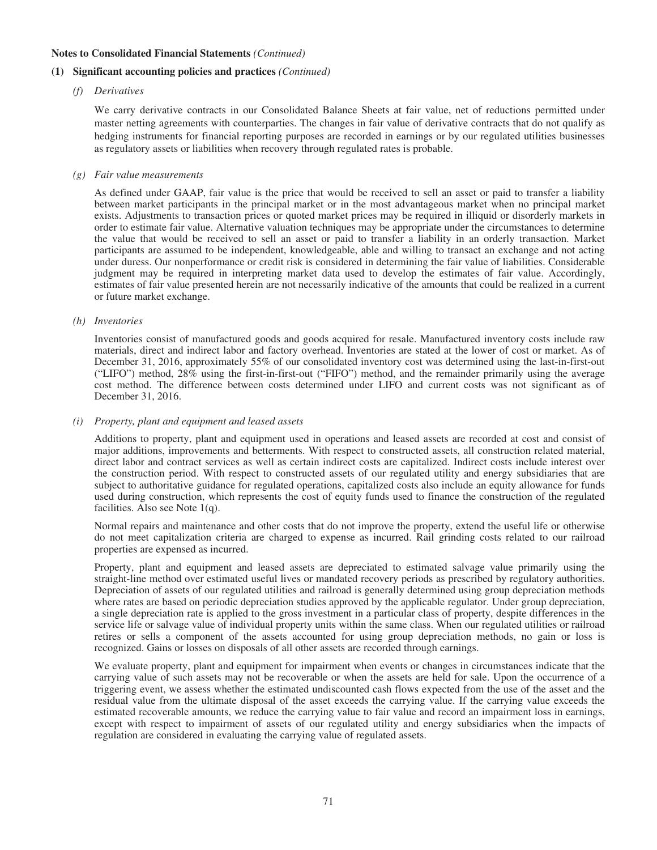# **(1) Significant accounting policies and practices** *(Continued)*

### *(f) Derivatives*

We carry derivative contracts in our Consolidated Balance Sheets at fair value, net of reductions permitted under master netting agreements with counterparties. The changes in fair value of derivative contracts that do not qualify as hedging instruments for financial reporting purposes are recorded in earnings or by our regulated utilities businesses as regulatory assets or liabilities when recovery through regulated rates is probable.

### *(g) Fair value measurements*

As defined under GAAP, fair value is the price that would be received to sell an asset or paid to transfer a liability between market participants in the principal market or in the most advantageous market when no principal market exists. Adjustments to transaction prices or quoted market prices may be required in illiquid or disorderly markets in order to estimate fair value. Alternative valuation techniques may be appropriate under the circumstances to determine the value that would be received to sell an asset or paid to transfer a liability in an orderly transaction. Market participants are assumed to be independent, knowledgeable, able and willing to transact an exchange and not acting under duress. Our nonperformance or credit risk is considered in determining the fair value of liabilities. Considerable judgment may be required in interpreting market data used to develop the estimates of fair value. Accordingly, estimates of fair value presented herein are not necessarily indicative of the amounts that could be realized in a current or future market exchange.

## *(h) Inventories*

Inventories consist of manufactured goods and goods acquired for resale. Manufactured inventory costs include raw materials, direct and indirect labor and factory overhead. Inventories are stated at the lower of cost or market. As of December 31, 2016, approximately 55% of our consolidated inventory cost was determined using the last-in-first-out ("LIFO") method,  $28\%$  using the first-in-first-out ("FIFO") method, and the remainder primarily using the average cost method. The difference between costs determined under LIFO and current costs was not significant as of December 31, 2016.

## *(i) Property, plant and equipment and leased assets*

Additions to property, plant and equipment used in operations and leased assets are recorded at cost and consist of major additions, improvements and betterments. With respect to constructed assets, all construction related material, direct labor and contract services as well as certain indirect costs are capitalized. Indirect costs include interest over the construction period. With respect to constructed assets of our regulated utility and energy subsidiaries that are subject to authoritative guidance for regulated operations, capitalized costs also include an equity allowance for funds used during construction, which represents the cost of equity funds used to finance the construction of the regulated facilities. Also see Note  $1(q)$ .

Normal repairs and maintenance and other costs that do not improve the property, extend the useful life or otherwise do not meet capitalization criteria are charged to expense as incurred. Rail grinding costs related to our railroad properties are expensed as incurred.

Property, plant and equipment and leased assets are depreciated to estimated salvage value primarily using the straight-line method over estimated useful lives or mandated recovery periods as prescribed by regulatory authorities. Depreciation of assets of our regulated utilities and railroad is generally determined using group depreciation methods where rates are based on periodic depreciation studies approved by the applicable regulator. Under group depreciation, a single depreciation rate is applied to the gross investment in a particular class of property, despite differences in the service life or salvage value of individual property units within the same class. When our regulated utilities or railroad retires or sells a component of the assets accounted for using group depreciation methods, no gain or loss is recognized. Gains or losses on disposals of all other assets are recorded through earnings.

We evaluate property, plant and equipment for impairment when events or changes in circumstances indicate that the carrying value of such assets may not be recoverable or when the assets are held for sale. Upon the occurrence of a triggering event, we assess whether the estimated undiscounted cash flows expected from the use of the asset and the residual value from the ultimate disposal of the asset exceeds the carrying value. If the carrying value exceeds the estimated recoverable amounts, we reduce the carrying value to fair value and record an impairment loss in earnings, except with respect to impairment of assets of our regulated utility and energy subsidiaries when the impacts of regulation are considered in evaluating the carrying value of regulated assets.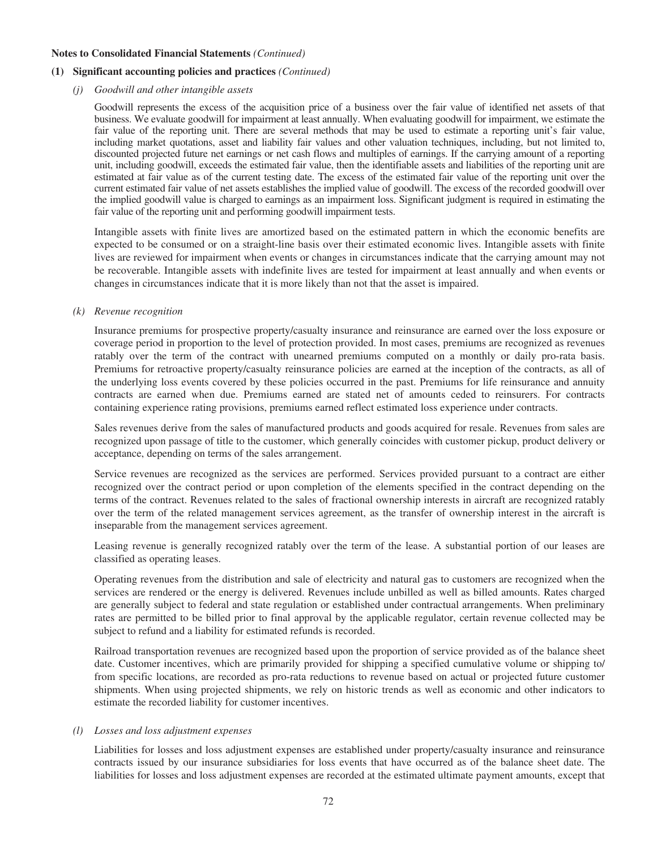# **(1) Significant accounting policies and practices** *(Continued)*

### *(j) Goodwill and other intangible assets*

Goodwill represents the excess of the acquisition price of a business over the fair value of identified net assets of that business. We evaluate goodwill for impairment at least annually. When evaluating goodwill for impairment, we estimate the fair value of the reporting unit. There are several methods that may be used to estimate a reporting unit's fair value, including market quotations, asset and liability fair values and other valuation techniques, including, but not limited to, discounted projected future net earnings or net cash flows and multiples of earnings. If the carrying amount of a reporting unit, including goodwill, exceeds the estimated fair value, then the identifiable assets and liabilities of the reporting unit are estimated at fair value as of the current testing date. The excess of the estimated fair value of the reporting unit over the current estimated fair value of net assets establishes the implied value of goodwill. The excess of the recorded goodwill over the implied goodwill value is charged to earnings as an impairment loss. Significant judgment is required in estimating the fair value of the reporting unit and performing goodwill impairment tests.

Intangible assets with finite lives are amortized based on the estimated pattern in which the economic benefits are expected to be consumed or on a straight-line basis over their estimated economic lives. Intangible assets with finite lives are reviewed for impairment when events or changes in circumstances indicate that the carrying amount may not be recoverable. Intangible assets with indefinite lives are tested for impairment at least annually and when events or changes in circumstances indicate that it is more likely than not that the asset is impaired.

### *(k) Revenue recognition*

Insurance premiums for prospective property/casualty insurance and reinsurance are earned over the loss exposure or coverage period in proportion to the level of protection provided. In most cases, premiums are recognized as revenues ratably over the term of the contract with unearned premiums computed on a monthly or daily pro-rata basis. Premiums for retroactive property/casualty reinsurance policies are earned at the inception of the contracts, as all of the underlying loss events covered by these policies occurred in the past. Premiums for life reinsurance and annuity contracts are earned when due. Premiums earned are stated net of amounts ceded to reinsurers. For contracts containing experience rating provisions, premiums earned reflect estimated loss experience under contracts.

Sales revenues derive from the sales of manufactured products and goods acquired for resale. Revenues from sales are recognized upon passage of title to the customer, which generally coincides with customer pickup, product delivery or acceptance, depending on terms of the sales arrangement.

Service revenues are recognized as the services are performed. Services provided pursuant to a contract are either recognized over the contract period or upon completion of the elements specified in the contract depending on the terms of the contract. Revenues related to the sales of fractional ownership interests in aircraft are recognized ratably over the term of the related management services agreement, as the transfer of ownership interest in the aircraft is inseparable from the management services agreement.

Leasing revenue is generally recognized ratably over the term of the lease. A substantial portion of our leases are classified as operating leases.

Operating revenues from the distribution and sale of electricity and natural gas to customers are recognized when the services are rendered or the energy is delivered. Revenues include unbilled as well as billed amounts. Rates charged are generally subject to federal and state regulation or established under contractual arrangements. When preliminary rates are permitted to be billed prior to final approval by the applicable regulator, certain revenue collected may be subject to refund and a liability for estimated refunds is recorded.

Railroad transportation revenues are recognized based upon the proportion of service provided as of the balance sheet date. Customer incentives, which are primarily provided for shipping a specified cumulative volume or shipping to/ from specific locations, are recorded as pro-rata reductions to revenue based on actual or projected future customer shipments. When using projected shipments, we rely on historic trends as well as economic and other indicators to estimate the recorded liability for customer incentives.

### *(l) Losses and loss adjustment expenses*

Liabilities for losses and loss adjustment expenses are established under property/casualty insurance and reinsurance contracts issued by our insurance subsidiaries for loss events that have occurred as of the balance sheet date. The liabilities for losses and loss adjustment expenses are recorded at the estimated ultimate payment amounts, except that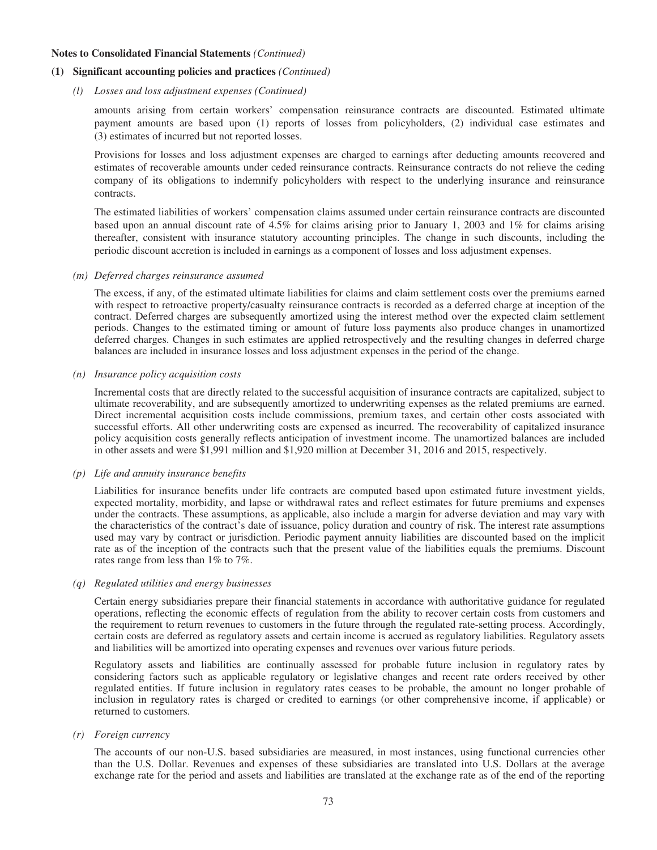## **(1) Significant accounting policies and practices** *(Continued)*

*(l) Losses and loss adjustment expenses (Continued)*

amounts arising from certain workers' compensation reinsurance contracts are discounted. Estimated ultimate payment amounts are based upon (1) reports of losses from policyholders, (2) individual case estimates and (3) estimates of incurred but not reported losses.

Provisions for losses and loss adjustment expenses are charged to earnings after deducting amounts recovered and estimates of recoverable amounts under ceded reinsurance contracts. Reinsurance contracts do not relieve the ceding company of its obligations to indemnify policyholders with respect to the underlying insurance and reinsurance contracts.

The estimated liabilities of workers' compensation claims assumed under certain reinsurance contracts are discounted based upon an annual discount rate of 4.5% for claims arising prior to January 1, 2003 and 1% for claims arising thereafter, consistent with insurance statutory accounting principles. The change in such discounts, including the periodic discount accretion is included in earnings as a component of losses and loss adjustment expenses.

### *(m) Deferred charges reinsurance assumed*

The excess, if any, of the estimated ultimate liabilities for claims and claim settlement costs over the premiums earned with respect to retroactive property/casualty reinsurance contracts is recorded as a deferred charge at inception of the contract. Deferred charges are subsequently amortized using the interest method over the expected claim settlement periods. Changes to the estimated timing or amount of future loss payments also produce changes in unamortized deferred charges. Changes in such estimates are applied retrospectively and the resulting changes in deferred charge balances are included in insurance losses and loss adjustment expenses in the period of the change.

### *(n) Insurance policy acquisition costs*

Incremental costs that are directly related to the successful acquisition of insurance contracts are capitalized, subject to ultimate recoverability, and are subsequently amortized to underwriting expenses as the related premiums are earned. Direct incremental acquisition costs include commissions, premium taxes, and certain other costs associated with successful efforts. All other underwriting costs are expensed as incurred. The recoverability of capitalized insurance policy acquisition costs generally reflects anticipation of investment income. The unamortized balances are included in other assets and were \$1,991 million and \$1,920 million at December 31, 2016 and 2015, respectively.

### *(p) Life and annuity insurance benefits*

Liabilities for insurance benefits under life contracts are computed based upon estimated future investment yields, expected mortality, morbidity, and lapse or withdrawal rates and reflect estimates for future premiums and expenses under the contracts. These assumptions, as applicable, also include a margin for adverse deviation and may vary with the characteristics of the contract's date of issuance, policy duration and country of risk. The interest rate assumptions used may vary by contract or jurisdiction. Periodic payment annuity liabilities are discounted based on the implicit rate as of the inception of the contracts such that the present value of the liabilities equals the premiums. Discount rates range from less than 1% to 7%.

### *(q) Regulated utilities and energy businesses*

Certain energy subsidiaries prepare their financial statements in accordance with authoritative guidance for regulated operations, reflecting the economic effects of regulation from the ability to recover certain costs from customers and the requirement to return revenues to customers in the future through the regulated rate-setting process. Accordingly, certain costs are deferred as regulatory assets and certain income is accrued as regulatory liabilities. Regulatory assets and liabilities will be amortized into operating expenses and revenues over various future periods.

Regulatory assets and liabilities are continually assessed for probable future inclusion in regulatory rates by considering factors such as applicable regulatory or legislative changes and recent rate orders received by other regulated entities. If future inclusion in regulatory rates ceases to be probable, the amount no longer probable of inclusion in regulatory rates is charged or credited to earnings (or other comprehensive income, if applicable) or returned to customers.

*(r) Foreign currency*

The accounts of our non-U.S. based subsidiaries are measured, in most instances, using functional currencies other than the U.S. Dollar. Revenues and expenses of these subsidiaries are translated into U.S. Dollars at the average exchange rate for the period and assets and liabilities are translated at the exchange rate as of the end of the reporting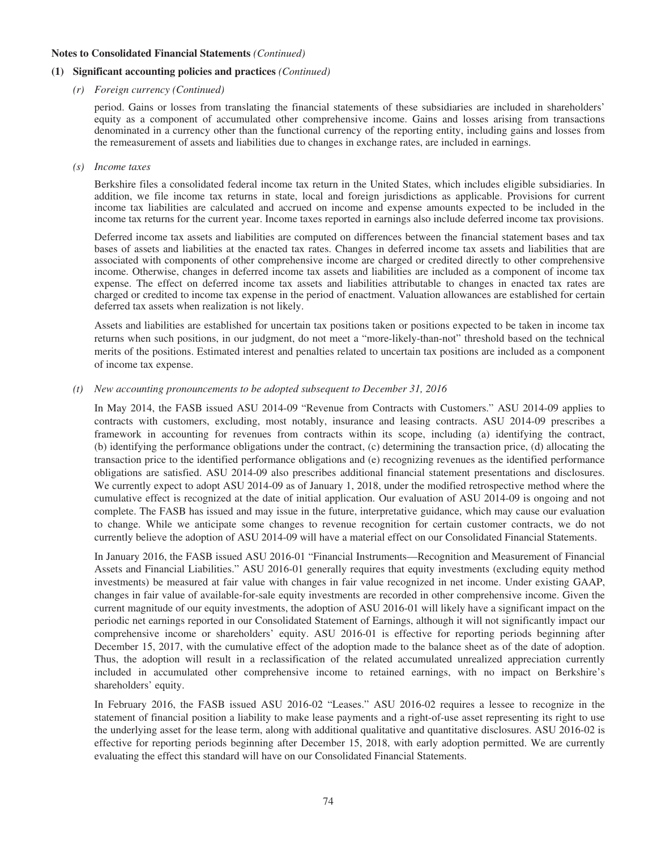# **(1) Significant accounting policies and practices** *(Continued)*

*(r) Foreign currency (Continued)*

period. Gains or losses from translating the financial statements of these subsidiaries are included in shareholders' equity as a component of accumulated other comprehensive income. Gains and losses arising from transactions denominated in a currency other than the functional currency of the reporting entity, including gains and losses from the remeasurement of assets and liabilities due to changes in exchange rates, are included in earnings.

*(s) Income taxes*

Berkshire files a consolidated federal income tax return in the United States, which includes eligible subsidiaries. In addition, we file income tax returns in state, local and foreign jurisdictions as applicable. Provisions for current income tax liabilities are calculated and accrued on income and expense amounts expected to be included in the income tax returns for the current year. Income taxes reported in earnings also include deferred income tax provisions.

Deferred income tax assets and liabilities are computed on differences between the financial statement bases and tax bases of assets and liabilities at the enacted tax rates. Changes in deferred income tax assets and liabilities that are associated with components of other comprehensive income are charged or credited directly to other comprehensive income. Otherwise, changes in deferred income tax assets and liabilities are included as a component of income tax expense. The effect on deferred income tax assets and liabilities attributable to changes in enacted tax rates are charged or credited to income tax expense in the period of enactment. Valuation allowances are established for certain deferred tax assets when realization is not likely.

Assets and liabilities are established for uncertain tax positions taken or positions expected to be taken in income tax returns when such positions, in our judgment, do not meet a "more-likely-than-not" threshold based on the technical merits of the positions. Estimated interest and penalties related to uncertain tax positions are included as a component of income tax expense.

### *(t) New accounting pronouncements to be adopted subsequent to December 31, 2016*

In May 2014, the FASB issued ASU 2014-09 "Revenue from Contracts with Customers." ASU 2014-09 applies to contracts with customers, excluding, most notably, insurance and leasing contracts. ASU 2014-09 prescribes a framework in accounting for revenues from contracts within its scope, including (a) identifying the contract, (b) identifying the performance obligations under the contract, (c) determining the transaction price, (d) allocating the transaction price to the identified performance obligations and (e) recognizing revenues as the identified performance obligations are satisfied. ASU 2014-09 also prescribes additional financial statement presentations and disclosures. We currently expect to adopt ASU 2014-09 as of January 1, 2018, under the modified retrospective method where the cumulative effect is recognized at the date of initial application. Our evaluation of ASU 2014-09 is ongoing and not complete. The FASB has issued and may issue in the future, interpretative guidance, which may cause our evaluation to change. While we anticipate some changes to revenue recognition for certain customer contracts, we do not currently believe the adoption of ASU 2014-09 will have a material effect on our Consolidated Financial Statements.

In January 2016, the FASB issued ASU 2016-01 "Financial Instruments—Recognition and Measurement of Financial Assets and Financial Liabilities." ASU 2016-01 generally requires that equity investments (excluding equity method investments) be measured at fair value with changes in fair value recognized in net income. Under existing GAAP, changes in fair value of available-for-sale equity investments are recorded in other comprehensive income. Given the current magnitude of our equity investments, the adoption of ASU 2016-01 will likely have a significant impact on the periodic net earnings reported in our Consolidated Statement of Earnings, although it will not significantly impact our comprehensive income or shareholders' equity. ASU 2016-01 is effective for reporting periods beginning after December 15, 2017, with the cumulative effect of the adoption made to the balance sheet as of the date of adoption. Thus, the adoption will result in a reclassification of the related accumulated unrealized appreciation currently included in accumulated other comprehensive income to retained earnings, with no impact on Berkshire's shareholders' equity.

In February 2016, the FASB issued ASU 2016-02 "Leases." ASU 2016-02 requires a lessee to recognize in the statement of financial position a liability to make lease payments and a right-of-use asset representing its right to use the underlying asset for the lease term, along with additional qualitative and quantitative disclosures. ASU 2016-02 is effective for reporting periods beginning after December 15, 2018, with early adoption permitted. We are currently evaluating the effect this standard will have on our Consolidated Financial Statements.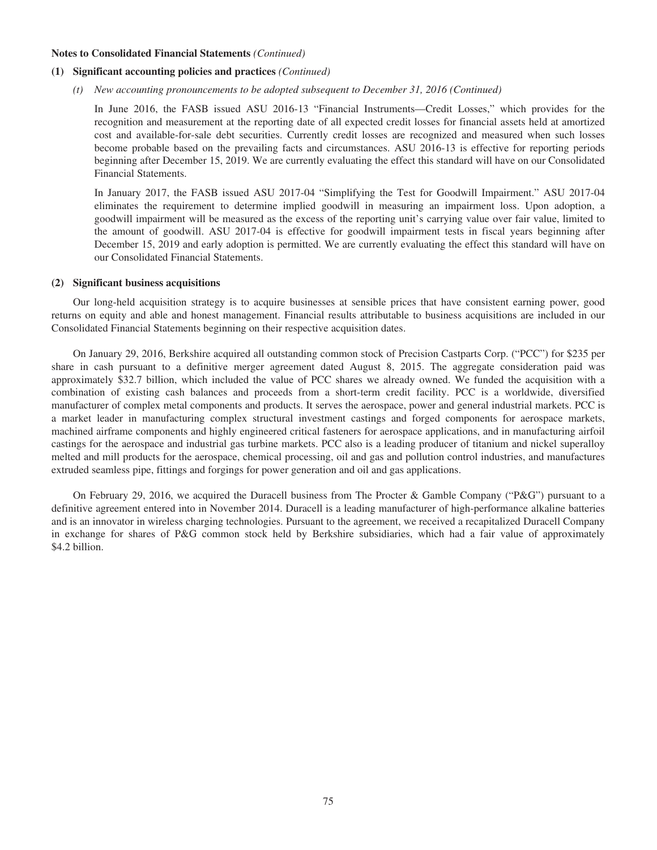## **(1) Significant accounting policies and practices** *(Continued)*

*(t) New accounting pronouncements to be adopted subsequent to December 31, 2016 (Continued)*

In June 2016, the FASB issued ASU 2016-13 "Financial Instruments—Credit Losses," which provides for the recognition and measurement at the reporting date of all expected credit losses for financial assets held at amortized cost and available-for-sale debt securities. Currently credit losses are recognized and measured when such losses become probable based on the prevailing facts and circumstances. ASU 2016-13 is effective for reporting periods beginning after December 15, 2019. We are currently evaluating the effect this standard will have on our Consolidated Financial Statements.

In January 2017, the FASB issued ASU 2017-04 "Simplifying the Test for Goodwill Impairment." ASU 2017-04 eliminates the requirement to determine implied goodwill in measuring an impairment loss. Upon adoption, a goodwill impairment will be measured as the excess of the reporting unit's carrying value over fair value, limited to the amount of goodwill. ASU 2017-04 is effective for goodwill impairment tests in fiscal years beginning after December 15, 2019 and early adoption is permitted. We are currently evaluating the effect this standard will have on our Consolidated Financial Statements.

#### **(2) Significant business acquisitions**

Our long-held acquisition strategy is to acquire businesses at sensible prices that have consistent earning power, good returns on equity and able and honest management. Financial results attributable to business acquisitions are included in our Consolidated Financial Statements beginning on their respective acquisition dates.

On January 29, 2016, Berkshire acquired all outstanding common stock of Precision Castparts Corp. ("PCC") for \$235 per share in cash pursuant to a definitive merger agreement dated August 8, 2015. The aggregate consideration paid was approximately \$32.7 billion, which included the value of PCC shares we already owned. We funded the acquisition with a combination of existing cash balances and proceeds from a short-term credit facility. PCC is a worldwide, diversified manufacturer of complex metal components and products. It serves the aerospace, power and general industrial markets. PCC is a market leader in manufacturing complex structural investment castings and forged components for aerospace markets, machined airframe components and highly engineered critical fasteners for aerospace applications, and in manufacturing airfoil castings for the aerospace and industrial gas turbine markets. PCC also is a leading producer of titanium and nickel superalloy melted and mill products for the aerospace, chemical processing, oil and gas and pollution control industries, and manufactures extruded seamless pipe, fittings and forgings for power generation and oil and gas applications.

On February 29, 2016, we acquired the Duracell business from The Procter & Gamble Company ("P&G") pursuant to a definitive agreement entered into in November 2014. Duracell is a leading manufacturer of high-performance alkaline batteries and is an innovator in wireless charging technologies. Pursuant to the agreement, we received a recapitalized Duracell Company in exchange for shares of P&G common stock held by Berkshire subsidiaries, which had a fair value of approximately \$4.2 billion.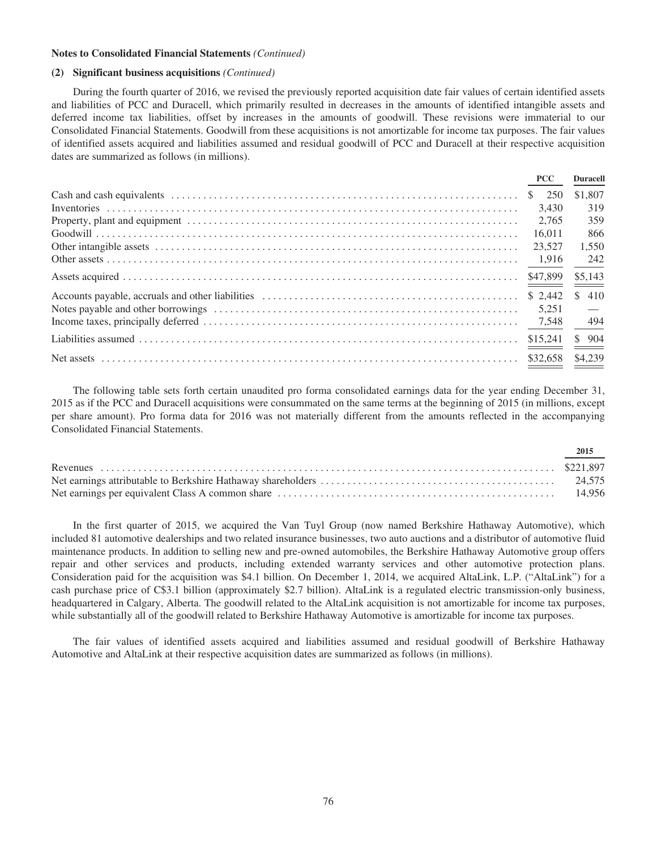### **(2) Significant business acquisitions** *(Continued)*

During the fourth quarter of 2016, we revised the previously reported acquisition date fair values of certain identified assets and liabilities of PCC and Duracell, which primarily resulted in decreases in the amounts of identified intangible assets and deferred income tax liabilities, offset by increases in the amounts of goodwill. These revisions were immaterial to our Consolidated Financial Statements. Goodwill from these acquisitions is not amortizable for income tax purposes. The fair values of identified assets acquired and liabilities assumed and residual goodwill of PCC and Duracell at their respective acquisition dates are summarized as follows (in millions).

|                                                                                                                                                                                                                                                            | <b>PCC</b> | <b>Duracell</b> |
|------------------------------------------------------------------------------------------------------------------------------------------------------------------------------------------------------------------------------------------------------------|------------|-----------------|
| Cash and cash equivalents $\ldots$ $\ldots$ $\ldots$ $\ldots$ $\ldots$ $\ldots$ $\ldots$ $\ldots$ $\ldots$ $\ldots$ $\ldots$ $\ldots$ $\ldots$ $\ldots$ $\ldots$ $\ldots$ $\ldots$ $\ldots$ $\ldots$ $\ldots$ $\ldots$ $\ldots$ $\ldots$ $\ldots$ $\ldots$ |            | \$1,807         |
|                                                                                                                                                                                                                                                            | 3.430      | 319             |
|                                                                                                                                                                                                                                                            | 2.765      | 359             |
|                                                                                                                                                                                                                                                            |            | 866             |
|                                                                                                                                                                                                                                                            | 23.527     | 1.550           |
|                                                                                                                                                                                                                                                            |            | 242             |
|                                                                                                                                                                                                                                                            |            | \$5,143         |
|                                                                                                                                                                                                                                                            |            | \$410           |
|                                                                                                                                                                                                                                                            | 5.251      | $\sim$          |
|                                                                                                                                                                                                                                                            |            | $-$ 494         |
|                                                                                                                                                                                                                                                            |            |                 |
|                                                                                                                                                                                                                                                            |            | \$4,239         |

The following table sets forth certain unaudited pro forma consolidated earnings data for the year ending December 31, 2015 as if the PCC and Duracell acquisitions were consummated on the same terms at the beginning of 2015 (in millions, except per share amount). Pro forma data for 2016 was not materially different from the amounts reflected in the accompanying Consolidated Financial Statements.

| 2015 |
|------|
|      |
|      |
|      |

In the first quarter of 2015, we acquired the Van Tuyl Group (now named Berkshire Hathaway Automotive), which included 81 automotive dealerships and two related insurance businesses, two auto auctions and a distributor of automotive fluid maintenance products. In addition to selling new and pre-owned automobiles, the Berkshire Hathaway Automotive group offers repair and other services and products, including extended warranty services and other automotive protection plans. Consideration paid for the acquisition was \$4.1 billion. On December 1, 2014, we acquired AltaLink, L.P. ("AltaLink") for a cash purchase price of C\$3.1 billion (approximately \$2.7 billion). AltaLink is a regulated electric transmission-only business, headquartered in Calgary, Alberta. The goodwill related to the AltaLink acquisition is not amortizable for income tax purposes, while substantially all of the goodwill related to Berkshire Hathaway Automotive is amortizable for income tax purposes.

The fair values of identified assets acquired and liabilities assumed and residual goodwill of Berkshire Hathaway Automotive and AltaLink at their respective acquisition dates are summarized as follows (in millions).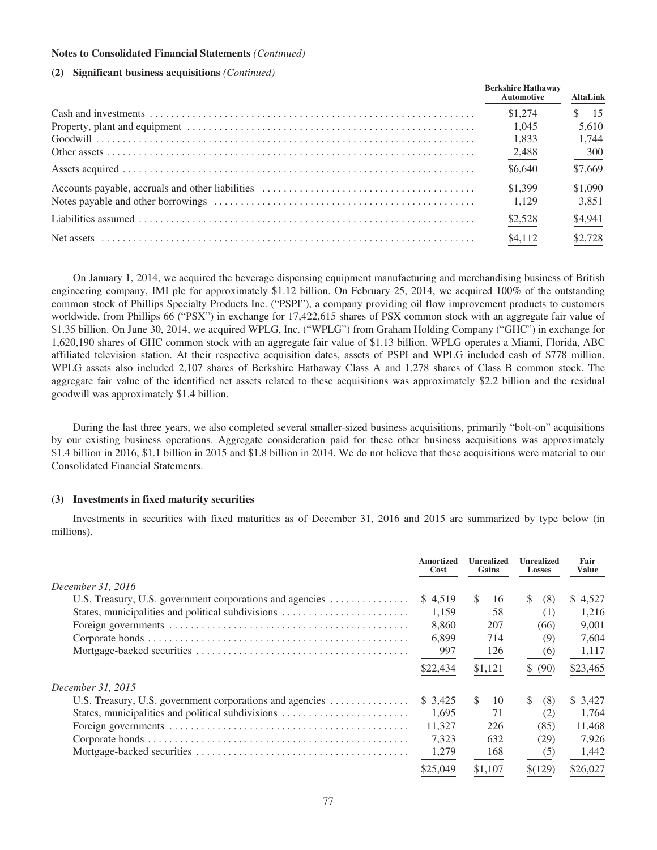### **(2) Significant business acquisitions** *(Continued)*

| <b>Berkshire Hathaway</b><br><b>Automotive</b> | <b>AltaLink</b>                     |
|------------------------------------------------|-------------------------------------|
| \$1,274                                        | $\frac{15}{2}$                      |
| 1.045                                          | 5.610                               |
| 1.833                                          | 1.744                               |
| 2,488                                          | 300                                 |
| \$6,640<br>$\sim$                              | \$7,669<br>$\overline{\phantom{a}}$ |
| \$1,399                                        | \$1,090                             |
| 1,129                                          | 3,851                               |
| $\underline{\$2,528}$                          | $\underbrace{84,941}$               |
| \$4,112                                        | \$2,728                             |

On January 1, 2014, we acquired the beverage dispensing equipment manufacturing and merchandising business of British engineering company, IMI plc for approximately \$1.12 billion. On February 25, 2014, we acquired 100% of the outstanding common stock of Phillips Specialty Products Inc. ("PSPI"), a company providing oil flow improvement products to customers worldwide, from Phillips 66 ("PSX") in exchange for 17,422,615 shares of PSX common stock with an aggregate fair value of \$1.35 billion. On June 30, 2014, we acquired WPLG, Inc. ("WPLG") from Graham Holding Company ("GHC") in exchange for 1,620,190 shares of GHC common stock with an aggregate fair value of \$1.13 billion. WPLG operates a Miami, Florida, ABC affiliated television station. At their respective acquisition dates, assets of PSPI and WPLG included cash of \$778 million. WPLG assets also included 2,107 shares of Berkshire Hathaway Class A and 1,278 shares of Class B common stock. The aggregate fair value of the identified net assets related to these acquisitions was approximately \$2.2 billion and the residual goodwill was approximately \$1.4 billion.

During the last three years, we also completed several smaller-sized business acquisitions, primarily "bolt-on" acquisitions by our existing business operations. Aggregate consideration paid for these other business acquisitions was approximately \$1.4 billion in 2016, \$1.1 billion in 2015 and \$1.8 billion in 2014. We do not believe that these acquisitions were material to our Consolidated Financial Statements.

#### **(3) Investments in fixed maturity securities**

Investments in securities with fixed maturities as of December 31, 2016 and 2015 are summarized by type below (in millions).

|                                                                                      | <b>Amortized</b><br>Cost | <b>Unrealized</b><br>Gains | <b>Unrealized</b><br><b>Losses</b> | Fair<br>Value |
|--------------------------------------------------------------------------------------|--------------------------|----------------------------|------------------------------------|---------------|
| December 31, 2016                                                                    |                          |                            |                                    |               |
| U.S. Treasury, U.S. government corporations and agencies $\dots\dots\dots\dots\dots$ | \$4.519                  | <sup>\$</sup><br>16        | \$.<br>(8)                         | \$4,527       |
| States, municipalities and political subdivisions                                    | 1.159                    | 58                         | (1)                                | 1.216         |
|                                                                                      | 8.860                    | 207                        | (66)                               | 9,001         |
|                                                                                      | 6.899                    | 714                        | (9)                                | 7.604         |
|                                                                                      | 997                      | 126                        | (6)                                | 1,117         |
|                                                                                      | \$22,434                 | \$1.121                    | \$ (90)                            | \$23,465      |
| December 31, 2015                                                                    |                          |                            |                                    |               |
| U.S. Treasury, U.S. government corporations and agencies                             | \$ 3.425                 | S.<br>10                   | \$.<br>(8)                         | \$ 3,427      |
| States, municipalities and political subdivisions                                    | 1.695                    | 71                         | (2)                                | 1.764         |
|                                                                                      | 11.327                   | 226                        | (85)                               | 11.468        |
|                                                                                      | 7.323                    | 632                        | (29)                               | 7.926         |
|                                                                                      | 1,279                    | 168                        | (5)                                | 1,442         |
|                                                                                      | \$25,049                 | \$1,107                    | \$(129)                            | \$26,027      |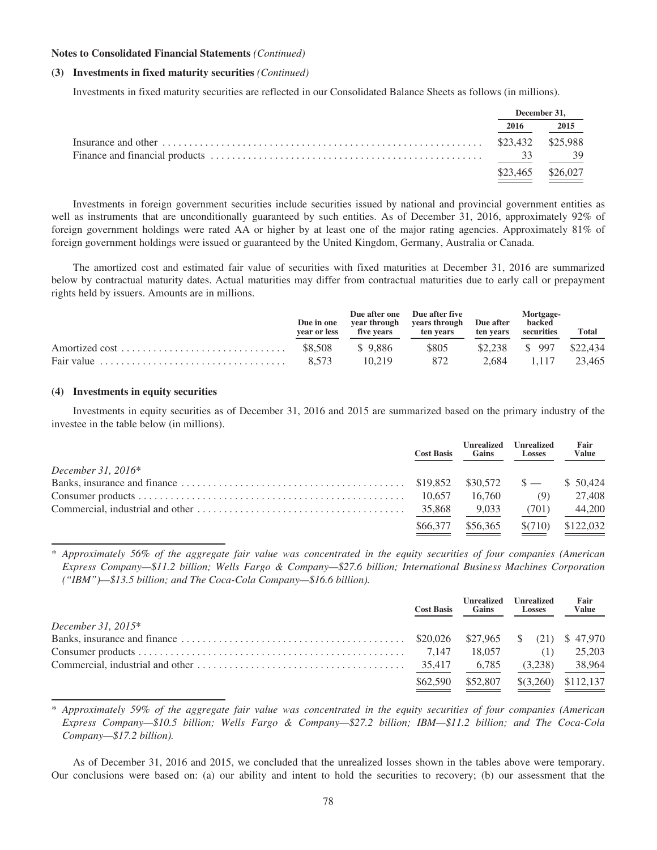### **(3) Investments in fixed maturity securities** *(Continued)*

Investments in fixed maturity securities are reflected in our Consolidated Balance Sheets as follows (in millions).

| December 31.      |      |
|-------------------|------|
| 2016              | 2015 |
| \$23,432 \$25,988 |      |
|                   | 39   |
| \$23,465 \$26,027 |      |

Investments in foreign government securities include securities issued by national and provincial government entities as well as instruments that are unconditionally guaranteed by such entities. As of December 31, 2016, approximately 92% of foreign government holdings were rated AA or higher by at least one of the major rating agencies. Approximately 81% of foreign government holdings were issued or guaranteed by the United Kingdom, Germany, Australia or Canada.

The amortized cost and estimated fair value of securities with fixed maturities at December 31, 2016 are summarized below by contractual maturity dates. Actual maturities may differ from contractual maturities due to early call or prepayment rights held by issuers. Amounts are in millions.

|                                                                                          | Due in one<br>vear or less | five years ten years | Due after one Due after five<br>year through years through Due after | ten years | Mortgage-<br>backed<br>securities | Total  |
|------------------------------------------------------------------------------------------|----------------------------|----------------------|----------------------------------------------------------------------|-----------|-----------------------------------|--------|
|                                                                                          |                            |                      | \$805                                                                |           | \$2,238 \$997 \$22,434            |        |
| Fair value $\ldots \ldots \ldots \ldots \ldots \ldots \ldots \ldots \ldots \ldots$ 8.573 |                            | 10.219               | 872                                                                  |           | 2.684 1.117                       | 23.465 |

### **(4) Investments in equity securities**

Investments in equity securities as of December 31, 2016 and 2015 are summarized based on the primary industry of the investee in the table below (in millions).

|                      | <b>Cost Basis</b> | Unrealized<br>Gains | <b>Unrealized</b><br><b>Losses</b> | Fair<br><b>Value</b>        |
|----------------------|-------------------|---------------------|------------------------------------|-----------------------------|
| December 31, $2016*$ |                   |                     |                                    |                             |
|                      |                   |                     |                                    |                             |
|                      | 10.657            | 16.760              | (9)                                | 27,408                      |
|                      | 35,868            | 9.033               | (701)                              | 44,200                      |
|                      | \$66,377          | \$56,365            |                                    | $\frac{\$(710)}{\$122.032}$ |

*\* Approximately 56% of the aggregate fair value was concentrated in the equity securities of four companies (American Express Company—\$11.2 billion; Wells Fargo & Company—\$27.6 billion; International Business Machines Corporation ("IBM")—\$13.5 billion; and The Coca-Cola Company—\$16.6 billion).*

|                      | <b>Cost Basis</b> | Unrealized<br>Gains | Unrealized<br><b>Losses</b>  | Fair<br><b>Value</b> |
|----------------------|-------------------|---------------------|------------------------------|----------------------|
| December 31, $2015*$ |                   |                     |                              |                      |
|                      |                   |                     |                              |                      |
|                      | 7.147             | 18.057              |                              | 25,203               |
|                      | 35.417            | 6.785               | (3.238)                      | 38,964               |
|                      | \$62,590          | \$52,807            | $\{(3,260) \quad $112,137\}$ |                      |

*\* Approximately 59% of the aggregate fair value was concentrated in the equity securities of four companies (American Express Company—\$10.5 billion; Wells Fargo & Company—\$27.2 billion; IBM—\$11.2 billion; and The Coca-Cola Company—\$17.2 billion).*

As of December 31, 2016 and 2015, we concluded that the unrealized losses shown in the tables above were temporary. Our conclusions were based on: (a) our ability and intent to hold the securities to recovery; (b) our assessment that the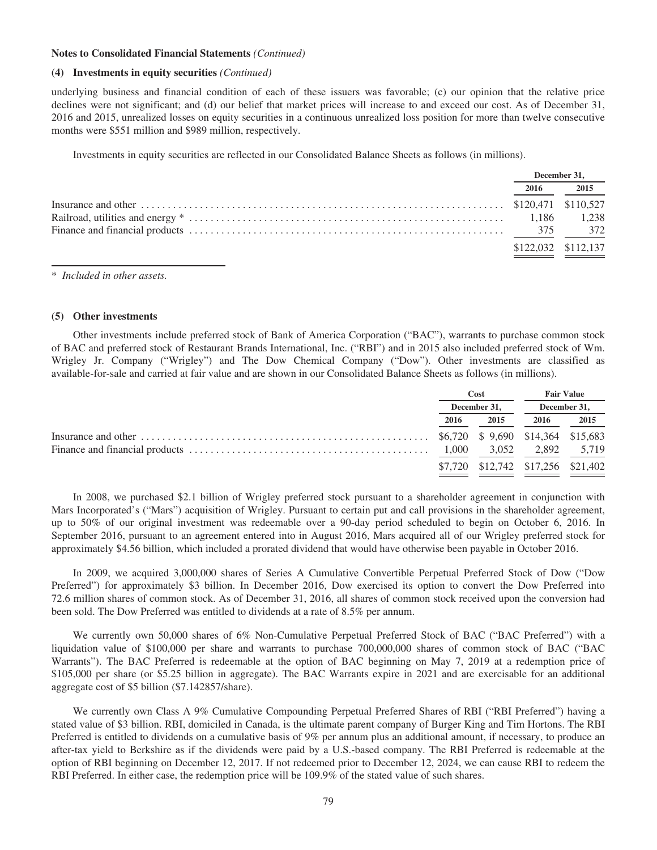### **(4) Investments in equity securities** *(Continued)*

underlying business and financial condition of each of these issuers was favorable; (c) our opinion that the relative price declines were not significant; and (d) our belief that market prices will increase to and exceed our cost. As of December 31, 2016 and 2015, unrealized losses on equity securities in a continuous unrealized loss position for more than twelve consecutive months were \$551 million and \$989 million, respectively.

Investments in equity securities are reflected in our Consolidated Balance Sheets as follows (in millions).

| December 31.        |      |
|---------------------|------|
| 2016                | 2015 |
|                     |      |
|                     |      |
|                     |      |
| \$122,032 \$112,137 |      |

*\* Included in other assets.*

### **(5) Other investments**

Other investments include preferred stock of Bank of America Corporation ("BAC"), warrants to purchase common stock of BAC and preferred stock of Restaurant Brands International, Inc. ("RBI") and in 2015 also included preferred stock of Wm. Wrigley Jr. Company ("Wrigley") and The Dow Chemical Company ("Dow"). Other investments are classified as available-for-sale and carried at fair value and are shown in our Consolidated Balance Sheets as follows (in millions).

| Cost         |      | <b>Fair Value</b>                  |              |
|--------------|------|------------------------------------|--------------|
| December 31. |      |                                    | December 31. |
| 2016         | 2015 | 2016                               | 2015         |
|              |      |                                    |              |
|              |      |                                    |              |
|              |      | \$7,720 \$12,742 \$17,256 \$21,402 |              |

In 2008, we purchased \$2.1 billion of Wrigley preferred stock pursuant to a shareholder agreement in conjunction with Mars Incorporated's ("Mars") acquisition of Wrigley. Pursuant to certain put and call provisions in the shareholder agreement, up to 50% of our original investment was redeemable over a 90-day period scheduled to begin on October 6, 2016. In September 2016, pursuant to an agreement entered into in August 2016, Mars acquired all of our Wrigley preferred stock for approximately \$4.56 billion, which included a prorated dividend that would have otherwise been payable in October 2016.

In 2009, we acquired 3,000,000 shares of Series A Cumulative Convertible Perpetual Preferred Stock of Dow ("Dow Preferred") for approximately \$3 billion. In December 2016, Dow exercised its option to convert the Dow Preferred into 72.6 million shares of common stock. As of December 31, 2016, all shares of common stock received upon the conversion had been sold. The Dow Preferred was entitled to dividends at a rate of 8.5% per annum.

We currently own 50,000 shares of 6% Non-Cumulative Perpetual Preferred Stock of BAC ("BAC Preferred") with a liquidation value of \$100,000 per share and warrants to purchase 700,000,000 shares of common stock of BAC ("BAC Warrants"). The BAC Preferred is redeemable at the option of BAC beginning on May 7, 2019 at a redemption price of \$105,000 per share (or \$5.25 billion in aggregate). The BAC Warrants expire in 2021 and are exercisable for an additional aggregate cost of \$5 billion (\$7.142857/share).

We currently own Class A 9% Cumulative Compounding Perpetual Preferred Shares of RBI ("RBI Preferred") having a stated value of \$3 billion. RBI, domiciled in Canada, is the ultimate parent company of Burger King and Tim Hortons. The RBI Preferred is entitled to dividends on a cumulative basis of 9% per annum plus an additional amount, if necessary, to produce an after-tax yield to Berkshire as if the dividends were paid by a U.S.-based company. The RBI Preferred is redeemable at the option of RBI beginning on December 12, 2017. If not redeemed prior to December 12, 2024, we can cause RBI to redeem the RBI Preferred. In either case, the redemption price will be 109.9% of the stated value of such shares.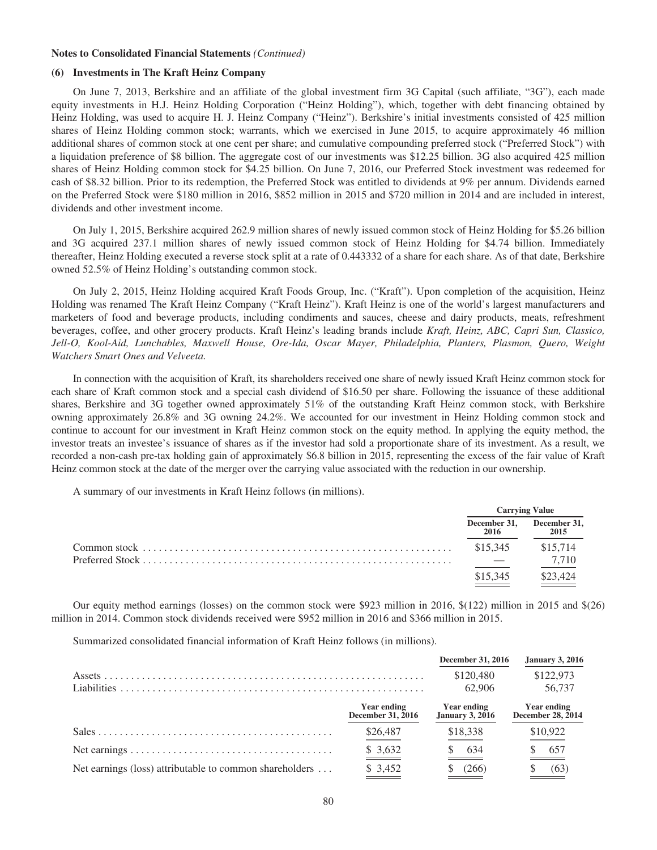#### **(6) Investments in The Kraft Heinz Company**

On June 7, 2013, Berkshire and an affiliate of the global investment firm 3G Capital (such affiliate, "3G"), each made equity investments in H.J. Heinz Holding Corporation ("Heinz Holding"), which, together with debt financing obtained by Heinz Holding, was used to acquire H. J. Heinz Company ("Heinz"). Berkshire's initial investments consisted of 425 million shares of Heinz Holding common stock; warrants, which we exercised in June 2015, to acquire approximately 46 million additional shares of common stock at one cent per share; and cumulative compounding preferred stock ("Preferred Stock") with a liquidation preference of \$8 billion. The aggregate cost of our investments was \$12.25 billion. 3G also acquired 425 million shares of Heinz Holding common stock for \$4.25 billion. On June 7, 2016, our Preferred Stock investment was redeemed for cash of \$8.32 billion. Prior to its redemption, the Preferred Stock was entitled to dividends at 9% per annum. Dividends earned on the Preferred Stock were \$180 million in 2016, \$852 million in 2015 and \$720 million in 2014 and are included in interest, dividends and other investment income.

On July 1, 2015, Berkshire acquired 262.9 million shares of newly issued common stock of Heinz Holding for \$5.26 billion and 3G acquired 237.1 million shares of newly issued common stock of Heinz Holding for \$4.74 billion. Immediately thereafter, Heinz Holding executed a reverse stock split at a rate of 0.443332 of a share for each share. As of that date, Berkshire owned 52.5% of Heinz Holding's outstanding common stock.

On July 2, 2015, Heinz Holding acquired Kraft Foods Group, Inc. ("Kraft"). Upon completion of the acquisition, Heinz Holding was renamed The Kraft Heinz Company ("Kraft Heinz"). Kraft Heinz is one of the world's largest manufacturers and marketers of food and beverage products, including condiments and sauces, cheese and dairy products, meats, refreshment beverages, coffee, and other grocery products. Kraft Heinz's leading brands include *Kraft, Heinz, ABC, Capri Sun, Classico, Jell-O, Kool-Aid, Lunchables, Maxwell House, Ore-Ida, Oscar Mayer, Philadelphia, Planters, Plasmon, Quero, Weight Watchers Smart Ones and Velveeta.*

In connection with the acquisition of Kraft, its shareholders received one share of newly issued Kraft Heinz common stock for each share of Kraft common stock and a special cash dividend of \$16.50 per share. Following the issuance of these additional shares, Berkshire and 3G together owned approximately 51% of the outstanding Kraft Heinz common stock, with Berkshire owning approximately 26.8% and 3G owning 24.2%. We accounted for our investment in Heinz Holding common stock and continue to account for our investment in Kraft Heinz common stock on the equity method. In applying the equity method, the investor treats an investee's issuance of shares as if the investor had sold a proportionate share of its investment. As a result, we recorded a non-cash pre-tax holding gain of approximately \$6.8 billion in 2015, representing the excess of the fair value of Kraft Heinz common stock at the date of the merger over the carrying value associated with the reduction in our ownership.

A summary of our investments in Kraft Heinz follows (in millions).

| <b>Carrying Value</b> |                      |  |
|-----------------------|----------------------|--|
| December 31.<br>2016  | December 31,<br>2015 |  |
| \$15.345              | \$15.714             |  |
|                       | 7,710                |  |
| \$15,345              | :23 424              |  |

Our equity method earnings (losses) on the common stock were \$923 million in 2016, \$(122) million in 2015 and \$(26) million in 2014. Common stock dividends received were \$952 million in 2016 and \$366 million in 2015.

Summarized consolidated financial information of Kraft Heinz follows (in millions).

|                                                         |                                  | December 31, 2016                     | <b>January 3, 2016</b>           |
|---------------------------------------------------------|----------------------------------|---------------------------------------|----------------------------------|
|                                                         |                                  | \$120,480<br>62.906                   | \$122,973<br>56,737              |
|                                                         |                                  |                                       |                                  |
|                                                         | Year ending<br>December 31, 2016 | Year ending<br><b>January 3, 2016</b> | Year ending<br>December 28, 2014 |
|                                                         | \$26,487<br>______               | \$18,338<br>______                    | \$10,922<br>______               |
|                                                         | $\frac{$3,632}{}$                | - 634                                 | 657                              |
| Net earnings (loss) attributable to common shareholders | \$3,452                          | (266)                                 | (63)                             |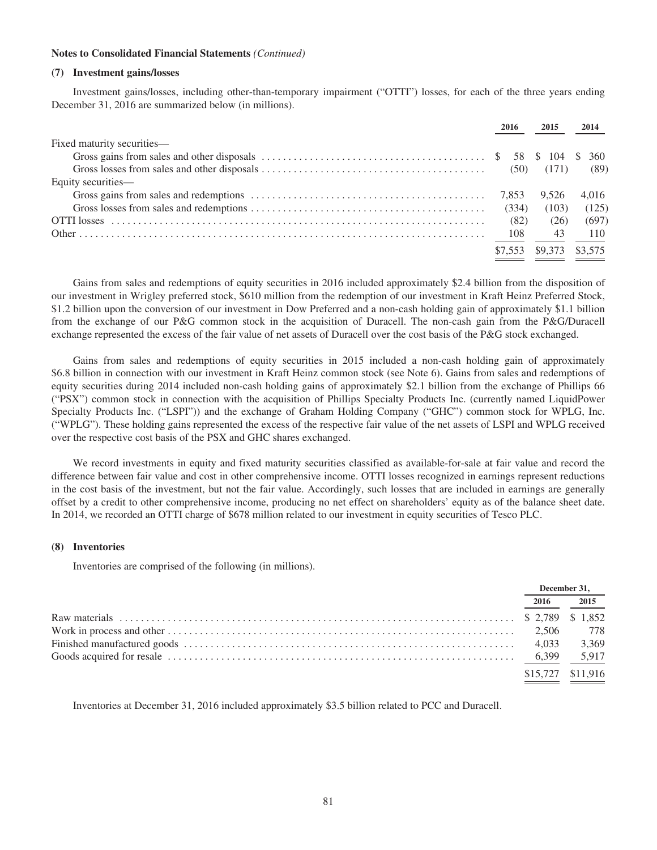### **(7) Investment gains/losses**

Investment gains/losses, including other-than-temporary impairment ("OTTI") losses, for each of the three years ending December 31, 2016 are summarized below (in millions).

|                            | 2016    | 2015    | 2014    |
|----------------------------|---------|---------|---------|
| Fixed maturity securities- |         |         |         |
|                            |         |         |         |
|                            |         | (171)   | (89)    |
| Equity securities—         |         |         |         |
|                            |         | 9.526   | 4,016   |
|                            | (334)   | (103)   | (125)   |
|                            | (82)    | (26)    | (697)   |
|                            | 108     | 43      | - 110   |
|                            | \$7.553 | \$9.373 | \$3,575 |

Gains from sales and redemptions of equity securities in 2016 included approximately \$2.4 billion from the disposition of our investment in Wrigley preferred stock, \$610 million from the redemption of our investment in Kraft Heinz Preferred Stock, \$1.2 billion upon the conversion of our investment in Dow Preferred and a non-cash holding gain of approximately \$1.1 billion from the exchange of our P&G common stock in the acquisition of Duracell. The non-cash gain from the P&G/Duracell exchange represented the excess of the fair value of net assets of Duracell over the cost basis of the P&G stock exchanged.

Gains from sales and redemptions of equity securities in 2015 included a non-cash holding gain of approximately \$6.8 billion in connection with our investment in Kraft Heinz common stock (see Note 6). Gains from sales and redemptions of equity securities during 2014 included non-cash holding gains of approximately \$2.1 billion from the exchange of Phillips 66 ("PSX") common stock in connection with the acquisition of Phillips Specialty Products Inc. (currently named LiquidPower Specialty Products Inc. ("LSPI")) and the exchange of Graham Holding Company ("GHC") common stock for WPLG, Inc. ("WPLG"). These holding gains represented the excess of the respective fair value of the net assets of LSPI and WPLG received over the respective cost basis of the PSX and GHC shares exchanged.

We record investments in equity and fixed maturity securities classified as available-for-sale at fair value and record the difference between fair value and cost in other comprehensive income. OTTI losses recognized in earnings represent reductions in the cost basis of the investment, but not the fair value. Accordingly, such losses that are included in earnings are generally offset by a credit to other comprehensive income, producing no net effect on shareholders' equity as of the balance sheet date. In 2014, we recorded an OTTI charge of \$678 million related to our investment in equity securities of Tesco PLC.

### **(8) Inventories**

Inventories are comprised of the following (in millions).

|      | December 31.      |
|------|-------------------|
| 2016 | 2015              |
|      |                   |
|      |                   |
|      |                   |
|      |                   |
|      | \$15,727 \$11,916 |

Inventories at December 31, 2016 included approximately \$3.5 billion related to PCC and Duracell.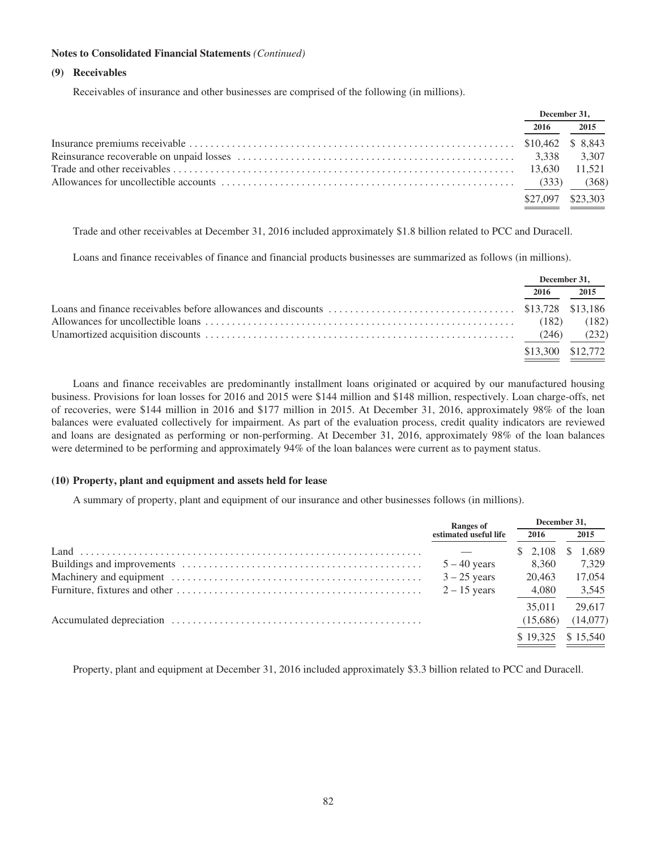### **(9) Receivables**

Receivables of insurance and other businesses are comprised of the following (in millions).

|                                                                                                                                                                       | December 31.      |       |
|-----------------------------------------------------------------------------------------------------------------------------------------------------------------------|-------------------|-------|
|                                                                                                                                                                       | 2016              | 2015  |
| Insurance premiums receivable $\dots \dots \dots \dots \dots \dots \dots \dots \dots \dots \dots \dots \dots \dots \dots \dots \dots \dots \dots \$ \$10,462 \$ 8,843 |                   |       |
|                                                                                                                                                                       |                   |       |
|                                                                                                                                                                       |                   |       |
|                                                                                                                                                                       |                   | (368) |
|                                                                                                                                                                       | \$27,097 \$23,303 |       |

Trade and other receivables at December 31, 2016 included approximately \$1.8 billion related to PCC and Duracell.

Loans and finance receivables of finance and financial products businesses are summarized as follows (in millions).

|                         | December 31,      |      |
|-------------------------|-------------------|------|
|                         | 2016              | 2015 |
|                         |                   |      |
| (182) (182) (182) (182) |                   |      |
|                         |                   |      |
|                         | \$13,300 \$12,772 |      |

Loans and finance receivables are predominantly installment loans originated or acquired by our manufactured housing business. Provisions for loan losses for 2016 and 2015 were \$144 million and \$148 million, respectively. Loan charge-offs, net of recoveries, were \$144 million in 2016 and \$177 million in 2015. At December 31, 2016, approximately 98% of the loan balances were evaluated collectively for impairment. As part of the evaluation process, credit quality indicators are reviewed and loans are designated as performing or non-performing. At December 31, 2016, approximately 98% of the loan balances were determined to be performing and approximately 94% of the loan balances were current as to payment status.

# **(10) Property, plant and equipment and assets held for lease**

A summary of property, plant and equipment of our insurance and other businesses follows (in millions).

| Ranges of             | December 31, |          |
|-----------------------|--------------|----------|
| estimated useful life | 2016         | 2015     |
|                       | \$ 2.108     | 1,689    |
| $5 - 40$ years        | 8.360        | 7.329    |
| $3 - 25$ years        | 20.463       | 17,054   |
| $2 - 15$ years        | 4,080        | 3,545    |
|                       | 35,011       | 29,617   |
|                       | (15,686)     | (14,077) |
|                       | \$19.325     | \$15,540 |
|                       |              |          |

Property, plant and equipment at December 31, 2016 included approximately \$3.3 billion related to PCC and Duracell.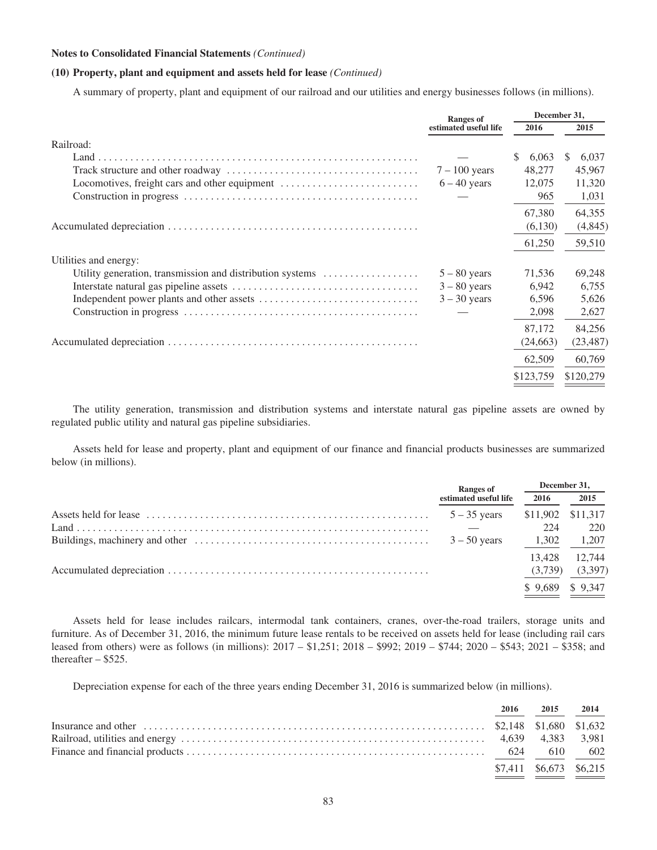### **(10) Property, plant and equipment and assets held for lease** *(Continued)*

A summary of property, plant and equipment of our railroad and our utilities and energy businesses follows (in millions).

|                                                           | <b>Ranges of</b>      | December 31, |              |
|-----------------------------------------------------------|-----------------------|--------------|--------------|
|                                                           | estimated useful life | 2016         | 2015         |
| Railroad:                                                 |                       |              |              |
|                                                           |                       | S.<br>6,063  | 6,037<br>\$. |
|                                                           | $7 - 100$ years       | 48,277       | 45,967       |
| Locomotives, freight cars and other equipment             | $6 - 40$ years        | 12,075       | 11,320       |
|                                                           |                       | 965          | 1,031        |
|                                                           |                       | 67,380       | 64,355       |
|                                                           |                       | (6,130)      | (4,845)      |
|                                                           |                       | 61,250       | 59,510       |
| Utilities and energy:                                     |                       |              |              |
| Utility generation, transmission and distribution systems | $5 - 80$ years        | 71,536       | 69,248       |
|                                                           | $3 - 80$ years        | 6,942        | 6,755        |
|                                                           | $3 - 30$ years        | 6,596        | 5,626        |
|                                                           |                       | 2,098        | 2,627        |
|                                                           |                       | 87,172       | 84,256       |
|                                                           |                       | (24, 663)    | (23, 487)    |
|                                                           |                       | 62,509       | 60,769       |
|                                                           |                       | \$123,759    | \$120,279    |

The utility generation, transmission and distribution systems and interstate natural gas pipeline assets are owned by regulated public utility and natural gas pipeline subsidiaries.

Assets held for lease and property, plant and equipment of our finance and financial products businesses are summarized below (in millions).

| Ranges of $\qquad \qquad \text{December 31,}$ |         |         |
|-----------------------------------------------|---------|---------|
| estimated useful life                         | 2016    | 2015    |
| $5 - 35$ years $$11,902$ \$11,317             |         |         |
|                                               | 224     | 220     |
| $3 - 50$ years                                | 1,302   | 1,207   |
|                                               | 13.428  | 12,744  |
|                                               | (3,739) | (3,397) |
|                                               | \$9,689 | \$9,347 |

Assets held for lease includes railcars, intermodal tank containers, cranes, over-the-road trailers, storage units and furniture. As of December 31, 2016, the minimum future lease rentals to be received on assets held for lease (including rail cars leased from others) were as follows (in millions): 2017 – \$1,251; 2018 – \$992; 2019 – \$744; 2020 – \$543; 2021 – \$358; and thereafter – \$525.

Depreciation expense for each of the three years ending December 31, 2016 is summarized below (in millions).

|                                                                                                                                               | 2016 | 2015 2014               |  |
|-----------------------------------------------------------------------------------------------------------------------------------------------|------|-------------------------|--|
| Insurance and other $\dots \dots \dots \dots \dots \dots \dots \dots \dots \dots \dots \dots \dots \dots \dots \dots$ \$2,148 \$1,680 \$1,632 |      |                         |  |
|                                                                                                                                               |      |                         |  |
|                                                                                                                                               |      |                         |  |
|                                                                                                                                               |      | \$7,411 \$6,673 \$6,215 |  |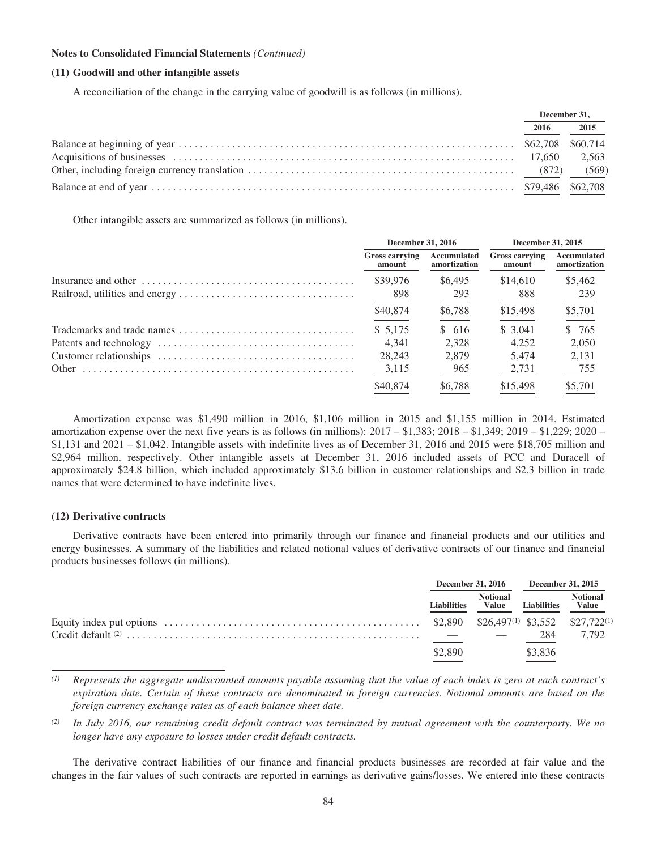### **(11) Goodwill and other intangible assets**

A reconciliation of the change in the carrying value of goodwill is as follows (in millions).

| December 31, |       |
|--------------|-------|
| 2016         | 2015  |
|              |       |
|              | 2.563 |
|              | (569) |
|              |       |

Other intangible assets are summarized as follows (in millions).

| <b>December 31, 2016</b>        |                             | December 31, 2015               |                                    |
|---------------------------------|-----------------------------|---------------------------------|------------------------------------|
| <b>Gross carrying</b><br>amount | Accumulated<br>amortization | <b>Gross carrying</b><br>amount | <b>Accumulated</b><br>amortization |
| \$39,976                        | \$6,495                     | \$14,610                        | \$5,462                            |
| 898                             | 293                         | 888                             | 239                                |
| \$40,874                        | \$6,788                     | \$15,498                        | $\frac{$5,701}{2}$                 |
| \$5.175                         | \$616                       | \$ 3.041                        | \$ 765                             |
| 4.341                           | 2.328                       | 4.252                           | 2,050                              |
| 28.243                          | 2.879                       | 5.474                           | 2.131                              |
| 3,115                           | 965                         | 2,731                           | $\frac{755}{2}$                    |
| \$40,874                        | \$6,788                     | \$15,498                        | \$5,701                            |

Amortization expense was \$1,490 million in 2016, \$1,106 million in 2015 and \$1,155 million in 2014. Estimated amortization expense over the next five years is as follows (in millions): 2017 – \$1,383; 2018 – \$1,349; 2019 – \$1,229; 2020 –  $$1,131$  and  $2021 - $1,042$ . Intangible assets with indefinite lives as of December 31, 2016 and 2015 were \$18,705 million and \$2,964 million, respectively. Other intangible assets at December 31, 2016 included assets of PCC and Duracell of approximately \$24.8 billion, which included approximately \$13.6 billion in customer relationships and \$2.3 billion in trade names that were determined to have indefinite lives.

### **(12) Derivative contracts**

Derivative contracts have been entered into primarily through our finance and financial products and our utilities and energy businesses. A summary of the liabilities and related notional values of derivative contracts of our finance and financial products businesses follows (in millions).

| <b>December 31, 2016</b> |                                 | December 31, 2015  |                                 |
|--------------------------|---------------------------------|--------------------|---------------------------------|
| <b>Liabilities</b>       | <b>Notional</b><br><b>Value</b> | <b>Liabilities</b> | <b>Notional</b><br><b>Value</b> |
|                          |                                 |                    |                                 |
|                          |                                 | 284                | 7.792                           |
| \$2.890                  |                                 | \$3,836            |                                 |

*<sup>(1)</sup> Represents the aggregate undiscounted amounts payable assuming that the value of each index is zero at each contract's expiration date. Certain of these contracts are denominated in foreign currencies. Notional amounts are based on the foreign currency exchange rates as of each balance sheet date.*

The derivative contract liabilities of our finance and financial products businesses are recorded at fair value and the changes in the fair values of such contracts are reported in earnings as derivative gains/losses. We entered into these contracts

*<sup>(2)</sup> In July 2016, our remaining credit default contract was terminated by mutual agreement with the counterparty. We no longer have any exposure to losses under credit default contracts.*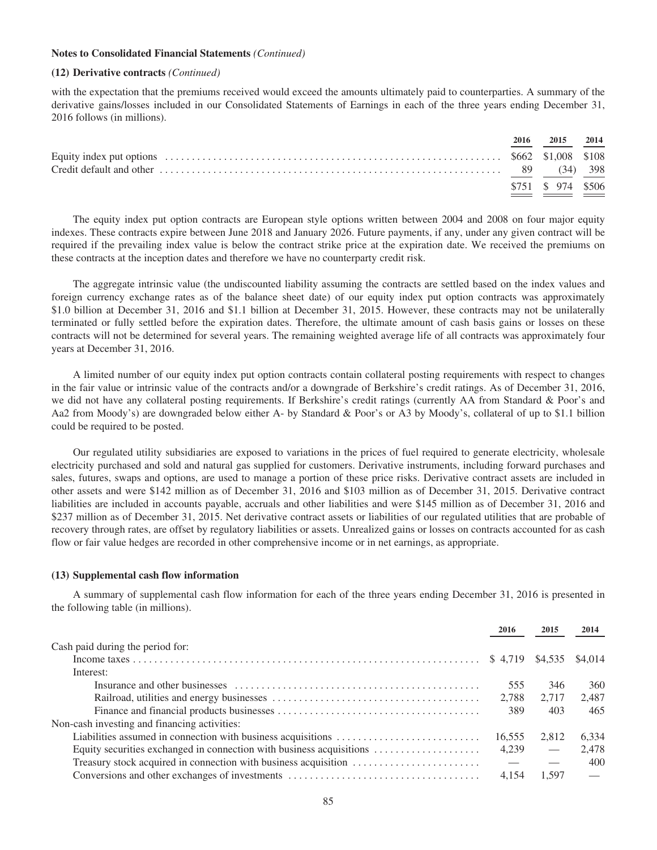#### **(12) Derivative contracts** *(Continued)*

with the expectation that the premiums received would exceed the amounts ultimately paid to counterparties. A summary of the derivative gains/losses included in our Consolidated Statements of Earnings in each of the three years ending December 31, 2016 follows (in millions).

| 2016 | 2015 2014          |  |
|------|--------------------|--|
|      |                    |  |
|      |                    |  |
|      | \$751 \$ 974 \$506 |  |

The equity index put option contracts are European style options written between 2004 and 2008 on four major equity indexes. These contracts expire between June 2018 and January 2026. Future payments, if any, under any given contract will be required if the prevailing index value is below the contract strike price at the expiration date. We received the premiums on these contracts at the inception dates and therefore we have no counterparty credit risk.

The aggregate intrinsic value (the undiscounted liability assuming the contracts are settled based on the index values and foreign currency exchange rates as of the balance sheet date) of our equity index put option contracts was approximately \$1.0 billion at December 31, 2016 and \$1.1 billion at December 31, 2015. However, these contracts may not be unilaterally terminated or fully settled before the expiration dates. Therefore, the ultimate amount of cash basis gains or losses on these contracts will not be determined for several years. The remaining weighted average life of all contracts was approximately four years at December 31, 2016.

A limited number of our equity index put option contracts contain collateral posting requirements with respect to changes in the fair value or intrinsic value of the contracts and/or a downgrade of Berkshire's credit ratings. As of December 31, 2016, we did not have any collateral posting requirements. If Berkshire's credit ratings (currently AA from Standard & Poor's and Aa2 from Moody's) are downgraded below either A- by Standard & Poor's or A3 by Moody's, collateral of up to \$1.1 billion could be required to be posted.

Our regulated utility subsidiaries are exposed to variations in the prices of fuel required to generate electricity, wholesale electricity purchased and sold and natural gas supplied for customers. Derivative instruments, including forward purchases and sales, futures, swaps and options, are used to manage a portion of these price risks. Derivative contract assets are included in other assets and were \$142 million as of December 31, 2016 and \$103 million as of December 31, 2015. Derivative contract liabilities are included in accounts payable, accruals and other liabilities and were \$145 million as of December 31, 2016 and \$237 million as of December 31, 2015. Net derivative contract assets or liabilities of our regulated utilities that are probable of recovery through rates, are offset by regulatory liabilities or assets. Unrealized gains or losses on contracts accounted for as cash flow or fair value hedges are recorded in other comprehensive income or in net earnings, as appropriate.

#### **(13) Supplemental cash flow information**

A summary of supplemental cash flow information for each of the three years ending December 31, 2016 is presented in the following table (in millions).

**2016 2015 2014**

| Cash paid during the period for:                                     |        |                                   |                          |
|----------------------------------------------------------------------|--------|-----------------------------------|--------------------------|
|                                                                      |        |                                   |                          |
| Interest:                                                            |        |                                   |                          |
|                                                                      | 555    | 346                               | 360                      |
|                                                                      | 2.788  | 2.717                             | 2.487                    |
|                                                                      | 389    | 403                               | 465                      |
| Non-cash investing and financing activities:                         |        |                                   |                          |
|                                                                      | 16.555 | 2.812                             | 6.334                    |
| Equity securities exchanged in connection with business acquisitions |        | $4.239 -$                         | 2.478                    |
|                                                                      |        | and the state of the state of the | 400                      |
|                                                                      | 4.154  | 1.597                             | $\overline{\phantom{a}}$ |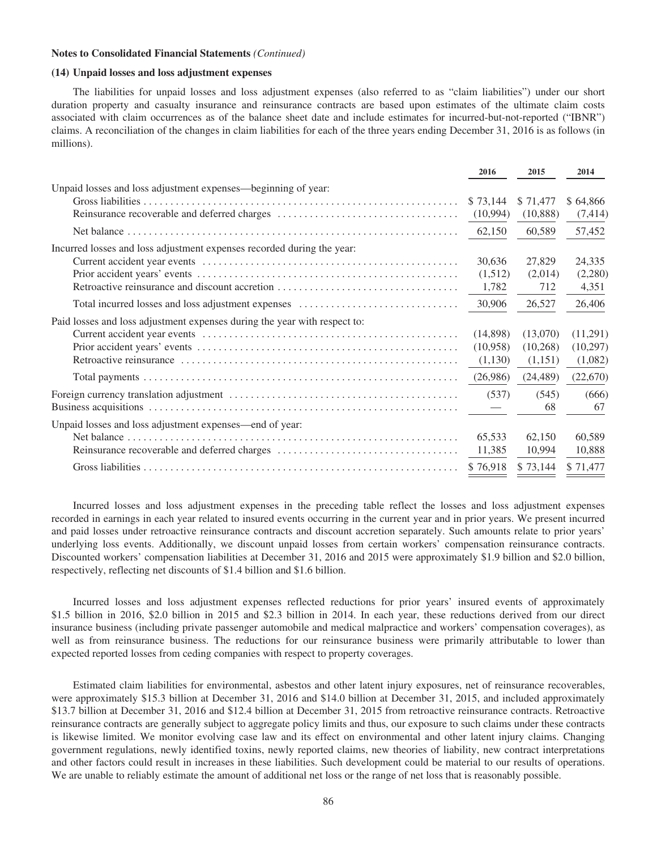#### **(14) Unpaid losses and loss adjustment expenses**

The liabilities for unpaid losses and loss adjustment expenses (also referred to as "claim liabilities") under our short duration property and casualty insurance and reinsurance contracts are based upon estimates of the ultimate claim costs associated with claim occurrences as of the balance sheet date and include estimates for incurred-but-not-reported ("IBNR") claims. A reconciliation of the changes in claim liabilities for each of the three years ending December 31, 2016 is as follows (in millions).

|                                                                           | 2016     | 2015      | 2014     |
|---------------------------------------------------------------------------|----------|-----------|----------|
| Unpaid losses and loss adjustment expenses—beginning of year:             |          |           |          |
|                                                                           | \$73.144 | \$71,477  | \$64,866 |
| Reinsurance recoverable and deferred charges                              | (10,994) | (10,888)  | (7, 414) |
|                                                                           | 62,150   | 60,589    | 57,452   |
| Incurred losses and loss adjustment expenses recorded during the year:    |          |           |          |
|                                                                           | 30,636   | 27,829    | 24,335   |
|                                                                           | (1,512)  | (2,014)   | (2,280)  |
| Retroactive reinsurance and discount accretion                            | 1,782    | 712       | 4,351    |
| Total incurred losses and loss adjustment expenses                        | 30,906   | 26,527    | 26,406   |
| Paid losses and loss adjustment expenses during the year with respect to: |          |           |          |
|                                                                           | (14,898) | (13,070)  | (11,291) |
|                                                                           | (10,958) | (10,268)  | (10,297) |
|                                                                           | (1,130)  | (1,151)   | (1,082)  |
|                                                                           | (26,986) | (24, 489) | (22,670) |
|                                                                           | (537)    | (545)     | (666)    |
|                                                                           |          | 68        | 67       |
| Unpaid losses and loss adjustment expenses—end of year:                   |          |           |          |
|                                                                           | 65,533   | 62,150    | 60,589   |
| Reinsurance recoverable and deferred charges                              | 11,385   | 10,994    | 10,888   |
|                                                                           | \$76,918 | \$73,144  | \$71,477 |

Incurred losses and loss adjustment expenses in the preceding table reflect the losses and loss adjustment expenses recorded in earnings in each year related to insured events occurring in the current year and in prior years. We present incurred and paid losses under retroactive reinsurance contracts and discount accretion separately. Such amounts relate to prior years' underlying loss events. Additionally, we discount unpaid losses from certain workers' compensation reinsurance contracts. Discounted workers' compensation liabilities at December 31, 2016 and 2015 were approximately \$1.9 billion and \$2.0 billion, respectively, reflecting net discounts of \$1.4 billion and \$1.6 billion.

Incurred losses and loss adjustment expenses reflected reductions for prior years' insured events of approximately \$1.5 billion in 2016, \$2.0 billion in 2015 and \$2.3 billion in 2014. In each year, these reductions derived from our direct insurance business (including private passenger automobile and medical malpractice and workers' compensation coverages), as well as from reinsurance business. The reductions for our reinsurance business were primarily attributable to lower than expected reported losses from ceding companies with respect to property coverages.

Estimated claim liabilities for environmental, asbestos and other latent injury exposures, net of reinsurance recoverables, were approximately \$15.3 billion at December 31, 2016 and \$14.0 billion at December 31, 2015, and included approximately \$13.7 billion at December 31, 2016 and \$12.4 billion at December 31, 2015 from retroactive reinsurance contracts. Retroactive reinsurance contracts are generally subject to aggregate policy limits and thus, our exposure to such claims under these contracts is likewise limited. We monitor evolving case law and its effect on environmental and other latent injury claims. Changing government regulations, newly identified toxins, newly reported claims, new theories of liability, new contract interpretations and other factors could result in increases in these liabilities. Such development could be material to our results of operations. We are unable to reliably estimate the amount of additional net loss or the range of net loss that is reasonably possible.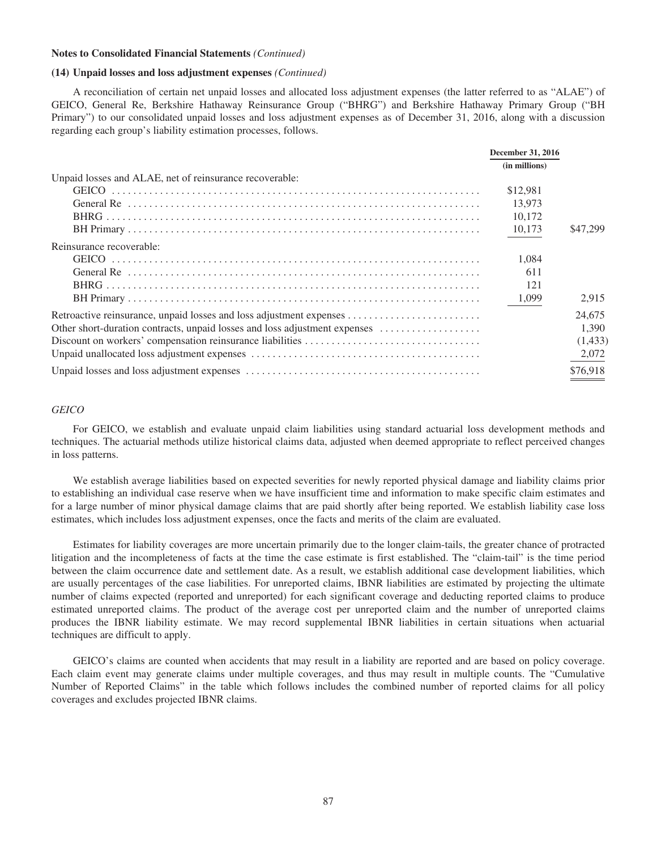### **(14) Unpaid losses and loss adjustment expenses** *(Continued)*

A reconciliation of certain net unpaid losses and allocated loss adjustment expenses (the latter referred to as "ALAE") of GEICO, General Re, Berkshire Hathaway Reinsurance Group ("BHRG") and Berkshire Hathaway Primary Group ("BH Primary") to our consolidated unpaid losses and loss adjustment expenses as of December 31, 2016, along with a discussion regarding each group's liability estimation processes, follows.

|                                                         | December 31, 2016<br>(in millions) |          |
|---------------------------------------------------------|------------------------------------|----------|
| Unpaid losses and ALAE, net of reinsurance recoverable: |                                    |          |
|                                                         | \$12,981                           |          |
|                                                         | 13,973                             |          |
|                                                         | 10.172                             |          |
|                                                         | 10,173                             | \$47,299 |
| Reinsurance recoverable:                                |                                    |          |
|                                                         | 1.084                              |          |
|                                                         | 611                                |          |
|                                                         | 121                                |          |
|                                                         | 1,099                              | 2.915    |
|                                                         |                                    | 24,675   |
|                                                         |                                    | 1.390    |
|                                                         |                                    | (1,433)  |
|                                                         |                                    | 2,072    |
|                                                         |                                    | \$76,918 |

### *GEICO*

For GEICO, we establish and evaluate unpaid claim liabilities using standard actuarial loss development methods and techniques. The actuarial methods utilize historical claims data, adjusted when deemed appropriate to reflect perceived changes in loss patterns.

We establish average liabilities based on expected severities for newly reported physical damage and liability claims prior to establishing an individual case reserve when we have insufficient time and information to make specific claim estimates and for a large number of minor physical damage claims that are paid shortly after being reported. We establish liability case loss estimates, which includes loss adjustment expenses, once the facts and merits of the claim are evaluated.

Estimates for liability coverages are more uncertain primarily due to the longer claim-tails, the greater chance of protracted litigation and the incompleteness of facts at the time the case estimate is first established. The "claim-tail" is the time period between the claim occurrence date and settlement date. As a result, we establish additional case development liabilities, which are usually percentages of the case liabilities. For unreported claims, IBNR liabilities are estimated by projecting the ultimate number of claims expected (reported and unreported) for each significant coverage and deducting reported claims to produce estimated unreported claims. The product of the average cost per unreported claim and the number of unreported claims produces the IBNR liability estimate. We may record supplemental IBNR liabilities in certain situations when actuarial techniques are difficult to apply.

GEICO's claims are counted when accidents that may result in a liability are reported and are based on policy coverage. Each claim event may generate claims under multiple coverages, and thus may result in multiple counts. The "Cumulative Number of Reported Claims" in the table which follows includes the combined number of reported claims for all policy coverages and excludes projected IBNR claims.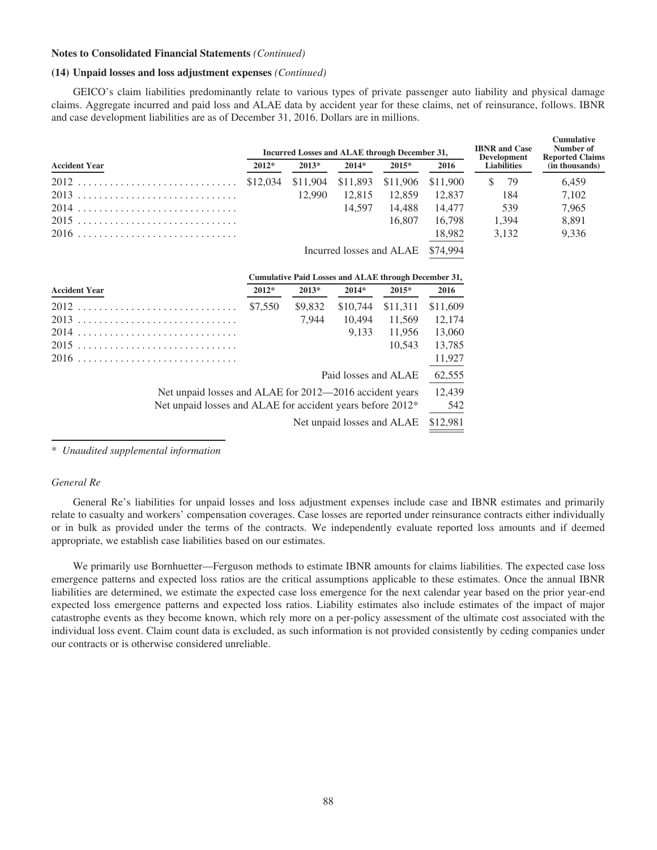### **(14) Unpaid losses and loss adjustment expenses** *(Continued)*

GEICO's claim liabilities predominantly relate to various types of private passenger auto liability and physical damage claims. Aggregate incurred and paid loss and ALAE data by accident year for these claims, net of reinsurance, follows. IBNR and case development liabilities are as of December 31, 2016. Dollars are in millions.

|                      |         |         | Incurred Losses and ALAE through December 31, | <b>IBNR</b> and Case<br>Development | <b>Cumulative</b><br>Number of<br><b>Reported Claims</b> |                    |                |  |
|----------------------|---------|---------|-----------------------------------------------|-------------------------------------|----------------------------------------------------------|--------------------|----------------|--|
| <b>Accident Year</b> | $2012*$ | $2013*$ | $2014*$                                       |                                     | 2016                                                     | <b>Liabilities</b> | (in thousands) |  |
|                      |         |         |                                               |                                     |                                                          | - 79               | 6.459          |  |
|                      |         | 12.990  | 12.815                                        | 12.859                              | 12.837                                                   | 184                | 7.102          |  |
|                      |         |         | 14.597                                        | 14.488                              | 14.477                                                   | 539                | 7.965          |  |
|                      |         |         |                                               | 16.807                              | 16.798                                                   | 1.394              | 8.891          |  |
|                      |         |         |                                               |                                     | 18.982                                                   | 3.132              | 9.336          |  |
|                      |         |         | Incurred losses and ALAE \$74,994             |                                     |                                                          |                    |                |  |

|                                                            | <b>Cumulative Paid Losses and ALAE through December 31,</b> |         |                            |          |          |  |  |  |  |  |  |
|------------------------------------------------------------|-------------------------------------------------------------|---------|----------------------------|----------|----------|--|--|--|--|--|--|
| <b>Accident Year</b>                                       | $2012*$                                                     | $2013*$ | $2014*$                    | $2015*$  | 2016     |  |  |  |  |  |  |
|                                                            | \$7,550                                                     | \$9,832 | \$10,744                   | \$11,311 | \$11,609 |  |  |  |  |  |  |
|                                                            |                                                             | 7.944   | 10.494                     | 11,569   | 12,174   |  |  |  |  |  |  |
|                                                            |                                                             |         | 9.133                      | 11.956   | 13,060   |  |  |  |  |  |  |
|                                                            |                                                             |         |                            | 10.543   | 13,785   |  |  |  |  |  |  |
|                                                            |                                                             |         |                            |          | 11,927   |  |  |  |  |  |  |
|                                                            |                                                             |         | Paid losses and ALAE       |          | 62,555   |  |  |  |  |  |  |
| Net unpaid losses and ALAE for 2012—2016 accident years    |                                                             |         |                            |          | 12.439   |  |  |  |  |  |  |
| Net unpaid losses and ALAE for accident years before 2012* |                                                             |         |                            |          | 542      |  |  |  |  |  |  |
|                                                            |                                                             |         | Net unpaid losses and ALAE |          | \$12.981 |  |  |  |  |  |  |

\* *Unaudited supplemental information*

### *General Re*

General Re's liabilities for unpaid losses and loss adjustment expenses include case and IBNR estimates and primarily relate to casualty and workers' compensation coverages. Case losses are reported under reinsurance contracts either individually or in bulk as provided under the terms of the contracts. We independently evaluate reported loss amounts and if deemed appropriate, we establish case liabilities based on our estimates.

We primarily use Bornhuetter—Ferguson methods to estimate IBNR amounts for claims liabilities. The expected case loss emergence patterns and expected loss ratios are the critical assumptions applicable to these estimates. Once the annual IBNR liabilities are determined, we estimate the expected case loss emergence for the next calendar year based on the prior year-end expected loss emergence patterns and expected loss ratios. Liability estimates also include estimates of the impact of major catastrophe events as they become known, which rely more on a per-policy assessment of the ultimate cost associated with the individual loss event. Claim count data is excluded, as such information is not provided consistently by ceding companies under our contracts or is otherwise considered unreliable.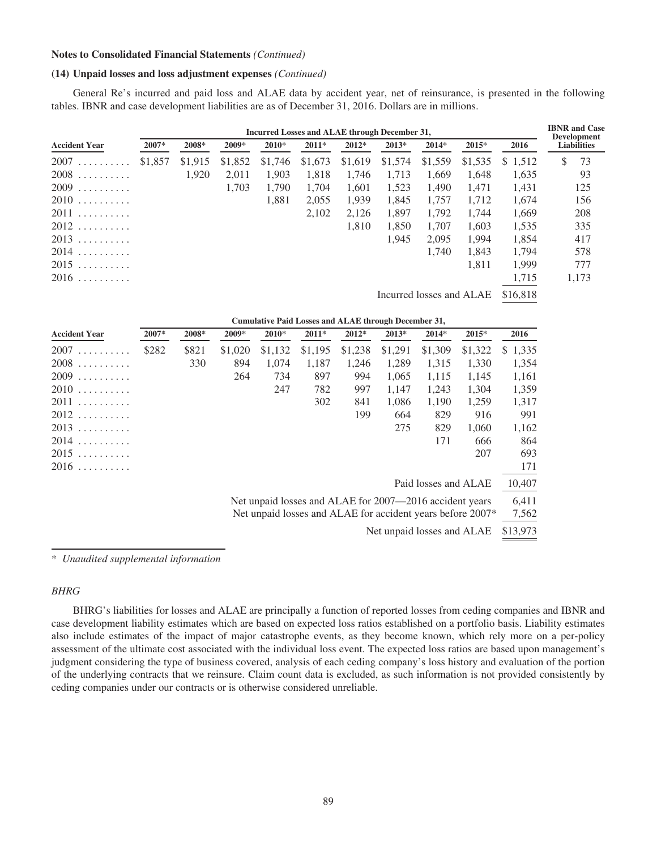### **(14) Unpaid losses and loss adjustment expenses** *(Continued)*

General Re's incurred and paid loss and ALAE data by accident year, net of reinsurance, is presented in the following tables. IBNR and case development liabilities are as of December 31, 2016. Dollars are in millions.

|                      | <b>Incurred Losses and ALAE through December 31,</b> |         |         |         |         |                                                             |         |                                                            |         |          |                                   |
|----------------------|------------------------------------------------------|---------|---------|---------|---------|-------------------------------------------------------------|---------|------------------------------------------------------------|---------|----------|-----------------------------------|
| <b>Accident Year</b> | 2007*                                                | 2008*   | 2009*   | 2010*   | $2011*$ | $2012*$                                                     | 2013*   | 2014*                                                      | 2015*   | 2016     | Development<br><b>Liabilities</b> |
| 2007                 | \$1,857                                              | \$1,915 | \$1,852 | \$1,746 | \$1,673 | \$1,619                                                     | \$1,574 | \$1,559                                                    | \$1,535 | \$1,512  | \$<br>73                          |
| 2008<br>.            |                                                      | 1,920   | 2,011   | 1,903   | 1,818   | 1,746                                                       | 1,713   | 1,669                                                      | 1,648   | 1,635    | 93                                |
| 2009<br>.            |                                                      |         | 1,703   | 1,790   | 1,704   | 1,601                                                       | 1,523   | 1,490                                                      | 1,471   | 1,431    | 125                               |
| 2010<br>.            |                                                      |         |         | 1,881   | 2,055   | 1,939                                                       | 1,845   | 1,757                                                      | 1,712   | 1,674    | 156                               |
| 2011<br>.            |                                                      |         |         |         | 2,102   | 2,126                                                       | 1,897   | 1,792                                                      | 1,744   | 1,669    | 208                               |
| 2012<br>.            |                                                      |         |         |         |         | 1,810                                                       | 1,850   | 1,707                                                      | 1,603   | 1,535    | 335                               |
| $2013$               |                                                      |         |         |         |         |                                                             | 1,945   | 2,095                                                      | 1,994   | 1,854    | 417                               |
| 2014<br>.            |                                                      |         |         |         |         |                                                             |         | 1,740                                                      | 1,843   | 1,794    | 578                               |
| 2015                 |                                                      |         |         |         |         |                                                             |         |                                                            | 1,811   | 1,999    | 777                               |
| 2016                 |                                                      |         |         |         |         |                                                             |         |                                                            |         | 1,715    | 1,173                             |
|                      |                                                      |         |         |         |         |                                                             |         | Incurred losses and ALAE                                   |         | \$16,818 |                                   |
|                      |                                                      |         |         |         |         | <b>Cumulative Paid Losses and ALAE through December 31,</b> |         |                                                            |         |          |                                   |
| <b>Accident Year</b> | 2007*                                                | 2008*   | 2009*   | 2010*   | $2011*$ | 2012*                                                       | 2013*   | 2014*                                                      | 2015*   | 2016     |                                   |
| 2007                 | \$282                                                | \$821   | \$1,020 | \$1,132 | \$1,195 | \$1,238                                                     | \$1,291 | \$1,309                                                    | \$1,322 | \$1,335  |                                   |
| 2008<br>.            |                                                      | 330     | 894     | 1,074   | 1,187   | 1,246                                                       | 1,289   | 1,315                                                      | 1,330   | 1,354    |                                   |
| 2009<br>.            |                                                      |         | 264     | 734     | 897     | 994                                                         | 1,065   | 1,115                                                      | 1,145   | 1,161    |                                   |
| 2010<br>.            |                                                      |         |         | 247     | 782     | 997                                                         | 1,147   | 1,243                                                      | 1,304   | 1,359    |                                   |
| 2011<br>.            |                                                      |         |         |         | 302     | 841                                                         | 1,086   | 1,190                                                      | 1,259   | 1,317    |                                   |
| 2012<br>.            |                                                      |         |         |         |         | 199                                                         | 664     | 829                                                        | 916     | 991      |                                   |
| $2013$               |                                                      |         |         |         |         |                                                             | 275     | 829                                                        | 1,060   | 1,162    |                                   |
| $2014$               |                                                      |         |         |         |         |                                                             |         | 171                                                        | 666     | 864      |                                   |
| 2015                 |                                                      |         |         |         |         |                                                             |         |                                                            | 207     | 693      |                                   |
| 2016<br>.            |                                                      |         |         |         |         |                                                             |         |                                                            |         | 171      |                                   |
|                      |                                                      |         |         |         |         |                                                             |         | Paid losses and ALAE                                       |         | 10,407   |                                   |
|                      |                                                      |         |         |         |         |                                                             |         | Net unpaid losses and ALAE for 2007—2016 accident years    |         | 6,411    |                                   |
|                      |                                                      |         |         |         |         |                                                             |         | Net unpaid losses and ALAE for accident years before 2007* |         | 7,562    |                                   |
|                      |                                                      |         |         |         |         |                                                             |         | Net unpaid losses and ALAE                                 |         | \$13.973 |                                   |

*\* Unaudited supplemental information*

### *BHRG*

BHRG's liabilities for losses and ALAE are principally a function of reported losses from ceding companies and IBNR and case development liability estimates which are based on expected loss ratios established on a portfolio basis. Liability estimates also include estimates of the impact of major catastrophe events, as they become known, which rely more on a per-policy assessment of the ultimate cost associated with the individual loss event. The expected loss ratios are based upon management's judgment considering the type of business covered, analysis of each ceding company's loss history and evaluation of the portion of the underlying contracts that we reinsure. Claim count data is excluded, as such information is not provided consistently by ceding companies under our contracts or is otherwise considered unreliable.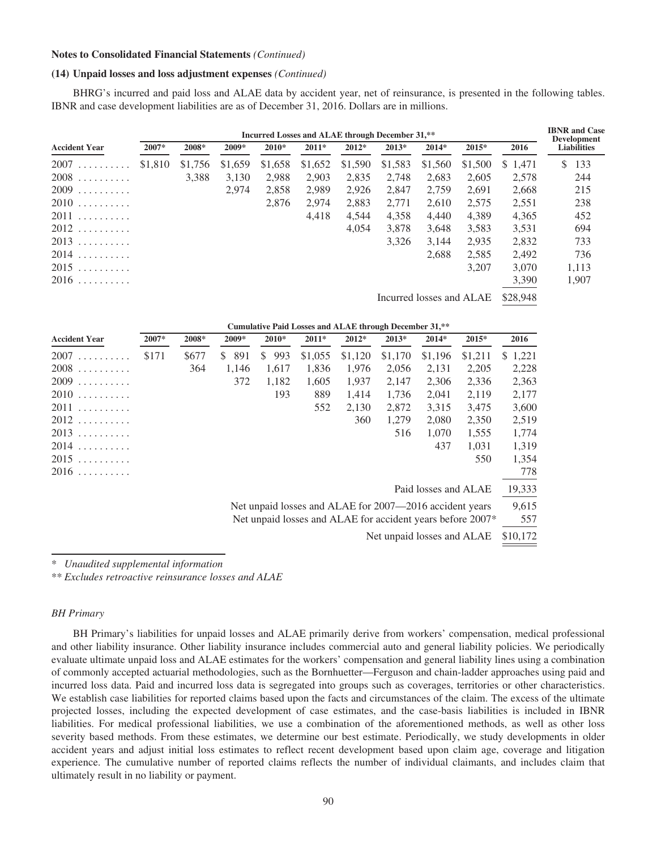### **(14) Unpaid losses and loss adjustment expenses** *(Continued)*

BHRG's incurred and paid loss and ALAE data by accident year, net of reinsurance, is presented in the following tables. IBNR and case development liabilities are as of December 31, 2016. Dollars are in millions.

|                      | Incurred Losses and ALAE through December 31,** |         |         |         |         |         |         |         |         |         |                                   |  |  |
|----------------------|-------------------------------------------------|---------|---------|---------|---------|---------|---------|---------|---------|---------|-----------------------------------|--|--|
| <b>Accident Year</b> | 2007*                                           | 2008*   | $2009*$ | $2010*$ | $2011*$ | $2012*$ | $2013*$ | $2014*$ | 2015*   | 2016    | Development<br><b>Liabilities</b> |  |  |
| 2007<br>.            | \$1,810                                         | \$1,756 | \$1,659 | \$1,658 | \$1,652 | \$1,590 | \$1,583 | \$1,560 | \$1,500 | \$1.471 | 133<br>S.                         |  |  |
| $2008$               |                                                 | 3,388   | 3.130   | 2.988   | 2.903   | 2.835   | 2.748   | 2.683   | 2.605   | 2,578   | 244                               |  |  |
| $2009$               |                                                 |         | 2.974   | 2,858   | 2,989   | 2.926   | 2,847   | 2.759   | 2,691   | 2,668   | 215                               |  |  |
| 2010                 |                                                 |         |         | 2.876   | 2.974   | 2,883   | 2,771   | 2.610   | 2,575   | 2,551   | 238                               |  |  |
| $2011$               |                                                 |         |         |         | 4,418   | 4.544   | 4,358   | 4.440   | 4,389   | 4,365   | 452                               |  |  |
| $2012$               |                                                 |         |         |         |         | 4.054   | 3,878   | 3,648   | 3,583   | 3,531   | 694                               |  |  |
| $2013$               |                                                 |         |         |         |         |         | 3.326   | 3,144   | 2,935   | 2,832   | 733                               |  |  |
| $2014$               |                                                 |         |         |         |         |         |         | 2,688   | 2,585   | 2,492   | 736                               |  |  |
| 2015                 |                                                 |         |         |         |         |         |         |         | 3.207   | 3,070   | 1,113                             |  |  |
| $2016$               |                                                 |         |         |         |         |         |         |         |         | 3,390   | 1,907                             |  |  |

Incurred losses and ALAE \$28,948

| <b>Accident Year</b> | 2007*                                                   | 2008* | 2009*     | $2010*$   | $2011*$ | $2012*$ | $2013*$ | $2014*$ | 2015*   | 2016        |  |  |
|----------------------|---------------------------------------------------------|-------|-----------|-----------|---------|---------|---------|---------|---------|-------------|--|--|
| 2007<br>.            | \$171                                                   | \$677 | 891<br>S. | 993<br>S. | \$1,055 | \$1,120 | \$1,170 | \$1,196 | \$1,211 | 1,221<br>S. |  |  |
| 2008                 |                                                         | 364   | 1,146     | 1,617     | 1,836   | 1,976   | 2,056   | 2,131   | 2,205   | 2,228       |  |  |
| 2009                 |                                                         |       | 372       | 1,182     | 1,605   | 1,937   | 2.147   | 2,306   | 2,336   | 2,363       |  |  |
| 2010                 |                                                         |       |           | 193       | 889     | 1.414   | 1.736   | 2,041   | 2.119   | 2,177       |  |  |
| 2011                 |                                                         |       |           |           | 552     | 2,130   | 2,872   | 3,315   | 3,475   | 3,600       |  |  |
| $2012$               |                                                         |       |           |           |         | 360     | 1,279   | 2,080   | 2,350   | 2,519       |  |  |
| $2013$               |                                                         |       |           |           |         |         | 516     | 1.070   | 1,555   | 1,774       |  |  |
| $2014$               |                                                         |       |           |           |         |         |         | 437     | 1,031   | 1,319       |  |  |
| 2015                 |                                                         |       |           |           |         |         |         |         | 550     | 1,354       |  |  |
| $2016$               |                                                         |       |           |           |         |         |         |         |         | 778         |  |  |
| Paid losses and ALAE |                                                         |       |           |           |         |         |         |         |         | 19,333      |  |  |
|                      | Net unpaid losses and ALAE for 2007—2016 accident years |       |           |           |         |         |         |         |         |             |  |  |

Net unpaid losses and ALAE for accident years before  $2007*$  557

Net unpaid losses and ALAE \$10,172

*\* Unaudited supplemental information*

*\*\* Excludes retroactive reinsurance losses and ALAE*

### *BH Primary*

BH Primary's liabilities for unpaid losses and ALAE primarily derive from workers' compensation, medical professional and other liability insurance. Other liability insurance includes commercial auto and general liability policies. We periodically evaluate ultimate unpaid loss and ALAE estimates for the workers' compensation and general liability lines using a combination of commonly accepted actuarial methodologies, such as the Bornhuetter—Ferguson and chain-ladder approaches using paid and incurred loss data. Paid and incurred loss data is segregated into groups such as coverages, territories or other characteristics. We establish case liabilities for reported claims based upon the facts and circumstances of the claim. The excess of the ultimate projected losses, including the expected development of case estimates, and the case-basis liabilities is included in IBNR liabilities. For medical professional liabilities, we use a combination of the aforementioned methods, as well as other loss severity based methods. From these estimates, we determine our best estimate. Periodically, we study developments in older accident years and adjust initial loss estimates to reflect recent development based upon claim age, coverage and litigation experience. The cumulative number of reported claims reflects the number of individual claimants, and includes claim that ultimately result in no liability or payment.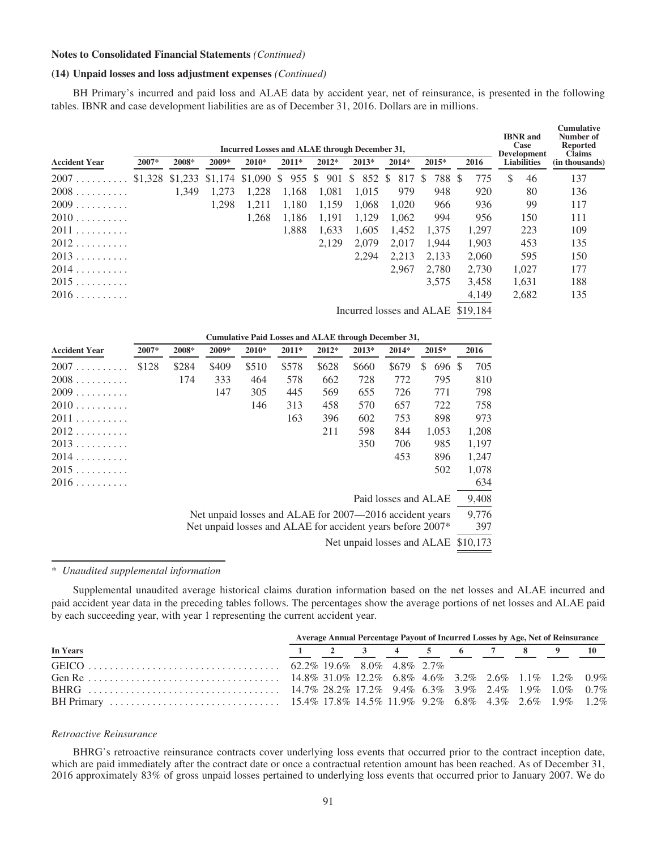### **(14) Unpaid losses and loss adjustment expenses** *(Continued)*

BH Primary's incurred and paid loss and ALAE data by accident year, net of reinsurance, is presented in the following tables. IBNR and case development liabilities are as of December 31, 2016. Dollars are in millions.

|                          |                                                            |                                        |         |                  |        |       | Incurred Losses and ALAE through December 31, |                |        |                                   | <b>IBNR</b> and<br>Case<br><b>Development</b> | <b>Cumulative</b><br>Number of<br><b>Reported</b><br><b>Claims</b> |  |
|--------------------------|------------------------------------------------------------|----------------------------------------|---------|------------------|--------|-------|-----------------------------------------------|----------------|--------|-----------------------------------|-----------------------------------------------|--------------------------------------------------------------------|--|
| <b>Accident Year</b>     | 2007*<br>2008*<br>$2010*$<br>$2011*$<br>$2012*$<br>$2009*$ |                                        | $2013*$ | 2015*<br>$2014*$ |        | 2016  | <b>Liabilities</b>                            | (in thousands) |        |                                   |                                               |                                                                    |  |
| 2007                     |                                                            | $$1,328$ $$1,233$ $$1,174$ $$1,090$ \$ |         |                  | 955 \$ | 901   | 852 \$<br><sup>S</sup>                        | 817 \$         | 788 \$ | 775                               | \$<br>46                                      | 137                                                                |  |
| 2008                     |                                                            | 1.349                                  | 1,273   | 1,228            | 1.168  | 1.081 | 1.015                                         | 979            | 948    | 920                               | 80                                            | 136                                                                |  |
| 2009                     |                                                            |                                        | 1.298   | 1,211            | 1,180  | 1,159 | 1.068                                         | 1.020          | 966    | 936                               | 99                                            | 117                                                                |  |
| $2010$                   |                                                            |                                        |         | 1.268            | 1,186  | 1,191 | 1.129                                         | 1.062          | 994    | 956                               | 150                                           | 111                                                                |  |
| $2011$                   |                                                            |                                        |         |                  | 1.888  | 1.633 | 1,605                                         | 1,452          | 1,375  | 1,297                             | 223                                           | 109                                                                |  |
| $2012\ldots\ldots\ldots$ |                                                            |                                        |         |                  |        | 2.129 | 2.079                                         | 2.017          | 1.944  | 1.903                             | 453                                           | 135                                                                |  |
| $2013$                   |                                                            |                                        |         |                  |        |       | 2.294                                         | 2,213          | 2,133  | 2,060                             | 595                                           | 150                                                                |  |
| $2014$                   |                                                            |                                        |         |                  |        |       |                                               | 2.967          | 2.780  | 2.730                             | 1.027                                         | 177                                                                |  |
| $2015\ldots\ldots\ldots$ |                                                            |                                        |         |                  |        |       |                                               |                | 3.575  | 3.458                             | 1,631                                         | 188                                                                |  |
| 2016                     |                                                            |                                        |         |                  |        |       |                                               |                |        | 4,149                             | 2,682                                         | 135                                                                |  |
|                          |                                                            |                                        |         |                  |        |       |                                               |                |        | Incurred losses and ALAE \$19,184 |                                               |                                                                    |  |

|               | Cumulative Paid Losses and ALAE through December 31, |       |       |       |       |       |                                                                                                                                   |       |                      |                                     |  |  |  |  |
|---------------|------------------------------------------------------|-------|-------|-------|-------|-------|-----------------------------------------------------------------------------------------------------------------------------------|-------|----------------------|-------------------------------------|--|--|--|--|
| Accident Year | 2007*                                                | 2008* | 2009* | 2010* | 2011* | 2012* | 2013*                                                                                                                             | 2014* | 2015*                | 2016                                |  |  |  |  |
| $2007$        | \$128                                                | \$284 | \$409 | \$510 | \$578 | \$628 | \$660                                                                                                                             | \$679 | 696 \$<br>\$.        | 705                                 |  |  |  |  |
| $2008$        |                                                      | 174   | 333   | 464   | 578   | 662   | 728                                                                                                                               | 772   | 795                  | 810                                 |  |  |  |  |
| $2009$        |                                                      |       | 147   | 305   | 445   | 569   | 655                                                                                                                               | 726   | 771                  | 798                                 |  |  |  |  |
| $2010$        |                                                      |       |       | 146   | 313   | 458   | 570                                                                                                                               | 657   | 722                  | 758                                 |  |  |  |  |
| 2011          |                                                      |       |       |       | 163   | 396   | 602                                                                                                                               | 753   | 898                  | 973                                 |  |  |  |  |
| 2012          |                                                      |       |       |       |       | 211   | 598                                                                                                                               | 844   | 1,053                | 1,208                               |  |  |  |  |
| $2013$        |                                                      |       |       |       |       |       | 350                                                                                                                               | 706   | 985                  | 1,197                               |  |  |  |  |
| 2014          |                                                      |       |       |       |       |       |                                                                                                                                   | 453   | 896                  | 1,247                               |  |  |  |  |
| 2015          |                                                      |       |       |       |       |       |                                                                                                                                   |       | 502                  | 1,078                               |  |  |  |  |
| $2016$        |                                                      |       |       |       |       |       |                                                                                                                                   |       |                      | 634                                 |  |  |  |  |
|               |                                                      |       |       |       |       |       |                                                                                                                                   |       | Paid losses and ALAE | 9,408                               |  |  |  |  |
|               |                                                      |       |       |       |       |       | Net unpaid losses and ALAE for 2007—2016 accident years<br>Net unpaid losses and ALAE for accident years before 2007 <sup>*</sup> |       |                      | 9,776<br>397                        |  |  |  |  |
|               |                                                      |       |       |       |       |       |                                                                                                                                   |       |                      | Net unpaid losses and ALAE \$10,173 |  |  |  |  |

# *\* Unaudited supplemental information*

Supplemental unaudited average historical claims duration information based on the net losses and ALAE incurred and paid accident year data in the preceding tables follows. The percentages show the average portions of net losses and ALAE paid by each succeeding year, with year 1 representing the current accident year.

|                                      | Average Annual Percentage Payout of Incurred Losses by Age, Net of Reinsurance |  |  |                      |  |  |  |  |  |  |  |  |
|--------------------------------------|--------------------------------------------------------------------------------|--|--|----------------------|--|--|--|--|--|--|--|--|
| In Years<br>$\overline{\phantom{a}}$ |                                                                                |  |  | 1 2 3 4 5 6 7 8 9 10 |  |  |  |  |  |  |  |  |
|                                      |                                                                                |  |  |                      |  |  |  |  |  |  |  |  |
|                                      |                                                                                |  |  |                      |  |  |  |  |  |  |  |  |
|                                      |                                                                                |  |  |                      |  |  |  |  |  |  |  |  |
|                                      |                                                                                |  |  |                      |  |  |  |  |  |  |  |  |

#### *Retroactive Reinsurance*

BHRG's retroactive reinsurance contracts cover underlying loss events that occurred prior to the contract inception date, which are paid immediately after the contract date or once a contractual retention amount has been reached. As of December 31, 2016 approximately 83% of gross unpaid losses pertained to underlying loss events that occurred prior to January 2007. We do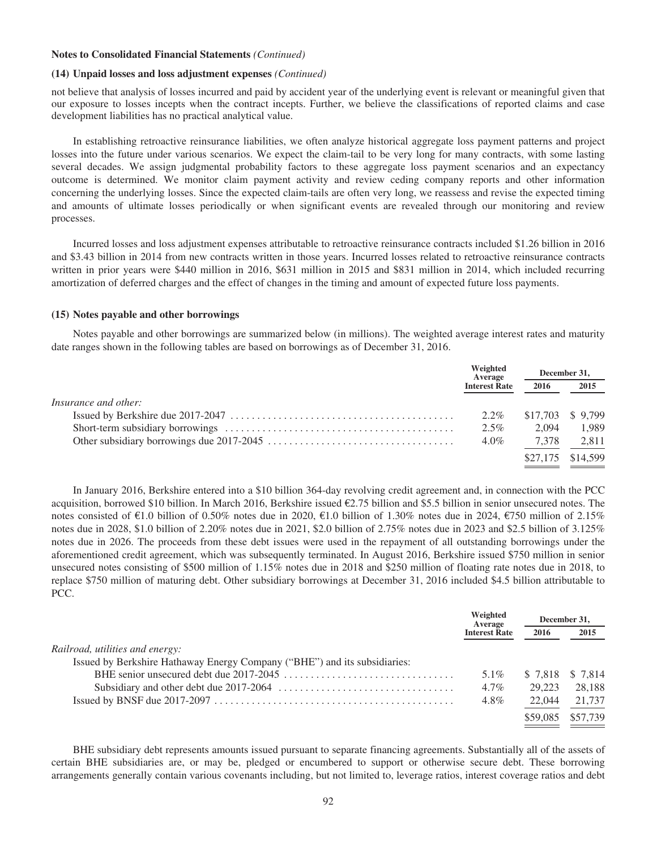#### **(14) Unpaid losses and loss adjustment expenses** *(Continued)*

not believe that analysis of losses incurred and paid by accident year of the underlying event is relevant or meaningful given that our exposure to losses incepts when the contract incepts. Further, we believe the classifications of reported claims and case development liabilities has no practical analytical value.

In establishing retroactive reinsurance liabilities, we often analyze historical aggregate loss payment patterns and project losses into the future under various scenarios. We expect the claim-tail to be very long for many contracts, with some lasting several decades. We assign judgmental probability factors to these aggregate loss payment scenarios and an expectancy outcome is determined. We monitor claim payment activity and review ceding company reports and other information concerning the underlying losses. Since the expected claim-tails are often very long, we reassess and revise the expected timing and amounts of ultimate losses periodically or when significant events are revealed through our monitoring and review processes.

Incurred losses and loss adjustment expenses attributable to retroactive reinsurance contracts included \$1.26 billion in 2016 and \$3.43 billion in 2014 from new contracts written in those years. Incurred losses related to retroactive reinsurance contracts written in prior years were \$440 million in 2016, \$631 million in 2015 and \$831 million in 2014, which included recurring amortization of deferred charges and the effect of changes in the timing and amount of expected future loss payments.

#### **(15) Notes payable and other borrowings**

Notes payable and other borrowings are summarized below (in millions). The weighted average interest rates and maturity date ranges shown in the following tables are based on borrowings as of December 31, 2016.

|                             | Weighted<br>Average  | December 31.     |          |
|-----------------------------|----------------------|------------------|----------|
|                             | <b>Interest Rate</b> | 2016             | 2015     |
| <i>Insurance and other:</i> |                      |                  |          |
|                             | $2.2\%$              | \$17,703 \$9.799 |          |
|                             | $2.5\%$              | 2.094            | 1.989    |
|                             | $4.0\%$              | 7.378            | 2.811    |
|                             |                      | \$27.175         | \$14,599 |
|                             |                      |                  |          |

In January 2016, Berkshire entered into a \$10 billion 364-day revolving credit agreement and, in connection with the PCC acquisition, borrowed \$10 billion. In March 2016, Berkshire issued €2.75 billion and \$5.5 billion in senior unsecured notes. The notes consisted of €1.0 billion of 0.50% notes due in 2020, €1.0 billion of 1.30% notes due in 2024, €750 million of 2.15% notes due in 2028, \$1.0 billion of 2.20% notes due in 2021, \$2.0 billion of 2.75% notes due in 2023 and \$2.5 billion of 3.125% notes due in 2026. The proceeds from these debt issues were used in the repayment of all outstanding borrowings under the aforementioned credit agreement, which was subsequently terminated. In August 2016, Berkshire issued \$750 million in senior unsecured notes consisting of \$500 million of 1.15% notes due in 2018 and \$250 million of floating rate notes due in 2018, to replace \$750 million of maturing debt. Other subsidiary borrowings at December 31, 2016 included \$4.5 billion attributable to PCC.

|                                                                           | Weighted             | December 31.    |          | Average |  |
|---------------------------------------------------------------------------|----------------------|-----------------|----------|---------|--|
|                                                                           | <b>Interest Rate</b> | 2016            | 2015     |         |  |
| Railroad, utilities and energy:                                           |                      |                 |          |         |  |
| Issued by Berkshire Hathaway Energy Company ("BHE") and its subsidiaries: |                      |                 |          |         |  |
|                                                                           | 5.1%                 | \$7.818 \$7.814 |          |         |  |
|                                                                           | $4.7\%$              | 29.223          | 28.188   |         |  |
|                                                                           | $4.8\%$              | 22,044          | 21.737   |         |  |
|                                                                           |                      | \$59,085        | \$57,739 |         |  |

BHE subsidiary debt represents amounts issued pursuant to separate financing agreements. Substantially all of the assets of certain BHE subsidiaries are, or may be, pledged or encumbered to support or otherwise secure debt. These borrowing arrangements generally contain various covenants including, but not limited to, leverage ratios, interest coverage ratios and debt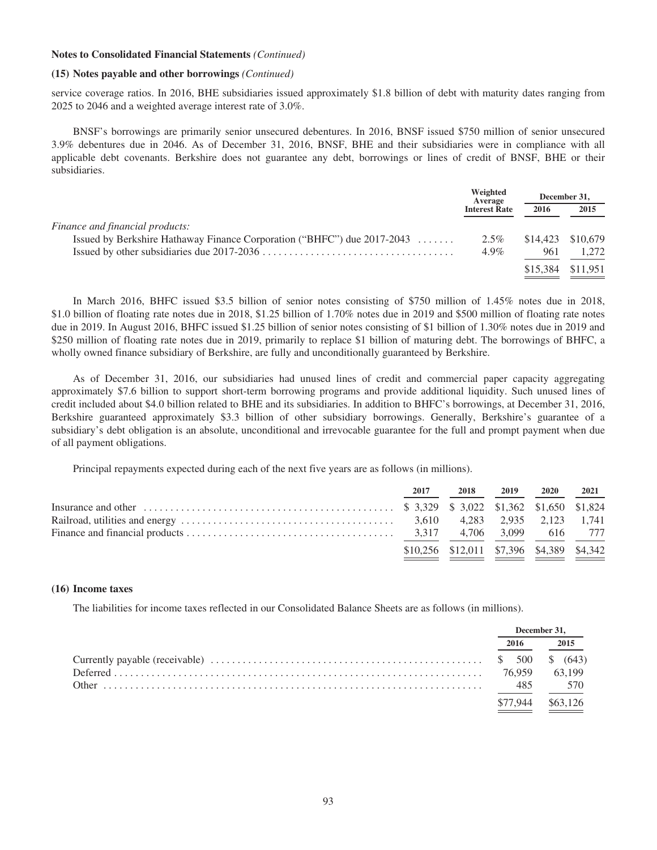### **(15) Notes payable and other borrowings** *(Continued)*

service coverage ratios. In 2016, BHE subsidiaries issued approximately \$1.8 billion of debt with maturity dates ranging from 2025 to 2046 and a weighted average interest rate of 3.0%.

BNSF's borrowings are primarily senior unsecured debentures. In 2016, BNSF issued \$750 million of senior unsecured 3.9% debentures due in 2046. As of December 31, 2016, BNSF, BHE and their subsidiaries were in compliance with all applicable debt covenants. Berkshire does not guarantee any debt, borrowings or lines of credit of BNSF, BHE or their subsidiaries.

|                                                                         | Weighted<br>Average  |                   | December 31, |
|-------------------------------------------------------------------------|----------------------|-------------------|--------------|
|                                                                         | <b>Interest Rate</b> | 2016              | 2015         |
| Finance and financial products:                                         |                      |                   |              |
| Issued by Berkshire Hathaway Finance Corporation ("BHFC") due 2017-2043 | $2.5\%$              | \$14,423 \$10,679 |              |
|                                                                         | $4.9\%$              | 961               | 1,272        |
|                                                                         |                      | \$15,384          | \$11,951     |

In March 2016, BHFC issued \$3.5 billion of senior notes consisting of \$750 million of 1.45% notes due in 2018, \$1.0 billion of floating rate notes due in 2018, \$1.25 billion of 1.70% notes due in 2019 and \$500 million of floating rate notes due in 2019. In August 2016, BHFC issued \$1.25 billion of senior notes consisting of \$1 billion of 1.30% notes due in 2019 and \$250 million of floating rate notes due in 2019, primarily to replace \$1 billion of maturing debt. The borrowings of BHFC, a wholly owned finance subsidiary of Berkshire, are fully and unconditionally guaranteed by Berkshire.

As of December 31, 2016, our subsidiaries had unused lines of credit and commercial paper capacity aggregating approximately \$7.6 billion to support short-term borrowing programs and provide additional liquidity. Such unused lines of credit included about \$4.0 billion related to BHE and its subsidiaries. In addition to BHFC's borrowings, at December 31, 2016, Berkshire guaranteed approximately \$3.3 billion of other subsidiary borrowings. Generally, Berkshire's guarantee of a subsidiary's debt obligation is an absolute, unconditional and irrevocable guarantee for the full and prompt payment when due of all payment obligations.

Principal repayments expected during each of the next five years are as follows (in millions).

| 2017 | 2018 2019                                 | 2020 | 2021 |
|------|-------------------------------------------|------|------|
|      |                                           |      |      |
|      |                                           |      |      |
|      |                                           |      |      |
|      | \$10,256 \$12,011 \$7,396 \$4,389 \$4,342 |      |      |
|      |                                           |      |      |

### **(16) Income taxes**

The liabilities for income taxes reflected in our Consolidated Balance Sheets are as follows (in millions).

|          | December 31. |
|----------|--------------|
| 2016     | 2015         |
|          |              |
| 76 959   | 63.199       |
| 485      | 570          |
| \$77.944 | \$63.126     |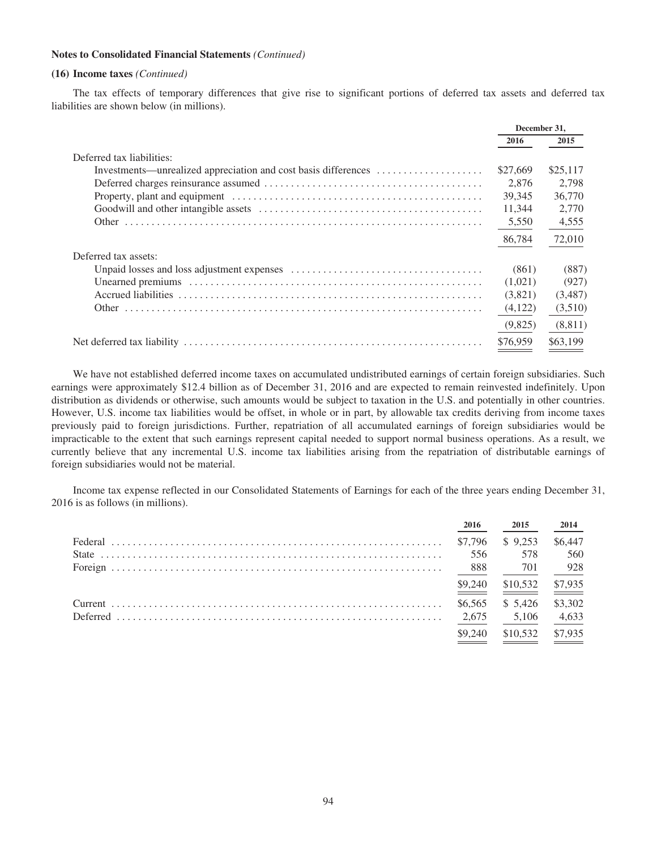### **(16) Income taxes** *(Continued)*

The tax effects of temporary differences that give rise to significant portions of deferred tax assets and deferred tax liabilities are shown below (in millions).

|                                                                | December 31, |          |
|----------------------------------------------------------------|--------------|----------|
|                                                                | 2016         | 2015     |
| Deferred tax liabilities:                                      |              |          |
| Investments—unrealized appreciation and cost basis differences | \$27,669     | \$25,117 |
|                                                                | 2.876        | 2,798    |
|                                                                | 39.345       | 36,770   |
|                                                                | 11,344       | 2.770    |
|                                                                | 5,550        | 4,555    |
|                                                                | 86,784       | 72,010   |
| Deferred tax assets:                                           |              |          |
|                                                                | (861)        | (887)    |
|                                                                | (1,021)      | (927)    |
|                                                                | (3,821)      | (3,487)  |
|                                                                | (4,122)      | (3,510)  |
|                                                                | (9,825)      | (8,811)  |
|                                                                | \$76,959     | \$63,199 |

We have not established deferred income taxes on accumulated undistributed earnings of certain foreign subsidiaries. Such earnings were approximately \$12.4 billion as of December 31, 2016 and are expected to remain reinvested indefinitely. Upon distribution as dividends or otherwise, such amounts would be subject to taxation in the U.S. and potentially in other countries. However, U.S. income tax liabilities would be offset, in whole or in part, by allowable tax credits deriving from income taxes previously paid to foreign jurisdictions. Further, repatriation of all accumulated earnings of foreign subsidiaries would be impracticable to the extent that such earnings represent capital needed to support normal business operations. As a result, we currently believe that any incremental U.S. income tax liabilities arising from the repatriation of distributable earnings of foreign subsidiaries would not be material.

Income tax expense reflected in our Consolidated Statements of Earnings for each of the three years ending December 31, 2016 is as follows (in millions).

| 2016    | 2015     | 2014                                |
|---------|----------|-------------------------------------|
| \$7,796 | \$9.253  | \$6,447                             |
| 556     | 578      | 560                                 |
| - 888   | 701      | 928                                 |
| \$9,240 | \$10,532 | \$7,935<br>$\overline{\phantom{a}}$ |
| \$6,565 | \$5,426  | \$3,302                             |
| 2,675   | 5.106    | 4,633                               |
| SQ 240  | \$10,532 | \$7,935                             |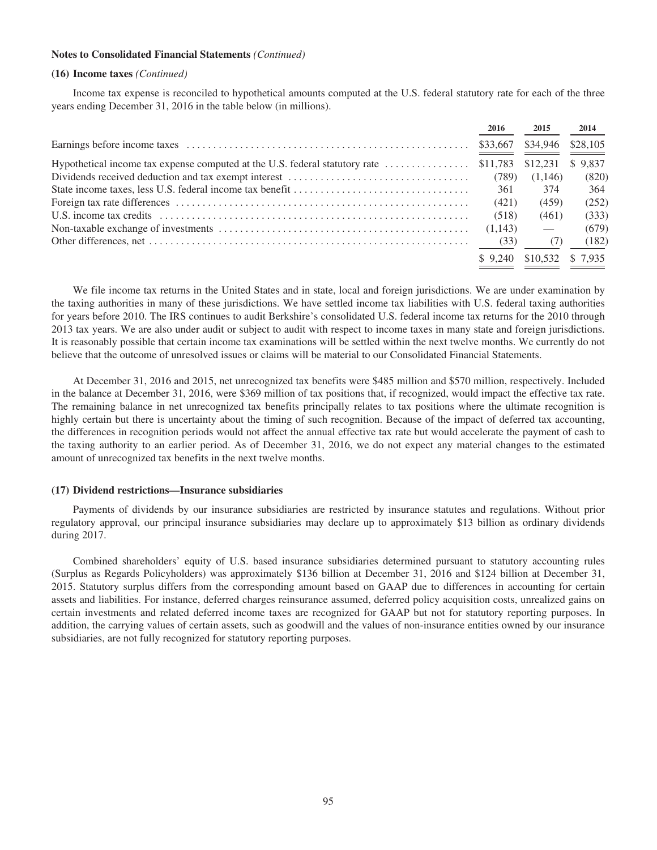### **(16) Income taxes** *(Continued)*

Income tax expense is reconciled to hypothetical amounts computed at the U.S. federal statutory rate for each of the three years ending December 31, 2016 in the table below (in millions).

| 2016     | 2015                     | 2014     |
|----------|--------------------------|----------|
| \$33,667 | \$34,946                 | \$28,105 |
|          | \$12,231                 | \$9,837  |
| (789)    | (1,146)                  | (820)    |
| 361      | 374                      | 364      |
| (421)    | (459)                    | (252)    |
| (518)    | (461)                    | (333)    |
| (1,143)  | $\overline{\phantom{a}}$ | (679)    |
| (33)     | (7)                      | (182)    |
| \$9,240  | \$10.532                 | \$7.935  |

We file income tax returns in the United States and in state, local and foreign jurisdictions. We are under examination by the taxing authorities in many of these jurisdictions. We have settled income tax liabilities with U.S. federal taxing authorities for years before 2010. The IRS continues to audit Berkshire's consolidated U.S. federal income tax returns for the 2010 through 2013 tax years. We are also under audit or subject to audit with respect to income taxes in many state and foreign jurisdictions. It is reasonably possible that certain income tax examinations will be settled within the next twelve months. We currently do not believe that the outcome of unresolved issues or claims will be material to our Consolidated Financial Statements.

At December 31, 2016 and 2015, net unrecognized tax benefits were \$485 million and \$570 million, respectively. Included in the balance at December 31, 2016, were \$369 million of tax positions that, if recognized, would impact the effective tax rate. The remaining balance in net unrecognized tax benefits principally relates to tax positions where the ultimate recognition is highly certain but there is uncertainty about the timing of such recognition. Because of the impact of deferred tax accounting, the differences in recognition periods would not affect the annual effective tax rate but would accelerate the payment of cash to the taxing authority to an earlier period. As of December 31, 2016, we do not expect any material changes to the estimated amount of unrecognized tax benefits in the next twelve months.

### **(17) Dividend restrictions—Insurance subsidiaries**

Payments of dividends by our insurance subsidiaries are restricted by insurance statutes and regulations. Without prior regulatory approval, our principal insurance subsidiaries may declare up to approximately \$13 billion as ordinary dividends during 2017.

Combined shareholders' equity of U.S. based insurance subsidiaries determined pursuant to statutory accounting rules (Surplus as Regards Policyholders) was approximately \$136 billion at December 31, 2016 and \$124 billion at December 31, 2015. Statutory surplus differs from the corresponding amount based on GAAP due to differences in accounting for certain assets and liabilities. For instance, deferred charges reinsurance assumed, deferred policy acquisition costs, unrealized gains on certain investments and related deferred income taxes are recognized for GAAP but not for statutory reporting purposes. In addition, the carrying values of certain assets, such as goodwill and the values of non-insurance entities owned by our insurance subsidiaries, are not fully recognized for statutory reporting purposes.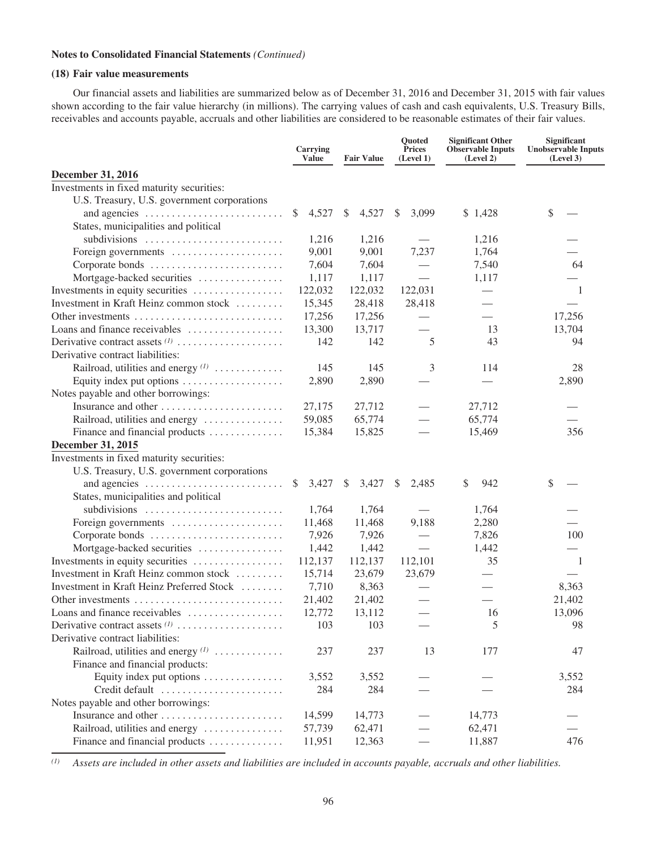### **(18) Fair value measurements**

Our financial assets and liabilities are summarized below as of December 31, 2016 and December 31, 2015 with fair values shown according to the fair value hierarchy (in millions). The carrying values of cash and cash equivalents, U.S. Treasury Bills, receivables and accounts payable, accruals and other liabilities are considered to be reasonable estimates of their fair values.

|                                                                            | Carrying<br>Value | <b>Fair Value</b>      | Quoted<br><b>Prices</b><br>(Level 1) | <b>Significant Other</b><br><b>Observable Inputs</b><br>(Level 2) | <b>Significant</b><br><b>Unobservable Inputs</b><br>(Level 3) |
|----------------------------------------------------------------------------|-------------------|------------------------|--------------------------------------|-------------------------------------------------------------------|---------------------------------------------------------------|
| December 31, 2016                                                          |                   |                        |                                      |                                                                   |                                                               |
| Investments in fixed maturity securities:                                  |                   |                        |                                      |                                                                   |                                                               |
| U.S. Treasury, U.S. government corporations                                |                   |                        |                                      |                                                                   |                                                               |
| and agencies                                                               | \$<br>4,527       | 4,527<br><sup>\$</sup> | <sup>\$</sup><br>3,099               | \$1,428                                                           | \$                                                            |
| States, municipalities and political                                       |                   |                        |                                      |                                                                   |                                                               |
| subdivisions                                                               | 1,216             | 1,216                  |                                      | 1,216                                                             |                                                               |
| Foreign governments                                                        | 9,001             | 9,001                  | 7,237                                | 1,764                                                             |                                                               |
| Corporate bonds                                                            | 7,604             | 7,604                  | $\overline{\phantom{0}}$             | 7,540                                                             | 64                                                            |
| Mortgage-backed securities                                                 | 1,117             | 1,117                  | $\equiv$                             | 1,117                                                             |                                                               |
| Investments in equity securities                                           | 122,032           | 122,032                | 122,031                              |                                                                   | -1                                                            |
| Investment in Kraft Heinz common stock                                     | 15,345            | 28,418                 | 28,418                               |                                                                   |                                                               |
| Other investments                                                          | 17,256            | 17,256                 |                                      |                                                                   | 17,256                                                        |
| Loans and finance receivables                                              | 13,300            | 13,717                 |                                      | 13                                                                | 13,704                                                        |
| Derivative contract assets $(1)$                                           | 142               | 142                    | 5                                    | 43                                                                | 94                                                            |
| Derivative contract liabilities:                                           |                   |                        |                                      |                                                                   |                                                               |
| Railroad, utilities and energy $(1)$                                       | 145               | 145                    | 3                                    | 114                                                               | 28                                                            |
| Equity index put options                                                   | 2,890             | 2,890                  |                                      |                                                                   | 2,890                                                         |
| Notes payable and other borrowings:                                        |                   |                        |                                      |                                                                   |                                                               |
| Insurance and other                                                        | 27,175            | 27,712                 |                                      | 27,712                                                            |                                                               |
| Railroad, utilities and energy                                             | 59,085            | 65,774                 |                                      | 65,774                                                            |                                                               |
| Finance and financial products                                             | 15,384            | 15,825                 |                                      | 15,469                                                            | 356                                                           |
| December 31, 2015                                                          |                   |                        |                                      |                                                                   |                                                               |
| Investments in fixed maturity securities:                                  |                   |                        |                                      |                                                                   |                                                               |
| U.S. Treasury, U.S. government corporations                                |                   |                        |                                      |                                                                   |                                                               |
| and agencies                                                               | \$<br>3,427       | $\mathcal{S}$<br>3,427 | 2,485<br>S                           | \$<br>942                                                         | \$                                                            |
| States, municipalities and political                                       |                   |                        |                                      |                                                                   |                                                               |
| subdivisions                                                               | 1,764             | 1,764                  |                                      | 1,764                                                             |                                                               |
| Foreign governments                                                        | 11,468            | 11,468                 | 9,188                                | 2,280                                                             |                                                               |
| Corporate bonds                                                            | 7,926             | 7,926                  |                                      | 7,826                                                             | 100                                                           |
|                                                                            | 1,442             | 1,442                  | $\overline{\phantom{0}}$             | 1,442                                                             |                                                               |
| Mortgage-backed securities                                                 |                   |                        | 112,101                              | 35                                                                | -1                                                            |
| Investments in equity securities<br>Investment in Kraft Heinz common stock | 112,137           | 112,137                |                                      |                                                                   |                                                               |
|                                                                            | 15,714            | 23,679                 | 23,679                               |                                                                   |                                                               |
| Investment in Kraft Heinz Preferred Stock                                  | 7,710             | 8,363                  |                                      |                                                                   | 8,363                                                         |
| Other investments                                                          | 21,402            | 21,402                 |                                      |                                                                   | 21,402                                                        |
| Loans and finance receivables                                              | 12,772            | 13,112                 |                                      | 16                                                                | 13,096                                                        |
| Derivative contract assets <sup>(1)</sup>                                  | 103               | 103                    |                                      | 5                                                                 | 98                                                            |
| Derivative contract liabilities:                                           |                   |                        |                                      |                                                                   |                                                               |
| Railroad, utilities and energy $(1)$                                       | 237               | 237                    | 13                                   | 177                                                               | 47                                                            |
| Finance and financial products:                                            |                   |                        |                                      |                                                                   |                                                               |
| Equity index put options                                                   | 3,552             | 3,552                  |                                      |                                                                   | 3,552                                                         |
| Credit default                                                             | 284               | 284                    |                                      |                                                                   | 284                                                           |
| Notes payable and other borrowings:                                        |                   |                        |                                      |                                                                   |                                                               |
| Insurance and other                                                        | 14,599            | 14,773                 |                                      | 14,773                                                            |                                                               |
| Railroad, utilities and energy                                             | 57,739            | 62,471                 |                                      | 62,471                                                            |                                                               |
| Finance and financial products                                             | 11,951            | 12,363                 |                                      | 11,887                                                            | 476                                                           |

*(1) Assets are included in other assets and liabilities are included in accounts payable, accruals and other liabilities.*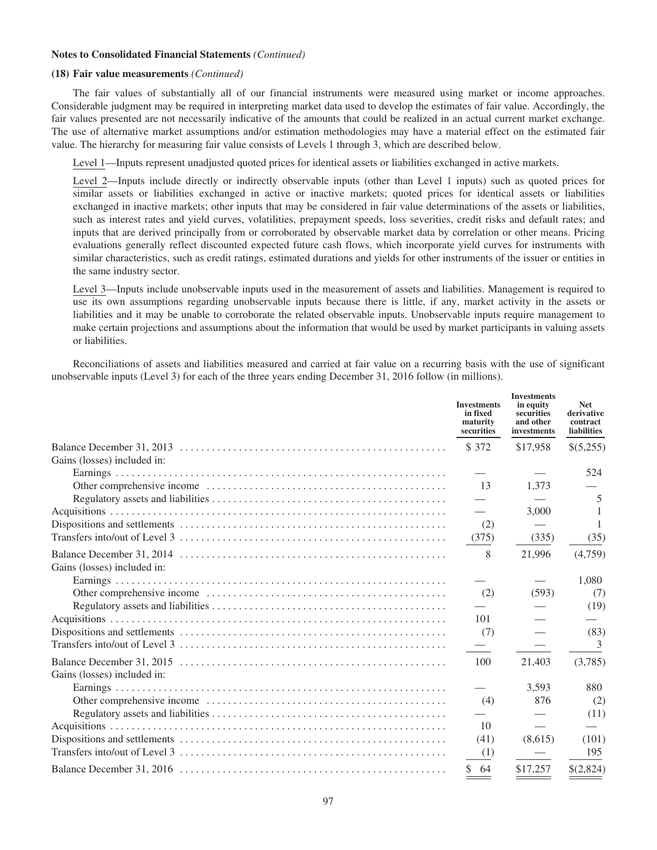### **(18) Fair value measurements** *(Continued)*

The fair values of substantially all of our financial instruments were measured using market or income approaches. Considerable judgment may be required in interpreting market data used to develop the estimates of fair value. Accordingly, the fair values presented are not necessarily indicative of the amounts that could be realized in an actual current market exchange. The use of alternative market assumptions and/or estimation methodologies may have a material effect on the estimated fair value. The hierarchy for measuring fair value consists of Levels 1 through 3, which are described below.

Level 1—Inputs represent unadjusted quoted prices for identical assets or liabilities exchanged in active markets.

Level 2—Inputs include directly or indirectly observable inputs (other than Level 1 inputs) such as quoted prices for similar assets or liabilities exchanged in active or inactive markets; quoted prices for identical assets or liabilities exchanged in inactive markets; other inputs that may be considered in fair value determinations of the assets or liabilities, such as interest rates and yield curves, volatilities, prepayment speeds, loss severities, credit risks and default rates; and inputs that are derived principally from or corroborated by observable market data by correlation or other means. Pricing evaluations generally reflect discounted expected future cash flows, which incorporate yield curves for instruments with similar characteristics, such as credit ratings, estimated durations and yields for other instruments of the issuer or entities in the same industry sector.

Level 3—Inputs include unobservable inputs used in the measurement of assets and liabilities. Management is required to use its own assumptions regarding unobservable inputs because there is little, if any, market activity in the assets or liabilities and it may be unable to corroborate the related observable inputs. Unobservable inputs require management to make certain projections and assumptions about the information that would be used by market participants in valuing assets or liabilities.

Reconciliations of assets and liabilities measured and carried at fair value on a recurring basis with the use of significant unobservable inputs (Level 3) for each of the three years ending December 31, 2016 follow (in millions).

|                             | <b>Investments</b><br>in fixed<br>maturity<br>securities | <b>Investments</b><br>in equity<br>securities<br>and other<br>investments | <b>Net</b><br>derivative<br>contract<br><b>liabilities</b> |
|-----------------------------|----------------------------------------------------------|---------------------------------------------------------------------------|------------------------------------------------------------|
|                             | \$372                                                    | \$17,958                                                                  | \$(5,255)                                                  |
| Gains (losses) included in: |                                                          |                                                                           |                                                            |
|                             |                                                          |                                                                           | 524                                                        |
|                             | 13                                                       | 1.373                                                                     |                                                            |
|                             | $\overbrace{\phantom{aaaaa}}$                            |                                                                           | 5                                                          |
|                             |                                                          | 3,000                                                                     |                                                            |
|                             | (2)                                                      |                                                                           |                                                            |
|                             | (375)                                                    | (335)                                                                     | (35)                                                       |
| Gains (losses) included in: | 8                                                        | 21,996                                                                    | (4,759)                                                    |
|                             |                                                          |                                                                           | 1,080                                                      |
|                             | (2)                                                      | (593)                                                                     | (7)                                                        |
|                             |                                                          |                                                                           | (19)                                                       |
|                             | 101                                                      |                                                                           |                                                            |
|                             | (7)                                                      |                                                                           | (83)                                                       |
|                             |                                                          |                                                                           | 3                                                          |
| Gains (losses) included in: | 100                                                      | 21,403                                                                    | (3,785)                                                    |
|                             |                                                          | 3,593                                                                     | 880                                                        |
|                             | (4)                                                      | 876                                                                       | (2)                                                        |
|                             |                                                          |                                                                           | (11)                                                       |
|                             | 10                                                       |                                                                           |                                                            |
|                             | (41)                                                     | (8,615)                                                                   | (101)                                                      |
|                             | (1)                                                      |                                                                           | 195                                                        |
|                             | - 64<br>S.                                               | \$17,257                                                                  | \$(2,824)                                                  |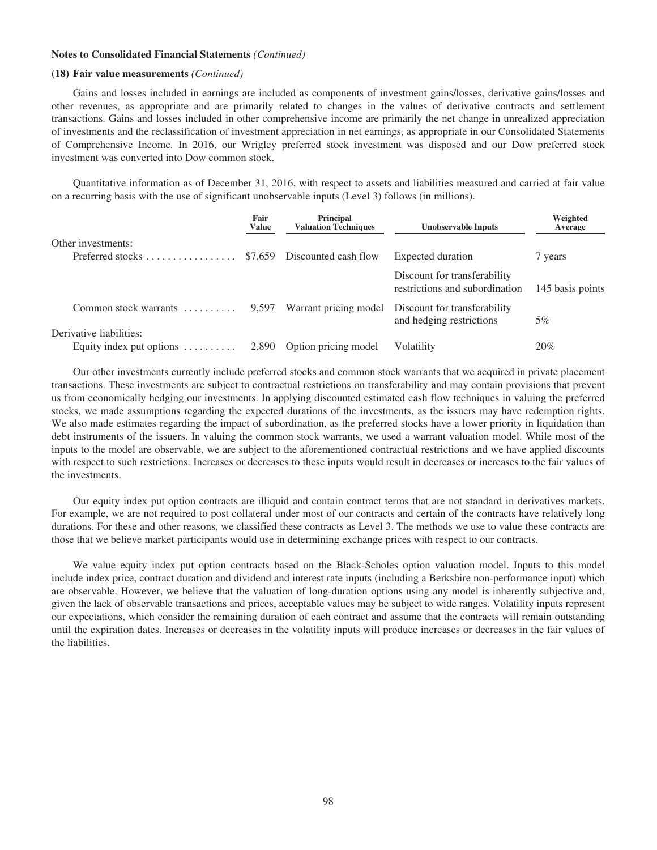### **(18) Fair value measurements** *(Continued)*

Gains and losses included in earnings are included as components of investment gains/losses, derivative gains/losses and other revenues, as appropriate and are primarily related to changes in the values of derivative contracts and settlement transactions. Gains and losses included in other comprehensive income are primarily the net change in unrealized appreciation of investments and the reclassification of investment appreciation in net earnings, as appropriate in our Consolidated Statements of Comprehensive Income. In 2016, our Wrigley preferred stock investment was disposed and our Dow preferred stock investment was converted into Dow common stock.

Quantitative information as of December 31, 2016, with respect to assets and liabilities measured and carried at fair value on a recurring basis with the use of significant unobservable inputs (Level 3) follows (in millions).

|                                        | Fair<br><b>Value</b> | Principal<br><b>Valuation Techniques</b> | <b>Unobservable Inputs</b>                                     | Weighted<br>Average |
|----------------------------------------|----------------------|------------------------------------------|----------------------------------------------------------------|---------------------|
| Other investments:                     |                      |                                          |                                                                |                     |
| Preferred stocks                       | \$7,659              | Discounted cash flow                     | Expected duration                                              | 7 years             |
|                                        |                      |                                          | Discount for transferability<br>restrictions and subordination | 145 basis points    |
| Common stock warrants                  | 9.597                | Warrant pricing model                    | Discount for transferability<br>and hedging restrictions       | 5%                  |
| Derivative liabilities:                |                      |                                          |                                                                |                     |
| Equity index put options $\dots \dots$ | 2,890                | Option pricing model                     | Volatility                                                     | 20%                 |

Our other investments currently include preferred stocks and common stock warrants that we acquired in private placement transactions. These investments are subject to contractual restrictions on transferability and may contain provisions that prevent us from economically hedging our investments. In applying discounted estimated cash flow techniques in valuing the preferred stocks, we made assumptions regarding the expected durations of the investments, as the issuers may have redemption rights. We also made estimates regarding the impact of subordination, as the preferred stocks have a lower priority in liquidation than debt instruments of the issuers. In valuing the common stock warrants, we used a warrant valuation model. While most of the inputs to the model are observable, we are subject to the aforementioned contractual restrictions and we have applied discounts with respect to such restrictions. Increases or decreases to these inputs would result in decreases or increases to the fair values of the investments.

Our equity index put option contracts are illiquid and contain contract terms that are not standard in derivatives markets. For example, we are not required to post collateral under most of our contracts and certain of the contracts have relatively long durations. For these and other reasons, we classified these contracts as Level 3. The methods we use to value these contracts are those that we believe market participants would use in determining exchange prices with respect to our contracts.

We value equity index put option contracts based on the Black-Scholes option valuation model. Inputs to this model include index price, contract duration and dividend and interest rate inputs (including a Berkshire non-performance input) which are observable. However, we believe that the valuation of long-duration options using any model is inherently subjective and, given the lack of observable transactions and prices, acceptable values may be subject to wide ranges. Volatility inputs represent our expectations, which consider the remaining duration of each contract and assume that the contracts will remain outstanding until the expiration dates. Increases or decreases in the volatility inputs will produce increases or decreases in the fair values of the liabilities.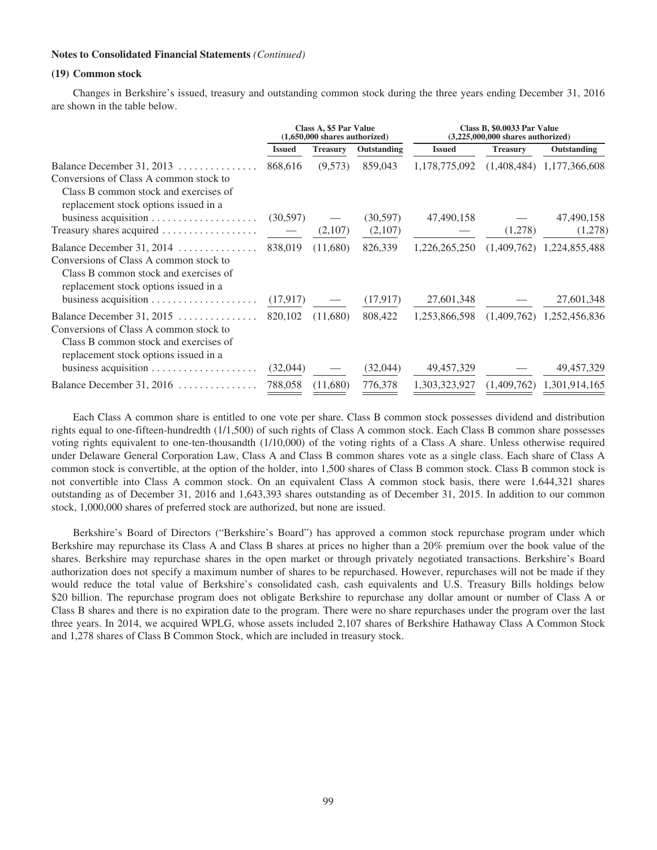### **(19) Common stock**

Changes in Berkshire's issued, treasury and outstanding common stock during the three years ending December 31, 2016 are shown in the table below.

|                                                                                                                                                         | Class A, \$5 Par Value<br>$(1,650,000$ shares authorized) |                 |             | Class B, \$0.0033 Par Value<br>$(3,225,000,000$ shares authorized) |                 |                             |
|---------------------------------------------------------------------------------------------------------------------------------------------------------|-----------------------------------------------------------|-----------------|-------------|--------------------------------------------------------------------|-----------------|-----------------------------|
|                                                                                                                                                         | <b>Issued</b>                                             | <b>Treasury</b> | Outstanding | <b>Issued</b>                                                      | <b>Treasury</b> | Outstanding                 |
| Balance December 31, $2013$<br>Conversions of Class A common stock to<br>Class B common stock and exercises of<br>replacement stock options issued in a | 868,616                                                   | (9,573)         | 859,043     | 1,178,775,092                                                      | (1,408,484)     | 1,177,366,608               |
| business acquisition $\ldots \ldots \ldots \ldots \ldots$                                                                                               | (30,597)                                                  |                 | (30, 597)   | 47,490,158                                                         |                 | 47,490,158                  |
| Treasury shares acquired $\dots\dots\dots\dots\dots\dots$                                                                                               |                                                           | (2,107)         | (2,107)     |                                                                    | (1,278)         | (1,278)                     |
| Balance December 31, 2014<br>Conversions of Class A common stock to<br>Class B common stock and exercises of<br>replacement stock options issued in a   | 838,019                                                   | (11,680)        | 826,339     | 1,226,265,250                                                      |                 | $(1,409,762)$ 1,224,855,488 |
| business acquisition $\ldots \ldots \ldots \ldots \ldots$                                                                                               | (17,917)                                                  |                 | (17, 917)   | 27,601,348                                                         |                 | 27,601,348                  |
| Balance December 31, $2015$<br>Conversions of Class A common stock to<br>Class B common stock and exercises of<br>replacement stock options issued in a | 820,102                                                   | (11,680)        | 808,422     | 1,253,866,598                                                      |                 | $(1,409,762)$ 1,252,456,836 |
| business acquisition $\ldots \ldots \ldots \ldots \ldots$                                                                                               | (32,044)                                                  |                 | (32,044)    | 49,457,329                                                         |                 | 49, 457, 329                |
| Balance December 31, 2016 $\dots$                                                                                                                       | 788,058                                                   | (11,680)        | 776,378     | 1,303,323,927                                                      | (1,409,762)     | 1,301,914,165               |

Each Class A common share is entitled to one vote per share. Class B common stock possesses dividend and distribution rights equal to one-fifteen-hundredth (1/1,500) of such rights of Class A common stock. Each Class B common share possesses voting rights equivalent to one-ten-thousandth (1/10,000) of the voting rights of a Class A share. Unless otherwise required under Delaware General Corporation Law, Class A and Class B common shares vote as a single class. Each share of Class A common stock is convertible, at the option of the holder, into 1,500 shares of Class B common stock. Class B common stock is not convertible into Class A common stock. On an equivalent Class A common stock basis, there were 1,644,321 shares outstanding as of December 31, 2016 and 1,643,393 shares outstanding as of December 31, 2015. In addition to our common stock, 1,000,000 shares of preferred stock are authorized, but none are issued.

Berkshire's Board of Directors ("Berkshire's Board") has approved a common stock repurchase program under which Berkshire may repurchase its Class A and Class B shares at prices no higher than a 20% premium over the book value of the shares. Berkshire may repurchase shares in the open market or through privately negotiated transactions. Berkshire's Board authorization does not specify a maximum number of shares to be repurchased. However, repurchases will not be made if they would reduce the total value of Berkshire's consolidated cash, cash equivalents and U.S. Treasury Bills holdings below \$20 billion. The repurchase program does not obligate Berkshire to repurchase any dollar amount or number of Class A or Class B shares and there is no expiration date to the program. There were no share repurchases under the program over the last three years. In 2014, we acquired WPLG, whose assets included 2,107 shares of Berkshire Hathaway Class A Common Stock and 1,278 shares of Class B Common Stock, which are included in treasury stock.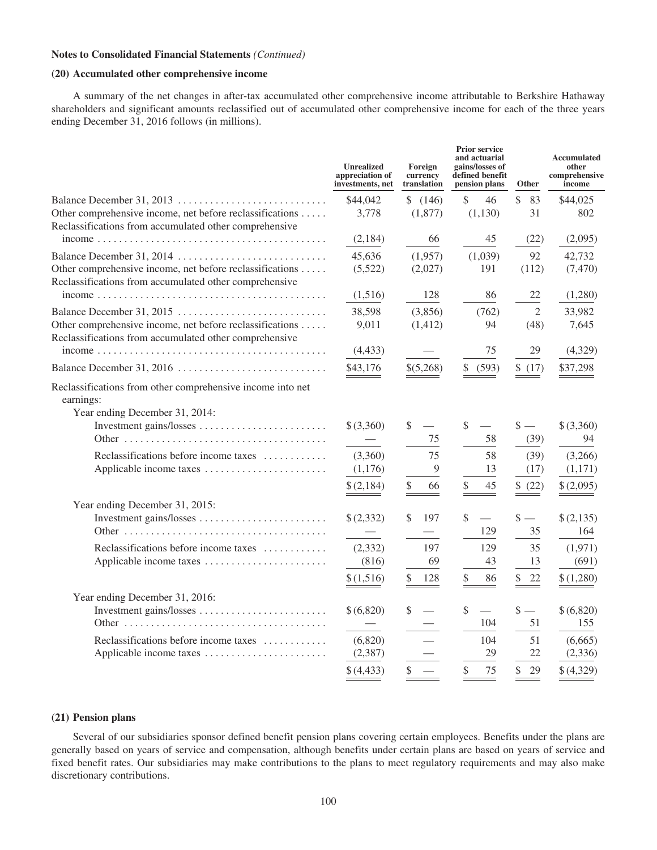### **(20) Accumulated other comprehensive income**

A summary of the net changes in after-tax accumulated other comprehensive income attributable to Berkshire Hathaway shareholders and significant amounts reclassified out of accumulated other comprehensive income for each of the three years ending December 31, 2016 follows (in millions).

|                                                                                                                                                 | <b>Unrealized</b><br>appreciation of<br>investments, net | Foreign<br>currency<br>translation | <b>Prior service</b><br>and actuarial<br>gains/losses of<br>defined benefit<br>pension plans | Other                 | Accumulated<br>other<br>comprehensive<br>income |
|-------------------------------------------------------------------------------------------------------------------------------------------------|----------------------------------------------------------|------------------------------------|----------------------------------------------------------------------------------------------|-----------------------|-------------------------------------------------|
| Balance December 31, 2013                                                                                                                       | \$44,042                                                 | \$(146)                            | \$<br>46                                                                                     | \$<br>83              | \$44,025                                        |
| Other comprehensive income, net before reclassifications<br>Reclassifications from accumulated other comprehensive                              | 3,778                                                    | (1,877)                            | (1,130)                                                                                      | 31                    | 802                                             |
|                                                                                                                                                 | (2,184)                                                  | 66                                 | 45                                                                                           | (22)                  | (2,095)                                         |
| Balance December 31, 2014<br>Other comprehensive income, net before reclassifications<br>Reclassifications from accumulated other comprehensive | 45,636<br>(5,522)                                        | (1,957)<br>(2,027)                 | (1,039)<br>191                                                                               | 92<br>(112)           | 42,732<br>(7, 470)                              |
| $income \dots \dots \dots \dots \dots \dots \dots \dots \dots \dots \dots \dots \dots \dots \dots \dots$                                        | (1,516)                                                  | 128                                | 86                                                                                           | 22                    | (1,280)                                         |
| Balance December 31, 2015                                                                                                                       | 38,598                                                   | (3,856)                            | (762)                                                                                        | 2                     | 33,982                                          |
| Other comprehensive income, net before reclassifications<br>Reclassifications from accumulated other comprehensive                              | 9,011                                                    | (1,412)                            | 94                                                                                           | (48)                  | 7,645                                           |
| $income \dots \dots \dots \dots \dots \dots \dots \dots \dots \dots \dots \dots \dots \dots \dots \dots$                                        | (4, 433)                                                 |                                    | 75                                                                                           | 29                    | (4,329)                                         |
|                                                                                                                                                 | \$43,176                                                 | \$(5,268)                          | (593)<br>\$                                                                                  | \$(17)                | \$37,298                                        |
| Reclassifications from other comprehensive income into net<br>earnings:<br>Year ending December 31, 2014:                                       |                                                          |                                    |                                                                                              |                       |                                                 |
| Investment gains/losses                                                                                                                         | \$(3,360)                                                | \$<br>75                           | \$<br>58                                                                                     | $\sqrt{s}$ —<br>(39)  | \$(3,360)<br>94                                 |
| Reclassifications before income taxes                                                                                                           | (3,360)<br>(1, 176)                                      | 75<br>9                            | 58<br>13                                                                                     | (39)<br>(17)          | (3,266)<br>(1,171)                              |
|                                                                                                                                                 | \$(2,184)                                                | \$<br>66                           | \$<br>45                                                                                     | \$ (22)               | \$(2,095)                                       |
| Year ending December 31, 2015:<br>Investment gains/losses                                                                                       | \$(2,332)                                                | \$<br>197                          | \$<br>129                                                                                    | $\frac{\ }{s-}$<br>35 | \$(2,135)<br>164                                |
| Reclassifications before income taxes<br>Applicable income taxes                                                                                | (2, 332)<br>(816)                                        | 197<br>69                          | 129<br>43                                                                                    | 35<br>13              | (1,971)<br>(691)                                |
|                                                                                                                                                 | \$(1,516)                                                | \$<br>128                          | \$<br>86                                                                                     | \$<br>22              | \$(1,280)                                       |
| Year ending December 31, 2016:                                                                                                                  |                                                          |                                    |                                                                                              |                       |                                                 |
| Investment gains/losses                                                                                                                         | \$(6,820)                                                | \$                                 | \$<br>104                                                                                    | $s-$<br>51            | \$(6,820)<br>155                                |
| Reclassifications before income taxes                                                                                                           | (6,820)<br>(2, 387)                                      |                                    | 104<br>29                                                                                    | 51<br>22              | (6,665)<br>(2, 336)                             |
|                                                                                                                                                 | \$(4,433)                                                | \$                                 | \$<br>75                                                                                     | \$<br>29              | \$(4,329)                                       |

### **(21) Pension plans**

Several of our subsidiaries sponsor defined benefit pension plans covering certain employees. Benefits under the plans are generally based on years of service and compensation, although benefits under certain plans are based on years of service and fixed benefit rates. Our subsidiaries may make contributions to the plans to meet regulatory requirements and may also make discretionary contributions.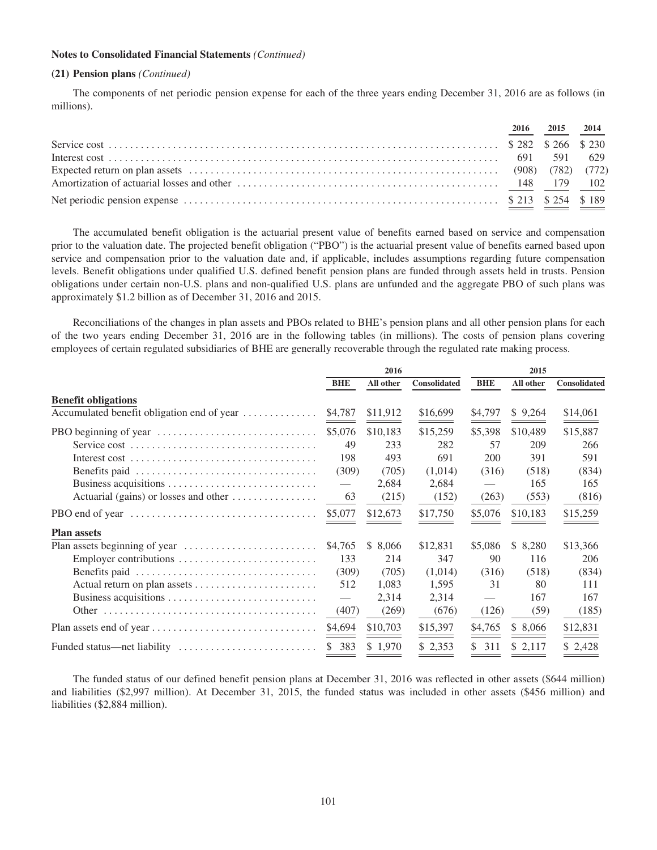### **(21) Pension plans** *(Continued)*

The components of net periodic pension expense for each of the three years ending December 31, 2016 are as follows (in millions).

|  | $\frac{2016}{ }$ $\frac{2015}{ }$ $\frac{2014}{ }$ |  |
|--|----------------------------------------------------|--|
|  |                                                    |  |
|  |                                                    |  |
|  |                                                    |  |
|  |                                                    |  |
|  |                                                    |  |

The accumulated benefit obligation is the actuarial present value of benefits earned based on service and compensation prior to the valuation date. The projected benefit obligation ("PBO") is the actuarial present value of benefits earned based upon service and compensation prior to the valuation date and, if applicable, includes assumptions regarding future compensation levels. Benefit obligations under qualified U.S. defined benefit pension plans are funded through assets held in trusts. Pension obligations under certain non-U.S. plans and non-qualified U.S. plans are unfunded and the aggregate PBO of such plans was approximately \$1.2 billion as of December 31, 2016 and 2015.

Reconciliations of the changes in plan assets and PBOs related to BHE's pension plans and all other pension plans for each of the two years ending December 31, 2016 are in the following tables (in millions). The costs of pension plans covering employees of certain regulated subsidiaries of BHE are generally recoverable through the regulated rate making process.

|                                                                                       | 2016                 |           |                     | 2015       |           |              |  |
|---------------------------------------------------------------------------------------|----------------------|-----------|---------------------|------------|-----------|--------------|--|
|                                                                                       | <b>BHE</b>           | All other | <b>Consolidated</b> | <b>BHE</b> | All other | Consolidated |  |
| <b>Benefit obligations</b>                                                            |                      |           |                     |            |           |              |  |
| Accumulated benefit obligation end of year                                            | \$4,787              | \$11,912  | \$16,699            | \$4,797    | \$9,264   | \$14,061     |  |
|                                                                                       | \$5,076              | \$10,183  | \$15,259            | \$5,398    | \$10,489  | \$15,887     |  |
| Service cost                                                                          | 49                   | 233       | 282                 | 57         | 209       | 266          |  |
| Interest cost $\ldots \ldots \ldots \ldots \ldots \ldots \ldots \ldots \ldots \ldots$ | 198                  | 493       | 691                 | 200        | 391       | 591          |  |
| Benefits paid                                                                         | (309)                | (705)     | (1,014)             | (316)      | (518)     | (834)        |  |
| Business acquisitions $\ldots \ldots \ldots \ldots \ldots \ldots \ldots \ldots$       |                      | 2,684     | 2,684               |            | 165       | 165          |  |
| Actuarial (gains) or losses and other                                                 | 63                   | (215)     | (152)               | (263)      | (553)     | (816)        |  |
|                                                                                       | \$5,077              | \$12,673  | \$17,750            | \$5,076    | \$10,183  | \$15,259     |  |
| <b>Plan assets</b>                                                                    |                      |           |                     |            |           |              |  |
|                                                                                       | \$4,765              | \$ 8,066  | \$12,831            | \$5,086    | \$8,280   | \$13,366     |  |
| Employer contributions                                                                | 133                  | 214       | 347                 | 90         | 116       | 206          |  |
|                                                                                       | (309)                | (705)     | (1,014)             | (316)      | (518)     | (834)        |  |
|                                                                                       | 512                  | 1,083     | 1,595               | 31         | 80        | 111          |  |
|                                                                                       |                      | 2,314     | 2,314               |            | 167       | 167          |  |
|                                                                                       | (407)                | (269)     | (676)               | (126)      | (59)      | (185)        |  |
|                                                                                       | \$4,694              | \$10,703  | \$15,397            | \$4,765    | \$8,066   | \$12,831     |  |
|                                                                                       | 383<br><sup>\$</sup> | \$1,970   | \$2,353             | \$311      | \$2,117   | \$2,428      |  |

The funded status of our defined benefit pension plans at December 31, 2016 was reflected in other assets (\$644 million) and liabilities (\$2,997 million). At December 31, 2015, the funded status was included in other assets (\$456 million) and liabilities (\$2,884 million).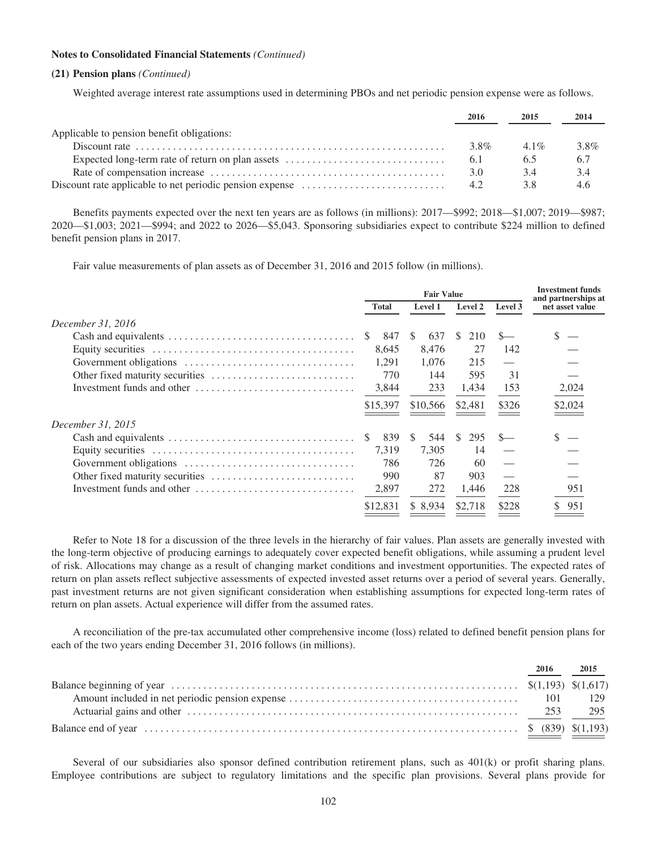#### **(21) Pension plans** *(Continued)*

Weighted average interest rate assumptions used in determining PBOs and net periodic pension expense were as follows.

|                                                  | 2016    | 2015   | 2014 |
|--------------------------------------------------|---------|--------|------|
| Applicable to pension benefit obligations:       |         |        |      |
|                                                  | $3.8\%$ | $41\%$ | 3.8% |
| Expected long-term rate of return on plan assets | 6.1     | 6.5    | 6.7  |
|                                                  | 3.0     | 3.4    | 3.4  |
|                                                  | 4.2     | 3.8    | 4.6  |

Benefits payments expected over the next ten years are as follows (in millions): 2017—\$992; 2018—\$1,007; 2019—\$987; 2020—\$1,003; 2021—\$994; and 2022 to 2026—\$5,043. Sponsoring subsidiaries expect to contribute \$224 million to defined benefit pension plans in 2017.

Fair value measurements of plan assets as of December 31, 2016 and 2015 follow (in millions).

|                                                                                    |              | <b>Fair Value</b>    | <b>Investment funds</b><br>and partnerships at |              |                 |
|------------------------------------------------------------------------------------|--------------|----------------------|------------------------------------------------|--------------|-----------------|
|                                                                                    | <b>Total</b> | <b>Level 1</b>       | <b>Level 2</b>                                 | Level 3      | net asset value |
| December 31, 2016                                                                  |              |                      |                                                |              |                 |
| Cash and equivalents $\dots \dots \dots \dots \dots \dots \dots \dots \dots \dots$ | 847          | <sup>\$</sup><br>637 | S.<br>210                                      | $S-$         | \$              |
|                                                                                    | 8.645        | 8.476                | 27                                             | 142          |                 |
|                                                                                    | 1.291        | 1.076                | 215                                            |              |                 |
|                                                                                    | 770          | 144                  | 595                                            | 31           |                 |
|                                                                                    | 3,844        | 233                  | 1,434                                          | 153          | 2,024           |
|                                                                                    | \$15,397     | \$10,566             | \$2,481                                        | \$326        | \$2,024         |
| December 31, 2015                                                                  |              |                      |                                                |              |                 |
| Cash and equivalents $\dots \dots \dots \dots \dots \dots \dots \dots \dots$ \$    | 839          | - \$<br>544          | S.<br>295                                      | $\mathbf{s}$ |                 |
|                                                                                    | 7.319        | 7.305                | 14                                             |              |                 |
|                                                                                    | 786          | 726                  | 60                                             |              |                 |
|                                                                                    | 990          | 87                   | 903                                            |              |                 |
| Investment funds and other $\dots\dots\dots\dots\dots\dots\dots\dots\dots\dots$    | 2,897        | 272                  | 1,446                                          | 228          | 951             |
|                                                                                    | \$12,831     | \$8,934              | \$2,718                                        | \$228        | 951<br>S        |

Refer to Note 18 for a discussion of the three levels in the hierarchy of fair values. Plan assets are generally invested with the long-term objective of producing earnings to adequately cover expected benefit obligations, while assuming a prudent level of risk. Allocations may change as a result of changing market conditions and investment opportunities. The expected rates of return on plan assets reflect subjective assessments of expected invested asset returns over a period of several years. Generally, past investment returns are not given significant consideration when establishing assumptions for expected long-term rates of return on plan assets. Actual experience will differ from the assumed rates.

A reconciliation of the pre-tax accumulated other comprehensive income (loss) related to defined benefit pension plans for each of the two years ending December 31, 2016 follows (in millions).

|                                                                                                                                                       | 2016 2015 |  |
|-------------------------------------------------------------------------------------------------------------------------------------------------------|-----------|--|
| Balance beginning of year $\dots \dots \dots \dots \dots \dots \dots \dots \dots \dots \dots \dots \dots \dots \dots \dots \dots$ \$(1,193) \$(1,617) |           |  |
|                                                                                                                                                       |           |  |
|                                                                                                                                                       |           |  |
|                                                                                                                                                       |           |  |

Several of our subsidiaries also sponsor defined contribution retirement plans, such as 401(k) or profit sharing plans. Employee contributions are subject to regulatory limitations and the specific plan provisions. Several plans provide for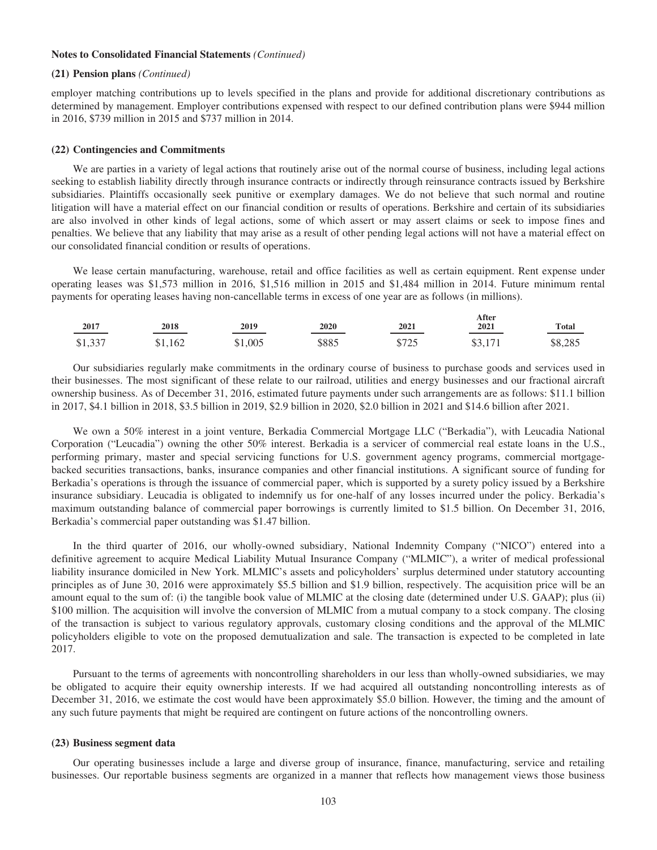#### **(21) Pension plans** *(Continued)*

employer matching contributions up to levels specified in the plans and provide for additional discretionary contributions as determined by management. Employer contributions expensed with respect to our defined contribution plans were \$944 million in 2016, \$739 million in 2015 and \$737 million in 2014.

#### **(22) Contingencies and Commitments**

We are parties in a variety of legal actions that routinely arise out of the normal course of business, including legal actions seeking to establish liability directly through insurance contracts or indirectly through reinsurance contracts issued by Berkshire subsidiaries. Plaintiffs occasionally seek punitive or exemplary damages. We do not believe that such normal and routine litigation will have a material effect on our financial condition or results of operations. Berkshire and certain of its subsidiaries are also involved in other kinds of legal actions, some of which assert or may assert claims or seek to impose fines and penalties. We believe that any liability that may arise as a result of other pending legal actions will not have a material effect on our consolidated financial condition or results of operations.

We lease certain manufacturing, warehouse, retail and office facilities as well as certain equipment. Rent expense under operating leases was \$1,573 million in 2016, \$1,516 million in 2015 and \$1,484 million in 2014. Future minimum rental payments for operating leases having non-cancellable terms in excess of one year are as follows (in millions).

| 2017    | 2018 | 2019    | 2020  | 2021 | Anter<br>2021 | Total   |
|---------|------|---------|-------|------|---------------|---------|
| \$1,337 | 162  | \$1.005 | \$88: | ے :  |               | \$8,285 |

**After**

Our subsidiaries regularly make commitments in the ordinary course of business to purchase goods and services used in their businesses. The most significant of these relate to our railroad, utilities and energy businesses and our fractional aircraft ownership business. As of December 31, 2016, estimated future payments under such arrangements are as follows: \$11.1 billion in 2017, \$4.1 billion in 2018, \$3.5 billion in 2019, \$2.9 billion in 2020, \$2.0 billion in 2021 and \$14.6 billion after 2021.

We own a 50% interest in a joint venture, Berkadia Commercial Mortgage LLC ("Berkadia"), with Leucadia National Corporation ("Leucadia") owning the other 50% interest. Berkadia is a servicer of commercial real estate loans in the U.S., performing primary, master and special servicing functions for U.S. government agency programs, commercial mortgagebacked securities transactions, banks, insurance companies and other financial institutions. A significant source of funding for Berkadia's operations is through the issuance of commercial paper, which is supported by a surety policy issued by a Berkshire insurance subsidiary. Leucadia is obligated to indemnify us for one-half of any losses incurred under the policy. Berkadia's maximum outstanding balance of commercial paper borrowings is currently limited to \$1.5 billion. On December 31, 2016, Berkadia's commercial paper outstanding was \$1.47 billion.

In the third quarter of 2016, our wholly-owned subsidiary, National Indemnity Company ("NICO") entered into a definitive agreement to acquire Medical Liability Mutual Insurance Company ("MLMIC"), a writer of medical professional liability insurance domiciled in New York. MLMIC's assets and policyholders' surplus determined under statutory accounting principles as of June 30, 2016 were approximately \$5.5 billion and \$1.9 billion, respectively. The acquisition price will be an amount equal to the sum of: (i) the tangible book value of MLMIC at the closing date (determined under U.S. GAAP); plus (ii) \$100 million. The acquisition will involve the conversion of MLMIC from a mutual company to a stock company. The closing of the transaction is subject to various regulatory approvals, customary closing conditions and the approval of the MLMIC policyholders eligible to vote on the proposed demutualization and sale. The transaction is expected to be completed in late 2017.

Pursuant to the terms of agreements with noncontrolling shareholders in our less than wholly-owned subsidiaries, we may be obligated to acquire their equity ownership interests. If we had acquired all outstanding noncontrolling interests as of December 31, 2016, we estimate the cost would have been approximately \$5.0 billion. However, the timing and the amount of any such future payments that might be required are contingent on future actions of the noncontrolling owners.

#### **(23) Business segment data**

Our operating businesses include a large and diverse group of insurance, finance, manufacturing, service and retailing businesses. Our reportable business segments are organized in a manner that reflects how management views those business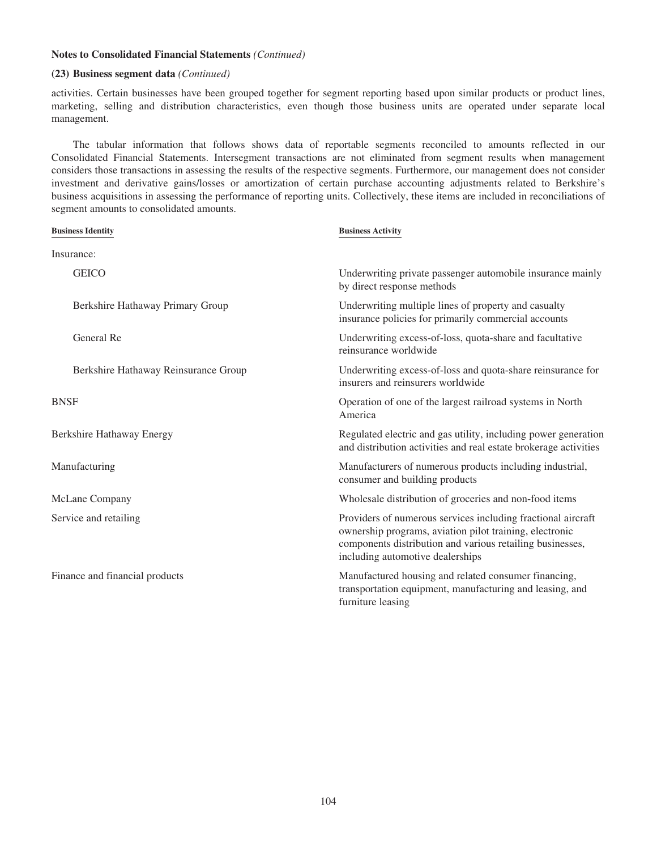# **(23) Business segment data** *(Continued)*

activities. Certain businesses have been grouped together for segment reporting based upon similar products or product lines, marketing, selling and distribution characteristics, even though those business units are operated under separate local management.

The tabular information that follows shows data of reportable segments reconciled to amounts reflected in our Consolidated Financial Statements. Intersegment transactions are not eliminated from segment results when management considers those transactions in assessing the results of the respective segments. Furthermore, our management does not consider investment and derivative gains/losses or amortization of certain purchase accounting adjustments related to Berkshire's business acquisitions in assessing the performance of reporting units. Collectively, these items are included in reconciliations of segment amounts to consolidated amounts.

| <b>Business Identity</b>             | <b>Business Activity</b>                                                                                                                                                                                                 |
|--------------------------------------|--------------------------------------------------------------------------------------------------------------------------------------------------------------------------------------------------------------------------|
| Insurance:                           |                                                                                                                                                                                                                          |
| <b>GEICO</b>                         | Underwriting private passenger automobile insurance mainly<br>by direct response methods                                                                                                                                 |
| Berkshire Hathaway Primary Group     | Underwriting multiple lines of property and casualty<br>insurance policies for primarily commercial accounts                                                                                                             |
| General Re                           | Underwriting excess-of-loss, quota-share and facultative<br>reinsurance worldwide                                                                                                                                        |
| Berkshire Hathaway Reinsurance Group | Underwriting excess-of-loss and quota-share reinsurance for<br>insurers and reinsurers worldwide                                                                                                                         |
| BNSF                                 | Operation of one of the largest railroad systems in North<br>America                                                                                                                                                     |
| Berkshire Hathaway Energy            | Regulated electric and gas utility, including power generation<br>and distribution activities and real estate brokerage activities                                                                                       |
| Manufacturing                        | Manufacturers of numerous products including industrial,<br>consumer and building products                                                                                                                               |
| McLane Company                       | Wholesale distribution of groceries and non-food items                                                                                                                                                                   |
| Service and retailing                | Providers of numerous services including fractional aircraft<br>ownership programs, aviation pilot training, electronic<br>components distribution and various retailing businesses,<br>including automotive dealerships |
| Finance and financial products       | Manufactured housing and related consumer financing,<br>transportation equipment, manufacturing and leasing, and<br>furniture leasing                                                                                    |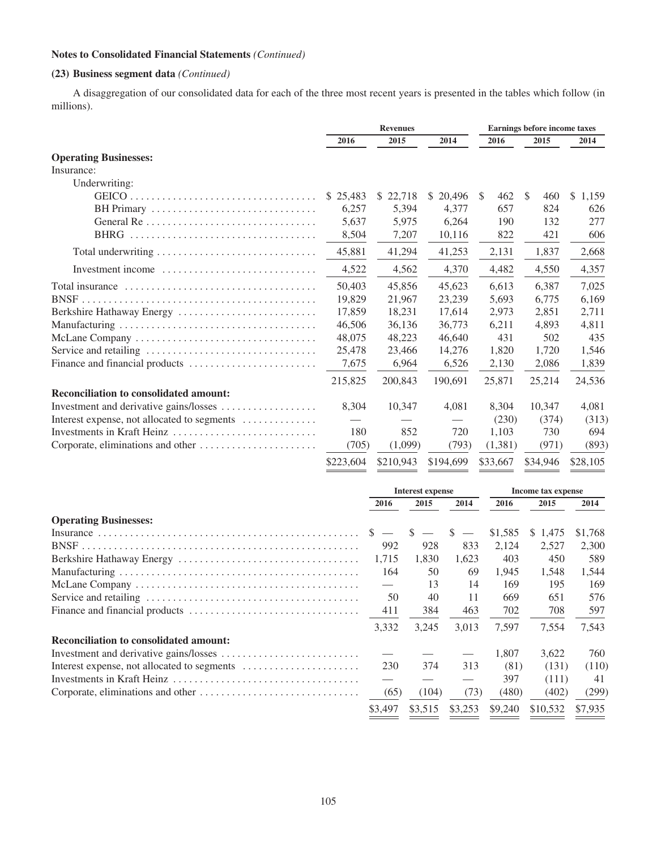# **(23) Business segment data** *(Continued)*

A disaggregation of our consolidated data for each of the three most recent years is presented in the tables which follow (in millions).

|                                                                                     | <b>Revenues</b> |           |           | <b>Earnings before income taxes</b> |                      |                       |
|-------------------------------------------------------------------------------------|-----------------|-----------|-----------|-------------------------------------|----------------------|-----------------------|
|                                                                                     | 2016            | 2015      | 2014      | 2016                                | 2015                 | 2014                  |
| <b>Operating Businesses:</b>                                                        |                 |           |           |                                     |                      |                       |
| Insurance:                                                                          |                 |           |           |                                     |                      |                       |
| Underwriting:                                                                       |                 |           |           |                                     |                      |                       |
|                                                                                     | \$25,483        | \$22,718  | \$ 20,496 | 462<br><sup>\$</sup>                | <sup>\$</sup><br>460 | 1,159<br>$\mathbb{S}$ |
|                                                                                     | 6,257           | 5,394     | 4.377     | 657                                 | 824                  | 626                   |
| General Re                                                                          | 5,637           | 5,975     | 6,264     | 190                                 | 132                  | 277                   |
| <b>BHRG</b>                                                                         | 8,504           | 7,207     | 10,116    | 822                                 | 421                  | 606                   |
| Total underwriting $\ldots \ldots \ldots \ldots \ldots \ldots \ldots \ldots \ldots$ | 45,881          | 41,294    | 41,253    | 2,131                               | 1,837                | 2,668                 |
| Investment income $\dots\dots\dots\dots\dots\dots\dots\dots\dots\dots\dots$         | 4,522           | 4,562     | 4,370     | 4,482                               | 4,550                | 4,357                 |
|                                                                                     | 50,403          | 45,856    | 45.623    | 6.613                               | 6,387                | 7,025                 |
|                                                                                     | 19.829          | 21,967    | 23.239    | 5,693                               | 6,775                | 6,169                 |
|                                                                                     | 17,859          | 18,231    | 17.614    | 2,973                               | 2,851                | 2,711                 |
|                                                                                     | 46,506          | 36,136    | 36,773    | 6,211                               | 4,893                | 4,811                 |
|                                                                                     | 48,075          | 48,223    | 46,640    | 431                                 | 502                  | 435                   |
|                                                                                     | 25,478          | 23,466    | 14,276    | 1,820                               | 1,720                | 1,546                 |
|                                                                                     | 7,675           | 6,964     | 6,526     | 2,130                               | 2,086                | 1,839                 |
|                                                                                     | 215,825         | 200,843   | 190,691   | 25,871                              | 25,214               | 24,536                |
| <b>Reconciliation to consolidated amount:</b>                                       |                 |           |           |                                     |                      |                       |
| Investment and derivative gains/losses                                              | 8,304           | 10,347    | 4.081     | 8.304                               | 10,347               | 4,081                 |
| Interest expense, not allocated to segments                                         |                 |           |           | (230)                               | (374)                | (313)                 |
| Investments in Kraft Heinz                                                          | 180             | 852       | 720       | 1.103                               | 730                  | 694                   |
|                                                                                     | (705)           | (1,099)   | (793)     | (1,381)                             | (971)                | (893)                 |
|                                                                                     | \$223,604       | \$210,943 | \$194,699 | \$33,667                            | \$34,946             | \$28,105              |

|                                               | <b>Interest expense</b>                         |                                |              | Income tax expense |          |         |  |
|-----------------------------------------------|-------------------------------------------------|--------------------------------|--------------|--------------------|----------|---------|--|
|                                               | 2016                                            | 2015                           | 2014         | 2016               | 2015     | 2014    |  |
| <b>Operating Businesses:</b>                  |                                                 |                                |              |                    |          |         |  |
|                                               | $\mathbb{S}$<br>$\hspace{0.1mm}-\hspace{0.1mm}$ | -S<br>$\overline{\phantom{m}}$ | $\sqrt{s}$ — | \$1,585            | \$1,475  | \$1,768 |  |
|                                               | 992                                             | 928                            | 833          | 2.124              | 2.527    | 2,300   |  |
|                                               | 1,715                                           | 1,830                          | 1,623        | 403                | 450      | 589     |  |
|                                               | 164                                             | 50                             | 69           | 1.945              | 1.548    | 1,544   |  |
|                                               |                                                 | 13                             | 14           | 169                | 195      | 169     |  |
|                                               | 50                                              | 40                             | 11           | 669                | 651      | 576     |  |
|                                               | 411                                             | 384                            | 463          | 702                | 708      | 597     |  |
|                                               | 3,332                                           | 3,245                          | 3.013        | 7,597              | 7,554    | 7,543   |  |
| <b>Reconciliation to consolidated amount:</b> |                                                 |                                |              |                    |          |         |  |
|                                               |                                                 |                                |              | 1.807              | 3.622    | 760     |  |
|                                               | 230                                             | 374                            | 313          | (81)               | (131)    | (110)   |  |
|                                               |                                                 |                                |              | 397                | (111)    | 41      |  |
|                                               | (65)                                            | (104)                          | (73)         | (480)              | (402)    | (299)   |  |
|                                               | \$3,497                                         | \$3.515                        | \$3,253      | \$9,240            | \$10,532 | \$7.935 |  |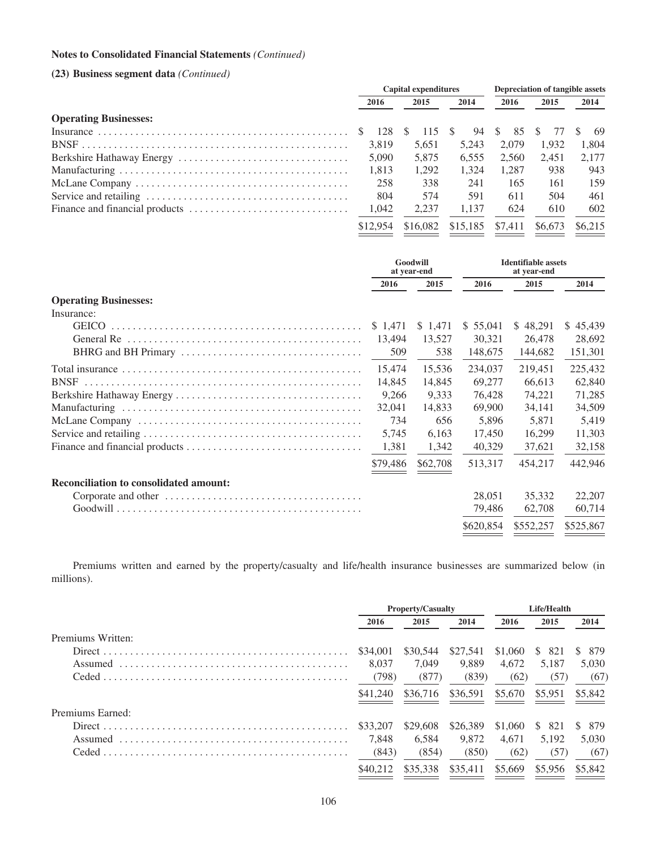# **(23) Business segment data** *(Continued)*

|                              |              | Capital expenditures |                           | Depreciation of tangible assets |         |         |  |
|------------------------------|--------------|----------------------|---------------------------|---------------------------------|---------|---------|--|
|                              | 2016<br>2015 |                      | 2014                      |                                 | 2015    | 2014    |  |
| <b>Operating Businesses:</b> |              |                      |                           |                                 |         |         |  |
|                              |              |                      |                           | 94 \$<br>85 S                   | 77 S    | -69     |  |
|                              | 3.819        | 5.651                | 5.243                     | 2.079                           | 1.932   | 1.804   |  |
|                              | 5.090        | 5.875                | 6.555                     | 2.560                           | 2.451   | 2.177   |  |
|                              | 1.813        | 1.292                | 1.324                     | 1.287                           | 938     | 943     |  |
|                              | 258          | 338                  | 241                       | 165                             | 161     | 159     |  |
|                              | 804          | 574                  | 591                       | 611                             | 504     | 461     |  |
|                              | 1.042        | 2.237                | 1.137                     | 624                             | 610     | 602     |  |
|                              | \$12.954     |                      | \$16,082 \$15,185 \$7,411 |                                 | \$6,673 | \$6.215 |  |

|                                               |          | Goodwill<br>at year-end |           | <b>Identifiable assets</b> |           |
|-----------------------------------------------|----------|-------------------------|-----------|----------------------------|-----------|
|                                               | 2016     | 2015                    | 2016      | 2015                       | 2014      |
| <b>Operating Businesses:</b>                  |          |                         |           |                            |           |
| Insurance:                                    |          |                         |           |                            |           |
|                                               | \$ 1,471 | \$ 1,471                | \$55,041  | \$48,291                   | \$45,439  |
|                                               | 13.494   | 13.527                  | 30,321    | 26,478                     | 28,692    |
|                                               | 509      | 538                     | 148,675   | 144,682                    | 151,301   |
|                                               | 15,474   | 15,536                  | 234,037   | 219,451                    | 225,432   |
|                                               | 14.845   | 14,845                  | 69,277    | 66,613                     | 62,840    |
|                                               | 9,266    | 9,333                   | 76,428    | 74.221                     | 71,285    |
|                                               | 32,041   | 14.833                  | 69,900    | 34.141                     | 34,509    |
|                                               | 734      | 656                     | 5,896     | 5,871                      | 5,419     |
|                                               | 5,745    | 6,163                   | 17,450    | 16,299                     | 11,303    |
|                                               | 1,381    | 1,342                   | 40,329    | 37,621                     | 32,158    |
|                                               | \$79,486 | \$62,708                | 513,317   | 454,217                    | 442,946   |
| <b>Reconciliation to consolidated amount:</b> |          |                         |           |                            |           |
|                                               |          |                         | 28,051    | 35,332                     | 22,207    |
|                                               |          |                         | 79.486    | 62,708                     | 60,714    |
|                                               |          |                         | \$620,854 | \$552,257                  | \$525,867 |

Premiums written and earned by the property/casualty and life/health insurance businesses are summarized below (in millions).

|                   | <b>Property/Casualty</b> |          |                                           | Life/Health |         |         |
|-------------------|--------------------------|----------|-------------------------------------------|-------------|---------|---------|
|                   | 2016                     | 2015     | 2014                                      | 2016        | 2015    | 2014    |
| Premiums Written: |                          |          |                                           |             |         |         |
|                   | \$34.001                 | \$30.544 | \$27.541                                  | \$1,060     | \$ 821  | \$ 879  |
|                   | 8.037                    | 7.049    | 9.889                                     | 4.672       | 5.187   | 5.030   |
|                   | (798)                    | (877)    | (839)                                     | (62)        | (57)    | (67)    |
|                   | \$41.240                 |          | \$36,716 \$36,591                         | \$5,670     | \$5.951 | \$5,842 |
| Premiums Earned:  |                          |          |                                           |             |         |         |
|                   |                          |          | \$29,608 \$26,389 \$1,060 \$ 821          |             |         | \$ 879  |
|                   | 7.848                    | 6.584    | 9.872                                     | 4.671       | 5.192   | 5.030   |
|                   | (843)                    | (854)    | (850)                                     | (62)        | (57)    | (67)    |
|                   | \$40.212                 |          | \$35,338 \$35,411 \$5,669 \$5,956 \$5,842 |             |         |         |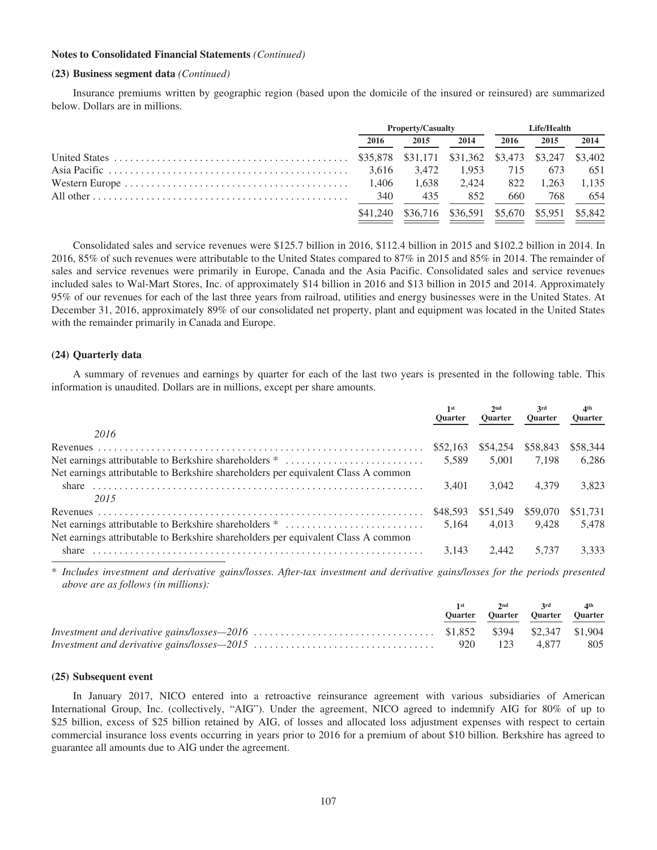#### **Notes to Consolidated Financial Statements** *(Continued)*

#### **(23) Business segment data** *(Continued)*

Insurance premiums written by geographic region (based upon the domicile of the insured or reinsured) are summarized below. Dollars are in millions.

| <b>Property/Casualty</b> |                                                    |                             | Life/Health |      |      |
|--------------------------|----------------------------------------------------|-----------------------------|-------------|------|------|
| 2016                     | 2015                                               | 2014                        | 2016        | 2015 | 2014 |
|                          |                                                    |                             |             |      |      |
| 3.616                    |                                                    | 3.472 1.953 715 673         |             |      | 651  |
|                          |                                                    | 1.638 2.424 822 1.263 1.135 |             |      |      |
| 340                      | 435                                                | 852                         | 660         | 768  | 654  |
|                          | \$41,240 \$36,716 \$36,591 \$5,670 \$5,951 \$5,842 |                             |             |      |      |

Consolidated sales and service revenues were \$125.7 billion in 2016, \$112.4 billion in 2015 and \$102.2 billion in 2014. In 2016, 85% of such revenues were attributable to the United States compared to 87% in 2015 and 85% in 2014. The remainder of sales and service revenues were primarily in Europe, Canada and the Asia Pacific. Consolidated sales and service revenues included sales to Wal-Mart Stores, Inc. of approximately \$14 billion in 2016 and \$13 billion in 2015 and 2014. Approximately 95% of our revenues for each of the last three years from railroad, utilities and energy businesses were in the United States. At December 31, 2016, approximately 89% of our consolidated net property, plant and equipment was located in the United States with the remainder primarily in Canada and Europe.

#### **(24) Quarterly data**

A summary of revenues and earnings by quarter for each of the last two years is presented in the following table. This information is unaudited. Dollars are in millions, except per share amounts.

|                                                                                   | 1st<br><b>Ouarter</b> | 2nd<br><b>Ouarter</b> | 3rd<br><b>Ouarter</b> | 4 <sup>th</sup><br>Quarter |
|-----------------------------------------------------------------------------------|-----------------------|-----------------------|-----------------------|----------------------------|
| 2016                                                                              |                       |                       |                       |                            |
|                                                                                   | \$52,163              | \$54,254              | \$58,843              | \$58,344                   |
| Net earnings attributable to Berkshire shareholders *                             | 5.589                 | 5.001                 | 7.198                 | 6.286                      |
| Net earnings attributable to Berkshire shareholders per equivalent Class A common |                       |                       |                       |                            |
| share                                                                             | 3.401                 | 3.042                 | 4.379                 | 3.823                      |
| 2015                                                                              |                       |                       |                       |                            |
|                                                                                   | \$48,593              | \$51.549              | \$59,070              | \$51,731                   |
| Net earnings attributable to Berkshire shareholders *                             | 5.164                 | 4.013                 | 9.428                 | 5.478                      |
| Net earnings attributable to Berkshire shareholders per equivalent Class A common |                       |                       |                       |                            |
| share                                                                             | 3.143                 | 2.442                 | 5.737                 | 3.333                      |

*\* Includes investment and derivative gains/losses. After-tax investment and derivative gains/losses for the periods presented above are as follows (in millions):*

|  | $1$ st $2$ nd $3$ rd $4$ th<br>Quarter Quarter Quarter Quarter |  |
|--|----------------------------------------------------------------|--|
|  |                                                                |  |
|  |                                                                |  |

#### **(25) Subsequent event**

In January 2017, NICO entered into a retroactive reinsurance agreement with various subsidiaries of American International Group, Inc. (collectively, "AIG"). Under the agreement, NICO agreed to indemnify AIG for 80% of up to \$25 billion, excess of \$25 billion retained by AIG, of losses and allocated loss adjustment expenses with respect to certain commercial insurance loss events occurring in years prior to 2016 for a premium of about \$10 billion. Berkshire has agreed to guarantee all amounts due to AIG under the agreement.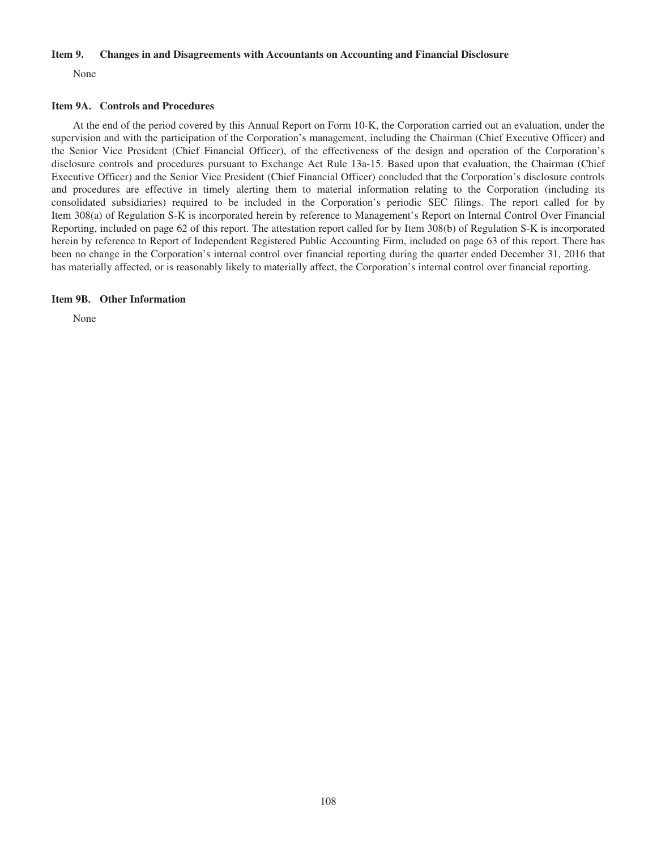#### **Item 9. Changes in and Disagreements with Accountants on Accounting and Financial Disclosure**

None

#### **Item 9A. Controls and Procedures**

At the end of the period covered by this Annual Report on Form 10-K, the Corporation carried out an evaluation, under the supervision and with the participation of the Corporation's management, including the Chairman (Chief Executive Officer) and the Senior Vice President (Chief Financial Officer), of the effectiveness of the design and operation of the Corporation's disclosure controls and procedures pursuant to Exchange Act Rule 13a-15. Based upon that evaluation, the Chairman (Chief Executive Officer) and the Senior Vice President (Chief Financial Officer) concluded that the Corporation's disclosure controls and procedures are effective in timely alerting them to material information relating to the Corporation (including its consolidated subsidiaries) required to be included in the Corporation's periodic SEC filings. The report called for by Item 308(a) of Regulation S-K is incorporated herein by reference to Management's Report on Internal Control Over Financial Reporting, included on page 62 of this report. The attestation report called for by Item 308(b) of Regulation S-K is incorporated herein by reference to Report of Independent Registered Public Accounting Firm, included on page 63 of this report. There has been no change in the Corporation's internal control over financial reporting during the quarter ended December 31, 2016 that has materially affected, or is reasonably likely to materially affect, the Corporation's internal control over financial reporting.

#### **Item 9B. Other Information**

None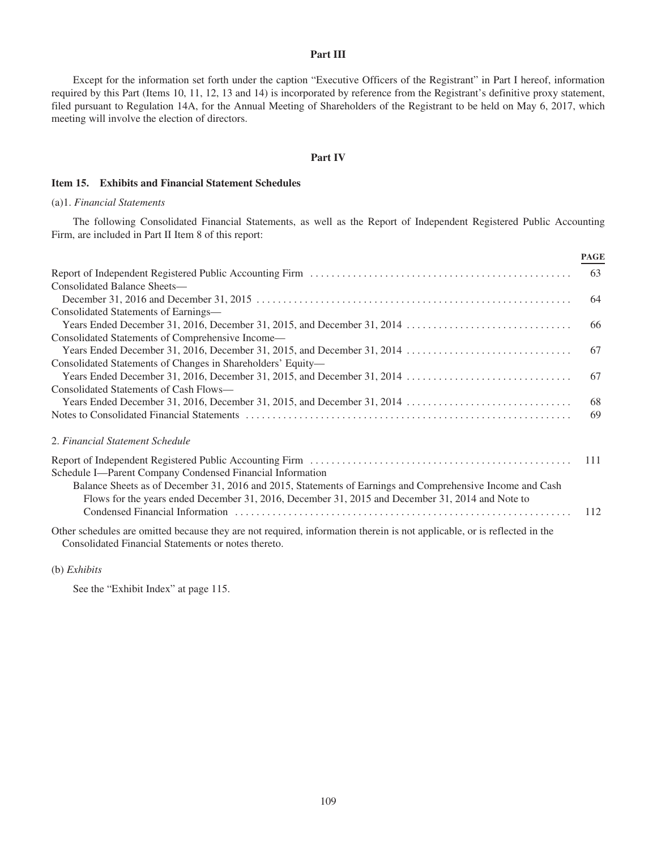# **Part III**

Except for the information set forth under the caption "Executive Officers of the Registrant" in Part I hereof, information required by this Part (Items 10, 11, 12, 13 and 14) is incorporated by reference from the Registrant's definitive proxy statement, filed pursuant to Regulation 14A, for the Annual Meeting of Shareholders of the Registrant to be held on May 6, 2017, which meeting will involve the election of directors.

#### **Part IV**

## **Item 15. Exhibits and Financial Statement Schedules**

#### (a)1. *Financial Statements*

The following Consolidated Financial Statements, as well as the Report of Independent Registered Public Accounting Firm, are included in Part II Item 8 of this report:

**PAGE**

|                                                                                                                          | PAGE |
|--------------------------------------------------------------------------------------------------------------------------|------|
|                                                                                                                          | 63   |
| Consolidated Balance Sheets-                                                                                             |      |
|                                                                                                                          | 64   |
| Consolidated Statements of Earnings-                                                                                     |      |
|                                                                                                                          | 66   |
| Consolidated Statements of Comprehensive Income-                                                                         |      |
|                                                                                                                          | 67   |
| Consolidated Statements of Changes in Shareholders' Equity-                                                              |      |
|                                                                                                                          | 67   |
| Consolidated Statements of Cash Flows—                                                                                   |      |
|                                                                                                                          | 68   |
|                                                                                                                          | 69   |
| 2. Financial Statement Schedule                                                                                          |      |
|                                                                                                                          | 111  |
| Schedule I-Parent Company Condensed Financial Information                                                                |      |
| Balance Sheets as of December 31, 2016 and 2015, Statements of Earnings and Comprehensive Income and Cash                |      |
| Flows for the years ended December 31, 2016, December 31, 2015 and December 31, 2014 and Note to                         |      |
|                                                                                                                          | 112  |
| Other schedules are omitted because they are not required, information therein is not applicable, or is reflected in the |      |
| Consolidated Financial Statements or notes thereto.                                                                      |      |

#### (b) *Exhibits*

See the "Exhibit Index" at page 115.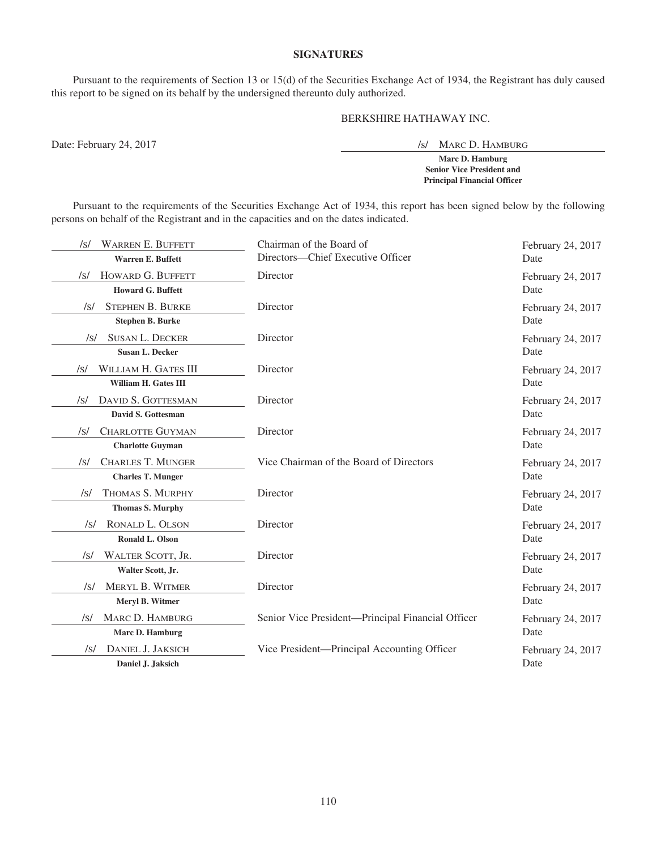# **SIGNATURES**

Pursuant to the requirements of Section 13 or 15(d) of the Securities Exchange Act of 1934, the Registrant has duly caused this report to be signed on its behalf by the undersigned thereunto duly authorized.

# BERKSHIRE HATHAWAY INC.

Date: February 24, 2017 /s/ MARC D. HAMBURG

**Marc D. Hamburg Senior Vice President and Principal Financial Officer**

Pursuant to the requirements of the Securities Exchange Act of 1934, this report has been signed below by the following persons on behalf of the Registrant and in the capacities and on the dates indicated.

| <b>WARREN E. BUFFETT</b><br>/s/<br><b>Warren E. Buffett</b>      | Chairman of the Board of<br>Directors—Chief Executive Officer | February 24, 2017<br>Date |
|------------------------------------------------------------------|---------------------------------------------------------------|---------------------------|
| HOWARD G. BUFFETT<br>/s/                                         | Director                                                      | February 24, 2017         |
| <b>Howard G. Buffett</b>                                         |                                                               | Date                      |
| <b>STEPHEN B. BURKE</b><br>$\sqrt{s}$<br><b>Stephen B. Burke</b> | Director                                                      | February 24, 2017<br>Date |
|                                                                  |                                                               |                           |
| <b>SUSAN L. DECKER</b><br>$\sqrt{s}$                             | Director                                                      | February 24, 2017         |
| <b>Susan L. Decker</b>                                           |                                                               | Date                      |
| WILLIAM H. GATES III<br>/s/                                      | Director                                                      | February 24, 2017         |
| William H. Gates III                                             |                                                               | Date                      |
| DAVID S. GOTTESMAN<br>$\sqrt{s}$                                 | Director                                                      | February 24, 2017         |
| David S. Gottesman                                               |                                                               | Date                      |
| <b>CHARLOTTE GUYMAN</b><br>/s/                                   | Director                                                      | February 24, 2017         |
| <b>Charlotte Guyman</b>                                          |                                                               | Date                      |
| <b>CHARLES T. MUNGER</b><br>/s/                                  | Vice Chairman of the Board of Directors                       | February 24, 2017         |
| <b>Charles T. Munger</b>                                         |                                                               | Date                      |
| THOMAS S. MURPHY<br>$\sqrt{s}$                                   | Director                                                      | February 24, 2017         |
| <b>Thomas S. Murphy</b>                                          |                                                               | Date                      |
| RONALD L. OLSON<br>$\sqrt{s}$                                    | Director                                                      | February 24, 2017         |
| Ronald L. Olson                                                  |                                                               | Date                      |
| WALTER SCOTT, JR.<br>$\sqrt{s}$                                  | Director                                                      | February 24, 2017         |
| Walter Scott, Jr.                                                |                                                               | Date                      |
| MERYL B. WITMER<br>$\sqrt{s}$                                    | Director                                                      | February 24, 2017         |
| Meryl B. Witmer                                                  |                                                               | Date                      |
| MARC D. HAMBURG<br>/s/                                           | Senior Vice President—Principal Financial Officer             | February 24, 2017         |
| Marc D. Hamburg                                                  |                                                               | Date                      |
| <b>DANIEL J. JAKSICH</b><br>$\sqrt{s}$                           | Vice President—Principal Accounting Officer                   | February 24, 2017         |
| Daniel J. Jaksich                                                |                                                               | Date                      |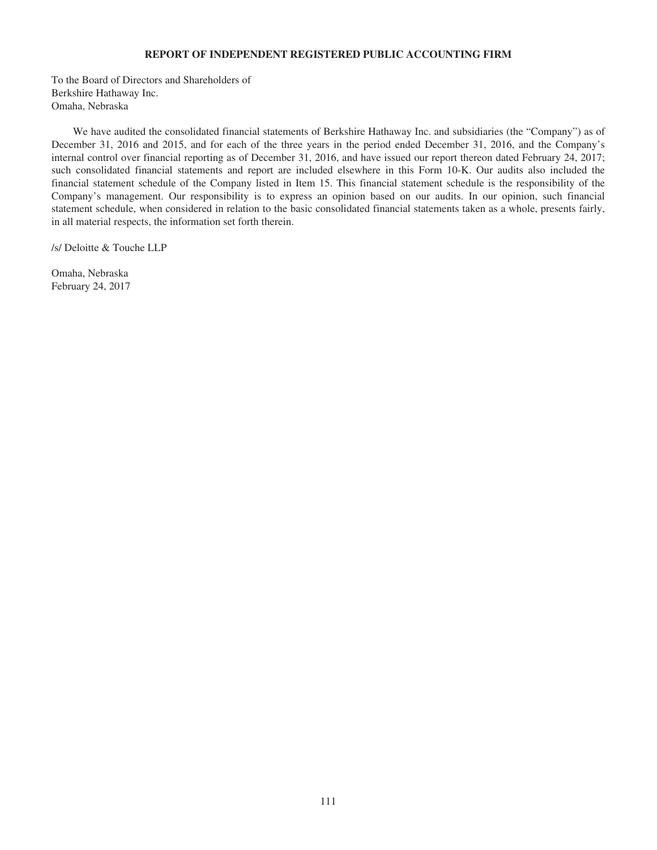## **REPORT OF INDEPENDENT REGISTERED PUBLIC ACCOUNTING FIRM**

To the Board of Directors and Shareholders of Berkshire Hathaway Inc. Omaha, Nebraska

We have audited the consolidated financial statements of Berkshire Hathaway Inc. and subsidiaries (the "Company") as of December 31, 2016 and 2015, and for each of the three years in the period ended December 31, 2016, and the Company's internal control over financial reporting as of December 31, 2016, and have issued our report thereon dated February 24, 2017; such consolidated financial statements and report are included elsewhere in this Form 10-K. Our audits also included the financial statement schedule of the Company listed in Item 15. This financial statement schedule is the responsibility of the Company's management. Our responsibility is to express an opinion based on our audits. In our opinion, such financial statement schedule, when considered in relation to the basic consolidated financial statements taken as a whole, presents fairly, in all material respects, the information set forth therein.

/s/ Deloitte & Touche LLP

Omaha, Nebraska February 24, 2017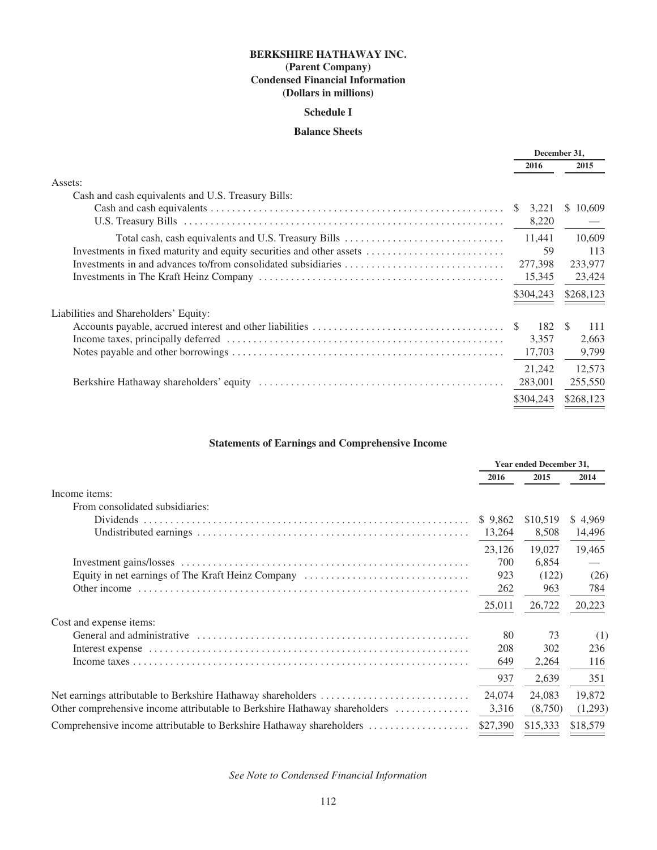# **BERKSHIRE HATHAWAY INC.**

# **(Parent Company) Condensed Financial Information (Dollars in millions)**

## **Schedule I**

## **Balance Sheets**

|                                                                      |             | December 31, |
|----------------------------------------------------------------------|-------------|--------------|
|                                                                      | 2016        | 2015         |
| Assets:                                                              |             |              |
| Cash and cash equivalents and U.S. Treasury Bills:                   |             |              |
|                                                                      | 3,221<br>S. | 10.609<br>S. |
|                                                                      | 8,220       |              |
|                                                                      | 11,441      | 10,609       |
| Investments in fixed maturity and equity securities and other assets | 59          | 113          |
|                                                                      | 277,398     | 233,977      |
|                                                                      | 15,345      | 23,424       |
|                                                                      | \$304,243   | \$268,123    |
| Liabilities and Shareholders' Equity:                                |             |              |
|                                                                      | 182         | 111<br>-S    |
|                                                                      | 3,357       | 2,663        |
|                                                                      | 17,703      | 9,799        |
|                                                                      | 21,242      | 12,573       |
|                                                                      | 283,001     | 255,550      |
|                                                                      | \$304,243   | \$268,123    |
|                                                                      |             |              |

# **Statements of Earnings and Comprehensive Income**

|                                                                            | Year ended December 31, |          |          |
|----------------------------------------------------------------------------|-------------------------|----------|----------|
|                                                                            | 2016                    | 2015     | 2014     |
| Income items:                                                              |                         |          |          |
| From consolidated subsidiaries:                                            |                         |          |          |
|                                                                            | \$9,862                 | \$10,519 | \$4,969  |
|                                                                            | 13,264                  | 8,508    | 14,496   |
|                                                                            | 23,126                  | 19,027   | 19,465   |
|                                                                            | 700                     | 6,854    |          |
| Equity in net earnings of The Kraft Heinz Company                          | 923                     | (122)    | (26)     |
|                                                                            | 262                     | 963      | 784      |
|                                                                            | 25,011                  | 26,722   | 20,223   |
| Cost and expense items:                                                    |                         |          |          |
|                                                                            | 80                      | 73       | (1)      |
|                                                                            | 208                     | 302      | 236      |
|                                                                            | 649                     | 2,264    | 116      |
|                                                                            | 937                     | 2,639    | 351      |
|                                                                            | 24,074                  | 24,083   | 19,872   |
| Other comprehensive income attributable to Berkshire Hathaway shareholders | 3,316                   | (8,750)  | (1,293)  |
| Comprehensive income attributable to Berkshire Hathaway shareholders       | \$27,390                | \$15,333 | \$18,579 |

*See Note to Condensed Financial Information*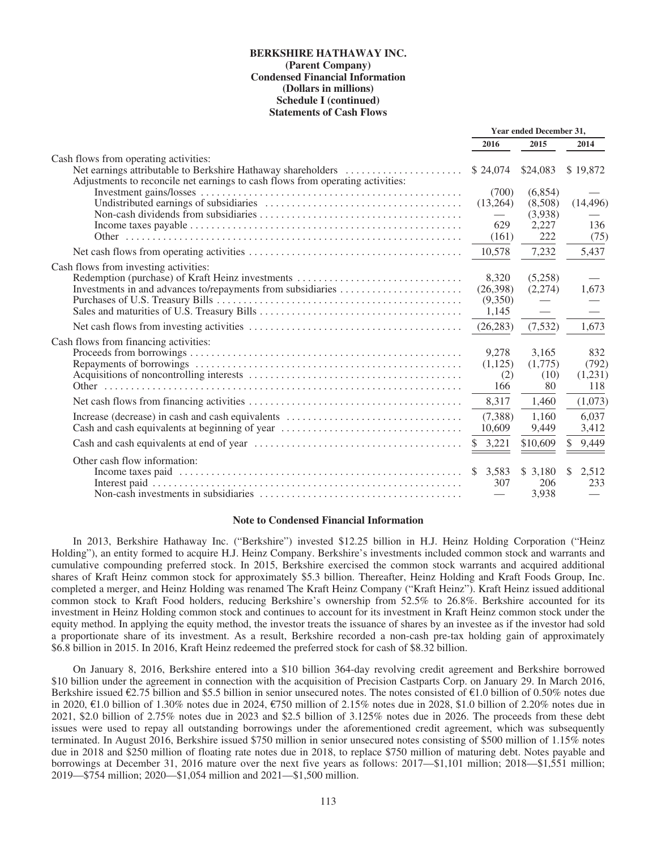#### **BERKSHIRE HATHAWAY INC. (Parent Company) Condensed Financial Information (Dollars in millions) Schedule I (continued) Statements of Cash Flows**

|                                                                                                                         | Year ended December 31,               |                                        |                                |
|-------------------------------------------------------------------------------------------------------------------------|---------------------------------------|----------------------------------------|--------------------------------|
|                                                                                                                         | 2016                                  | 2015                                   | 2014                           |
| Cash flows from operating activities:<br>Adjustments to reconcile net earnings to cash flows from operating activities: | \$24,074                              | \$24,083                               | \$19,872                       |
|                                                                                                                         | (700)<br>(13,264)<br>629              | (6,854)<br>(8,508)<br>(3,938)<br>2,227 | (14, 496)<br>136               |
|                                                                                                                         | (161)                                 | 222                                    | (75)                           |
|                                                                                                                         | 10,578                                | 7,232                                  | 5,437                          |
| Cash flows from investing activities:<br>Redemption (purchase) of Kraft Heinz investments                               | 8,320<br>(26,398)<br>(9,350)<br>1,145 | (5,258)<br>(2,274)                     | 1,673                          |
|                                                                                                                         | (26, 283)                             | (7, 532)                               | 1.673                          |
| Cash flows from financing activities:                                                                                   | 9,278<br>(1,125)<br>(2)<br>166        | 3.165<br>(1,775)<br>(10)<br>80         | 832<br>(792)<br>(1,231)<br>118 |
|                                                                                                                         | 8,317                                 | 1,460                                  | (1,073)                        |
|                                                                                                                         | (7,388)<br>10,609                     | 1.160<br>9,449                         | 6.037<br>3,412                 |
|                                                                                                                         | \$3,221                               | \$10,609                               | \$9,449                        |
| Other cash flow information:                                                                                            | \$3.583<br>307                        | \$3.180<br>206<br>3,938                | 2,512<br>\$.<br>233            |

#### **Note to Condensed Financial Information**

In 2013, Berkshire Hathaway Inc. ("Berkshire") invested \$12.25 billion in H.J. Heinz Holding Corporation ("Heinz Holding"), an entity formed to acquire H.J. Heinz Company. Berkshire's investments included common stock and warrants and cumulative compounding preferred stock. In 2015, Berkshire exercised the common stock warrants and acquired additional shares of Kraft Heinz common stock for approximately \$5.3 billion. Thereafter, Heinz Holding and Kraft Foods Group, Inc. completed a merger, and Heinz Holding was renamed The Kraft Heinz Company ("Kraft Heinz"). Kraft Heinz issued additional common stock to Kraft Food holders, reducing Berkshire's ownership from 52.5% to 26.8%. Berkshire accounted for its investment in Heinz Holding common stock and continues to account for its investment in Kraft Heinz common stock under the equity method. In applying the equity method, the investor treats the issuance of shares by an investee as if the investor had sold a proportionate share of its investment. As a result, Berkshire recorded a non-cash pre-tax holding gain of approximately \$6.8 billion in 2015. In 2016, Kraft Heinz redeemed the preferred stock for cash of \$8.32 billion.

On January 8, 2016, Berkshire entered into a \$10 billion 364-day revolving credit agreement and Berkshire borrowed \$10 billion under the agreement in connection with the acquisition of Precision Castparts Corp. on January 29. In March 2016, Berkshire issued €2.75 billion and \$5.5 billion in senior unsecured notes. The notes consisted of €1.0 billion of 0.50% notes due in 2020, €1.0 billion of 1.30% notes due in 2024, €750 million of 2.15% notes due in 2028, \$1.0 billion of 2.20% notes due in 2021, \$2.0 billion of 2.75% notes due in 2023 and \$2.5 billion of 3.125% notes due in 2026. The proceeds from these debt issues were used to repay all outstanding borrowings under the aforementioned credit agreement, which was subsequently terminated. In August 2016, Berkshire issued \$750 million in senior unsecured notes consisting of \$500 million of 1.15% notes due in 2018 and \$250 million of floating rate notes due in 2018, to replace \$750 million of maturing debt. Notes payable and borrowings at December 31, 2016 mature over the next five years as follows: 2017—\$1,101 million; 2018—\$1,551 million; 2019—\$754 million; 2020—\$1,054 million and 2021—\$1,500 million.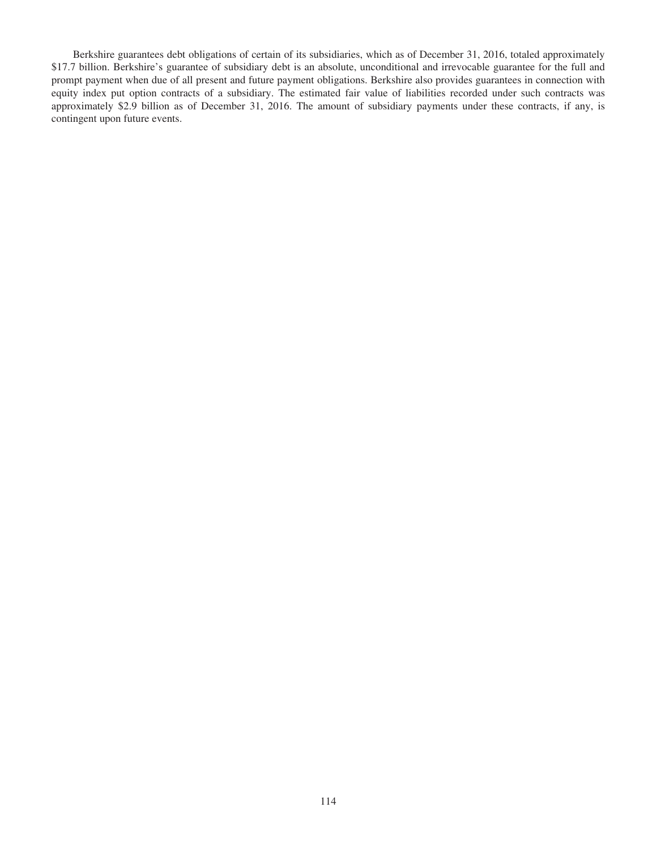Berkshire guarantees debt obligations of certain of its subsidiaries, which as of December 31, 2016, totaled approximately \$17.7 billion. Berkshire's guarantee of subsidiary debt is an absolute, unconditional and irrevocable guarantee for the full and prompt payment when due of all present and future payment obligations. Berkshire also provides guarantees in connection with equity index put option contracts of a subsidiary. The estimated fair value of liabilities recorded under such contracts was approximately \$2.9 billion as of December 31, 2016. The amount of subsidiary payments under these contracts, if any, is contingent upon future events.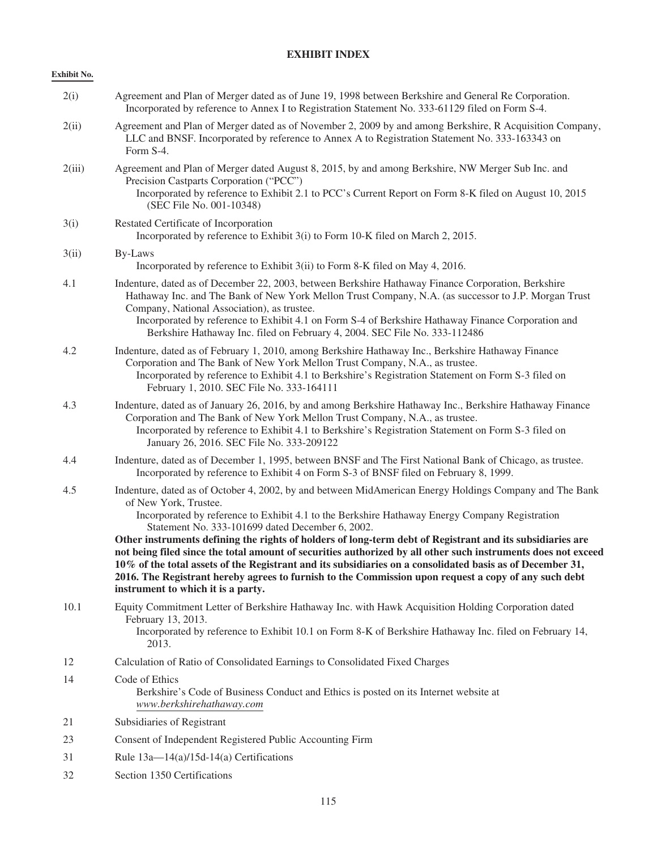# **EXHIBIT INDEX**

| <b>Exhibit No.</b> |                                                                                                                                                                                                                                                                                                                                                                                                                                                                                                                                                                                                                                                                                                                                                                                 |
|--------------------|---------------------------------------------------------------------------------------------------------------------------------------------------------------------------------------------------------------------------------------------------------------------------------------------------------------------------------------------------------------------------------------------------------------------------------------------------------------------------------------------------------------------------------------------------------------------------------------------------------------------------------------------------------------------------------------------------------------------------------------------------------------------------------|
| 2(i)               | Agreement and Plan of Merger dated as of June 19, 1998 between Berkshire and General Re Corporation.<br>Incorporated by reference to Annex I to Registration Statement No. 333-61129 filed on Form S-4.                                                                                                                                                                                                                                                                                                                                                                                                                                                                                                                                                                         |
| 2(ii)              | Agreement and Plan of Merger dated as of November 2, 2009 by and among Berkshire, R Acquisition Company,<br>LLC and BNSF. Incorporated by reference to Annex A to Registration Statement No. 333-163343 on<br>Form S-4.                                                                                                                                                                                                                                                                                                                                                                                                                                                                                                                                                         |
| 2(iii)             | Agreement and Plan of Merger dated August 8, 2015, by and among Berkshire, NW Merger Sub Inc. and<br>Precision Castparts Corporation ("PCC")<br>Incorporated by reference to Exhibit 2.1 to PCC's Current Report on Form 8-K filed on August 10, 2015<br>(SEC File No. 001-10348)                                                                                                                                                                                                                                                                                                                                                                                                                                                                                               |
| 3(i)               | Restated Certificate of Incorporation<br>Incorporated by reference to Exhibit 3(i) to Form 10-K filed on March 2, 2015.                                                                                                                                                                                                                                                                                                                                                                                                                                                                                                                                                                                                                                                         |
| 3(ii)              | By-Laws<br>Incorporated by reference to Exhibit 3(ii) to Form 8-K filed on May 4, 2016.                                                                                                                                                                                                                                                                                                                                                                                                                                                                                                                                                                                                                                                                                         |
| 4.1                | Indenture, dated as of December 22, 2003, between Berkshire Hathaway Finance Corporation, Berkshire<br>Hathaway Inc. and The Bank of New York Mellon Trust Company, N.A. (as successor to J.P. Morgan Trust<br>Company, National Association), as trustee.<br>Incorporated by reference to Exhibit 4.1 on Form S-4 of Berkshire Hathaway Finance Corporation and<br>Berkshire Hathaway Inc. filed on February 4, 2004. SEC File No. 333-112486                                                                                                                                                                                                                                                                                                                                  |
| 4.2                | Indenture, dated as of February 1, 2010, among Berkshire Hathaway Inc., Berkshire Hathaway Finance<br>Corporation and The Bank of New York Mellon Trust Company, N.A., as trustee.<br>Incorporated by reference to Exhibit 4.1 to Berkshire's Registration Statement on Form S-3 filed on<br>February 1, 2010. SEC File No. 333-164111                                                                                                                                                                                                                                                                                                                                                                                                                                          |
| 4.3                | Indenture, dated as of January 26, 2016, by and among Berkshire Hathaway Inc., Berkshire Hathaway Finance<br>Corporation and The Bank of New York Mellon Trust Company, N.A., as trustee.<br>Incorporated by reference to Exhibit 4.1 to Berkshire's Registration Statement on Form S-3 filed on<br>January 26, 2016. SEC File No. 333-209122                                                                                                                                                                                                                                                                                                                                                                                                                                   |
| 4.4                | Indenture, dated as of December 1, 1995, between BNSF and The First National Bank of Chicago, as trustee.<br>Incorporated by reference to Exhibit 4 on Form S-3 of BNSF filed on February 8, 1999.                                                                                                                                                                                                                                                                                                                                                                                                                                                                                                                                                                              |
| 4.5                | Indenture, dated as of October 4, 2002, by and between MidAmerican Energy Holdings Company and The Bank<br>of New York, Trustee.<br>Incorporated by reference to Exhibit 4.1 to the Berkshire Hathaway Energy Company Registration<br>Statement No. 333-101699 dated December 6, 2002.<br>Other instruments defining the rights of holders of long-term debt of Registrant and its subsidiaries are<br>not being filed since the total amount of securities authorized by all other such instruments does not exceed<br>10% of the total assets of the Registrant and its subsidiaries on a consolidated basis as of December 31,<br>2016. The Registrant hereby agrees to furnish to the Commission upon request a copy of any such debt<br>instrument to which it is a party. |
| 10.1               | Equity Commitment Letter of Berkshire Hathaway Inc. with Hawk Acquisition Holding Corporation dated<br>February 13, 2013.<br>Incorporated by reference to Exhibit 10.1 on Form 8-K of Berkshire Hathaway Inc. filed on February 14,<br>2013.                                                                                                                                                                                                                                                                                                                                                                                                                                                                                                                                    |
| 12                 | Calculation of Ratio of Consolidated Earnings to Consolidated Fixed Charges                                                                                                                                                                                                                                                                                                                                                                                                                                                                                                                                                                                                                                                                                                     |
| 14                 | Code of Ethics<br>Berkshire's Code of Business Conduct and Ethics is posted on its Internet website at<br>www.berkshirehathaway.com                                                                                                                                                                                                                                                                                                                                                                                                                                                                                                                                                                                                                                             |
| 21                 | Subsidiaries of Registrant                                                                                                                                                                                                                                                                                                                                                                                                                                                                                                                                                                                                                                                                                                                                                      |
| 23                 | Consent of Independent Registered Public Accounting Firm                                                                                                                                                                                                                                                                                                                                                                                                                                                                                                                                                                                                                                                                                                                        |
| 31                 | Rule $13a-14(a)/15d-14(a)$ Certifications                                                                                                                                                                                                                                                                                                                                                                                                                                                                                                                                                                                                                                                                                                                                       |
| 32                 | Section 1350 Certifications                                                                                                                                                                                                                                                                                                                                                                                                                                                                                                                                                                                                                                                                                                                                                     |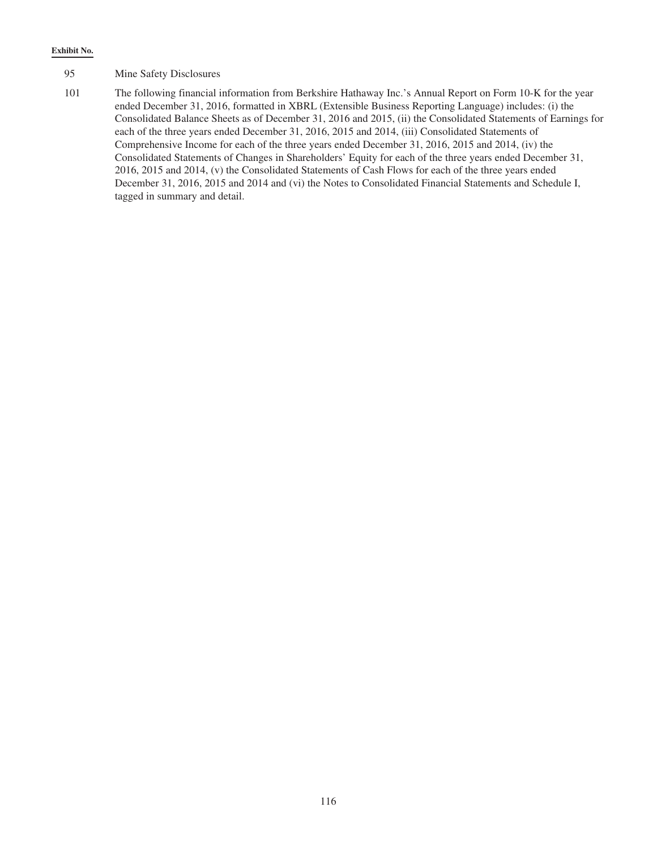#### **Exhibit No.**

## 95 Mine Safety Disclosures

101 The following financial information from Berkshire Hathaway Inc.'s Annual Report on Form 10-K for the year ended December 31, 2016, formatted in XBRL (Extensible Business Reporting Language) includes: (i) the Consolidated Balance Sheets as of December 31, 2016 and 2015, (ii) the Consolidated Statements of Earnings for each of the three years ended December 31, 2016, 2015 and 2014, (iii) Consolidated Statements of Comprehensive Income for each of the three years ended December 31, 2016, 2015 and 2014, (iv) the Consolidated Statements of Changes in Shareholders' Equity for each of the three years ended December 31, 2016, 2015 and 2014, (v) the Consolidated Statements of Cash Flows for each of the three years ended December 31, 2016, 2015 and 2014 and (vi) the Notes to Consolidated Financial Statements and Schedule I, tagged in summary and detail.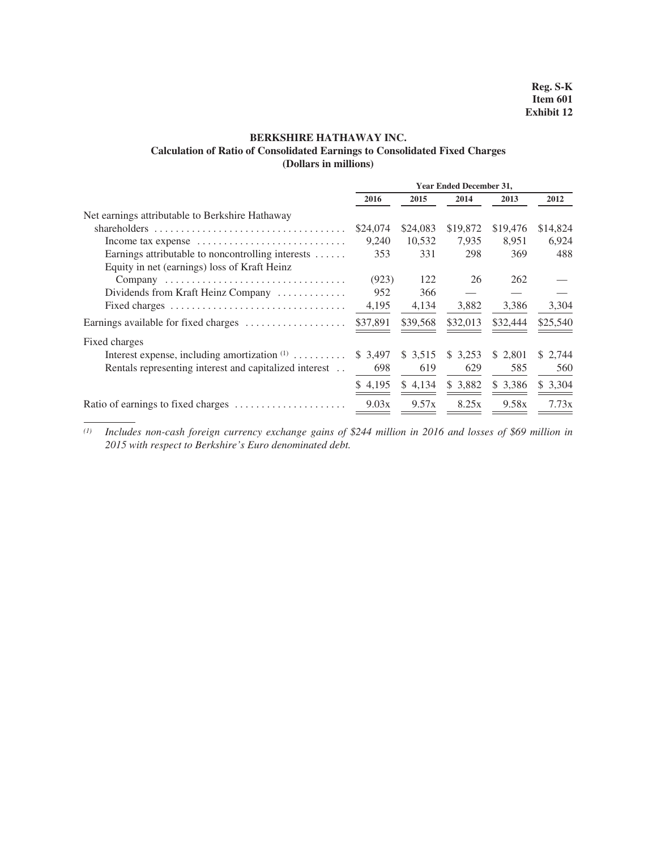# **BERKSHIRE HATHAWAY INC. Calculation of Ratio of Consolidated Earnings to Consolidated Fixed Charges (Dollars in millions)**

|                                                                              | <b>Year Ended December 31,</b> |          |          |          |          |  |
|------------------------------------------------------------------------------|--------------------------------|----------|----------|----------|----------|--|
|                                                                              | 2016                           | 2015     | 2014     | 2013     | 2012     |  |
| Net earnings attributable to Berkshire Hathaway                              |                                |          |          |          |          |  |
|                                                                              | \$24,074                       | \$24,083 | \$19,872 | \$19,476 | \$14,824 |  |
| Income tax expense $\dots\dots\dots\dots\dots\dots\dots\dots\dots\dots\dots$ | 9.240                          | 10,532   | 7,935    | 8,951    | 6,924    |  |
| Earnings attributable to noncontrolling interests                            | 353                            | 331      | 298      | 369      | 488      |  |
| Equity in net (earnings) loss of Kraft Heinz                                 |                                |          |          |          |          |  |
| Company                                                                      | (923)                          | 122      | 26       | 262      |          |  |
| Dividends from Kraft Heinz Company                                           | 952                            | 366      |          |          |          |  |
| Fixed charges                                                                | 4,195                          | 4,134    | 3,882    | 3,386    | 3,304    |  |
| Earnings available for fixed charges                                         | \$37,891                       | \$39,568 | \$32,013 | \$32,444 | \$25,540 |  |
| Fixed charges                                                                |                                |          |          |          |          |  |
| Interest expense, including amortization $(1)$                               | \$ 3,497                       | \$ 3,515 | \$3,253  | \$ 2,801 | \$2,744  |  |
| Rentals representing interest and capitalized interest                       | 698                            | 619      | 629      | 585      | 560      |  |
|                                                                              | \$4,195                        | \$4,134  | \$3,882  | \$3,386  | \$3,304  |  |
| Ratio of earnings to fixed charges $\dots\dots\dots\dots\dots\dots\dots$     | 9.03x                          | 9.57x    | 8.25x    | 9.58x    | 7.73x    |  |

*(1) Includes non-cash foreign currency exchange gains of \$244 million in 2016 and losses of \$69 million in 2015 with respect to Berkshire's Euro denominated debt.*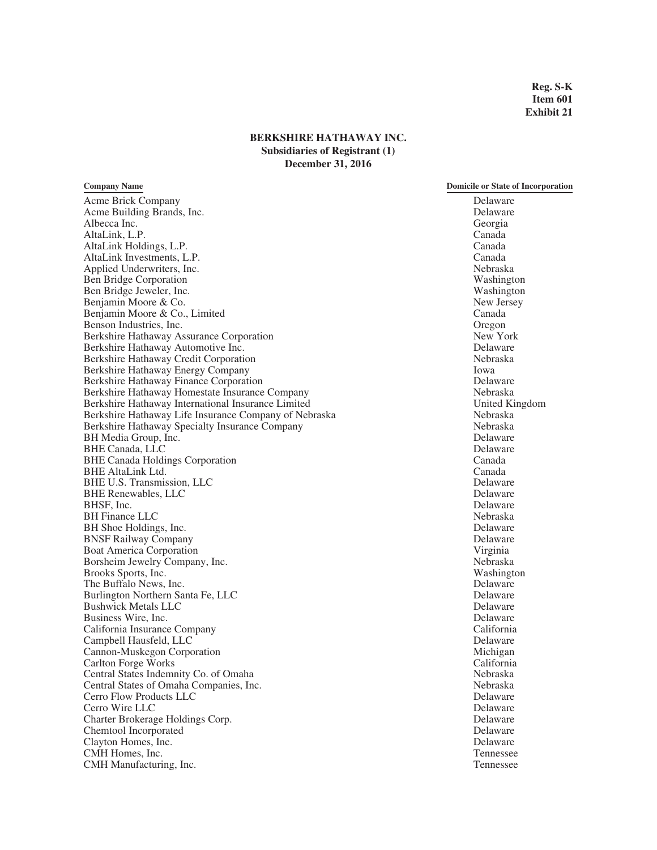## **BERKSHIRE HATHAWAY INC. Subsidiaries of Registrant (1) December 31, 2016**

**Company Name Domicile or State of Incorporation** Acme Brick Company Delaware<br>
Acme Building Brands, Inc.<br>
Delaware Acme Building Brands, Inc.<br>
Albecca Inc. Delaware Contains and Contains and Contains and Contains and Contains and Contains and Contains and Contains and Contains and Contains and Contains and Contains and Contains and Con Albecca Inc. Georgia<br>AltaLink, L.P. Georgia AltaLink, L.P. Canada<br>AltaLink Holdings, L.P. Canada AltaLink Holdings, L.P. AltaLink Investments, L.P. Canada Applied Underwriters, Inc. Nebraska Ben Bridge Corporation Washington Ben Bridge Jeweler, Inc. Washington Benjamin Moore & Co. New Jersey Benjamin Moore & Co., Limited Canada Canada Benson Industries, Inc.<br>
Benson Industries, Inc.<br>
Derkshire Hathaway Assurance Corporation<br>
Oregon New York Berkshire Hathaway Assurance Corporation New York<br>Berkshire Hathaway Automotive Inc. Delaware Berkshire Hathaway Automotive Inc.<br>
Berkshire Hathaway Credit Corporation<br>
Nebraska Berkshire Hathaway Credit Corporation<br>Berkshire Hathaway Energy Company Nebraska News News Berkshire Hathaway Energy Company Berkshire Hathaway Finance Corporation<br>
Berkshire Hathaway Homestate Insurance Company<br>
Nebraska Berkshire Hathaway Homestate Insurance Company Nebraska<br>
Berkshire Hathaway International Insurance Limited<br>
United Kingdom Berkshire Hathaway International Insurance Limited View Company of Nebraska<br>Berkshire Hathaway Life Insurance Company of Nebraska<br>Nebraska Berkshire Hathaway Life Insurance Company of Nebraska<br>
Berkshire Hathaway Specialty Insurance Company Mehraska<br>
Nebraska Berkshire Hathaway Specialty Insurance Company Nebraska<br>BH Media Group. Inc. Delaware BH Media Group, Inc.<br>BHE Canada. LLC<br>Delaware BHE Canada, LLC<br>BHE Canada Holdings Corporation BHE Canada Holdings Corporation<br>BHE AltaLink Ltd. Canada BHE AltaLink Ltd. Canada Canada Canada Canada Canada Canada Canada Canada Canada Canada Canada Canada Canada Canada Canada Canada Canada Canada Canada Canada Canada Canada Canada Canada Canada Canada Canada Canada Canada C BHE U.S. Transmission, LLC<br>
BHE Renewables. I.I.C.<br>
Delaware BHE Renewables, LLC<br>BHSF. Inc. Delaware BHSF, Inc. Delaware BH Finance LLC<br>BH Shoe Holdings. Inc. 2008 BH Shoe Holdings, Inc.<br>
BNSF Railway Company<br>
Delaware BNSF Railway Company Delaware Company Delaware Company Delaware Delaware Delaware Delaware Delaware Delaware Delaware Delaware Delaware Delaware Delaware Delaware Delaware Delaware Delaware Delaware Delaware Delaware Delaw Boat America Corporation Virginia<br>Borsheim Jewelry Company, Inc. Nebraska Borsheim Jewelry Company, Inc.<br>Brooks Sports, Inc. Nebraska<br>Washington Brooks Sports, Inc. Washington Washington Washington Washington Washington Washington Washington Washington Washington Washington Washington Washington Washington Washington Washington Washington Washington Washington Wash The Buffalo News, Inc.<br>
Burlington Northern Santa Fe. LLC<br>
Delaware Burlington Northern Santa Fe, LLC<br>Bushwick Metals LLC<br>Delaware Bushwick Metals LLC<br>Business Wire. Inc. Delaware Business Wire, Inc.<br>
California Insurance Company<br>
California Insurance Company California Insurance Company California Campbell Hausfeld, LLC<br>
Cannon-Muskegon Corporation<br>
Michigan Cannon-Muskegon Corporation and a series of the Michigan Muslim Michigan Carlton Forge Works (California) Carlton Forge Works California Central States Indemnity Co. of Omaha Nebraska<br>
Central States of Omaha Companies. Inc.<br>
Nebraska Central States of Omaha Companies, Inc. Nebraska Cerro Flow Products LLC<br>
Cerro Wire LLC<br>
Delaware Cerro Wire LLC<br>
Charter Brokerage Holdings Corp.<br>
Delaware Delaware Charter Brokerage Holdings Corp.<br>
Chemtool Incorporated Delaware<br>
Delaware Chemtool Incorporated Delaware<br>Clayton Homes. Inc. Delaware Clayton Homes, Inc. CMH Homes, Inc. Tennessee CMH Manufacturing, Inc. Tennessee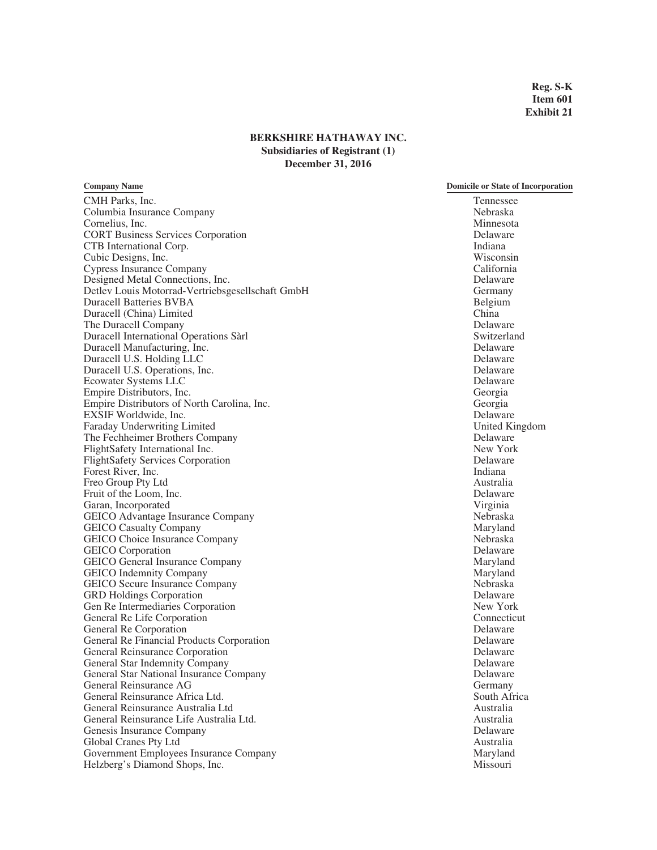## **BERKSHIRE HATHAWAY INC. Subsidiaries of Registrant (1) December 31, 2016**

**Company Name Domicile or State of Incorporation** CMH Parks, Inc. Tennessee<br>Columbia Insurance Company and the settlement of the settlement of the Second Second Second Second Second Second Second Second Second Second Second Second Second Second Second Second Second Second Columbia Insurance Company Nebraska<br>
Cornelius. Inc. Minnesota Cornelius, Inc. Minnesota<br>
CORT Business Services Corporation<br>
Delaware CORT Business Services Corporation Delaware CORT Business Services Corporation Delaware Delaware Delaware Delaware Delaware Delaware Delaware Delaware Delaware Delaware Delaware Delaware Delaware Delaware Delaware Delaware CTB International Corp. Cubic Designs, Inc. Wisconsin Cypress Insurance Company California Designed Metal Connections, Inc. Delaware Detlev Louis Motorrad-Vertriebsgesellschaft GmbH Germany Duracell Batteries BVBA Belgium Duracell (China) Limited China China<br>
The Duracell Company China China China<br>
Delaware The Duracell Company<br>
Delaware Company<br>
Delaware Switzerland<br>
Switzerland<br>
Switzerland Duracell International Operations Sàrl Switzerland Switzerland Switzerland Switzerland Switzerland Switzerland<br>
Delaware Switzerland Schware Schware Switzerland Switzerland Switzerland Switzerland Switzerland Switzerland S Duracell Manufacturing, Inc.<br>
Delaware Duracell U.S. Holding LLC<br>
Delaware Duracell U.S. Holding LLC<br>
Duracell U.S. Operations. Inc.<br>
Delaware Duracell U.S. Operations, Inc. Ecowater Systems LLC Delaware Empire Distributors, Inc.<br>
Empire Distributors of North Carolina, Inc.<br>
Georgia Empire Distributors of North Carolina, Inc. Georgia EXSIF Worldwide, Inc.<br>
Faraday Underwriting Limited<br>
Faraday United Kingdom Faraday Underwriting Limited United Kingdom United Kingdom United Kingdom United Kingdom United Kingdom United Ki The Fechheimer Brothers Company Delaware<br>
FlightSafety International Inc. New York FlightSafety International Inc.<br>
FlightSafety Services Corporation<br>
Delaware FlightSafety Services Corporation<br>
Forest River. Inc. Delaware Delaware Delaware Delaware Delaware Delaware Delaware Delaware Delaware Delaware Forest River, Inc.<br>
Free Group Ptv Ltd Australia Freo Group Pty Ltd Australia<br> **Fruit of the Loom**, Inc. Security 1988 and 2009 and 2009 and 2009 and 2009 and 2009 and 2009 and 2009 and 2009<br> **Example 2009** Fruit of the Loom, Inc.<br>
Garan, Incorporated Virginia Garan, Incorporated Virginia (Garan, Incorporated Virginia (Garan, Incorporated Virginia (Garan, Incorporated Virginia (Garan, Incorporated Virginia (Garan, Incorporated Virginia (Garan, Incorporated Virginia (Garan, Incor GEICO Advantage Insurance Company and the second second second second second second second second second second second second second second second second second second second second second second second second second secon GEICO Casualty Company<br>GEICO Choice Insurance Company and the second second second second second second second second second second second second second second second second second second second second second second second GEICO Choice Insurance Company Nebraska<br>GEICO Corporation Delaware GEICO Corporation Delaware<br>GEICO General Insurance Company and the company of the company of the company of the company of the company of the company of the company of the company of the company of the company of the compa GEICO General Insurance Company Maryland<br>GEICO Indemnity Company Maryland<br>Maryland GEICO Indemnity Company<br>GEICO Secure Insurance Company Maryland<br>Nebraska GEICO Secure Insurance Company<br>
GRD Holdings Corporation<br>
Delaware GRD Holdings Corporation<br>
Gen Re Intermediaries Corporation<br>
New York Gen Re Intermediaries Corporation<br>
General Re Life Corporation<br>
Connecticut<br>
Connecticut General Re Life Corporation Connecticut Connecticut Connecticut Connecticut Connecticut Connecticut Connecticut Connecticut Connecticut Connecticut Connecticut Connecticut Connecticut Connecticut Connecticut Connecticut Co General Re Corporation<br>
General Re Financial Products Corporation<br>
Delaware General Re Financial Products Corporation<br>
General Reinsurance Corporation<br>
Delaware General Reinsurance Corporation<br>
General Star Indemnity Company<br>
Delaware General Star Indemnity Company<br>
General Star National Insurance Company<br>
Delaware General Star National Insurance Company Delaware<br>
General Reinsurance AG<br>
Germany General Reinsurance AG Germany<br>
General Reinsurance Africa Ltd. South Africa General Reinsurance Africa Ltd.<br>
General Reinsurance Australia Ltd<br>
Australia General Reinsurance Australia Ltd Australia General Reinsurance Life Australia Ltd.<br>
Genesis Insurance Company<br>
Delaware Genesis Insurance Company<br>
Global Cranes Pty Ltd<br>
Australia Global Cranes Pty Ltd Government Employees Insurance Company Maryland Helzberg's Diamond Shops, Inc. Missouri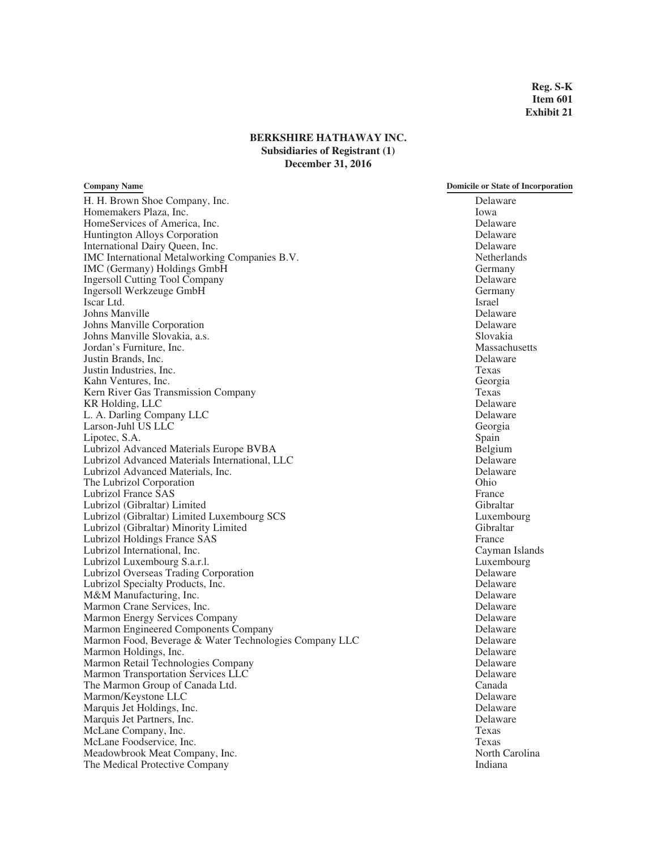## **BERKSHIRE HATHAWAY INC. Subsidiaries of Registrant (1) December 31, 2016**

H. H. Brown Shoe Company, Inc.<br>
Homemakers Plaza. Inc.<br>
Iowa Homemakers Plaza, Inc.<br>
HomeServices of America. Inc.<br>
Delaware HomeServices of America, Inc.<br>
Huntington Alloys Corporation<br>
Delaware Huntington Alloys Corporation<br>
International Dairy Oueen. Inc.<br>
Delaware Delaware International Dairy Queen, Inc. IMC International Metalworking Companies B.V. Netherlands IMC (Germany) Holdings GmbH Germany Germany Germany Ingersoll Cutting Tool Company Delaware Ingersoll Werkzeuge GmbH Germany Iscar Ltd. Israel Johns Manville Delaware Delaware Delaware Delaware Delaware Delaware Delaware Delaware Delaware Delaware Delaware Delaware Delaware Delaware Delaware Delaware Delaware Delaware Delaware Delaware Delaware Delaware Delaware Johns Manville Corporation<br>
Johns Manville Slovakia, a.s.<br>
Slovakia Johns Manville Slovakia, a.s. Slovakia Jordan's Furniture, Inc.<br>
Justin Brands. Inc.<br>
Delaware Justin Brands, Inc. Justin Industries, Inc. Texas Kahn Ventures, Inc.<br>
Kern River Gas Transmission Company<br>
Texas Kern River Gas Transmission Company Texas<br>
KR Holding. LLC Delaware KR Holding, LLC<br>
L. A. Darling Company LLC<br>
Delaware Delaware L. A. Darling Company LLC<br>
Larson-Juhl US LLC<br>
Georgia Larson-Juhl US LLC Georgia and Second Contract Contract Georgia and Second Contract Contract Georgia and Second Contract Contract Contract Contract Contract Contract Contract Contract Contract Contract Contract Contract Co Lipotec, S.A. Spain<br>
Lubrizol Advanced Materials Europe BVBA and the settlement of the Spain Belgium Lubrizol Advanced Materials Europe BVBA<br>
Lubrizol Advanced Materials International, LLC<br>
Delaware Lubrizol Advanced Materials International, LLC<br>
Lubrizol Advanced Materials. Inc.<br>
Delaware Lubrizol Advanced Materials, Inc.<br>
The Lubrizol Cornoration<br>
Ohio The Lubrizol Corporation<br>
Lubrizol France SAS<br>
France SAS Lubrizol France SAS France Lubrizol (Gibraltar) Limited Gibraltar Lubrizol (Gibraltar) Limited Luxembourg SCS Luxembourg Luxembourg SCS Luxembourg 1 (Gibraltar) Luxembourg SCS Luxembourg SCS Luxembourg 1 (Gibraltar) and the United Side of the United Side of the United Side of the United Lubrizol (Gibraltar) Minority Limited<br>
Lubrizol Holdings France SAS<br>
France Lubrizol Holdings France SAS<br>
Lubrizol International, Inc. Sanction Cayman Islands Lubrizol International, Inc. Cayman Islam<br>
Lubrizol Luxembourg S.a.r.l. Cayman Islam<br>
Luxembourg S.a.r.l. Cayman Islam Lubrizol Luxembourg S.a.r.l. Luxembourg Lubrizol Overseas Trading Corporation Delaware Lubrizol Specialty Products, Inc.<br>
M&M Manufacturing. Inc.<br>
Delaware M&M Manufacturing, Inc.<br>
Marmon Crane Services. Inc.<br>
Delaware between the Delaware of Delaware Marmon Crane Services, Inc.<br>
Marmon Energy Services Company<br>
Delaware Company Marmon Energy Services Company<br>
Marmon Engineered Components Company<br>
Delaware Marmon Engineered Components Company<br>
Marmon Food. Beverage & Water Technologies Company LLC<br>
Delaware Marmon Food, Beverage & Water Technologies Company LLC<br>Marmon Holdings. Inc. Delaware Marmon Holdings, Inc.<br>
Marmon Retail Technologies Company<br>
Delaware Delaware Marmon Retail Technologies Company<br>
Marmon Transportation Services LLC<br>
Delaware Marmon Transportation Services LLC<br>
The Marmon Group of Canada Ltd. Canada Canada The Marmon Group of Canada Ltd. Canada Canada Canada Canada Canada Canada Canada Canada Canada Canada Canada Canada Canada Canada Canada Canada Canada Canada Canada Canada Canada Canada Canada Canada Canada Canada Canada C Marmon/Keystone LLC<br>
Marquis Jet Holdings. Inc.<br>
Delaware between the Delaware Delaware Marquis Jet Holdings, Inc. Delaware Marquis Jet Partners, Inc. Delaware McLane Company, Inc. Texas<br>
McLane Foodservice. Inc. Texas McLane Foodservice, Inc.<br>
Meadowbrook Meat Company. Inc.<br>
Meadowbrook Meat Company. Inc. Meadowbrook Meat Company, Inc. The Medical Protective Company Indiana

**Company Name Domicile or State of Incorporation**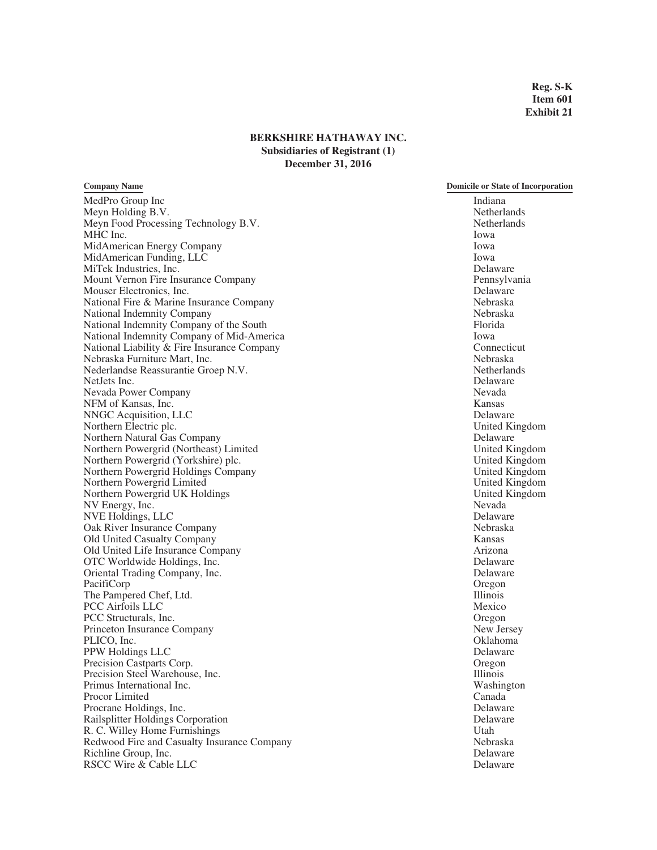## **BERKSHIRE HATHAWAY INC. Subsidiaries of Registrant (1) December 31, 2016**

**Company Name Domicile or State of Incorporation** MedPro Group Inc Indiana Meyn Holding B.V.<br>
Meyn Food Processing Technology B.V.<br>
Netherlands<br>
Netherlands Meyn Food Processing Technology B.V.<br>MHC Inc. Netherlands and the MHC Inc. MHC Inc. **Iowa** MidAmerican Energy Company Iowa MidAmerican Funding, LLC Iowa MiTek Industries, Inc. 2008 and 2008 and 2008 and 2008 and 2008 and 2008 and 2008 and 2008 and 2008 and 2008 and 2008 and 2008 and 2008 and 2008 and 2008 and 2008 and 2008 and 2008 and 2008 and 2008 and 2008 and 2008 and 2 Mount Vernon Fire Insurance Company Pennsylvania Mouser Electronics, Inc.<br>
National Fire & Marine Insurance Company<br>
Nebraska<br>
Nebraska National Fire & Marine Insurance Company<br>
Nebraska<br>
Nebraska<br>
Nebraska<br>
Nebraska National Indemnity Company<br>
National Indemnity Company of the South<br>
Florida National Indemnity Company of the South National Indemnity Company of Mid-America<br>
National Liability & Fire Insurance Company Connecticut<br>
Connecticut National Liability & Fire Insurance Company Connecticute Connecticute Connecticute Connecticute Connecticute Connecticute Connecticute Connecticute Connecticute Connecticute Connecticute Connecticute Connecticute Connectic Nebraska Furniture Mart, Inc.<br>
Nebraska Nederlandse Reassurantie Groep N.V.<br>
Netherlands Nederlandse Reassurantie Groep N.V. NetJets Inc. Delaware Nevada Power Company Nevada and Service Services and Services and Services and Nevada and Nevada and Nevada and Nevada and Nevada and Nevada and Nevada and Nevada and Nevada and Nevada and Nevada and Nevada and Nevada and NFM of Kansas, Inc. Kansas and Santa Control of Kansas and Santa Control of Kansas and Santa Control of Table 2011 and Santa Control of Table 2011 and Santa Control of Table 2012 and Santa Control of Table 2012 and Santa C NNGC Acquisition, LLC<br>
Northern Electric plc.<br>
United Kingdom Northern Electric plc. Northern Natural Gas Company<br>
Northern Powergrid (Northeast) Limited<br>
United Kingdom<br>
United Kingdom Northern Powergrid (Northeast) Limited United United Kingdom<br>
Northern Powergrid (Yorkshire) plc. United Kingdom Northern Powergrid (Yorkshire) plc. United Kingdom Northern Powergrid Holdings Company United Kingdom Northern Powergrid Limited<br>
Northern Powergrid UK Holdings<br>
United Kingdom<br>
United Kingdom Northern Powergrid UK Holdings<br>
NV Energy, Inc. Nevada NV Energy, Inc. Nevada<br>NVE Holdings. LLC NVE Holdings, LLC<br>
Oak River Insurance Company<br>
Oak River Insurance Company Oak River Insurance Company<br>
Old United Casualty Company<br>
Kansas Old United Casualty Company **Kansas**<br>
Old United Life Insurance Company **Access 2018** Old United Life Insurance Company and Arizona and Arizona Arizona and Arizona and Arizona and Arizona and Arizona and Arizona and Arizona and Arizona and Arizona and Arizona and Arizona and Arizona and Arizona and Arizona OTC Worldwide Holdings, Inc.<br>
Oriental Trading Company. Inc.<br>
Delaware Oriental Trading Company, Inc.<br>
PacifiCorp<br>
Oregon<br>
Oregon PacifiCorp **Oregon** The Pampered Chef, Ltd. Illinois<br>
PCC Airfoils LLC Mexico PCC Airfoils LLC Mexico PCC Structurals, Inc. Oregon Princeton Insurance Company New Jersey<br>PLICO. Inc. (2008) 2014 PLICO, Inc. **Oklahoma** PPW Holdings LLC Delaware Precision Castparts Corp. Communication Constants Corp. Communication Constants Corp. Communication Constants Corp. Communication Constants Corp. Communication Constants Corp. Communication Constants Corp. Communication Co Precision Steel Warehouse, Inc.<br>
Primus International Inc.<br>
Washington Primus International Inc. Washington Washington Canada Number of the Washington Canada Canada Canada Canada Canada Canada Canada Canada Canada Canada Canada Canada Canada Canada Canada Canada Canada Canada Canada Canada Ca Procor Limited Canada Canada Canada Canada Canada Canada Canada Canada Canada Canada Canada Canada Canada Canada Canada Canada Canada Canada Canada Canada Canada Canada Canada Canada Canada Canada Canada Canada Canada Cana Procrane Holdings, Inc.<br>
Railsplitter Holdings Corporation<br>
Delaware Railsplitter Holdings Corporation Railsplitter Holdings Corporation<br>
R. C. Willey Home Furnishings<br>
Utah R. C. Willey Home Furnishings<br>
Redwood Fire and Casualty Insurance Company<br>
Nebraska Redwood Fire and Casualty Insurance Company Richline Group, Inc. 2008. The Second Second Second Second Second Second Second Second Second Second Second Second Second Second Second Second Second Second Second Second Second Second Second Second Second Second Second Se RSCC Wire & Cable LLC Delaware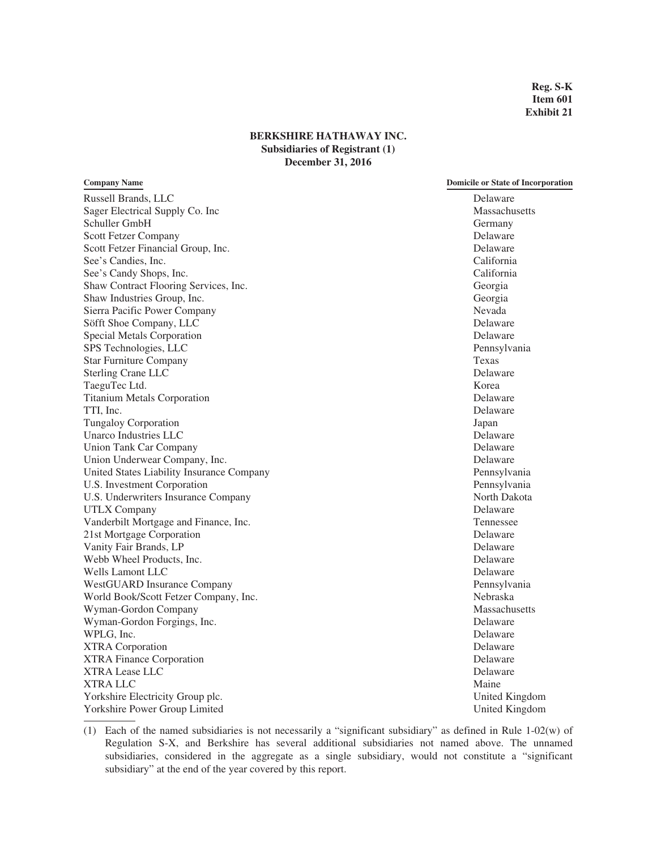# **BERKSHIRE HATHAWAY INC. Subsidiaries of Registrant (1) December 31, 2016**

# Russell Brands, LLC Delaware Sager Electrical Supply Co. Inc **Massachusetts** Massachusetts Schuller GmbH Germany Scott Fetzer Company Delaware Scott Fetzer Financial Group, Inc. Delaware See's Candies, Inc. California See's Candy Shops, Inc. California Shaw Contract Flooring Services, Inc. **Georgia** Georgia Shaw Industries Group, Inc. Georgia Sierra Pacific Power Company Nevada Söfft Shoe Company, LLC Delaware Special Metals Corporation Delaware SPS Technologies, LLC Pennsylvania Star Furniture Company Texas Sterling Crane LLC Delaware TaeguTec Ltd. Korea Titanium Metals Corporation Delaware TTI, Inc. Delaware Tungaloy Corporation Japan Unarco Industries LLC Delaware Union Tank Car Company Delaware Union Underwear Company, Inc. **Delaware** Delaware United States Liability Insurance Company Pennsylvania U.S. Investment Corporation Pennsylvania U.S. Underwriters Insurance Company North Dakota UTLX Company Delaware Vanderbilt Mortgage and Finance, Inc. Tennessee 21st Mortgage Corporation Delaware Vanity Fair Brands, LP Delaware Webb Wheel Products, Inc.  $\Box$ Wells Lamont LLC Delaware WestGUARD Insurance Company **Pennsylvania** Pennsylvania World Book/Scott Fetzer Company, Inc. Nebraska Wyman-Gordon Company Massachusetts Wyman-Gordon Forgings, Inc. **Delaware Delaware Delaware** WPLG, Inc. Delaware XTRA Corporation Delaware XTRA Finance Corporation Delaware XTRA Lease LLC Delaware XTRA LLC Maine Yorkshire Electricity Group plc. United Kingdom Yorkshire Power Group Limited United Kingdom

**Company Name Domicile or State of Incorporation** 

(1) Each of the named subsidiaries is not necessarily a "significant subsidiary" as defined in Rule 1-02(w) of Regulation S-X, and Berkshire has several additional subsidiaries not named above. The unnamed subsidiaries, considered in the aggregate as a single subsidiary, would not constitute a "significant subsidiary" at the end of the year covered by this report.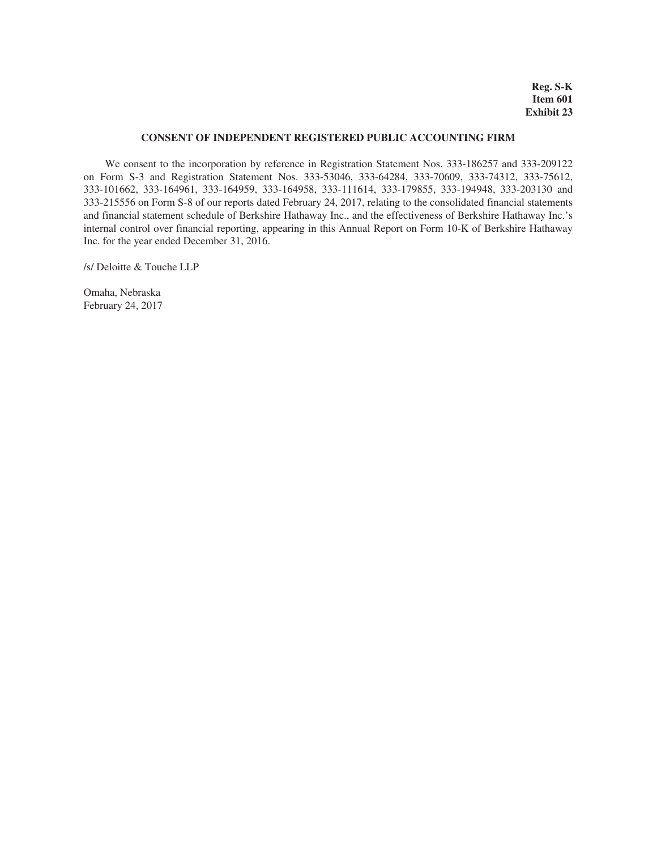## **CONSENT OF INDEPENDENT REGISTERED PUBLIC ACCOUNTING FIRM**

We consent to the incorporation by reference in Registration Statement Nos. 333-186257 and 333-209122 on Form S-3 and Registration Statement Nos. 333-53046, 333-64284, 333-70609, 333-74312, 333-75612, 333-101662, 333-164961, 333-164959, 333-164958, 333-111614, 333-179855, 333-194948, 333-203130 and 333-215556 on Form S-8 of our reports dated February 24, 2017, relating to the consolidated financial statements and financial statement schedule of Berkshire Hathaway Inc., and the effectiveness of Berkshire Hathaway Inc.'s internal control over financial reporting, appearing in this Annual Report on Form 10-K of Berkshire Hathaway Inc. for the year ended December 31, 2016.

/s/ Deloitte & Touche LLP

Omaha, Nebraska February 24, 2017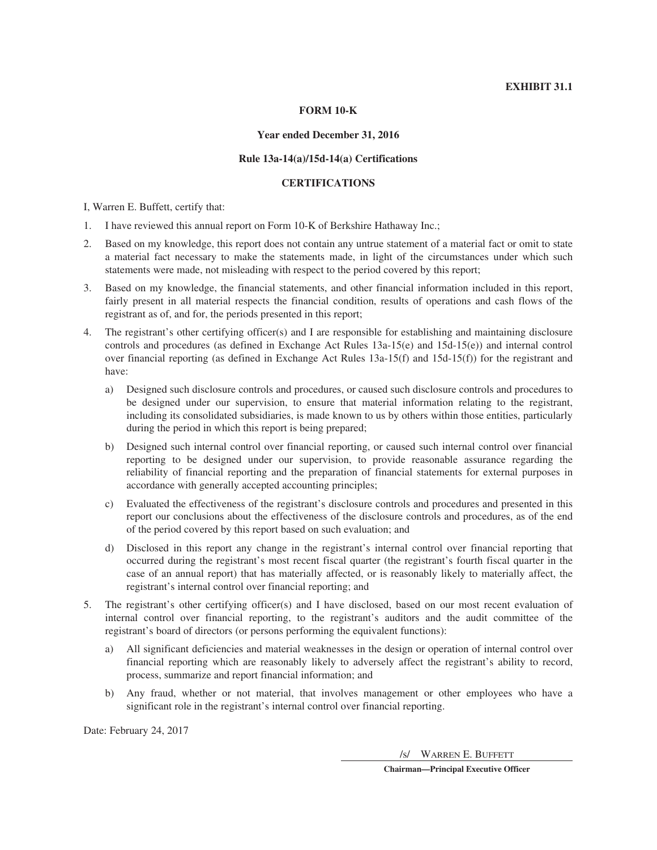#### **EXHIBIT 31.1**

#### **FORM 10-K**

#### **Year ended December 31, 2016**

# **Rule 13a-14(a)/15d-14(a) Certifications**

## **CERTIFICATIONS**

I, Warren E. Buffett, certify that:

- 1. I have reviewed this annual report on Form 10-K of Berkshire Hathaway Inc.;
- 2. Based on my knowledge, this report does not contain any untrue statement of a material fact or omit to state a material fact necessary to make the statements made, in light of the circumstances under which such statements were made, not misleading with respect to the period covered by this report;
- 3. Based on my knowledge, the financial statements, and other financial information included in this report, fairly present in all material respects the financial condition, results of operations and cash flows of the registrant as of, and for, the periods presented in this report;
- 4. The registrant's other certifying officer(s) and I are responsible for establishing and maintaining disclosure controls and procedures (as defined in Exchange Act Rules 13a-15(e) and 15d-15(e)) and internal control over financial reporting (as defined in Exchange Act Rules 13a-15(f) and 15d-15(f)) for the registrant and have:
	- a) Designed such disclosure controls and procedures, or caused such disclosure controls and procedures to be designed under our supervision, to ensure that material information relating to the registrant, including its consolidated subsidiaries, is made known to us by others within those entities, particularly during the period in which this report is being prepared;
	- b) Designed such internal control over financial reporting, or caused such internal control over financial reporting to be designed under our supervision, to provide reasonable assurance regarding the reliability of financial reporting and the preparation of financial statements for external purposes in accordance with generally accepted accounting principles;
	- c) Evaluated the effectiveness of the registrant's disclosure controls and procedures and presented in this report our conclusions about the effectiveness of the disclosure controls and procedures, as of the end of the period covered by this report based on such evaluation; and
	- d) Disclosed in this report any change in the registrant's internal control over financial reporting that occurred during the registrant's most recent fiscal quarter (the registrant's fourth fiscal quarter in the case of an annual report) that has materially affected, or is reasonably likely to materially affect, the registrant's internal control over financial reporting; and
- 5. The registrant's other certifying officer(s) and I have disclosed, based on our most recent evaluation of internal control over financial reporting, to the registrant's auditors and the audit committee of the registrant's board of directors (or persons performing the equivalent functions):
	- a) All significant deficiencies and material weaknesses in the design or operation of internal control over financial reporting which are reasonably likely to adversely affect the registrant's ability to record, process, summarize and report financial information; and
	- b) Any fraud, whether or not material, that involves management or other employees who have a significant role in the registrant's internal control over financial reporting.

Date: February 24, 2017

/s/ WARREN E. BUFFETT

**Chairman—Principal Executive Officer**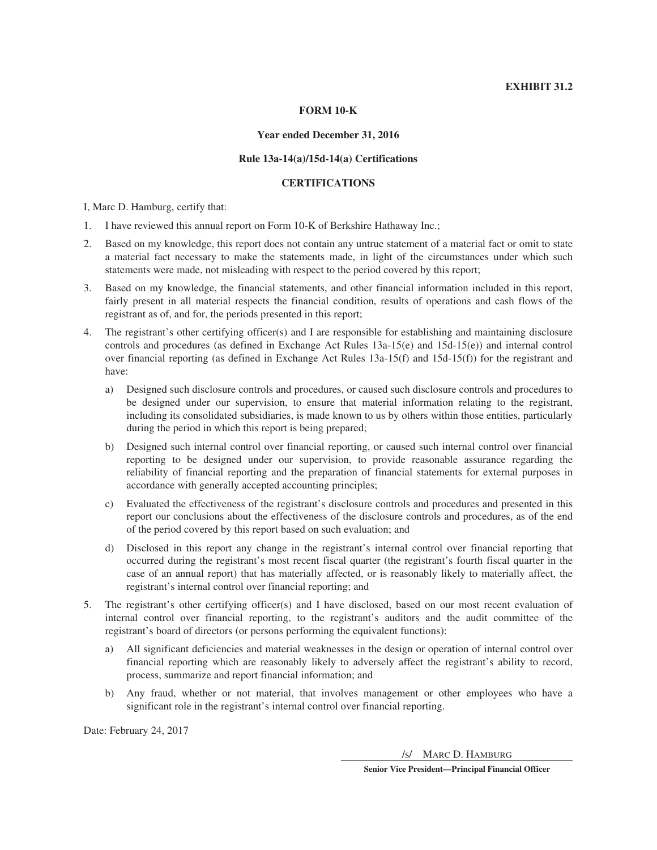#### **FORM 10-K**

#### **Year ended December 31, 2016**

## **Rule 13a-14(a)/15d-14(a) Certifications**

## **CERTIFICATIONS**

I, Marc D. Hamburg, certify that:

- 1. I have reviewed this annual report on Form 10-K of Berkshire Hathaway Inc.;
- 2. Based on my knowledge, this report does not contain any untrue statement of a material fact or omit to state a material fact necessary to make the statements made, in light of the circumstances under which such statements were made, not misleading with respect to the period covered by this report;
- 3. Based on my knowledge, the financial statements, and other financial information included in this report, fairly present in all material respects the financial condition, results of operations and cash flows of the registrant as of, and for, the periods presented in this report;
- 4. The registrant's other certifying officer(s) and I are responsible for establishing and maintaining disclosure controls and procedures (as defined in Exchange Act Rules 13a-15(e) and 15d-15(e)) and internal control over financial reporting (as defined in Exchange Act Rules 13a-15(f) and 15d-15(f)) for the registrant and have:
	- a) Designed such disclosure controls and procedures, or caused such disclosure controls and procedures to be designed under our supervision, to ensure that material information relating to the registrant, including its consolidated subsidiaries, is made known to us by others within those entities, particularly during the period in which this report is being prepared;
	- b) Designed such internal control over financial reporting, or caused such internal control over financial reporting to be designed under our supervision, to provide reasonable assurance regarding the reliability of financial reporting and the preparation of financial statements for external purposes in accordance with generally accepted accounting principles;
	- c) Evaluated the effectiveness of the registrant's disclosure controls and procedures and presented in this report our conclusions about the effectiveness of the disclosure controls and procedures, as of the end of the period covered by this report based on such evaluation; and
	- d) Disclosed in this report any change in the registrant's internal control over financial reporting that occurred during the registrant's most recent fiscal quarter (the registrant's fourth fiscal quarter in the case of an annual report) that has materially affected, or is reasonably likely to materially affect, the registrant's internal control over financial reporting; and
- 5. The registrant's other certifying officer(s) and I have disclosed, based on our most recent evaluation of internal control over financial reporting, to the registrant's auditors and the audit committee of the registrant's board of directors (or persons performing the equivalent functions):
	- a) All significant deficiencies and material weaknesses in the design or operation of internal control over financial reporting which are reasonably likely to adversely affect the registrant's ability to record, process, summarize and report financial information; and
	- b) Any fraud, whether or not material, that involves management or other employees who have a significant role in the registrant's internal control over financial reporting.

Date: February 24, 2017

/s/ MARC D. HAMBURG

**Senior Vice President—Principal Financial Officer**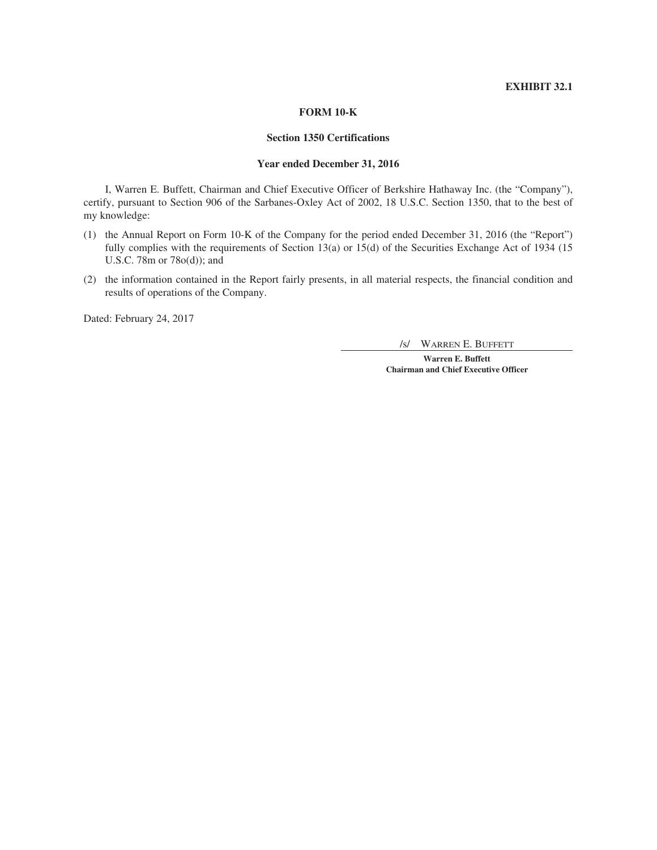## **EXHIBIT 32.1**

## **FORM 10-K**

#### **Section 1350 Certifications**

#### **Year ended December 31, 2016**

I, Warren E. Buffett, Chairman and Chief Executive Officer of Berkshire Hathaway Inc. (the "Company"), certify, pursuant to Section 906 of the Sarbanes-Oxley Act of 2002, 18 U.S.C. Section 1350, that to the best of my knowledge:

- (1) the Annual Report on Form 10-K of the Company for the period ended December 31, 2016 (the "Report") fully complies with the requirements of Section 13(a) or 15(d) of the Securities Exchange Act of 1934 (15 U.S.C. 78m or 78o(d)); and
- (2) the information contained in the Report fairly presents, in all material respects, the financial condition and results of operations of the Company.

Dated: February 24, 2017

/s/ WARREN E. BUFFETT

**Warren E. Buffett Chairman and Chief Executive Officer**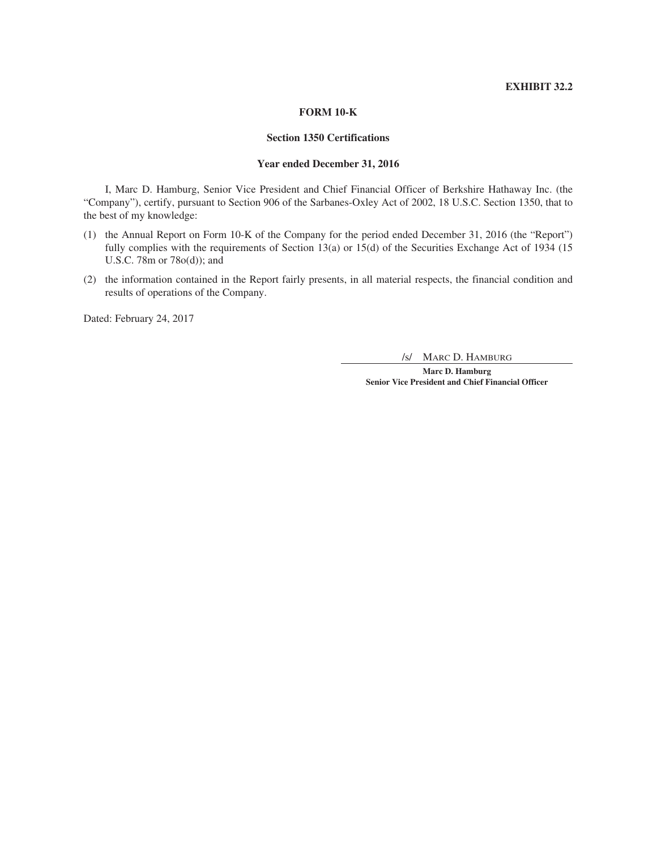## **EXHIBIT 32.2**

## **FORM 10-K**

#### **Section 1350 Certifications**

#### **Year ended December 31, 2016**

I, Marc D. Hamburg, Senior Vice President and Chief Financial Officer of Berkshire Hathaway Inc. (the "Company"), certify, pursuant to Section 906 of the Sarbanes-Oxley Act of 2002, 18 U.S.C. Section 1350, that to the best of my knowledge:

- (1) the Annual Report on Form 10-K of the Company for the period ended December 31, 2016 (the "Report") fully complies with the requirements of Section 13(a) or 15(d) of the Securities Exchange Act of 1934 (15 U.S.C. 78m or 78o(d)); and
- (2) the information contained in the Report fairly presents, in all material respects, the financial condition and results of operations of the Company.

Dated: February 24, 2017

/s/ MARC D. HAMBURG

**Marc D. Hamburg Senior Vice President and Chief Financial Officer**